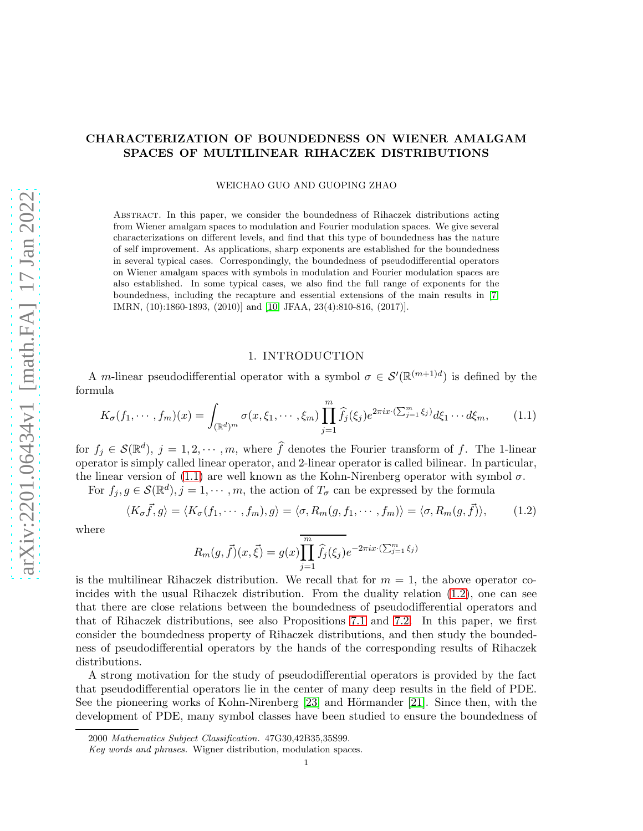# CHARACTERIZATION OF BOUNDEDNESS ON WIENER AMALGAM SPACES OF MULTILINEAR RIHACZEK DISTRIBUTIONS

WEICHAO GUO AND GUOPING ZHAO

Abstract. In this paper, we consider the boundedness of Rihaczek distributions acting from Wiener amalgam spaces to modulation and Fourier modulation spaces. We give several characterizations on different levels, and find that this type of boundedness has the nature of self improvement. As applications, sharp exponents are established for the boundedness in several typical cases. Correspondingly, the boundedness of pseudodifferential operators on Wiener amalgam spaces with symbols in modulation and Fourier modulation spaces are also established. In some typical cases, we also find the full range of exponents for the boundedness, including the recapture and essential extensions of the main results in [\[7,](#page-62-0) IMRN, (10):1860-1893, (2010)] and [\[10,](#page-63-0) JFAA, 23(4):810-816, (2017)].

## 1. INTRODUCTION

A m-linear pseudodifferential operator with a symbol  $\sigma \in \mathcal{S}'(\mathbb{R}^{(m+1)d})$  is defined by the formula

<span id="page-0-0"></span>
$$
K_{\sigma}(f_1, \cdots, f_m)(x) = \int_{(\mathbb{R}^d)^m} \sigma(x, \xi_1, \cdots, \xi_m) \prod_{j=1}^m \widehat{f}_j(\xi_j) e^{2\pi ix \cdot (\sum_{j=1}^m \xi_j)} d\xi_1 \cdots d\xi_m, \qquad (1.1)
$$

for  $f_j \in \mathcal{S}(\mathbb{R}^d)$ ,  $j = 1, 2, \dots, m$ , where  $\widehat{f}$  denotes the Fourier transform of f. The 1-linear operator is simply called linear operator, and 2-linear operator is called bilinear. In particular, the linear version of [\(1.1\)](#page-0-0) are well known as the Kohn-Nirenberg operator with symbol  $\sigma$ .

For  $f_j, g \in \mathcal{S}(\mathbb{R}^d), j = 1, \dots, m$ , the action of  $T_{\sigma}$  can be expressed by the formula

<span id="page-0-1"></span>
$$
\langle K_{\sigma}\vec{f},g\rangle = \langle K_{\sigma}(f_1,\cdots,f_m),g\rangle = \langle \sigma,R_m(g,f_1,\cdots,f_m)\rangle = \langle \sigma,R_m(g,\vec{f})\rangle, \qquad (1.2)
$$

where

$$
R_m(g, \vec{f})(x, \vec{\xi}) = g(x) \prod_{j=1}^m \widehat{f}_j(\xi_j) e^{-2\pi i x \cdot (\sum_{j=1}^m \xi_j)}
$$

is the multilinear Rihaczek distribution. We recall that for  $m = 1$ , the above operator coincides with the usual Rihaczek distribution. From the duality relation [\(1.2\)](#page-0-1), one can see that there are close relations between the boundedness of pseudodifferential operators and that of Rihaczek distributions, see also Propositions [7.1](#page-57-0) and [7.2.](#page-57-1) In this paper, we first consider the boundedness property of Rihaczek distributions, and then study the boundedness of pseudodifferential operators by the hands of the corresponding results of Rihaczek distributions.

A strong motivation for the study of pseudodifferential operators is provided by the fact that pseudodifferential operators lie in the center of many deep results in the field of PDE. See the pioneering works of Kohn-Nirenberg  $[23]$  and Hörmander  $[21]$ . Since then, with the development of PDE, many symbol classes have been studied to ensure the boundedness of

<sup>2000</sup> Mathematics Subject Classification. 47G30,42B35,35S99.

Key words and phrases. Wigner distribution, modulation spaces.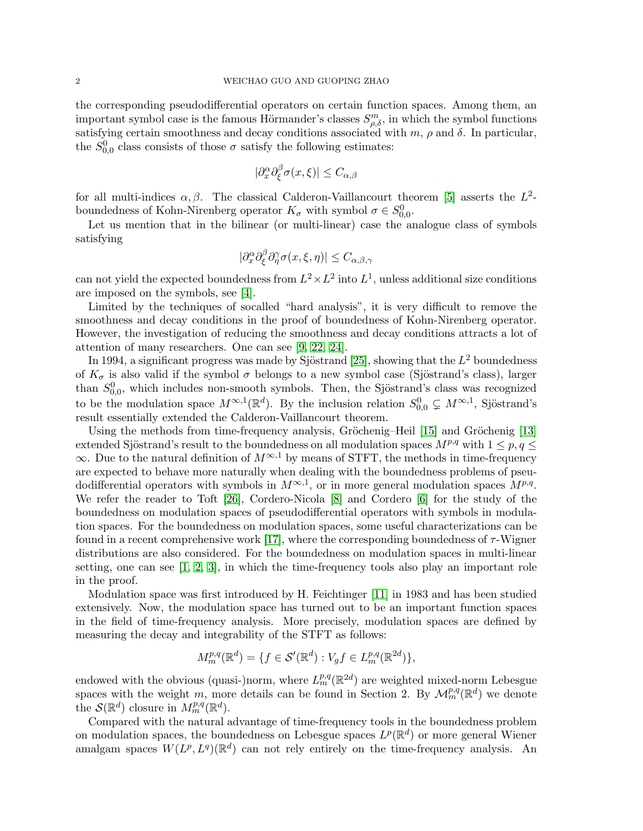the corresponding pseudodifferential operators on certain function spaces. Among them, an important symbol case is the famous Hörmander's classes  $S^m_{\rho,\delta}$ , in which the symbol functions satisfying certain smoothness and decay conditions associated with  $m$ ,  $\rho$  and  $\delta$ . In particular, the  $S_{0,0}^0$  class consists of those  $\sigma$  satisfy the following estimates:

$$
|\partial_x^{\alpha} \partial_{\xi}^{\beta} \sigma(x,\xi)| \le C_{\alpha,\beta}
$$

for all multi-indices  $\alpha, \beta$ . The classical Calderon-Vaillancourt theorem [\[5\]](#page-62-1) asserts the  $L^2$ boundedness of Kohn-Nirenberg operator  $K_{\sigma}$  with symbol  $\sigma \in S_{0,0}^0$ .

Let us mention that in the bilinear (or multi-linear) case the analogue class of symbols satisfying

$$
|\partial_x^{\alpha} \partial_{\xi}^{\beta} \partial_{\eta}^{\gamma} \sigma(x, \xi, \eta)| \leq C_{\alpha, \beta, \gamma}
$$

can not yield the expected boundedness from  $L^2 \times L^2$  into  $L^1$ , unless additional size conditions are imposed on the symbols, see [\[4\]](#page-62-2).

Limited by the techniques of socalled "hard analysis", it is very difficult to remove the smoothness and decay conditions in the proof of boundedness of Kohn-Nirenberg operator. However, the investigation of reducing the smoothness and decay conditions attracts a lot of attention of many researchers. One can see [\[9,](#page-63-3) [22,](#page-63-4) [24\]](#page-63-5).

In 1994, a significant progress was made by Sjöstrand [\[25\]](#page-63-6), showing that the  $L^2$  boundedness of  $K_{\sigma}$  is also valid if the symbol  $\sigma$  belongs to a new symbol case (Sjöstrand's class), larger than  $S_{0,0}^0$ , which includes non-smooth symbols. Then, the Sjöstrand's class was recognized to be the modulation space  $M^{\infty,1}(\mathbb{R}^d)$ . By the inclusion relation  $S_{0,0}^0 \subsetneq M^{\infty,1}$ , Sjöstrand's result essentially extended the Calderon-Vaillancourt theorem.

Using the methods from time-frequency analysis, Gröchenig–Heil [\[15\]](#page-63-7) and Gröchenig [\[13\]](#page-63-8) extended Sjöstrand's result to the boundedness on all modulation spaces  $M^{p,q}$  with  $1 \leq p, q \leq$  $\infty$ . Due to the natural definition of  $M^{\infty,1}$  by means of STFT, the methods in time-frequency are expected to behave more naturally when dealing with the boundedness problems of pseudodifferential operators with symbols in  $M^{\infty,1}$ , or in more general modulation spaces  $M^{p,q}$ . We refer the reader to Toft [\[26\]](#page-63-9), Cordero-Nicola [\[8\]](#page-62-3) and Cordero [\[6\]](#page-62-4) for the study of the boundedness on modulation spaces of pseudodifferential operators with symbols in modulation spaces. For the boundedness on modulation spaces, some useful characterizations can be found in a recent comprehensive work [\[17\]](#page-63-10), where the corresponding boundedness of  $\tau$ -Wigner distributions are also considered. For the boundedness on modulation spaces in multi-linear setting, one can see  $[1, 2, 3]$  $[1, 2, 3]$  $[1, 2, 3]$ , in which the time-frequency tools also play an important role in the proof.

Modulation space was first introduced by H. Feichtinger [\[11\]](#page-63-11) in 1983 and has been studied extensively. Now, the modulation space has turned out to be an important function spaces in the field of time-frequency analysis. More precisely, modulation spaces are defined by measuring the decay and integrability of the STFT as follows:

$$
M_m^{p,q}(\mathbb{R}^d) = \{ f \in \mathcal{S}'(\mathbb{R}^d) : V_g f \in L_m^{p,q}(\mathbb{R}^{2d}) \},
$$

endowed with the obvious (quasi-)norm, where  $L_m^{p,q}(\mathbb{R}^{2d})$  are weighted mixed-norm Lebesgue spaces with the weight m, more details can be found in Section 2. By  $\mathcal{M}_m^{p,q}(\mathbb{R}^d)$  we denote the  $\mathcal{S}(\mathbb{R}^d)$  closure in  $M_m^{p,q}(\mathbb{R}^d)$ .

Compared with the natural advantage of time-frequency tools in the boundedness problem on modulation spaces, the boundedness on Lebesgue spaces  $L^p(\mathbb{R}^d)$  or more general Wiener amalgam spaces  $W(L^p, L^q)(\mathbb{R}^d)$  can not rely entirely on the time-frequency analysis. An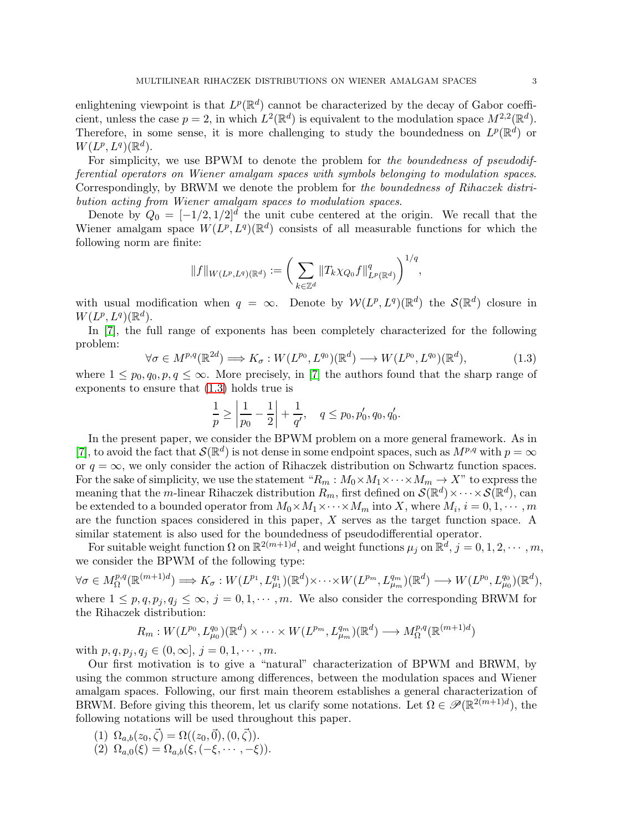enlightening viewpoint is that  $L^p(\mathbb{R}^d)$  cannot be characterized by the decay of Gabor coefficient, unless the case  $p = 2$ , in which  $L^2(\mathbb{R}^d)$  is equivalent to the modulation space  $M^{2,2}(\mathbb{R}^d)$ . Therefore, in some sense, it is more challenging to study the boundedness on  $L^p(\mathbb{R}^d)$  or  $W(L^p,L^q)(\mathbb{R}^d).$ 

For simplicity, we use BPWM to denote the problem for the boundedness of pseudodifferential operators on Wiener amalgam spaces with symbols belonging to modulation spaces. Correspondingly, by BRWM we denote the problem for the boundedness of Rihaczek distribution acting from Wiener amalgam spaces to modulation spaces.

Denote by  $Q_0 = \left[-1/2, 1/2\right]^d$  the unit cube centered at the origin. We recall that the Wiener amalgam space  $W(L^p, L^q)(\mathbb{R}^d)$  consists of all measurable functions for which the following norm are finite:

$$
||f||_{W(L^p, L^q)(\mathbb{R}^d)} := \bigg(\sum_{k \in \mathbb{Z}^d} ||T_k \chi_{Q_0} f||_{L^p(\mathbb{R}^d)}^q\bigg)^{1/q},
$$

with usual modification when  $q = \infty$ . Denote by  $W(L^p, L^q)(\mathbb{R}^d)$  the  $\mathcal{S}(\mathbb{R}^d)$  closure in  $W(L^p,L^q)(\mathbb{R}^d).$ 

In [\[7\]](#page-62-0), the full range of exponents has been completely characterized for the following problem:

<span id="page-2-0"></span>
$$
\forall \sigma \in M^{p,q}(\mathbb{R}^{2d}) \Longrightarrow K_{\sigma}: W(L^{p_0}, L^{q_0})(\mathbb{R}^d) \longrightarrow W(L^{p_0}, L^{q_0})(\mathbb{R}^d),\tag{1.3}
$$

where  $1 \leq p_0, q_0, p, q \leq \infty$ . More precisely, in [\[7\]](#page-62-0) the authors found that the sharp range of exponents to ensure that [\(1.3\)](#page-2-0) holds true is

$$
\frac{1}{p} \ge \left| \frac{1}{p_0} - \frac{1}{2} \right| + \frac{1}{q'}, \quad q \le p_0, p'_0, q_0, q'_0.
$$

In the present paper, we consider the BPWM problem on a more general framework. As in [\[7\]](#page-62-0), to avoid the fact that  $\mathcal{S}(\mathbb{R}^d)$  is not dense in some endpoint spaces, such as  $M^{p,q}$  with  $p = \infty$ or  $q = \infty$ , we only consider the action of Rihaczek distribution on Schwartz function spaces. For the sake of simplicity, we use the statement " $R_m : M_0 \times M_1 \times \cdots \times M_m \to X$ " to express the meaning that the *m*-linear Rihaczek distribution  $R_m$ , first defined on  $\mathcal{S}(\mathbb{R}^d) \times \cdots \times \mathcal{S}(\mathbb{R}^d)$ , can be extended to a bounded operator from  $M_0 \times M_1 \times \cdots \times M_m$  into X, where  $M_i$ ,  $i = 0, 1, \cdots, m$ are the function spaces considered in this paper, X serves as the target function space. A similar statement is also used for the boundedness of pseudodifferential operator.

For suitable weight function  $\Omega$  on  $\mathbb{R}^{2(m+1)d}$ , and weight functions  $\mu_j$  on  $\mathbb{R}^d$ ,  $j = 0, 1, 2, \cdots, m$ , we consider the BPWM of the following type:

 $\forall \sigma \in M_{\Omega}^{p,q}(\mathbb{R}^{(m+1)d}) \Longrightarrow K_{\sigma}: W(L^{p_1}, L_{\mu_1}^{q_1})(\mathbb{R}^d) \times \cdots \times W(L^{p_m}, L_{\mu_m}^{q_m})(\mathbb{R}^d) \longrightarrow W(L^{p_0}, L_{\mu_0}^{q_0})(\mathbb{R}^d),$ where  $1 \leq p, q, p_j, q_j \leq \infty$ ,  $j = 0, 1, \dots, m$ . We also consider the corresponding BRWM for the Rihaczek distribution:

$$
R_m: W(L^{p_0}, L^{q_0}_{\mu_0})(\mathbb{R}^d) \times \cdots \times W(L^{p_m}, L^{q_m}_{\mu_m})(\mathbb{R}^d) \longrightarrow M^{p,q}_{\Omega}(\mathbb{R}^{(m+1)d})
$$

with  $p, q, p_j, q_j \in (0, \infty], j = 0, 1, \dots, m$ .

Our first motivation is to give a "natural" characterization of BPWM and BRWM, by using the common structure among differences, between the modulation spaces and Wiener amalgam spaces. Following, our first main theorem establishes a general characterization of BRWM. Before giving this theorem, let us clarify some notations. Let  $\Omega \in \mathscr{P}(\mathbb{R}^{2(m+1)d})$ , the following notations will be used throughout this paper.

- (1)  $\Omega_{a,b}(z_0, \vec{\zeta}) = \Omega((z_0, \vec{0}), (0, \vec{\zeta})).$
- (2)  $\Omega_{a,0}(\xi) = \Omega_{a,b}(\xi, (-\xi, \dots, -\xi)).$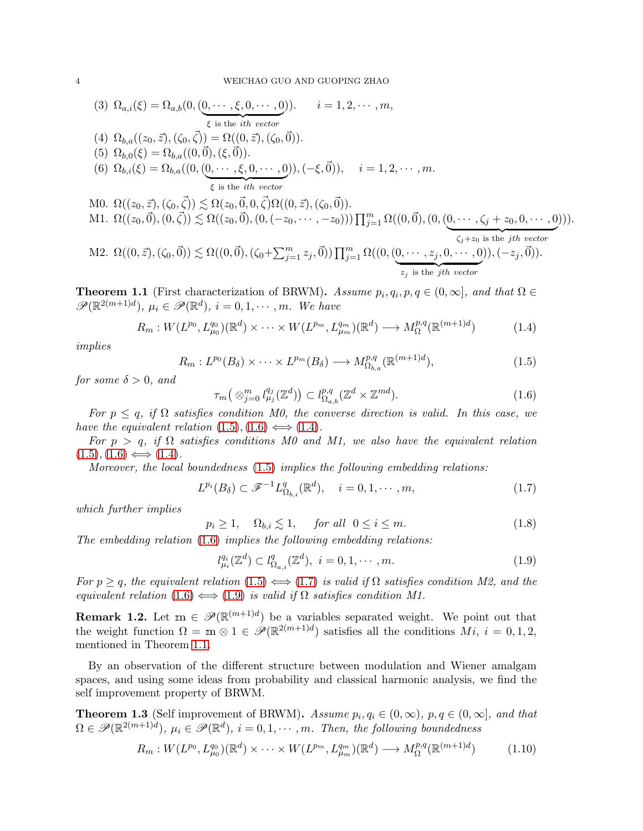(3) 
$$
\Omega_{a,i}(\xi) = \Omega_{a,b}(0, (0, \dots, \xi, 0, \dots, 0)).
$$
  $i = 1, 2, \dots, m,$   
\n(4)  $\Omega_{b,a}((z_0, \vec{z}), (\zeta_0, \vec{\zeta})) = \Omega((0, \vec{z}), (\zeta_0, \vec{0})).$   
\n(5)  $\Omega_{b,0}(\xi) = \Omega_{b,a}((0, \vec{0}), (\xi, \vec{0})).$   
\n(6)  $\Omega_{b,i}(\xi) = \Omega_{b,a}((0, (0, \dots, \xi, 0, \dots, 0)), (-\xi, \vec{0})), \quad i = 1, 2, \dots, m.$   
\n(7)  $\xi$  is the *ith vector*  
\nM0.  $\Omega((z_0, \vec{z}), (\zeta_0, \vec{\zeta})) \lesssim \Omega(z_0, \vec{0}, 0, \vec{\zeta})\Omega((0, \vec{z}), (\zeta_0, \vec{0})).$   
\nM1.  $\Omega((z_0, \vec{0}), (0, \vec{\zeta})) \lesssim \Omega((z_0, \vec{0}), (0, (-z_0, \dots, -z_0))) \prod_{j=1}^m \Omega((0, \vec{0}), (0, (0, \dots, \zeta_j + z_0, 0, \dots, 0))).$   
\nM2.  $\Omega((0, \vec{z}), (\zeta_0, \vec{0})) \lesssim \Omega((0, \vec{0}), (\zeta_0 + \sum_{j=1}^m z_j, \vec{0})) \prod_{j=1}^m \Omega((0, (0, \dots, z_j, 0, \dots, 0)), (-z_j, \vec{0})).$ 

<span id="page-3-5"></span>**Theorem 1.1** (First characterization of BRWM). Assume  $p_i, q_i, p, q \in (0, \infty]$ , and that  $\Omega \in$  $\mathscr{P}(\mathbb{R}^{2(m+1)d}), \mu_i \in \mathscr{P}(\mathbb{R}^d), i = 0, 1, \cdots, m.$  We have

<span id="page-3-2"></span>
$$
R_m: W(L^{p_0}, L^{q_0}_{\mu_0})(\mathbb{R}^d) \times \cdots \times W(L^{p_m}, L^{q_m}_{\mu_m})(\mathbb{R}^d) \longrightarrow M^{p,q}_{\Omega}(\mathbb{R}^{(m+1)d})
$$
(1.4)

implies

<span id="page-3-0"></span>
$$
R_m: L^{p_0}(B_\delta) \times \cdots \times L^{p_m}(B_\delta) \longrightarrow M^{p,q}_{\Omega_{b,a}}(\mathbb{R}^{(m+1)d}), \tag{1.5}
$$

for some  $\delta > 0$ , and

<span id="page-3-1"></span>
$$
\tau_m\big(\otimes_{j=0}^m l_{\mu_j}^{q_j}(\mathbb{Z}^d)\big) \subset l_{\Omega_{a,b}}^{p,q}(\mathbb{Z}^d \times \mathbb{Z}^{md}).\tag{1.6}
$$

 ${z_j}$  is the *jth vector* 

For  $p \leq q$ , if  $\Omega$  satisfies condition M0, the converse direction is valid. In this case, we have the equivalent relation  $(1.5), (1.6) \Longleftrightarrow (1.4)$  $(1.5), (1.6) \Longleftrightarrow (1.4)$  $(1.5), (1.6) \Longleftrightarrow (1.4)$  $(1.5), (1.6) \Longleftrightarrow (1.4)$  $(1.5), (1.6) \Longleftrightarrow (1.4)$ .

For  $p > q$ , if  $\Omega$  satisfies conditions M0 and M1, we also have the equivalent relation  $(1.5), (1.6) \Longleftrightarrow (1.4).$  $(1.5), (1.6) \Longleftrightarrow (1.4).$  $(1.5), (1.6) \Longleftrightarrow (1.4).$  $(1.5), (1.6) \Longleftrightarrow (1.4).$  $(1.5), (1.6) \Longleftrightarrow (1.4).$  $(1.5), (1.6) \Longleftrightarrow (1.4).$ 

Moreover, the local boundedness [\(1.5\)](#page-3-0) implies the following embedding relations:

<span id="page-3-3"></span>
$$
L^{p_i}(B_\delta) \subset \mathscr{F}^{-1}L^q_{\Omega_{b,i}}(\mathbb{R}^d), \quad i = 0, 1, \cdots, m,
$$
\n
$$
(1.7)
$$

which further implies

<span id="page-3-7"></span>
$$
p_i \ge 1, \quad \Omega_{b,i} \lesssim 1, \quad \text{for all} \ \ 0 \le i \le m. \tag{1.8}
$$

The embedding relation [\(1.6\)](#page-3-1) implies the following embedding relations:

<span id="page-3-4"></span>
$$
l_{\mu_i}^{q_i}(\mathbb{Z}^d) \subset l_{\Omega_{a,i}}^q(\mathbb{Z}^d), \ i = 0, 1, \cdots, m. \tag{1.9}
$$

For  $p \geq q$ , the equivalent relation [\(1.5\)](#page-3-0)  $\Longleftrightarrow$  [\(1.7\)](#page-3-3) is valid if  $\Omega$  satisfies condition M2, and the equivalent relation  $(1.6) \Longleftrightarrow (1.9)$  $(1.6) \Longleftrightarrow (1.9)$  $(1.6) \Longleftrightarrow (1.9)$  is valid if  $\Omega$  satisfies condition M1.

<span id="page-3-9"></span>**Remark 1.2.** Let  $m \in \mathcal{P}(\mathbb{R}^{(m+1)d})$  be a variables separated weight. We point out that the weight function  $\Omega = \mathbf{m} \otimes 1 \in \mathscr{P}(\mathbb{R}^{2(m+1)d})$  satisfies all the conditions  $Mi$ ,  $i = 0, 1, 2$ , mentioned in Theorem [1.1.](#page-3-5)

By an observation of the different structure between modulation and Wiener amalgam spaces, and using some ideas from probability and classical harmonic analysis, we find the self improvement property of BRWM.

<span id="page-3-6"></span>**Theorem 1.3** (Self improvement of BRWM). Assume  $p_i, q_i \in (0, \infty)$ ,  $p, q \in (0, \infty]$ , and that  $\Omega \in \mathscr{P}(\mathbb{R}^{2(m+1)d}), \mu_i \in \mathscr{P}(\mathbb{R}^d), i = 0, 1, \cdots, m$ . Then, the following boundedness

<span id="page-3-8"></span>
$$
R_m: W(L^{p_0}, L^{q_0}_{\mu_0})(\mathbb{R}^d) \times \cdots \times W(L^{p_m}, L^{q_m}_{\mu_m})(\mathbb{R}^d) \longrightarrow M^{p,q}_{\Omega}(\mathbb{R}^{(m+1)d})
$$
(1.10)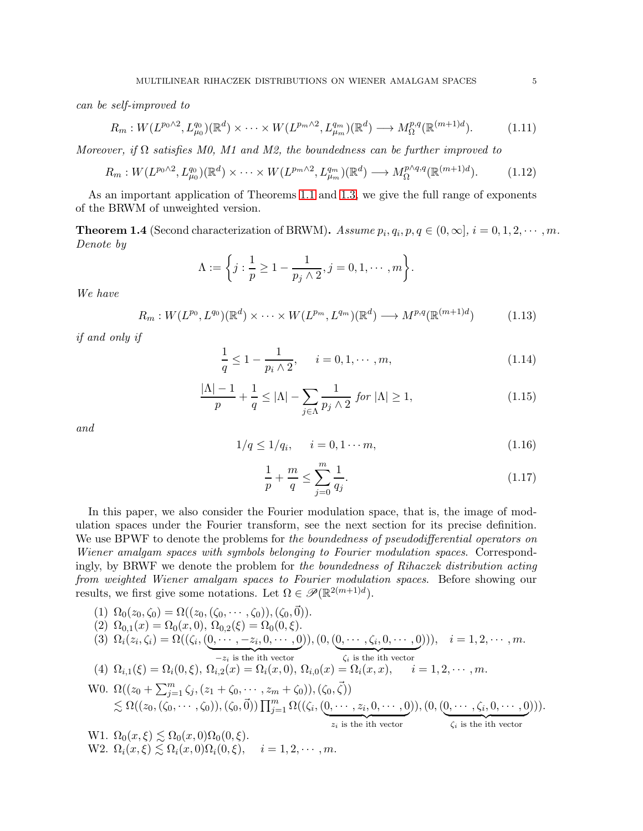can be self-improved to

<span id="page-4-1"></span>
$$
R_m: W(L^{p_0 \wedge 2}, L^{q_0}_{\mu_0})(\mathbb{R}^d) \times \cdots \times W(L^{p_m \wedge 2}, L^{q_m}_{\mu_m})(\mathbb{R}^d) \longrightarrow M^{p,q}_{\Omega}(\mathbb{R}^{(m+1)d}). \tag{1.11}
$$

Moreover, if  $\Omega$  satisfies M0, M1 and M2, the boundedness can be further improved to

$$
R_m: W(L^{p_0 \wedge 2}, L^{q_0}_{\mu_0})(\mathbb{R}^d) \times \cdots \times W(L^{p_m \wedge 2}, L^{q_m}_{\mu_m})(\mathbb{R}^d) \longrightarrow M^{\mathfrak{p} \wedge q, q}_{\Omega}(\mathbb{R}^{(m+1)d}). \tag{1.12}
$$

As an important application of Theorems [1.1](#page-3-5) and [1.3,](#page-3-6) we give the full range of exponents of the BRWM of unweighted version.

<span id="page-4-0"></span>**Theorem 1.4** (Second characterization of BRWM). Assume  $p_i, q_i, p, q \in (0, \infty], i = 0, 1, 2, \cdots, m$ . Denote by

$$
\Lambda := \bigg\{ j : \frac{1}{p} \geq 1 - \frac{1}{p_j \wedge 2}, j = 0, 1, \cdots, m \bigg\}.
$$

We have

<span id="page-4-2"></span>
$$
R_m: W(L^{p_0}, L^{q_0})(\mathbb{R}^d) \times \cdots \times W(L^{p_m}, L^{q_m})(\mathbb{R}^d) \longrightarrow M^{p,q}(\mathbb{R}^{(m+1)d})
$$
(1.13)

if and only if

<span id="page-4-3"></span>
$$
\frac{1}{q} \le 1 - \frac{1}{p_i \wedge 2}, \quad i = 0, 1, \cdots, m,
$$
\n(1.14)

<span id="page-4-6"></span>
$$
\frac{|\Lambda| - 1}{p} + \frac{1}{q} \le |\Lambda| - \sum_{j \in \Lambda} \frac{1}{p_j \wedge 2} \text{ for } |\Lambda| \ge 1,
$$
\n(1.15)

and

<span id="page-4-4"></span>
$$
1/q \le 1/q_i, \quad i = 0, 1 \cdots m,
$$
\n(1.16)

<span id="page-4-5"></span>
$$
\frac{1}{p} + \frac{m}{q} \le \sum_{j=0}^{m} \frac{1}{q_j}.\tag{1.17}
$$

In this paper, we also consider the Fourier modulation space, that is, the image of modulation spaces under the Fourier transform, see the next section for its precise definition. We use BPWF to denote the problems for the boundedness of pseudodifferential operators on Wiener amalgam spaces with symbols belonging to Fourier modulation spaces. Correspondingly, by BRWF we denote the problem for the boundedness of Rihaczek distribution acting from weighted Wiener amalgam spaces to Fourier modulation spaces. Before showing our results, we first give some notations. Let  $\Omega \in \mathscr{P}(\mathbb{R}^{2(m+1)d})$ .

(1) 
$$
\Omega_0(z_0, \zeta_0) = \Omega((z_0, (\zeta_0, \dots, \zeta_0)), (\zeta_0, \vec{0})).
$$
  
\n(2)  $\Omega_{0,1}(x) = \Omega_0(x, 0), \Omega_{0,2}(\xi) = \Omega_0(0, \xi).$   
\n(3)  $\Omega_i(z_i, \zeta_i) = \Omega((\zeta_i, (0, \dots, -z_i, 0, \dots, 0)), (0, (0, \dots, \zeta_i, 0, \dots, 0))), \quad i = 1, 2, \dots, m.$   
\n(4)  $\Omega_{i,1}(\xi) = \Omega_i(0, \xi), \Omega_{i,2}(x) = \Omega_i(x, 0), \Omega_{i,0}(x) = \Omega_i(x, x), \quad i = 1, 2, \dots, m.$   
\nW0.  $\Omega((z_0 + \sum_{j=1}^m \zeta_j, (z_1 + \zeta_0, \dots, z_m + \zeta_0)), (\zeta_0, \vec{\zeta}))$   
\n $\lesssim \Omega((z_0, (\zeta_0, \dots, \zeta_0)), (\zeta_0, \vec{0})) \prod_{j=1}^m \Omega((\zeta_i, (0, \dots, z_i, 0, \dots, 0)), (0, (0, \dots, \zeta_i, 0, \dots, 0))).$   
\nW1.  $\Omega_0(x, \xi) \lesssim \Omega_0(x, 0)\Omega_0(0, \xi).$   
\nW2.  $\Omega_i(x, \xi) \lesssim \Omega_i(x, 0)\Omega_i(0, \xi), \quad i = 1, 2, \dots, m.$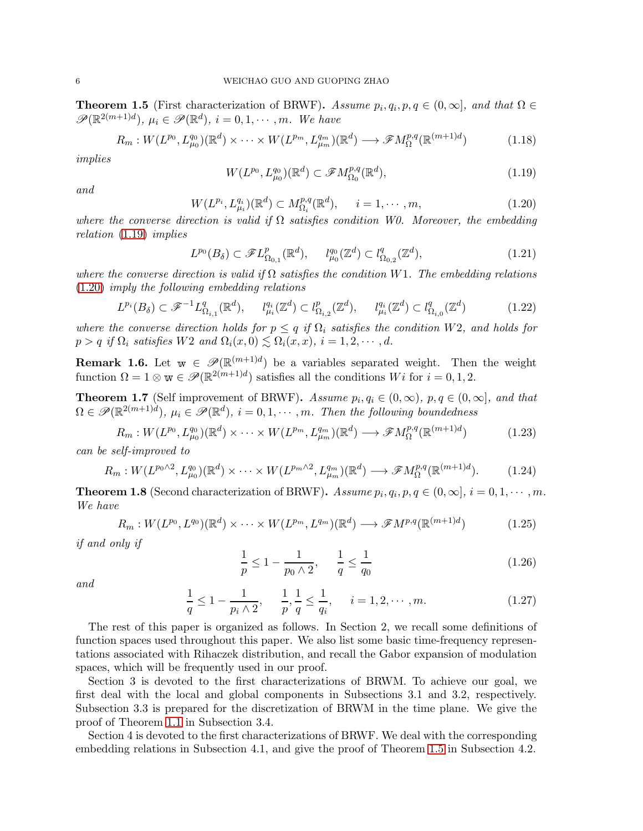<span id="page-5-2"></span>**Theorem 1.5** (First characterization of BRWF). Assume  $p_i, q_i, p, q \in (0, \infty]$ , and that  $\Omega \in$  $\mathscr{P}(\mathbb{R}^{2(m+1)d}), \mu_i \in \mathscr{P}(\mathbb{R}^d), i = 0, 1, \cdots, m.$  We have

<span id="page-5-7"></span>
$$
R_m: W(L^{p_0}, L^{q_0}_{\mu_0})(\mathbb{R}^d) \times \cdots \times W(L^{p_m}, L^{q_m}_{\mu_m})(\mathbb{R}^d) \longrightarrow \mathscr{F}M^{p,q}_{\Omega}(\mathbb{R}^{(m+1)d})
$$
(1.18)

implies

<span id="page-5-0"></span>
$$
W(L^{p_0}, L^{q_0}_{\mu_0})(\mathbb{R}^d) \subset \mathscr{F}M^{p,q}_{\Omega_0}(\mathbb{R}^d),\tag{1.19}
$$

and

<span id="page-5-1"></span>
$$
W(L^{p_i}, L^{q_i}_{\mu_i})(\mathbb{R}^d) \subset M^{p,q}_{\Omega_i}(\mathbb{R}^d), \quad i = 1, \cdots, m,
$$
\n(1.20)

where the converse direction is valid if  $\Omega$  satisfies condition W0. Moreover, the embedding relation [\(1.19\)](#page-5-0) implies

<span id="page-5-5"></span>
$$
L^{p_0}(B_\delta) \subset \mathscr{F}L^p_{\Omega_{0,1}}(\mathbb{R}^d), \qquad l^{q_0}_{\mu_0}(\mathbb{Z}^d) \subset l^q_{\Omega_{0,2}}(\mathbb{Z}^d),\tag{1.21}
$$

where the converse direction is valid if  $\Omega$  satisfies the condition W1. The embedding relations [\(1.20\)](#page-5-1) imply the following embedding relations

<span id="page-5-6"></span>
$$
L^{p_i}(B_\delta) \subset \mathcal{F}^{-1}L^q_{\Omega_{i,1}}(\mathbb{R}^d), \qquad l^{q_i}_{\mu_i}(\mathbb{Z}^d) \subset l^p_{\Omega_{i,2}}(\mathbb{Z}^d), \qquad l^{q_i}_{\mu_i}(\mathbb{Z}^d) \subset l^q_{\Omega_{i,0}}(\mathbb{Z}^d) \tag{1.22}
$$

where the converse direction holds for  $p \leq q$  if  $\Omega_i$  satisfies the condition W2, and holds for  $p > q$  if  $\Omega_i$  satisfies W2 and  $\Omega_i(x, 0) \leq \Omega_i(x, x)$ ,  $i = 1, 2, \cdots, d$ .

**Remark 1.6.** Let  $w \in \mathscr{P}(\mathbb{R}^{(m+1)d})$  be a variables separated weight. Then the weight function  $\Omega = 1 \otimes \mathbf{w} \in \mathscr{P}(\mathbb{R}^{2(m+1)d})$  satisfies all the conditions  $Wi$  for  $i = 0, 1, 2$ .

<span id="page-5-3"></span>**Theorem 1.7** (Self improvement of BRWF). Assume  $p_i, q_i \in (0, \infty)$ ,  $p, q \in (0, \infty]$ , and that  $\Omega \in \mathscr{P}(\mathbb{R}^{2(m+1)d}), \mu_i \in \mathscr{P}(\mathbb{R}^d), i = 0, 1, \cdots, m$ . Then the following boundedness

$$
R_m: W(L^{p_0}, L^{q_0}_{\mu_0})(\mathbb{R}^d) \times \cdots \times W(L^{p_m}, L^{q_m}_{\mu_m})(\mathbb{R}^d) \longrightarrow \mathscr{F}M^{p,q}_{\Omega}(\mathbb{R}^{(m+1)d})
$$
(1.23)

can be self-improved to

$$
R_m: W(L^{p_0 \wedge 2}, L^{q_0}_{\mu_0})(\mathbb{R}^d) \times \cdots \times W(L^{p_m \wedge 2}, L^{q_m}_{\mu_m})(\mathbb{R}^d) \longrightarrow \mathscr{F}M^{p,q}_{\Omega}(\mathbb{R}^{(m+1)d}). \tag{1.24}
$$

<span id="page-5-4"></span>**Theorem 1.8** (Second characterization of BRWF). Assume  $p_i, q_i, p, q \in (0, \infty], i = 0, 1, \cdots, m$ . We have

$$
R_m: W(L^{p_0}, L^{q_0})(\mathbb{R}^d) \times \cdots \times W(L^{p_m}, L^{q_m})(\mathbb{R}^d) \longrightarrow \mathscr{F}M^{p,q}(\mathbb{R}^{(m+1)d})
$$
(1.25)

if and only if

$$
\frac{1}{p} \le 1 - \frac{1}{p_0 \wedge 2}, \quad \frac{1}{q} \le \frac{1}{q_0} \tag{1.26}
$$

and

$$
\frac{1}{q} \le 1 - \frac{1}{p_i \wedge 2}, \quad \frac{1}{p}, \frac{1}{q} \le \frac{1}{q_i}, \quad i = 1, 2, \cdots, m.
$$
 (1.27)

The rest of this paper is organized as follows. In Section 2, we recall some definitions of function spaces used throughout this paper. We also list some basic time-frequency representations associated with Rihaczek distribution, and recall the Gabor expansion of modulation spaces, which will be frequently used in our proof.

Section 3 is devoted to the first characterizations of BRWM. To achieve our goal, we first deal with the local and global components in Subsections 3.1 and 3.2, respectively. Subsection 3.3 is prepared for the discretization of BRWM in the time plane. We give the proof of Theorem [1.1](#page-3-5) in Subsection 3.4.

Section 4 is devoted to the first characterizations of BRWF. We deal with the corresponding embedding relations in Subsection 4.1, and give the proof of Theorem [1.5](#page-5-2) in Subsection 4.2.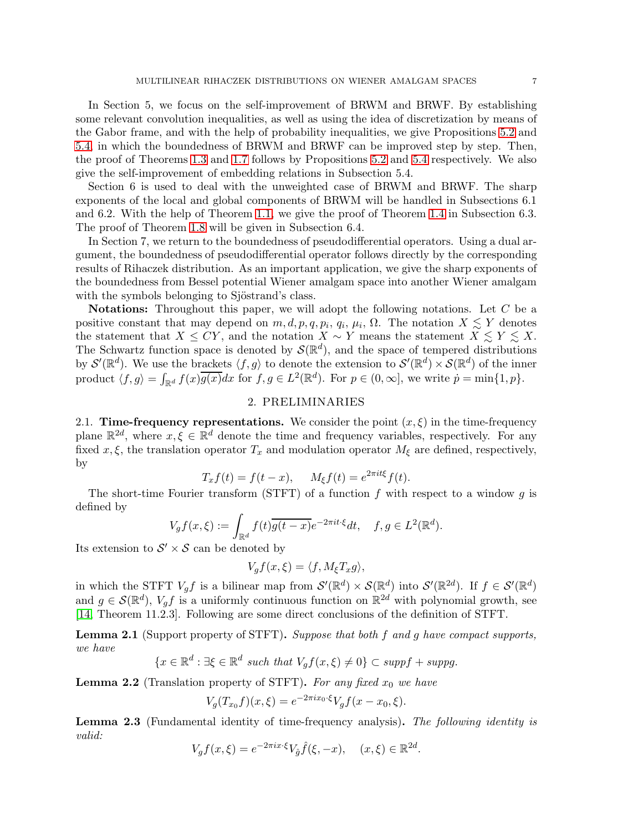In Section 5, we focus on the self-improvement of BRWM and BRWF. By establishing some relevant convolution inequalities, as well as using the idea of discretization by means of the Gabor frame, and with the help of probability inequalities, we give Propositions [5.2](#page-37-0) and [5.4,](#page-45-0) in which the boundedness of BRWM and BRWF can be improved step by step. Then, the proof of Theorems [1.3](#page-3-6) and [1.7](#page-5-3) follows by Propositions [5.2](#page-37-0) and [5.4](#page-45-0) respectively. We also give the self-improvement of embedding relations in Subsection 5.4.

Section 6 is used to deal with the unweighted case of BRWM and BRWF. The sharp exponents of the local and global components of BRWM will be handled in Subsections 6.1 and 6.2. With the help of Theorem [1.1,](#page-3-5) we give the proof of Theorem [1.4](#page-4-0) in Subsection 6.3. The proof of Theorem [1.8](#page-5-4) will be given in Subsection 6.4.

In Section 7, we return to the boundedness of pseudodifferential operators. Using a dual argument, the boundedness of pseudodifferential operator follows directly by the corresponding results of Rihaczek distribution. As an important application, we give the sharp exponents of the boundedness from Bessel potential Wiener amalgam space into another Wiener amalgam with the symbols belonging to Sjöstrand's class.

**Notations:** Throughout this paper, we will adopt the following notations. Let  $C$  be a positive constant that may depend on  $m, d, p, q, p_i, q_i, \mu_i, \Omega$ . The notation  $X \lesssim Y$  denotes the statement that  $X \le CY$ , and the notation  $X \sim Y$  means the statement  $X \le Y \le X$ . The Schwartz function space is denoted by  $\mathcal{S}(\mathbb{R}^d)$ , and the space of tempered distributions by  $\mathcal{S}'(\mathbb{R}^d)$ . We use the brackets  $\langle f, g \rangle$  to denote the extension to  $\mathcal{S}'(\mathbb{R}^d) \times \mathcal{S}(\mathbb{R}^d)$  of the inner product  $\langle f, g \rangle = \int_{\mathbb{R}^d} f(x) \overline{g(x)} dx$  for  $f, g \in L^2(\mathbb{R}^d)$ . For  $p \in (0, \infty]$ , we write  $\dot{p} = \min\{1, p\}$ .

# 2. PRELIMINARIES

2.1. Time-frequency representations. We consider the point  $(x, \xi)$  in the time-frequency plane  $\mathbb{R}^{2d}$ , where  $x, \xi \in \mathbb{R}^d$  denote the time and frequency variables, respectively. For any fixed x,  $\xi$ , the translation operator  $T_x$  and modulation operator  $M_{\xi}$  are defined, respectively, by

$$
T_x f(t) = f(t - x), \quad M_{\xi} f(t) = e^{2\pi i t \xi} f(t).
$$

The short-time Fourier transform (STFT) of a function  $f$  with respect to a window  $g$  is defined by

$$
V_g f(x,\xi) := \int_{\mathbb{R}^d} f(t) \overline{g(t-x)} e^{-2\pi i t \cdot \xi} dt, \quad f, g \in L^2(\mathbb{R}^d).
$$

Its extension to  $S' \times S$  can be denoted by

$$
V_g f(x,\xi) = \langle f, M_{\xi} T_x g \rangle,
$$

in which the STFT  $V_g f$  is a bilinear map from  $\mathcal{S}'(\mathbb{R}^d) \times \mathcal{S}(\mathbb{R}^d)$  into  $\mathcal{S}'(\mathbb{R}^{2d})$ . If  $f \in \mathcal{S}'(\mathbb{R}^d)$ and  $g \in \mathcal{S}(\mathbb{R}^d)$ ,  $V_g f$  is a uniformly continuous function on  $\mathbb{R}^{2d}$  with polynomial growth, see [\[14,](#page-63-12) Theorem 11.2.3]. Following are some direct conclusions of the definition of STFT.

<span id="page-6-0"></span>Lemma 2.1 (Support property of STFT). Suppose that both f and g have compact supports, we have

$$
\{x \in \mathbb{R}^d : \exists \xi \in \mathbb{R}^d \text{ such that } V_g f(x,\xi) \neq 0\} \subset \text{supp} f + \text{supp} g.
$$

<span id="page-6-1"></span>**Lemma 2.2** (Translation property of STFT). For any fixed  $x_0$  we have

$$
V_g(T_{x_0}f)(x,\xi) = e^{-2\pi ix_0 \cdot \xi} V_g f(x - x_0, \xi).
$$

Lemma 2.3 (Fundamental identity of time-frequency analysis). The following identity is valid:

$$
V_g f(x,\xi) = e^{-2\pi i x \cdot \xi} V_{\hat{g}} \hat{f}(\xi, -x), \quad (x,\xi) \in \mathbb{R}^{2d}.
$$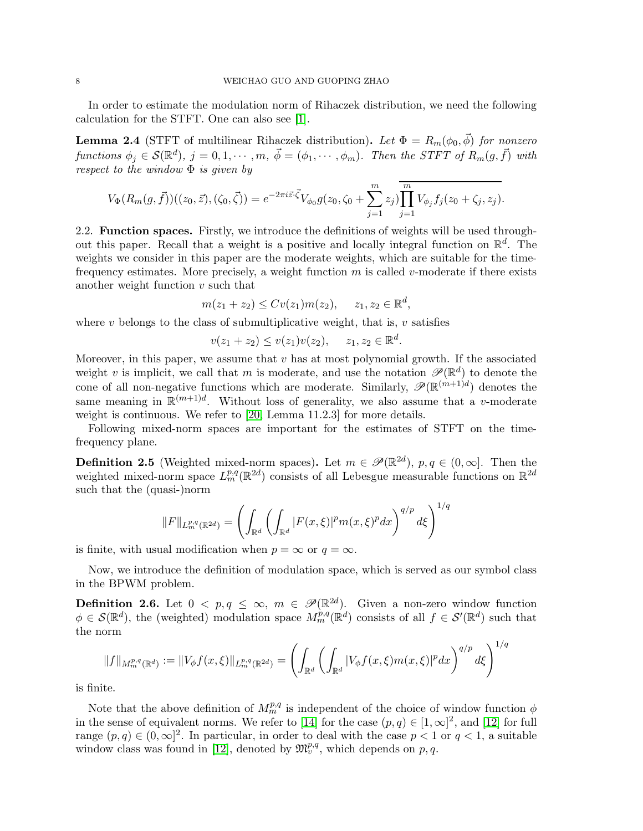In order to estimate the modulation norm of Rihaczek distribution, we need the following calculation for the STFT. One can also see [\[1\]](#page-62-5).

<span id="page-7-1"></span>**Lemma 2.4** (STFT of multilinear Rihaczek distribution). Let  $\Phi = R_m(\phi_0, \vec{\phi})$  for nonzero functions  $\phi_j \in \mathcal{S}(\mathbb{R}^d)$ ,  $j = 0, 1, \cdots, m$ ,  $\vec{\phi} = (\phi_1, \cdots, \phi_m)$ . Then the STFT of  $R_m(g, \vec{f})$  with respect to the window  $\Phi$  is given by

$$
V_{\Phi}(R_m(g,\vec{f}))((z_0,\vec{z}),(\zeta_0,\vec{\zeta}))=e^{-2\pi i \vec{z}\cdot\vec{\zeta}}V_{\phi_0}g(z_0,\zeta_0+\sum_{j=1}^m z_j)\overline{\prod_{j=1}^m V_{\phi_j}f_j(z_0+\zeta_j,z_j)}.
$$

2.2. Function spaces. Firstly, we introduce the definitions of weights will be used throughout this paper. Recall that a weight is a positive and locally integral function on  $\mathbb{R}^d$ . The weights we consider in this paper are the moderate weights, which are suitable for the timefrequency estimates. More precisely, a weight function  $m$  is called  $v$ -moderate if there exists another weight function  $v$  such that

$$
m(z_1 + z_2) \le Cv(z_1)m(z_2), \quad z_1, z_2 \in \mathbb{R}^d,
$$

where  $v$  belongs to the class of submultiplicative weight, that is,  $v$  satisfies

$$
v(z_1 + z_2) \le v(z_1)v(z_2), \quad z_1, z_2 \in \mathbb{R}^d.
$$

Moreover, in this paper, we assume that  $v$  has at most polynomial growth. If the associated weight v is implicit, we call that m is moderate, and use the notation  $\mathscr{P}(\mathbb{R}^d)$  to denote the cone of all non-negative functions which are moderate. Similarly,  $\mathscr{P}(\mathbb{R}^{(m+1)d})$  denotes the same meaning in  $\mathbb{R}^{(m+1)d}$ . Without loss of generality, we also assume that a v-moderate weight is continuous. We refer to [\[20,](#page-63-13) Lemma 11.2.3] for more details.

Following mixed-norm spaces are important for the estimates of STFT on the timefrequency plane.

**Definition 2.5** (Weighted mixed-norm spaces). Let  $m \in \mathscr{P}(\mathbb{R}^{2d})$ ,  $p, q \in (0, \infty]$ . Then the weighted mixed-norm space  $L_m^{p,q}(\mathbb{R}^{2d})$  consists of all Lebesgue measurable functions on  $\mathbb{R}^{2d}$ such that the (quasi-)norm

$$
||F||_{L^{p,q}_m(\mathbb{R}^{2d})} = \left(\int_{\mathbb{R}^d} \left(\int_{\mathbb{R}^d} |F(x,\xi)|^p m(x,\xi)^p dx\right)^{q/p} d\xi\right)^{1/q}
$$

is finite, with usual modification when  $p = \infty$  or  $q = \infty$ .

Now, we introduce the definition of modulation space, which is served as our symbol class in the BPWM problem.

<span id="page-7-0"></span>**Definition 2.6.** Let  $0 < p, q \le \infty$ ,  $m \in \mathcal{P}(\mathbb{R}^{2d})$ . Given a non-zero window function  $\phi \in \mathcal{S}(\mathbb{R}^d)$ , the (weighted) modulation space  $M_m^{p,q}(\mathbb{R}^d)$  consists of all  $f \in \mathcal{S}'(\mathbb{R}^d)$  such that the norm

$$
||f||_{M_m^{p,q}(\mathbb{R}^d)} := ||V_{\phi}f(x,\xi)||_{L_m^{p,q}(\mathbb{R}^{2d})} = \left(\int_{\mathbb{R}^d} \left(\int_{\mathbb{R}^d} |V_{\phi}f(x,\xi)m(x,\xi)|^p dx\right)^{q/p} d\xi\right)^{1/q}
$$

is finite.

Note that the above definition of  $M_m^{p,q}$  is independent of the choice of window function  $\phi$ in the sense of equivalent norms. We refer to [\[14\]](#page-63-12) for the case  $(p, q) \in [1, \infty]^2$ , and [\[12\]](#page-63-14) for full range  $(p, q) \in (0, \infty]^2$ . In particular, in order to deal with the case  $p < 1$  or  $q < 1$ , a suitable window class was found in [\[12\]](#page-63-14), denoted by  $\mathfrak{M}_v^{p,q}$ , which depends on p,q.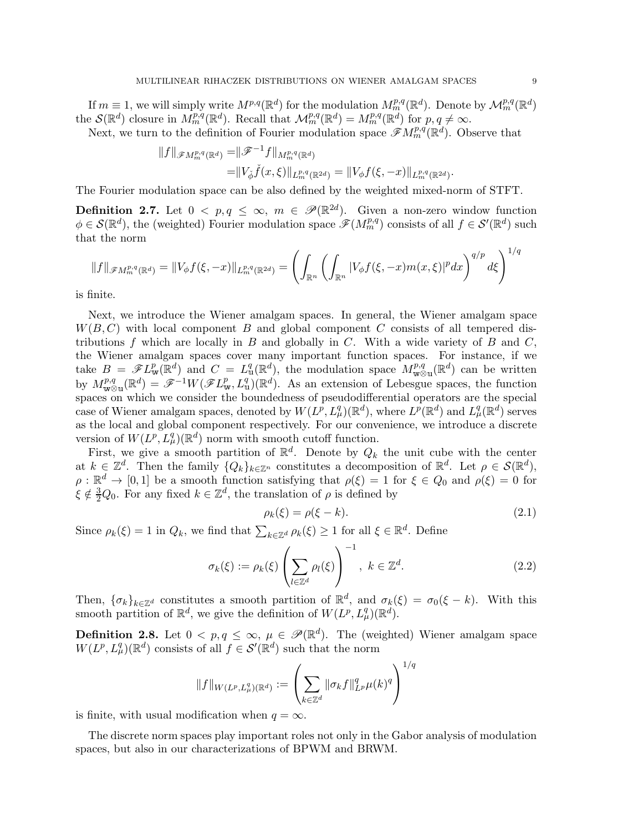If  $m \equiv 1$ , we will simply write  $M^{p,q}(\mathbb{R}^d)$  for the modulation  $M_m^{p,q}(\mathbb{R}^d)$ . Denote by  $\mathcal{M}_m^{p,q}(\mathbb{R}^d)$ the  $\mathcal{S}(\mathbb{R}^d)$  closure in  $M_m^{p,q}(\mathbb{R}^d)$ . Recall that  $\mathcal{M}_m^{p,q}(\mathbb{R}^d) = M_m^{p,q}(\mathbb{R}^d)$  for  $p, q \neq \infty$ .

Next, we turn to the definition of Fourier modulation space  $\mathscr{F}M_m^{p,q}(\mathbb{R}^d)$ . Observe that

$$
||f||_{\mathscr{F}M_{m}^{p,q}(\mathbb{R}^{d})} = ||\mathscr{F}^{-1}f||_{M_{m}^{p,q}(\mathbb{R}^{d})}
$$
  
=  $||V_{\check{\phi}}\check{f}(x,\xi)||_{L_{m}^{p,q}(\mathbb{R}^{2d})} = ||V_{\phi}f(\xi,-x)||_{L_{m}^{p,q}(\mathbb{R}^{2d})}.$ 

The Fourier modulation space can be also defined by the weighted mixed-norm of STFT.

**Definition 2.7.** Let  $0 < p, q \le \infty$ ,  $m \in \mathcal{P}(\mathbb{R}^{2d})$ . Given a non-zero window function  $\phi \in \mathcal{S}(\mathbb{R}^d)$ , the (weighted) Fourier modulation space  $\mathscr{F}(M_m^{p,q})$  consists of all  $f \in \mathcal{S}'(\mathbb{R}^d)$  such that the norm

$$
||f||_{\mathscr{F}M_{m}^{p,q}(\mathbb{R}^{d})} = ||V_{\phi}f(\xi, -x)||_{L_{m}^{p,q}(\mathbb{R}^{2d})} = \left(\int_{\mathbb{R}^{n}} \left(\int_{\mathbb{R}^{n}} |V_{\phi}f(\xi, -x)m(x, \xi)|^{p} dx\right)^{q/p} d\xi\right)^{1/q}
$$

is finite.

Next, we introduce the Wiener amalgam spaces. In general, the Wiener amalgam space  $W(B, C)$  with local component B and global component C consists of all tempered distributions f which are locally in B and globally in C. With a wide variety of B and  $C$ , the Wiener amalgam spaces cover many important function spaces. For instance, if we take  $B = \mathscr{F}L^p_w(\mathbb{R}^d)$  and  $C = L^q_w(\mathbb{R}^d)$ , the modulation space  $M^{p,q}_{w\otimes u}(\mathbb{R}^d)$  can be written by  $M_{\mathbf{w}\otimes\mathbf{u}}^{p,q}(\mathbb{R}^d) = \mathscr{F}^{-1}W(\mathscr{F}L^p_{\mathbf{w}}, L^q_{\mathbf{u}})(\mathbb{R}^d)$ . As an extension of Lebesgue spaces, the function spaces on which we consider the boundedness of pseudodifferential operators are the special case of Wiener amalgam spaces, denoted by  $W(L^p, L^q_\mu)(\mathbb{R}^d)$ , where  $L^p(\mathbb{R}^d)$  and  $L^q_\mu(\mathbb{R}^d)$  serves as the local and global component respectively. For our convenience, we introduce a discrete version of  $W(L^p, L^q_\mu)(\mathbb{R}^d)$  norm with smooth cutoff function.

First, we give a smooth partition of  $\mathbb{R}^d$ . Denote by  $Q_k$  the unit cube with the center at  $k \in \mathbb{Z}^d$ . Then the family  $\{Q_k\}_{k\in\mathbb{Z}^n}$  constitutes a decomposition of  $\mathbb{R}^d$ . Let  $\rho \in \mathcal{S}(\mathbb{R}^d)$ ,  $\rho : \mathbb{R}^d \to [0,1]$  be a smooth function satisfying that  $\rho(\xi) = 1$  for  $\xi \in Q_0$  and  $\rho(\xi) = 0$  for  $\xi \notin \frac{3}{2}Q_0$ . For any fixed  $k \in \mathbb{Z}^d$ , the translation of  $\rho$  is defined by

$$
\rho_k(\xi) = \rho(\xi - k). \tag{2.1}
$$

Since  $\rho_k(\xi) = 1$  in  $Q_k$ , we find that  $\sum_{k \in \mathbb{Z}^d} \rho_k(\xi) \geq 1$  for all  $\xi \in \mathbb{R}^d$ . Define

$$
\sigma_k(\xi) := \rho_k(\xi) \left( \sum_{l \in \mathbb{Z}^d} \rho_l(\xi) \right)^{-1}, \ k \in \mathbb{Z}^d. \tag{2.2}
$$

Then,  $\{\sigma_k\}_{k\in\mathbb{Z}^d}$  constitutes a smooth partition of  $\mathbb{R}^d$ , and  $\sigma_k(\xi) = \sigma_0(\xi - k)$ . With this smooth partition of  $\mathbb{R}^d$ , we give the definition of  $W(L^p, L^q_\mu)(\mathbb{R}^d)$ .

**Definition 2.8.** Let  $0 < p, q \le \infty$ ,  $\mu \in \mathcal{P}(\mathbb{R}^d)$ . The (weighted) Wiener amalgam space  $W(L^p, L^q_\mu)(\mathbb{R}^d)$  consists of all  $f \in \mathcal{S}'(\mathbb{R}^d)$  such that the norm

$$
||f||_{W(L^p, L^q_\mu)(\mathbb{R}^d)} := \left(\sum_{k \in \mathbb{Z}^d} ||\sigma_k f||_{L^p}^q \mu(k)^q\right)^{1/q}
$$

is finite, with usual modification when  $q = \infty$ .

The discrete norm spaces play important roles not only in the Gabor analysis of modulation spaces, but also in our characterizations of BPWM and BRWM.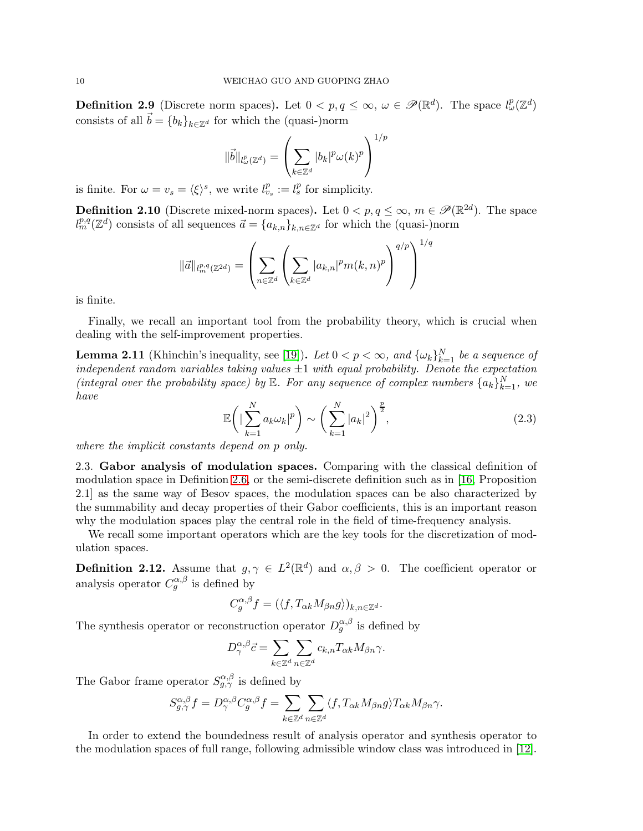**Definition 2.9** (Discrete norm spaces). Let  $0 < p, q \le \infty$ ,  $\omega \in \mathscr{P}(\mathbb{R}^d)$ . The space  $l^p_{\omega}(\mathbb{Z}^d)$ consists of all  $\vec{b} = {b_k}_{k \in \mathbb{Z}^d}$  for which the (quasi-)norm

$$
\|\vec{b}\|_{l^p_\omega(\mathbb{Z}^d)} = \left(\sum_{k \in \mathbb{Z}^d} |b_k|^p \omega(k)^p\right)^{1/p}
$$

is finite. For  $\omega = v_s = \langle \xi \rangle^s$ , we write  $l_{v_s}^p := l_s^p$  for simplicity.

**Definition 2.10** (Discrete mixed-norm spaces). Let  $0 < p, q \le \infty$ ,  $m \in \mathcal{P}(\mathbb{R}^{2d})$ . The space  $l_m^{p,q}(\mathbb{Z}^d)$  consists of all sequences  $\vec{a} = \{a_{k,n}\}_{k,n \in \mathbb{Z}^d}$  for which the (quasi-)norm

$$
\|\vec{a}\|_{l_m^{p,q}(\mathbb{Z}^{2d})} = \left(\sum_{n \in \mathbb{Z}^d} \left(\sum_{k \in \mathbb{Z}^d} |a_{k,n}|^p m(k,n)^p\right)^{q/p}\right)^{1/q}
$$

is finite.

Finally, we recall an important tool from the probability theory, which is crucial when dealing with the self-improvement properties.

**Lemma 2.11** (Khinchin's inequality, see [\[19\]](#page-63-15)). Let  $0 < p < \infty$ , and  $\{\omega_k\}_{k=1}^N$  be a sequence of independent random variables taking values  $\pm 1$  with equal probability. Denote the expectation (integral over the probability space) by  $\mathbb E$ . For any sequence of complex numbers  $\{a_k\}_{k=1}^N$ , we have

$$
\mathbb{E}\left(\left|\sum_{k=1}^{N} a_k \omega_k\right|^p\right) \sim \left(\sum_{k=1}^{N} |a_k|^2\right)^{\frac{p}{2}},\tag{2.3}
$$

where the implicit constants depend on p only.

2.3. Gabor analysis of modulation spaces. Comparing with the classical definition of modulation space in Definition [2.6,](#page-7-0) or the semi-discrete definition such as in [\[16,](#page-63-16) Proposition 2.1] as the same way of Besov spaces, the modulation spaces can be also characterized by the summability and decay properties of their Gabor coefficients, this is an important reason why the modulation spaces play the central role in the field of time-frequency analysis.

We recall some important operators which are the key tools for the discretization of modulation spaces.

**Definition 2.12.** Assume that  $g, \gamma \in L^2(\mathbb{R}^d)$  and  $\alpha, \beta > 0$ . The coefficient operator or analysis operator  $C_g^{\alpha,\beta}$  is defined by

$$
C_g^{\alpha,\beta}f = (\langle f, T_{\alpha k}M_{\beta n}g \rangle)_{k,n \in \mathbb{Z}^d}.
$$

The synthesis operator or reconstruction operator  $D_g^{\alpha,\beta}$  is defined by

$$
D^{\alpha,\beta}_{\gamma}\vec{c} = \sum_{k\in\mathbb{Z}^d}\sum_{n\in\mathbb{Z}^d} c_{k,n}T_{\alpha k}M_{\beta n}\gamma.
$$

The Gabor frame operator  $S^{\alpha,\beta}_{g,\gamma}$  is defined by

$$
S^{\alpha,\beta}_{g,\gamma}f=D^{\alpha,\beta}_{\gamma}C^{\alpha,\beta}_{g}f=\sum_{k\in\mathbb{Z}^d}\sum_{n\in\mathbb{Z}^d}\langle f,T_{\alpha k}M_{\beta n}g\rangle T_{\alpha k}M_{\beta n}\gamma.
$$

In order to extend the boundedness result of analysis operator and synthesis operator to the modulation spaces of full range, following admissible window class was introduced in [\[12\]](#page-63-14).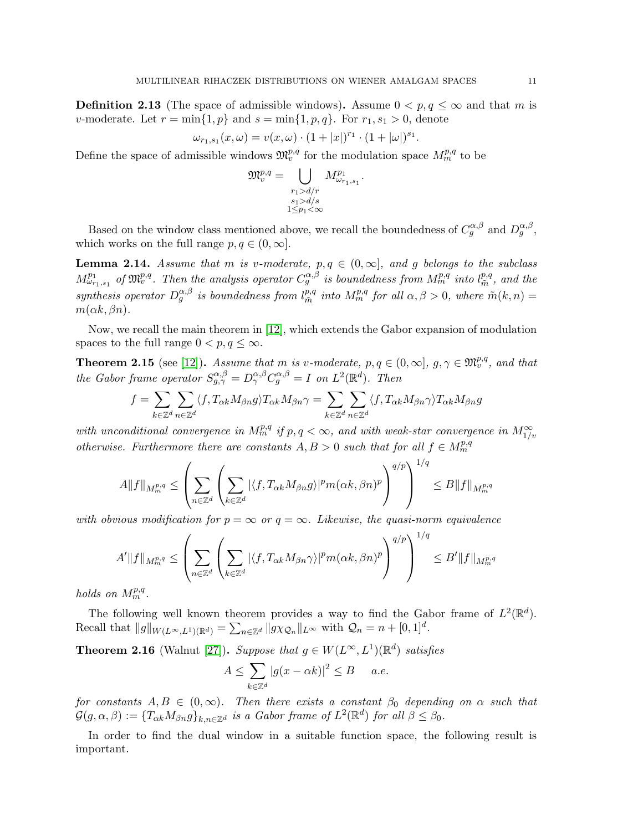<span id="page-10-1"></span>**Definition 2.13** (The space of admissible windows). Assume  $0 < p, q \leq \infty$  and that m is v-moderate. Let  $r = \min\{1, p\}$  and  $s = \min\{1, p, q\}$ . For  $r_1, s_1 > 0$ , denote

$$
\omega_{r_1,s_1}(x,\omega) = v(x,\omega) \cdot (1+|x|)^{r_1} \cdot (1+|\omega|)^{s_1}
$$

.

Define the space of admissible windows  $\mathfrak{M}^{p,q}_v$  for the modulation space  $M^{p,q}_m$  to be

$$
\mathfrak{M}_{v}^{p,q} = \bigcup_{\substack{r_1 > d/r \\ s_1 > d/s \\ 1 \le p_1 < \infty}} M_{\omega_{r_1, s_1}}^{p_1}.
$$

Based on the window class mentioned above, we recall the boundedness of  $C_g^{\alpha,\beta}$  and  $D_g^{\alpha,\beta}$ , which works on the full range  $p, q \in (0, \infty]$ .

<span id="page-10-3"></span>**Lemma 2.14.** Assume that m is v-moderate,  $p, q \in (0, \infty]$ , and g belongs to the subclass  $M^{p_1}_{\omega_{r_1,s_1}}$  of  $\mathfrak{M}^{p,q}_v$ . Then the analysis operator  $C_g^{\alpha,\beta}$  is boundedness from  $M^{p,q}_m$  into  $l^{p,q}_{\tilde{m}}$  $_{\tilde{m}}^{p,q}$ , and the synthesis operator  $D_g^{\alpha,\beta}$  is boundedness from  $l_{\tilde{m}}^{p,q}$  $m_{\tilde{m}}^{p,q}$  into  $M_{m}^{p,q}$  for all  $\alpha, \beta > 0$ , where  $\tilde{m}(k,n) =$  $m(\alpha k, \beta n)$ .

Now, we recall the main theorem in [\[12\]](#page-63-14), which extends the Gabor expansion of modulation spaces to the full range  $0 < p, q \leq \infty$ .

<span id="page-10-2"></span>**Theorem 2.15** (see [\[12\]](#page-63-14)). Assume that m is v-moderate,  $p, q \in (0, \infty], g, \gamma \in \mathfrak{M}^{p,q}_v$ , and that the Gabor frame operator  $S_{g,\gamma}^{\alpha,\beta} = D_{\gamma}^{\alpha,\beta} C_g^{\alpha,\beta} = I$  on  $L^2(\mathbb{R}^d)$ . Then

$$
f=\sum_{k\in\mathbb{Z}^d}\sum_{n\in\mathbb{Z}^d}\langle f,T_{\alpha k}M_{\beta n}g\rangle T_{\alpha k}M_{\beta n}\gamma=\sum_{k\in\mathbb{Z}^d}\sum_{n\in\mathbb{Z}^d}\langle f,T_{\alpha k}M_{\beta n}\gamma\rangle T_{\alpha k}M_{\beta n}g
$$

with unconditional convergence in  $M_{m}^{p,q}$  if  $p,q<\infty$ , and with weak-star convergence in  $M_{1/v}^{\infty}$ otherwise. Furthermore there are constants  $A, B > 0$  such that for all  $f \in M_{m}^{p,q}$ 

$$
A\|f\|_{M_m^{p,q}} \leq \left(\sum_{n\in\mathbb{Z}^d} \left(\sum_{k\in\mathbb{Z}^d} |\langle f, T_{\alpha k} M_{\beta n} g \rangle|^p m(\alpha k, \beta n)^p\right)^{q/p}\right)^{1/q} \leq B\|f\|_{M_m^{p,q}}
$$

with obvious modification for  $p = \infty$  or  $q = \infty$ . Likewise, the quasi-norm equivalence

$$
A'\|f\|_{M_m^{p,q}} \leq \left(\sum_{n\in\mathbb{Z}^d}\left(\sum_{k\in\mathbb{Z}^d}|\langle f,T_{\alpha k}M_{\beta n}\gamma\rangle|^p m(\alpha k,\beta n)^p\right)^{q/p}\right)^{1/q}\leq B'\|f\|_{M_m^{p,q}}
$$

holds on  $M_m^{p,q}$ .

The following well known theorem provides a way to find the Gabor frame of  $L^2(\mathbb{R}^d)$ . Recall that  $||g||_{W(L^{\infty}, L^1)(\mathbb{R}^d)} = \sum_{n \in \mathbb{Z}^d} ||g \chi_{\mathcal{Q}_n}||_{L^{\infty}}$  with  $\mathcal{Q}_n = n + [0, 1]^d$ .

<span id="page-10-0"></span>**Theorem 2.16** (Walnut [\[27\]](#page-63-17)). Suppose that  $g \in W(L^{\infty}, L^{1})(\mathbb{R}^{d})$  satisfies

$$
A \le \sum_{k \in \mathbb{Z}^d} |g(x - \alpha k)|^2 \le B \quad a.e.
$$

for constants  $A, B \in (0, \infty)$ . Then there exists a constant  $\beta_0$  depending on  $\alpha$  such that  $\mathcal{G}(g, \alpha, \beta) := \{T_{\alpha k} M_{\beta n} g\}_{k,n \in \mathbb{Z}^d}$  is a Gabor frame of  $L^2(\mathbb{R}^d)$  for all  $\beta \leq \beta_0$ .

In order to find the dual window in a suitable function space, the following result is important.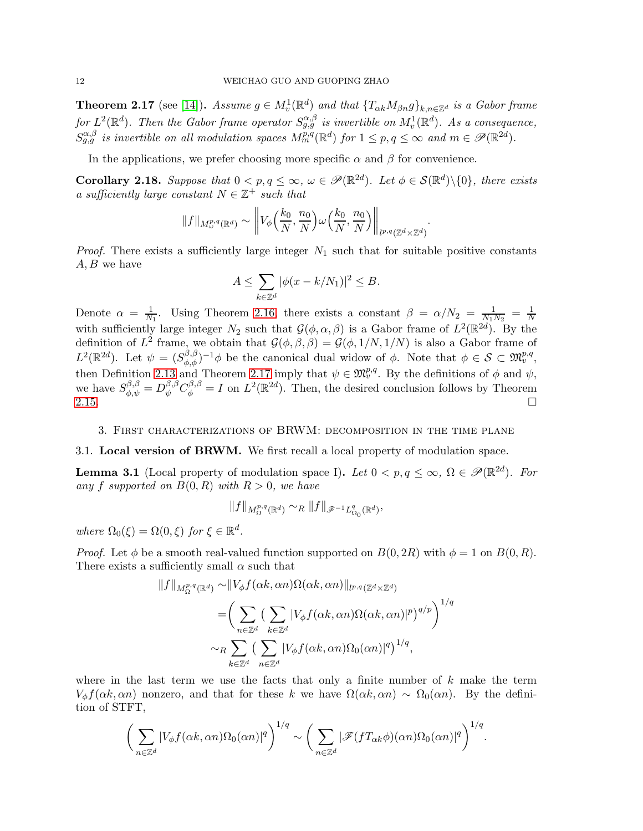<span id="page-11-0"></span>**Theorem 2.17** (see [\[14\]](#page-63-12)). Assume  $g \in M_v^1(\mathbb{R}^d)$  and that  $\{T_{\alpha k}M_{\beta n}g\}_{k,n\in\mathbb{Z}^d}$  is a Gabor frame for  $L^2(\mathbb{R}^d)$ . Then the Gabor frame operator  $S_{g,g}^{\alpha,\beta}$  is invertible on  $M_v^1(\mathbb{R}^d)$ . As a consequence,  $S_{g,g}^{\alpha,\beta}$  is invertible on all modulation spaces  $M_m^{p,q}(\mathbb{R}^d)$  for  $1 \leq p,q \leq \infty$  and  $m \in \mathscr{P}(\mathbb{R}^{2d})$ .

In the applications, we prefer choosing more specific  $\alpha$  and  $\beta$  for convenience.

<span id="page-11-1"></span>**Corollary 2.18.** Suppose that  $0 < p, q \le \infty$ ,  $\omega \in \mathcal{P}(\mathbb{R}^{2d})$ . Let  $\phi \in \mathcal{S}(\mathbb{R}^{d})\backslash\{0\}$ , there exists a sufficiently large constant  $N \in \mathbb{Z}^+$  such that

$$
\|f\|_{M^{p,q}_{\omega}(\mathbb{R}^d)} \sim \left\|V_{\phi}\left(\frac{k_0}{N}, \frac{n_0}{N}\right) \omega\left(\frac{k_0}{N}, \frac{n_0}{N}\right)\right\|_{l^{p,q}(\mathbb{Z}^d \times \mathbb{Z}^d)}.
$$

*Proof.* There exists a sufficiently large integer  $N_1$  such that for suitable positive constants  $A, B$  we have

$$
A \le \sum_{k \in \mathbb{Z}^d} |\phi(x - k/N_1)|^2 \le B.
$$

Denote  $\alpha = \frac{1}{N}$  $\frac{1}{N_1}$ . Using Theorem [2.16,](#page-10-0) there exists a constant  $\beta = \alpha/N_2 = \frac{1}{N_1}$ .  $\frac{1}{N_1 N_2} = \frac{1}{N}$ N with sufficiently large integer  $N_2$  such that  $\mathcal{G}(\phi,\alpha,\beta)$  is a Gabor frame of  $L^2(\mathbb{R}^{2d})$ . By the definition of  $L^2$  frame, we obtain that  $\mathcal{G}(\phi,\beta,\beta) = \mathcal{G}(\phi,1/N,1/N)$  is also a Gabor frame of  $L^2(\mathbb{R}^{2d})$ . Let  $\psi = (S^{\beta,\beta}_{\phi,\phi})^{-1}\phi$  be the canonical dual widow of  $\phi$ . Note that  $\phi \in \mathcal{S} \subset \mathfrak{M}^{p,q}_{v}$ , then Definition [2.13](#page-10-1) and Theorem [2.17](#page-11-0) imply that  $\psi \in \mathfrak{M}_v^{p,q}$ . By the definitions of  $\phi$  and  $\psi$ , we have  $S_{\phi,\psi}^{\beta,\beta} = D_{\psi}^{\beta,\beta} C_{\phi}^{\beta,\beta} = I$  on  $L^2(\mathbb{R}^{2d})$ . Then, the desired conclusion follows by Theorem [2.15.](#page-10-2)  $\Box$ 

#### 3. First characterizations of BRWM: decomposition in the time plane

#### 3.1. Local version of BRWM. We first recall a local property of modulation space.

<span id="page-11-2"></span>**Lemma 3.1** (Local property of modulation space I). Let  $0 < p, q \le \infty$ ,  $\Omega \in \mathscr{P}(\mathbb{R}^{2d})$ . For any f supported on  $B(0, R)$  with  $R > 0$ , we have

$$
||f||_{M_{\Omega}^{p,q}(\mathbb{R}^d)} \sim_R ||f||_{\mathscr{F}^{-1}L_{\Omega_0}^q(\mathbb{R}^d)},
$$

where  $\Omega_0(\xi) = \Omega(0,\xi)$  for  $\xi \in \mathbb{R}^d$ .

*Proof.* Let  $\phi$  be a smooth real-valued function supported on  $B(0, 2R)$  with  $\phi = 1$  on  $B(0, R)$ . There exists a sufficiently small  $\alpha$  such that

$$
||f||_{M_{\Omega}^{p,q}(\mathbb{R}^d)} \sim ||V_{\phi}f(\alpha k, \alpha n)\Omega(\alpha k, \alpha n)||_{l^{p,q}(\mathbb{Z}^d \times \mathbb{Z}^d)}
$$
  
= 
$$
\left(\sum_{n \in \mathbb{Z}^d} \left(\sum_{k \in \mathbb{Z}^d} |V_{\phi}f(\alpha k, \alpha n)\Omega(\alpha k, \alpha n)|^p\right)^{q/p}\right)^{1/q}
$$
  

$$
\sim_R \sum_{k \in \mathbb{Z}^d} \left(\sum_{n \in \mathbb{Z}^d} |V_{\phi}f(\alpha k, \alpha n)\Omega_0(\alpha n)|^q\right)^{1/q},
$$

where in the last term we use the facts that only a finite number of  $k$  make the term  $V_{\phi}f(\alpha k, \alpha n)$  nonzero, and that for these k we have  $\Omega(\alpha k, \alpha n) \sim \Omega_0(\alpha n)$ . By the definition of STFT,

$$
\bigg(\sum_{n\in\mathbb{Z}^d}|V_{\phi}f(\alpha k,\alpha n)\Omega_0(\alpha n)|^q\bigg)^{1/q}\sim\bigg(\sum_{n\in\mathbb{Z}^d}|\mathscr{F}(fT_{\alpha k}\phi)(\alpha n)\Omega_0(\alpha n)|^q\bigg)^{1/q}.
$$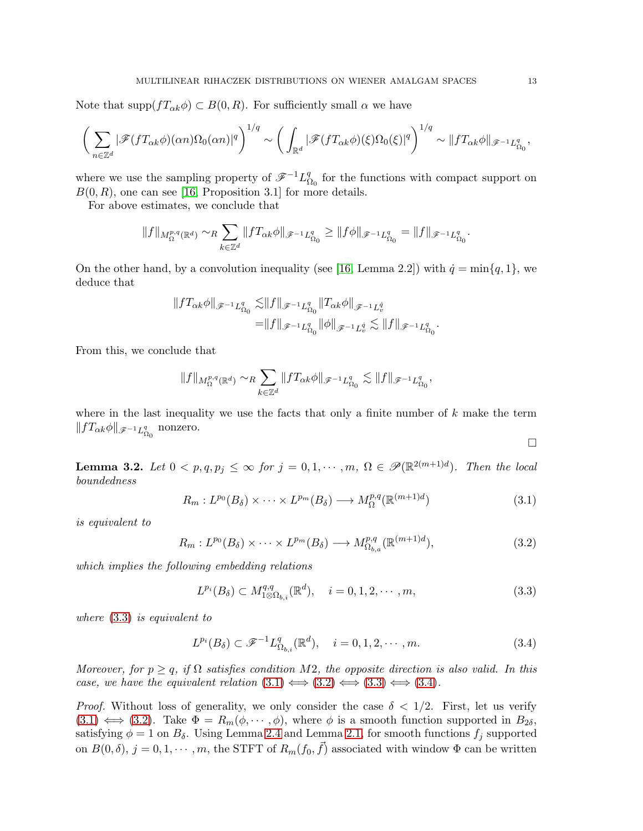Note that  $\text{supp}(fT_{\alpha k}\phi) \subset B(0,R)$ . For sufficiently small  $\alpha$  we have

$$
\bigg(\sum_{n\in\mathbb{Z}^d}|\mathscr{F}(fT_{\alpha k}\phi)(\alpha n)\Omega_0(\alpha n)|^q\bigg)^{1/q}\sim\bigg(\int_{\mathbb{R}^d}|\mathscr{F}(fT_{\alpha k}\phi)(\xi)\Omega_0(\xi)|^q\bigg)^{1/q}\sim\|fT_{\alpha k}\phi\|_{\mathscr{F}^{-1}L^q_{\Omega_0}},
$$

where we use the sampling property of  $\mathscr{F}^{-1}L_{\mathcal{S}}^q$  $\Omega_0$  for the functions with compact support on  $B(0, R)$ , one can see [\[16,](#page-63-16) Proposition 3.1] for more details.

For above estimates, we conclude that

$$
||f||_{M_{\Omega}^{p,q}(\mathbb{R}^d)} \sim_R \sum_{k \in \mathbb{Z}^d} ||f T_{\alpha k} \phi||_{\mathscr{F}^{-1} L_{\Omega_0}^q} \ge ||f \phi||_{\mathscr{F}^{-1} L_{\Omega_0}^q} = ||f||_{\mathscr{F}^{-1} L_{\Omega_0}^q}.
$$

On the other hand, by a convolution inequality (see [\[16,](#page-63-16) Lemma 2.2]) with  $\dot{q} = \min\{q, 1\}$ , we deduce that

$$
\begin{aligned}\|f T_{\alpha k}\phi\|_{\mathscr{F}^{-1} L^q_{\Omega_0}}\lesssim& \|f\|_{\mathscr{F}^{-1} L^q_{\Omega_0}}\|T_{\alpha k}\phi\|_{\mathscr{F}^{-1} L^q_v}\\=& \|f\|_{\mathscr{F}^{-1} L^q_{\Omega_0}}\|\phi\|_{\mathscr{F}^{-1} L^q_v}\lesssim \|f\|_{\mathscr{F}^{-1} L^q_{\Omega_0}}.\end{aligned}
$$

From this, we conclude that

$$
\|f\|_{M^{p,q}_\Omega(\mathbb{R}^d)}\sim_R \sum_{k\in\mathbb{Z}^d}\|fT_{\alpha k}\phi\|_{\mathscr{F}^{-1}L^q_{\Omega_0}}\lesssim \|f\|_{\mathscr{F}^{-1}L^q_{\Omega_0}},
$$

where in the last inequality we use the facts that only a finite number of  $k$  make the term  $|| f T_{\alpha k} \phi ||_{\mathscr{F}^{-1} L^q_{\Omega_0}}$  nonzero.

<span id="page-12-4"></span>**Lemma 3.2.** Let  $0 < p, q, p_j \leq \infty$  for  $j = 0, 1, \dots, m, \Omega \in \mathscr{P}(\mathbb{R}^{2(m+1)d})$ . Then the local boundedness

<span id="page-12-1"></span>
$$
R_m: L^{p_0}(B_\delta) \times \cdots \times L^{p_m}(B_\delta) \longrightarrow M^{p,q}_\Omega(\mathbb{R}^{(m+1)d})
$$
\n(3.1)

is equivalent to

<span id="page-12-2"></span>
$$
R_m: L^{p_0}(B_\delta) \times \cdots \times L^{p_m}(B_\delta) \longrightarrow M^{p,q}_{\Omega_{b,a}}(\mathbb{R}^{(m+1)d}), \tag{3.2}
$$

which implies the following embedding relations

<span id="page-12-0"></span>
$$
L^{p_i}(B_\delta) \subset M^{q,q}_{1 \otimes \Omega_{b,i}}(\mathbb{R}^d), \quad i = 0, 1, 2, \cdots, m,
$$
\n(3.3)

where [\(3.3\)](#page-12-0) is equivalent to

<span id="page-12-3"></span>
$$
L^{p_i}(B_\delta) \subset \mathcal{F}^{-1}L^q_{\Omega_{b,i}}(\mathbb{R}^d), \quad i = 0, 1, 2, \cdots, m. \tag{3.4}
$$

Moreover, for  $p \geq q$ , if  $\Omega$  satisfies condition M2, the opposite direction is also valid. In this case, we have the equivalent relation  $(3.1) \Longleftrightarrow (3.2) \Longleftrightarrow (3.3) \Longleftrightarrow (3.4)$  $(3.1) \Longleftrightarrow (3.2) \Longleftrightarrow (3.3) \Longleftrightarrow (3.4)$  $(3.1) \Longleftrightarrow (3.2) \Longleftrightarrow (3.3) \Longleftrightarrow (3.4)$  $(3.1) \Longleftrightarrow (3.2) \Longleftrightarrow (3.3) \Longleftrightarrow (3.4)$  $(3.1) \Longleftrightarrow (3.2) \Longleftrightarrow (3.3) \Longleftrightarrow (3.4)$  $(3.1) \Longleftrightarrow (3.2) \Longleftrightarrow (3.3) \Longleftrightarrow (3.4)$  $(3.1) \Longleftrightarrow (3.2) \Longleftrightarrow (3.3) \Longleftrightarrow (3.4)$ .

*Proof.* Without loss of generality, we only consider the case  $\delta < 1/2$ . First, let us verify  $(3.1) \iff (3.2)$  $(3.1) \iff (3.2)$  $(3.1) \iff (3.2)$ . Take  $\Phi = R_m(\phi, \dots, \phi)$ , where  $\phi$  is a smooth function supported in  $B_{2\delta}$ , satisfying  $\phi = 1$  on  $B_{\delta}$ . Using Lemma [2.4](#page-7-1) and Lemma [2.1,](#page-6-0) for smooth functions  $f_j$  supported on  $B(0,\delta)$ ,  $j=0,1,\cdots,m$ , the STFT of  $R_m(f_0,\vec{f})$  associated with window  $\Phi$  can be written

 $\Box$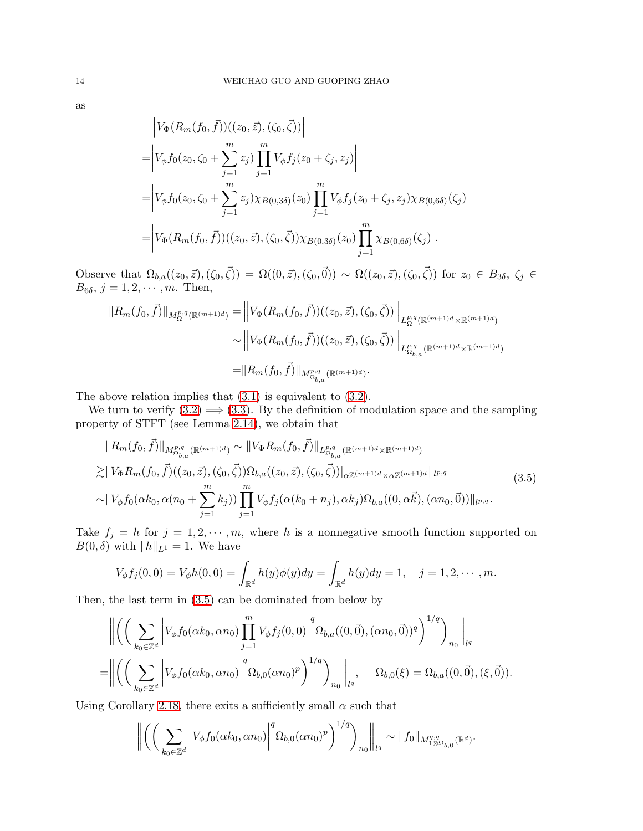$$
\begin{split}\n&\left|V_{\Phi}(R_m(f_0, \vec{f}))((z_0, \vec{z}), (\zeta_0, \vec{\zeta}))\right| \\
&= \left|V_{\phi}f_0(z_0, \zeta_0 + \sum_{j=1}^m z_j) \prod_{j=1}^m V_{\phi}f_j(z_0 + \zeta_j, z_j)\right| \\
&= \left|V_{\phi}f_0(z_0, \zeta_0 + \sum_{j=1}^m z_j) \chi_{B(0, 3\delta)}(z_0) \prod_{j=1}^m V_{\phi}f_j(z_0 + \zeta_j, z_j) \chi_{B(0, 6\delta)}(\zeta_j)\right| \\
&= \left|V_{\Phi}(R_m(f_0, \vec{f}))((z_0, \vec{z}), (\zeta_0, \vec{\zeta})) \chi_{B(0, 3\delta)}(z_0) \prod_{j=1}^m \chi_{B(0, 6\delta)}(\zeta_j)\right|. \end{split}
$$

Observe that  $\Omega_{b,a}((z_0, \vec{z}), (\zeta_0, \vec{\zeta})) = \Omega((0, \vec{z}), (\zeta_0, \vec{0})) \sim \Omega((z_0, \vec{z}), (\zeta_0, \vec{\zeta}))$  for  $z_0 \in B_{3\delta}, \zeta_j \in$  $B_{6\delta}, j=1,2,\cdots,m.$  Then,

$$
||R_m(f_0, \vec{f})||_{M_{\Omega}^{p,q}(\mathbb{R}^{(m+1)d})} = \left||V_{\Phi}(R_m(f_0, \vec{f}))((z_0, \vec{z}), (\zeta_0, \vec{\zeta}))\right||_{L_{\Omega}^{p,q}(\mathbb{R}^{(m+1)d} \times \mathbb{R}^{(m+1)d})}
$$
  
\$\sim \left||V\_{\Phi}(R\_m(f\_0, \vec{f}))((z\_0, \vec{z}), (\zeta\_0, \vec{\zeta}))\right||\_{L\_{\Omega\_{b,a}}^{p,q}(\mathbb{R}^{(m+1)d} \times \mathbb{R}^{(m+1)d})}\$  
=\left||R\_m(f\_0, \vec{f})\right||\_{M\_{\Omega\_{b,a}}^{p,q}(\mathbb{R}^{(m+1)d})}.

The above relation implies that [\(3.1\)](#page-12-1) is equivalent to [\(3.2\)](#page-12-2).

We turn to verify  $(3.2) \implies (3.3)$  $(3.2) \implies (3.3)$ . By the definition of modulation space and the sampling property of STFT (see Lemma [2.14\)](#page-10-3), we obtain that

<span id="page-13-0"></span>
$$
||R_{m}(f_{0},\vec{f})||_{M_{\Omega_{b,a}}^{p,q}(\mathbb{R}^{(m+1)d})} \sim ||V_{\Phi}R_{m}(f_{0},\vec{f})||_{L_{\Omega_{b,a}}^{p,q}(\mathbb{R}^{(m+1)d}\times\mathbb{R}^{(m+1)d})}
$$
  
\n
$$
\gtrsim ||V_{\Phi}R_{m}(f_{0},\vec{f})((z_{0},\vec{z}),(\zeta_{0},\vec{\zeta}))\Omega_{b,a}((z_{0},\vec{z}),(\zeta_{0},\vec{\zeta}))||_{\alpha\mathbb{Z}^{(m+1)d}\times\alpha\mathbb{Z}^{(m+1)d}}||_{l^{p,q}}
$$
  
\n
$$
\sim ||V_{\phi}f_{0}(\alpha k_{0},\alpha(n_{0}+\sum_{j=1}^{m}k_{j}))\prod_{j=1}^{m}V_{\phi}f_{j}(\alpha(k_{0}+n_{j}),\alpha k_{j})\Omega_{b,a}((0,\alpha\vec{k}),(\alpha n_{0},\vec{0}))||_{l^{p,q}}.
$$
\n(3.5)

Take  $f_j = h$  for  $j = 1, 2, \dots, m$ , where h is a nonnegative smooth function supported on  $B(0, \delta)$  with  $||h||_{L^1} = 1$ . We have

$$
V_{\phi}f_j(0,0) = V_{\phi}h(0,0) = \int_{\mathbb{R}^d} h(y)\phi(y)dy = \int_{\mathbb{R}^d} h(y)dy = 1, \quad j = 1, 2, \cdots, m.
$$

Then, the last term in [\(3.5\)](#page-13-0) can be dominated from below by

$$
\left\| \left( \left( \sum_{k_0 \in \mathbb{Z}^d} \left| V_{\phi} f_0(\alpha k_0, \alpha n_0) \prod_{j=1}^m V_{\phi} f_j(0, 0) \right|^q \Omega_{b,a}((0, \vec{0}), (\alpha n_0, \vec{0}))^q \right)^{1/q} \right)_{n_0} \right\|_{l^q}
$$
  
=\n
$$
\left\| \left( \left( \sum_{k_0 \in \mathbb{Z}^d} \left| V_{\phi} f_0(\alpha k_0, \alpha n_0) \right|^q \Omega_{b,0}(\alpha n_0)^p \right)^{1/q} \right)_{n_0} \right\|_{l^q}, \quad \Omega_{b,0}(\xi) = \Omega_{b,a}((0, \vec{0}), (\xi, \vec{0})).
$$

Using Corollary [2.18,](#page-11-1) there exits a sufficiently small  $\alpha$  such that

$$
\left\| \left( \left( \sum_{k_0 \in \mathbb{Z}^d} \left| V_{\phi} f_0(\alpha k_0, \alpha n_0) \right|^q \Omega_{b,0}(\alpha n_0)^p \right)^{1/q} \right)_{n_0} \right\|_{l^q} \sim \| f_0 \|_{M^{q,q}_{1\otimes \Omega_{b,0}}(\mathbb{R}^d)}.
$$

as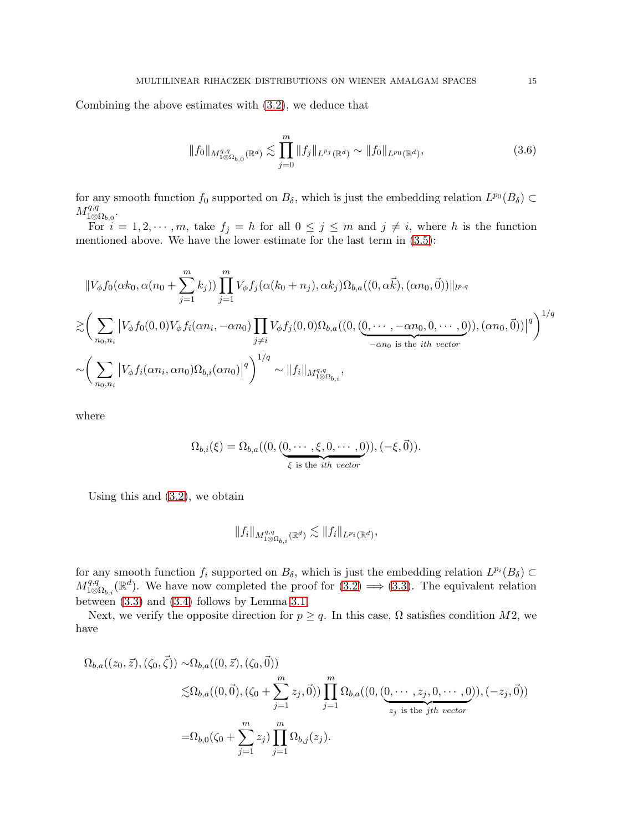Combining the above estimates with [\(3.2\)](#page-12-2), we deduce that

$$
||f_0||_{M^{q,q}_{1\otimes\Omega_{b,0}}(\mathbb{R}^d)} \lesssim \prod_{j=0}^m ||f_j||_{L^{p_j}(\mathbb{R}^d)} \sim ||f_0||_{L^{p_0}(\mathbb{R}^d)},
$$
\n(3.6)

for any smooth function  $f_0$  supported on  $B_\delta$ , which is just the embedding relation  $L^{p_0}(B_\delta) \subset$  $M^{q,q}_{1\otimes \Omega_{b,0}}.$ 

For  $i = 1, 2, \dots, m$ , take  $f_j = h$  for all  $0 \le j \le m$  and  $j \ne i$ , where h is the function mentioned above. We have the lower estimate for the last term in [\(3.5\)](#page-13-0):

$$
\|V_{\phi}f_0(\alpha k_0, \alpha(n_0 + \sum_{j=1}^m k_j))\prod_{j=1}^m V_{\phi}f_j(\alpha(k_0 + n_j), \alpha k_j)\Omega_{b,a}((0, \alpha \vec{k}), (\alpha n_0, \vec{0}))\|_{l^{p,q}}
$$
  

$$
\gtrsim \left(\sum_{n_0, n_i} |V_{\phi}f_0(0, 0)V_{\phi}f_i(\alpha n_i, -\alpha n_0)\prod_{j \neq i} V_{\phi}f_j(0, 0)\Omega_{b,a}((0, (\underbrace{0, \cdots, -\alpha n_0, 0, \cdots, 0}_{-\alpha n_0 \text{ is the }ith vector}), (\alpha n_0, \vec{0}))|^q\right)^{1/q}
$$
  

$$
\sim \left(\sum_{n_0, n_i} |V_{\phi}f_i(\alpha n_i, \alpha n_0)\Omega_{b,i}(\alpha n_0)|^q\right)^{1/q} \sim \|f_i\|_{M^{q,q}_{1\otimes\Omega_{b,i}}},
$$

where

$$
\Omega_{b,i}(\xi) = \Omega_{b,a}((0, \underbrace{(0, \cdots, \xi, 0, \cdots, 0)}_{\xi \text{ is the } ith vector})), (-\xi, \vec{0})).
$$

Using this and [\(3.2\)](#page-12-2), we obtain

$$
||f_i||_{M^{q,q}_{1\otimes\Omega_{b,i}}(\mathbb{R}^d)} \lesssim ||f_i||_{L^{p_i}(\mathbb{R}^d)},
$$

for any smooth function  $f_i$  supported on  $B_\delta$ , which is just the embedding relation  $L^{p_i}(B_\delta) \subset$  $M_{1\otimes\Omega_{b,i}}^{q,q}(\mathbb{R}^d)$ . We have now completed the proof for  $(3.2) \Longrightarrow (3.3)$  $(3.2) \Longrightarrow (3.3)$ . The equivalent relation between [\(3.3\)](#page-12-0) and [\(3.4\)](#page-12-3) follows by Lemma [3.1.](#page-11-2)

Next, we verify the opposite direction for  $p \geq q$ . In this case,  $\Omega$  satisfies condition M2, we have

$$
\Omega_{b,a}((z_0, \vec{z}), (\zeta_0, \vec{\zeta})) \sim \Omega_{b,a}((0, \vec{z}), (\zeta_0, \vec{0}))
$$
  

$$
\lesssim \Omega_{b,a}((0, \vec{0}), (\zeta_0 + \sum_{j=1}^m z_j, \vec{0})) \prod_{j=1}^m \Omega_{b,a}((0, (0, \dots, z_j, 0, \dots, 0)), (-z_j, \vec{0}))
$$
  

$$
= \Omega_{b,0}(\zeta_0 + \sum_{j=1}^m z_j) \prod_{j=1}^m \Omega_{b,j}(z_j).
$$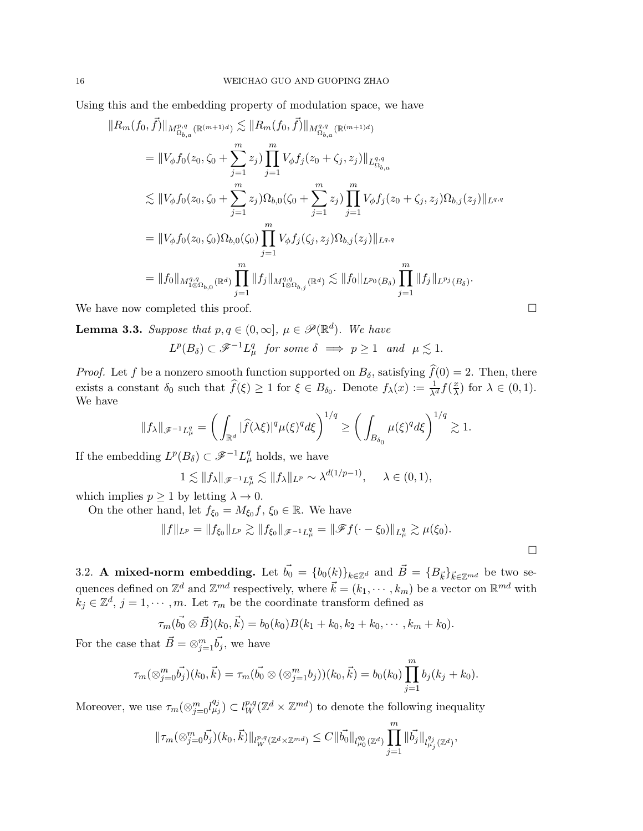Using this and the embedding property of modulation space, we have

$$
||R_{m}(f_{0},\vec{f})||_{M_{\Omega_{b,a}}^{p,q}(\mathbb{R}^{(m+1)d})} \lesssim ||R_{m}(f_{0},\vec{f})||_{M_{\Omega_{b,a}}^{q,q}(\mathbb{R}^{(m+1)d})}
$$
  
\n
$$
= ||V_{\phi}f_{0}(z_{0},\zeta_{0} + \sum_{j=1}^{m} z_{j}) \prod_{j=1}^{m} V_{\phi}f_{j}(z_{0} + \zeta_{j},z_{j})||_{L_{\Omega_{b,a}}^{q,q}}
$$
  
\n
$$
\lesssim ||V_{\phi}f_{0}(z_{0},\zeta_{0} + \sum_{j=1}^{m} z_{j})\Omega_{b,0}(\zeta_{0} + \sum_{j=1}^{m} z_{j}) \prod_{j=1}^{m} V_{\phi}f_{j}(z_{0} + \zeta_{j},z_{j})\Omega_{b,j}(z_{j})||_{L^{q,q}}
$$
  
\n
$$
= ||V_{\phi}f_{0}(z_{0},\zeta_{0})\Omega_{b,0}(\zeta_{0}) \prod_{j=1}^{m} V_{\phi}f_{j}(\zeta_{j},z_{j})\Omega_{b,j}(z_{j})||_{L^{q,q}}
$$
  
\n
$$
= ||f_{0}||_{M_{1\otimes\Omega_{b,0}}^{q,q}(\mathbb{R}^{d})} \prod_{j=1}^{m} ||f_{j}||_{M_{1\otimes\Omega_{b,j}}^{q,q}(\mathbb{R}^{d})} \lesssim ||f_{0}||_{L^{p_{0}}(B_{\delta})} \prod_{j=1}^{m} ||f_{j}||_{L^{p_{j}}(B_{\delta})}.
$$

We have now completed this proof.

<span id="page-15-0"></span>**Lemma 3.3.** Suppose that  $p, q \in (0, \infty]$ ,  $\mu \in \mathscr{P}(\mathbb{R}^d)$ . We have

$$
L^p(B_\delta) \subset \mathscr{F}^{-1}L^q_\mu
$$
 for some  $\delta \implies p \ge 1$  and  $\mu \lesssim 1$ .

*Proof.* Let f be a nonzero smooth function supported on  $B_{\delta}$ , satisfying  $\hat{f}(0) = 2$ . Then, there exists a constant  $\delta_0$  such that  $\widehat{f}(\xi) \geq 1$  for  $\xi \in B_{\delta_0}$ . Denote  $f_{\lambda}(x) := \frac{1}{\lambda^d} f(\frac{x}{\lambda})$  $\frac{x}{\lambda}$  for  $\lambda \in (0,1)$ . We have

$$
||f_{\lambda}||_{\mathscr{F}^{-1}L^q_{\mu}} = \left(\int_{\mathbb{R}^d} |\widehat{f}(\lambda \xi)|^q \mu(\xi)^q d\xi\right)^{1/q} \ge \left(\int_{B_{\delta_0}} \mu(\xi)^q d\xi\right)^{1/q} \gtrsim 1.
$$

If the embedding  $L^p(B_\delta) \subset \mathscr{F}^{-1}L^q_\mu$  holds, we have

$$
1 \lesssim ||f_{\lambda}||_{\mathscr{F}^{-1}L^q_{\mu}} \lesssim ||f_{\lambda}||_{L^p} \sim \lambda^{d(1/p-1)}, \quad \lambda \in (0,1),
$$

which implies  $p \geq 1$  by letting  $\lambda \to 0$ .

On the other hand, let  $f_{\xi_0} = M_{\xi_0} f$ ,  $\xi_0 \in \mathbb{R}$ . We have

$$
||f||_{L^p} = ||f_{\xi_0}||_{L^p} \gtrsim ||f_{\xi_0}||_{\mathscr{F}^{-1}L^q_{\mu}} = ||\mathscr{F}f(\cdot - \xi_0)||_{L^q_{\mu}} \gtrsim \mu(\xi_0).
$$

 $\Box$ 

3.2. A mixed-norm embedding. Let  $\vec{b_0} = \{b_0(k)\}_k \in \mathbb{Z}^d$  and  $\vec{B} = \{B_{\vec{k}}\}_{\vec{k} \in \mathbb{Z}^{md}}$  be two sequences defined on  $\mathbb{Z}^d$  and  $\mathbb{Z}^{md}$  respectively, where  $\vec{k} = (k_1, \dots, k_m)$  be a vector on  $\mathbb{R}^{md}$  with  $k_j \in \mathbb{Z}^d$ ,  $j = 1, \dots, m$ . Let  $\tau_m$  be the coordinate transform defined as

$$
\tau_m(\vec{b_0} \otimes \vec{B})(k_0, \vec{k}) = b_0(k_0)B(k_1 + k_0, k_2 + k_0, \cdots, k_m + k_0).
$$

For the case that  $\vec{B} = \otimes_{j=1}^m \vec{b_j}$ , we have

$$
\tau_m(\otimes_{j=0}^m \vec{b_j})(k_0, \vec{k}) = \tau_m(\vec{b_0} \otimes (\otimes_{j=1}^m b_j))(k_0, \vec{k}) = b_0(k_0) \prod_{j=1}^m b_j(k_j + k_0).
$$

Moreover, we use  $\tau_m(\otimes_{j=0}^m l_{\mu_j}^{q_j}) \subset l_W^{p,q}(\mathbb{Z}^d \times \mathbb{Z}^{md})$  to denote the following inequality

$$
\|\tau_m(\otimes_{j=0}^m \vec{b_j})(k_0, \vec{k})\|_{l^{p,q}_W(\mathbb{Z}^d \times \mathbb{Z}^{md})} \leq C \|\vec{b_0}\|_{l^{q_0}_{\mu_0}(\mathbb{Z}^d)} \prod_{j=1}^m \|\vec{b_j}\|_{l^{q_j}_{\mu_j}(\mathbb{Z}^d)},
$$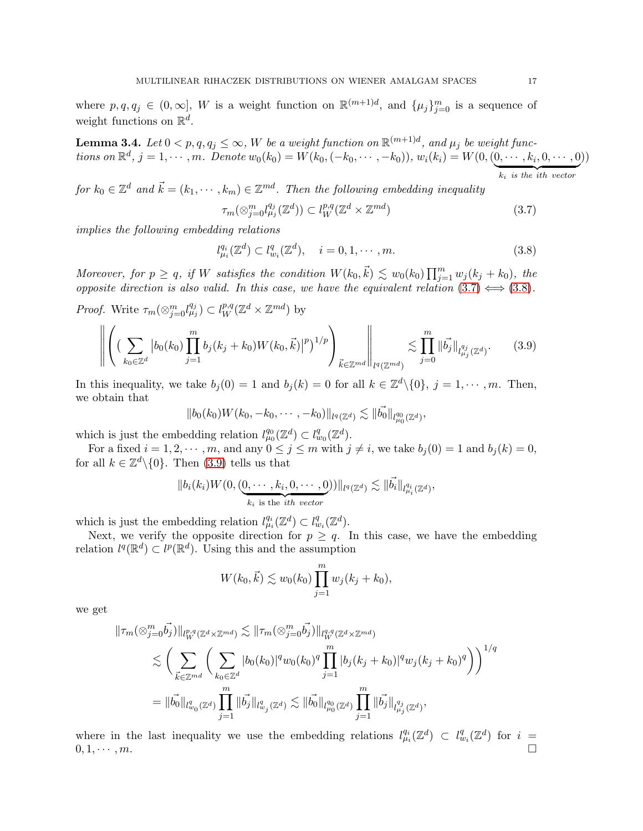where  $p, q, q_j \in (0, \infty], W$  is a weight function on  $\mathbb{R}^{(m+1)d}$ , and  $\{\mu_j\}_{j=0}^m$  is a sequence of weight functions on  $\mathbb{R}^d$ .

<span id="page-16-3"></span>**Lemma 3.4.** Let  $0 < p, q, q_j \leq \infty$ , W be a weight function on  $\mathbb{R}^{(m+1)d}$ , and  $\mu_j$  be weight functions on  $\mathbb{R}^d$ ,  $j = 1, \dots, m$ . Denote  $w_0(k_0) = W(k_0, (-k_0, \dots, -k_0)), w_i(k_i) = W(0, (0, \dots, k_i, 0, \dots, 0))$  $k_i$  is the ith vector ))

for  $k_0 \in \mathbb{Z}^d$  and  $\vec{k} = (k_1, \dots, k_m) \in \mathbb{Z}^{md}$ . Then the following embedding inequality

<span id="page-16-0"></span>
$$
\tau_m(\otimes_{j=0}^m l_{\mu_j}^{q_j}(\mathbb{Z}^d)) \subset l_W^{p,q}(\mathbb{Z}^d \times \mathbb{Z}^{md})
$$
\n(3.7)

implies the following embedding relations

<span id="page-16-1"></span>
$$
l_{\mu_i}^{q_i}(\mathbb{Z}^d) \subset l_{w_i}^q(\mathbb{Z}^d), \quad i = 0, 1, \cdots, m. \tag{3.8}
$$

Moreover, for  $p \ge q$ , if W satisfies the condition  $W(k_0, \vec{k}) \lesssim w_0(k_0) \prod_{j=1}^m w_j(k_j + k_0)$ , the opposite direction is also valid. In this case, we have the equivalent relation  $(3.7) \Leftrightarrow (3.8)$  $(3.7) \Leftrightarrow (3.8)$  $(3.7) \Leftrightarrow (3.8)$ .

*Proof.* Write  $\tau_m(\otimes_{j=0}^m l_{\mu_j}^{q_j}) \subset l_W^{p,q}(\mathbb{Z}^d \times \mathbb{Z}^{md})$  by

<span id="page-16-2"></span>
$$
\left\| \left( \left( \sum_{k_0 \in \mathbb{Z}^d} |b_0(k_0) \prod_{j=1}^m b_j(k_j + k_0) W(k_0, \vec{k})|^p \right)^{1/p} \right)_{\vec{k} \in \mathbb{Z}^{md}} \right\|_{l^q(\mathbb{Z}^{md})} \lesssim \prod_{j=0}^m \|\vec{b}_j\|_{l^{q_j}_{\mu_j}(\mathbb{Z}^d)}.
$$
 (3.9)

In this inequality, we take  $b_j(0) = 1$  and  $b_j(k) = 0$  for all  $k \in \mathbb{Z}^d \setminus \{0\}$ ,  $j = 1, \dots, m$ . Then, we obtain that

$$
||b_0(k_0)W(k_0, -k_0, \cdots, -k_0)||_{l^q(\mathbb{Z}^d)} \lesssim ||\vec{b_0}||_{l^{q_0}_{\mu_0}(\mathbb{Z}^d)},
$$

which is just the embedding relation  $l_{\mu_0}^{q_0}(\mathbb{Z}^d) \subset l_{w_0}^q(\mathbb{Z}^d)$ .

For a fixed  $i = 1, 2, \dots, m$ , and any  $0 \le j \le m$  with  $j \ne i$ , we take  $b_j(0) = 1$  and  $b_j(k) = 0$ , for all  $k \in \mathbb{Z}^d \setminus \{0\}$ . Then [\(3.9\)](#page-16-2) tells us that

$$
||b_i(k_i)W(0, (0, \dots, k_i, 0, \dots, 0))||_{l^q(\mathbb{Z}^d)} \lesssim ||\vec{b_i}||_{l^{q_i}_{\mu_i}(\mathbb{Z}^d)},
$$
  

$$
k_i \text{ is the } ith vector
$$

which is just the embedding relation  $l_{\mu_i}^{q_i}(\mathbb{Z}^d) \subset l_{w_i}^q(\mathbb{Z}^d)$ .

Next, we verify the opposite direction for  $p \geq q$ . In this case, we have the embedding relation  $l^q(\mathbb{R}^d) \subset l^p(\mathbb{R}^d)$ . Using this and the assumption

$$
W(k_0, \vec{k}) \lesssim w_0(k_0) \prod_{j=1}^m w_j(k_j + k_0),
$$

we get

$$
\begin{split} \|\tau_m(\otimes_{j=0}^m \vec{b_j})\|_{l^{p,q}_W(\mathbb{Z}^d\times \mathbb{Z}^{md})} &\lesssim \|\tau_m(\otimes_{j=0}^m \vec{b_j})\|_{l^{q,q}_W(\mathbb{Z}^d\times \mathbb{Z}^{md})}\\ &\lesssim \bigg(\sum_{\vec{k}\in \mathbb{Z}^{md}}\bigg(\sum_{k_0\in \mathbb{Z}^d}|b_0(k_0)|^q w_0(k_0)^q\prod_{j=1}^m|b_j(k_j+k_0)|^q w_j(k_j+k_0)^q\bigg)\bigg)^{1/q}\\ &= \|\vec{b_0}\|_{l^q_{w_0}(\mathbb{Z}^d)}\prod_{j=1}^m\|\vec{b_j}\|_{l^q_{w_j}(\mathbb{Z}^d)} \lesssim \|\vec{b_0}\|_{l^q_{\mu_0}(\mathbb{Z}^d)}\prod_{j=1}^m\|\vec{b_j}\|_{l^q_{\mu_j}(\mathbb{Z}^d)}, \end{split}
$$

where in the last inequality we use the embedding relations  $l_{\mu_i}^{q_i}(\mathbb{Z}^d) \subset l_{w_i}^q(\mathbb{Z}^d)$  for  $i =$  $0, 1, \cdots, m.$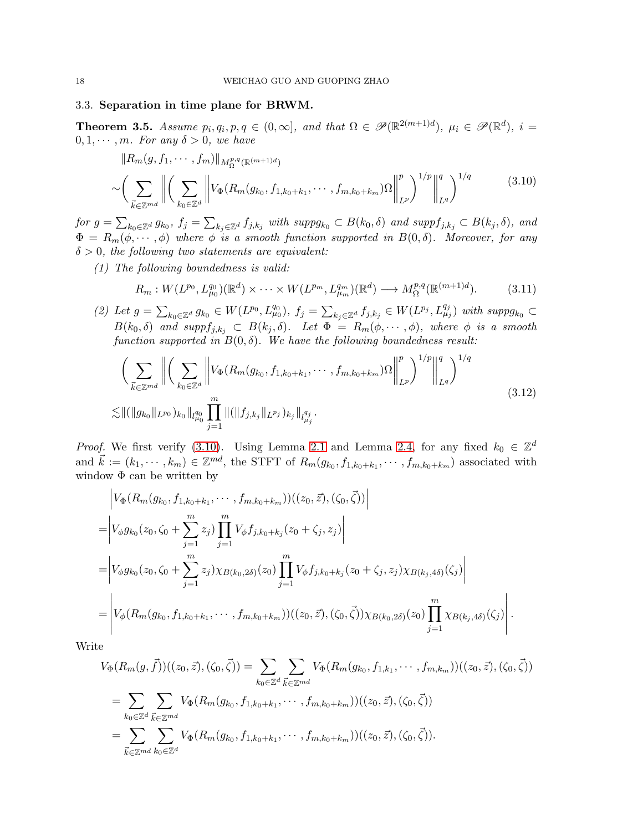## 3.3. Separation in time plane for BRWM.

<span id="page-17-3"></span>**Theorem 3.5.** Assume  $p_i, q_i, p, q \in (0, \infty]$ , and that  $\Omega \in \mathscr{P}(\mathbb{R}^{2(m+1)d})$ ,  $\mu_i \in \mathscr{P}(\mathbb{R}^d)$ ,  $i =$  $0, 1, \cdots, m$ . For any  $\delta > 0$ , we have

$$
\|R_m(g, f_1, \cdots, f_m)\|_{M_{\Omega}^{p,q}(\mathbb{R}^{(m+1)d})}
$$
  

$$
\sim \left(\sum_{\vec{k} \in \mathbb{Z}^{md}} \left\| \left( \sum_{k_0 \in \mathbb{Z}^d} \left\| V_{\Phi}(R_m(g_{k_0}, f_{1,k_0+k_1}, \cdots, f_{m,k_0+k_m}) \Omega \right\|_{L^p}^p) \right\|_{L^q}^q \right)^{1/q} \tag{3.10}
$$

<span id="page-17-0"></span>for  $g = \sum_{k_0 \in \mathbb{Z}^d} g_{k_0}$ ,  $f_j = \sum_{k_j \in \mathbb{Z}^d} f_{j,k_j}$  with  $suppg_{k_0} \subset B(k_0, \delta)$  and  $suppf_{j,k_j} \subset B(k_j, \delta)$ , and  $\Phi = R_m(\phi, \dots, \phi)$  where  $\phi$  is a smooth function supported in  $B(0, \delta)$ . Moreover, for any  $\delta > 0$ , the following two statements are equivalent:

(1) The following boundedness is valid:

<span id="page-17-1"></span>
$$
R_m: W(L^{p_0}, L^{q_0}_{\mu_0})(\mathbb{R}^d) \times \cdots \times W(L^{p_m}, L^{q_m}_{\mu_m})(\mathbb{R}^d) \longrightarrow M_{\Omega}^{p,q}(\mathbb{R}^{(m+1)d}). \tag{3.11}
$$

(2) Let  $g = \sum_{k_0 \in \mathbb{Z}^d} g_{k_0} \in W(L^{p_0}, L^{q_0}_{\mu_0}), f_j = \sum_{k_j \in \mathbb{Z}^d} f_{j,k_j} \in W(L^{p_j}, L^{q_j}_{\mu_j})$  with  $supp g_{k_0} \subset$  $B(k_0, \delta)$  and supp $f_{j,k_j} \subset B(k_j, \delta)$ . Let  $\Phi = R_m(\phi, \dots, \phi)$ , where  $\phi$  is a smooth function supported in  $B(0, \delta)$ . We have the following boundedness result:

<span id="page-17-2"></span>
$$
\left(\sum_{\vec{k}\in\mathbb{Z}^{md}}\left\|\left(\sum_{k_0\in\mathbb{Z}^d}\left\|V_{\Phi}(R_m(g_{k_0},f_{1,k_0+k_1},\cdots,f_{m,k_0+k_m})\Omega\right\|_{L^p}^p)\right\|_{L^q}^q\right)^{1/q} \right\|_{L^q}^{q}
$$
\n
$$
\lesssim \|\left(\|g_{k_0}\|_{L^{p_0}}\right)_{k_0}\|_{l_{\mu_0}^{q_0}} \prod_{j=1}^m \|\left(\|f_{j,k_j}\|_{L^{p_j}}\right)_{k_j}\|_{l_{\mu_j}^{q_j}}.
$$
\n
$$
(3.12)
$$

*Proof.* We first verify [\(3.10\)](#page-17-0). Using Lemma [2.1](#page-6-0) and Lemma [2.4,](#page-7-1) for any fixed  $k_0 \in \mathbb{Z}^d$ and  $\vec{k} := (k_1, \dots, k_m) \in \mathbb{Z}^{md}$ , the STFT of  $R_m(g_{k_0}, f_{1,k_0+k_1}, \dots, f_{m,k_0+k_m})$  associated with window  $\Phi$  can be written by

$$
\begin{split}\n&\left|V_{\Phi}(R_m(g_{k_0}, f_{1,k_0+k_1}, \cdots, f_{m,k_0+k_m}))((z_0, \vec{z}), (\zeta_0, \vec{\zeta}))\right| \\
&= \left|V_{\phi}g_{k_0}(z_0, \zeta_0 + \sum_{j=1}^m z_j)\prod_{j=1}^m V_{\phi}f_{j,k_0+k_j}(z_0 + \zeta_j, z_j)\right| \\
&= \left|V_{\phi}g_{k_0}(z_0, \zeta_0 + \sum_{j=1}^m z_j)\chi_{B(k_0, 2\delta)}(z_0)\prod_{j=1}^m V_{\phi}f_{j,k_0+k_j}(z_0 + \zeta_j, z_j)\chi_{B(k_j, 4\delta)}(\zeta_j)\right| \\
&= \left|V_{\phi}(R_m(g_{k_0}, f_{1,k_0+k_1}, \cdots, f_{m,k_0+k_m}))((z_0, \vec{z}), (\zeta_0, \vec{\zeta}))\chi_{B(k_0, 2\delta)}(z_0)\prod_{j=1}^m \chi_{B(k_j, 4\delta)}(\zeta_j)\right|. \end{split}
$$

Write

$$
V_{\Phi}(R_m(g, \vec{f}))((z_0, \vec{z}), (\zeta_0, \vec{\zeta})) = \sum_{k_0 \in \mathbb{Z}^d} \sum_{\vec{k} \in \mathbb{Z}^{md}} V_{\Phi}(R_m(g_{k_0}, f_{1,k_1}, \cdots, f_{m,k_m}))((z_0, \vec{z}), (\zeta_0, \vec{\zeta}))
$$
  
= 
$$
\sum_{k_0 \in \mathbb{Z}^d} \sum_{\vec{k} \in \mathbb{Z}^{md}} V_{\Phi}(R_m(g_{k_0}, f_{1,k_0+k_1}, \cdots, f_{m,k_0+k_m}))((z_0, \vec{z}), (\zeta_0, \vec{\zeta}))
$$
  
= 
$$
\sum_{\vec{k} \in \mathbb{Z}^{md}} \sum_{k_0 \in \mathbb{Z}^d} V_{\Phi}(R_m(g_{k_0}, f_{1,k_0+k_1}, \cdots, f_{m,k_0+k_m}))((z_0, \vec{z}), (\zeta_0, \vec{\zeta})).
$$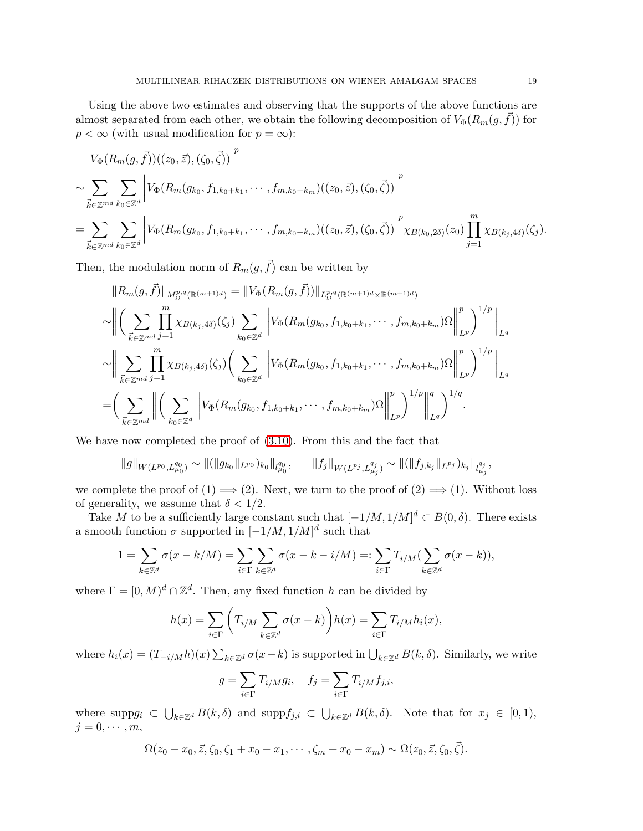Using the above two estimates and observing that the supports of the above functions are almost separated from each other, we obtain the following decomposition of  $V_{\Phi}(R_m(g, \vec{f}))$  for  $p < \infty$  (with usual modification for  $p = \infty$ ):

$$
\left| V_{\Phi}(R_m(g, \vec{f}))((z_0, \vec{z}), (\zeta_0, \vec{\zeta})) \right|^p
$$
  
\n
$$
\sim \sum_{\vec{k} \in \mathbb{Z}^{md}} \sum_{k_0 \in \mathbb{Z}^d} \left| V_{\Phi}(R_m(g_{k_0}, f_{1, k_0 + k_1}, \cdots, f_{m, k_0 + k_m})((z_0, \vec{z}), (\zeta_0, \vec{\zeta})) \right|^p
$$
  
\n
$$
= \sum_{\vec{k} \in \mathbb{Z}^{md}} \sum_{k_0 \in \mathbb{Z}^d} \left| V_{\Phi}(R_m(g_{k_0}, f_{1, k_0 + k_1}, \cdots, f_{m, k_0 + k_m})((z_0, \vec{z}), (\zeta_0, \vec{\zeta})) \right|^p \chi_{B(k_0, 2\delta)}(z_0) \prod_{j=1}^m \chi_{B(k_j, 4\delta)}(\zeta_j).
$$

Then, the modulation norm of  $R_m(q, \vec{f})$  can be written by

$$
||R_m(g, \vec{f})||_{M_{\Omega}^{p,q}(\mathbb{R}^{(m+1)d})} = ||V_{\Phi}(R_m(g, \vec{f}))||_{L_{\Omega}^{p,q}(\mathbb{R}^{(m+1)d} \times \mathbb{R}^{(m+1)d})}
$$
  
\n
$$
\sim \Big\| \Big( \sum_{\vec{k} \in \mathbb{Z}^{md}} \prod_{j=1}^m \chi_{B(k_j, 4\delta)}(\zeta_j) \sum_{k_0 \in \mathbb{Z}^d} \Big\| V_{\Phi}(R_m(g_{k_0}, f_{1, k_0 + k_1}, \cdots, f_{m, k_0 + k_m})\Omega \Big\|_{L^p}^p \Big)^{1/p} \Big\|_{L^q}
$$
  
\n
$$
\sim \Big\| \sum_{\vec{k} \in \mathbb{Z}^{md}} \prod_{j=1}^m \chi_{B(k_j, 4\delta)}(\zeta_j) \Big( \sum_{k_0 \in \mathbb{Z}^d} \Big\| V_{\Phi}(R_m(g_{k_0}, f_{1, k_0 + k_1}, \cdots, f_{m, k_0 + k_m})\Omega \Big\|_{L^p}^p \Big)^{1/p} \Big\|_{L^q}
$$
  
\n
$$
= \Big( \sum_{\vec{k} \in \mathbb{Z}^{md}} \Big\| \Big( \sum_{k_0 \in \mathbb{Z}^d} \Big\| V_{\Phi}(R_m(g_{k_0}, f_{1, k_0 + k_1}, \cdots, f_{m, k_0 + k_m})\Omega \Big\|_{L^p}^p \Big)^{1/p} \Big\|_{L^q}^q \Big)^{1/q}.
$$

We have now completed the proof of [\(3.10\)](#page-17-0). From this and the fact that

$$
||g||_{W(L^{p_0}, L^{q_0}_{\mu_0})} \sim ||(||g_{k_0}||_{L^{p_0}})_{k_0}||_{l^{q_0}_{\mu_0}}, \qquad ||f_j||_{W(L^{p_j}, L^{q_j}_{\mu_j})} \sim ||(||f_{j,k_j}||_{L^{p_j}})_{k_j}||_{l^{q_j}_{\mu_j}},
$$

we complete the proof of  $(1) \Longrightarrow (2)$ . Next, we turn to the proof of  $(2) \Longrightarrow (1)$ . Without loss of generality, we assume that  $\delta < 1/2$ .

Take M to be a sufficiently large constant such that  $[-1/M, 1/M]^d \subset B(0, \delta)$ . There exists a smooth function  $\sigma$  supported in  $[-1/M, 1/M]^d$  such that

$$
1 = \sum_{k \in \mathbb{Z}^d} \sigma(x - k/M) = \sum_{i \in \Gamma} \sum_{k \in \mathbb{Z}^d} \sigma(x - k - i/M) =: \sum_{i \in \Gamma} T_{i/M} (\sum_{k \in \mathbb{Z}^d} \sigma(x - k)),
$$

where  $\Gamma = [0, M]^d \cap \mathbb{Z}^d$ . Then, any fixed function h can be divided by

$$
h(x) = \sum_{i \in \Gamma} \left( T_{i/M} \sum_{k \in \mathbb{Z}^d} \sigma(x - k) \right) h(x) = \sum_{i \in \Gamma} T_{i/M} h_i(x),
$$

where  $h_i(x) = (T_{-i/M}h)(x) \sum_{k \in \mathbb{Z}^d} \sigma(x-k)$  is supported in  $\bigcup_{k \in \mathbb{Z}^d} B(k,\delta)$ . Similarly, we write

$$
g = \sum_{i \in \Gamma} T_{i/M} g_i, \quad f_j = \sum_{i \in \Gamma} T_{i/M} f_{j,i},
$$

where supp $g_i \subset \bigcup_{k \in \mathbb{Z}^d} B(k,\delta)$  and supp $f_{j,i} \subset \bigcup_{k \in \mathbb{Z}^d} B(k,\delta)$ . Note that for  $x_j \in [0,1)$ ,  $j = 0, \cdots, m$ ,

$$
\Omega(z_0 - x_0, \vec{z}, \zeta_0, \zeta_1 + x_0 - x_1, \cdots, \zeta_m + x_0 - x_m) \sim \Omega(z_0, \vec{z}, \zeta_0, \vec{\zeta}).
$$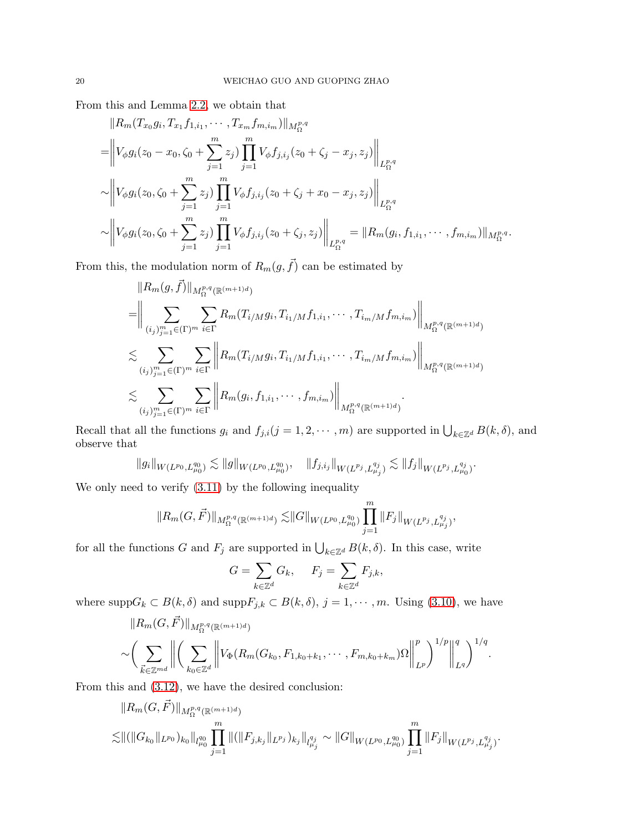From this and Lemma [2.2,](#page-6-1) we obtain that

$$
||R_m(T_{x_0}g_i, T_{x_1}f_{1,i_1}, \cdots, T_{x_m}f_{m,i_m})||_{M_{\Omega}^{p,q}}
$$
  
\n=
$$
\left\|V_{\phi}g_i(z_0 - x_0, \zeta_0 + \sum_{j=1}^m z_j) \prod_{j=1}^m V_{\phi}f_{j,i_j}(z_0 + \zeta_j - x_j, z_j)\right\|_{L_{\Omega}^{p,q}}
$$
  
\n
$$
\sim \left\|V_{\phi}g_i(z_0, \zeta_0 + \sum_{j=1}^m z_j) \prod_{j=1}^m V_{\phi}f_{j,i_j}(z_0 + \zeta_j + x_0 - x_j, z_j)\right\|_{L_{\Omega}^{p,q}}
$$
  
\n
$$
\sim \left\|V_{\phi}g_i(z_0, \zeta_0 + \sum_{j=1}^m z_j) \prod_{j=1}^m V_{\phi}f_{j,i_j}(z_0 + \zeta_j, z_j)\right\|_{L_{\Omega}^{p,q}} = ||R_m(g_i, f_{1,i_1}, \cdots, f_{m,i_m})||_{M_{\Omega}^{p,q}}.
$$

From this, the modulation norm of  $R_m(g, \vec{f})$  can be estimated by

$$
||R_{m}(g, \vec{f})||_{M_{\Omega}^{p,q}(\mathbb{R}^{(m+1)d})}
$$
\n=
$$
\Biggl\|\sum_{(i_{j})_{j=1}^{m}\in(\Gamma)^{m}}\sum_{i\in\Gamma}R_{m}(T_{i/M}g_{i}, T_{i_{1}/M}f_{1,i_{1}}, \cdots, T_{i_{m}/M}f_{m,i_{m}})\Biggr\|_{M_{\Omega}^{p,q}(\mathbb{R}^{(m+1)d})}
$$
\n
$$
\lesssim \sum_{(i_{j})_{j=1}^{m}\in(\Gamma)^{m}}\sum_{i\in\Gamma}\Biggl\|R_{m}(T_{i/M}g_{i}, T_{i_{1}/M}f_{1,i_{1}}, \cdots, T_{i_{m}/M}f_{m,i_{m}})\Biggr\|_{M_{\Omega}^{p,q}(\mathbb{R}^{(m+1)d})}
$$
\n
$$
\lesssim \sum_{(i_{j})_{j=1}^{m}\in(\Gamma)^{m}}\sum_{i\in\Gamma}\Biggl\|R_{m}(g_{i}, f_{1,i_{1}}, \cdots, f_{m,i_{m}})\Biggr\|_{M_{\Omega}^{p,q}(\mathbb{R}^{(m+1)d})}.
$$

Recall that all the functions  $g_i$  and  $f_{j,i}(j=1,2,\dots,m)$  are supported in  $\bigcup_{k\in\mathbb{Z}^d} B(k,\delta)$ , and observe that

$$
||g_i||_{W(L^{p_0}, L^{q_0}_{\mu_0})} \lesssim ||g||_{W(L^{p_0}, L^{q_0}_{\mu_0})}, \quad ||f_{j,i_j}||_{W(L^{p_j}, L^{q_j}_{\mu_j})} \lesssim ||f_j||_{W(L^{p_j}, L^{q_j}_{\mu_0})}.
$$

We only need to verify [\(3.11\)](#page-17-1) by the following inequality

$$
||R_m(G, \vec{F})||_{M_{\Omega}^{p,q}(\mathbb{R}^{(m+1)d})} \lesssim ||G||_{W(L^{p_0}, L_{\mu_0}^{q_0})} \prod_{j=1}^m ||F_j||_{W(L^{p_j}, L_{\mu_j}^{q_j})},
$$

for all the functions G and  $F_j$  are supported in  $\bigcup_{k\in\mathbb{Z}^d} B(k,\delta)$ . In this case, write

$$
G = \sum_{k \in \mathbb{Z}^d} G_k, \quad F_j = \sum_{k \in \mathbb{Z}^d} F_{j,k},
$$

where  $\text{supp}G_k \subset B(k,\delta)$  and  $\text{supp}F_{j,k} \subset B(k,\delta), j = 1,\cdots,m$ . Using [\(3.10\)](#page-17-0), we have

$$
||R_m(G, \vec{F})||_{M_{\Omega}^{p,q}(\mathbb{R}^{(m+1)d})}
$$
  
\$\sim \left(\sum\_{\vec{k} \in \mathbb{Z}^{md}} \left\| \left(\sum\_{k\_0 \in \mathbb{Z}^d} \left\| V\_{\Phi}(R\_m(G\_{k\_0}, F\_{1,k\_0+k\_1}, \cdots, F\_{m,k\_0+k\_m})\Omega \right\|\_{L^p}^p \right)^{1/p} \right\|\_{L^q}^q \right)^{1/q}\$.

From this and [\(3.12\)](#page-17-2), we have the desired conclusion:

$$
||R_m(G, \vec{F})||_{M_{\Omega}^{p,q}(\mathbb{R}^{(m+1)d})}
$$
  

$$
\lesssim ||(||G_{k_0}||_{L^{p_0}})_{k_0}||_{l_{\mu_0}^{q_0}} \prod_{j=1}^m ||(||F_{j,k_j}||_{L^{p_j}})_{k_j}||_{l_{\mu_j}^{q_j}} \sim ||G||_{W(L^{p_0}, L_{\mu_0}^{q_0})} \prod_{j=1}^m ||F_j||_{W(L^{p_j}, L_{\mu_j}^{q_j})}.
$$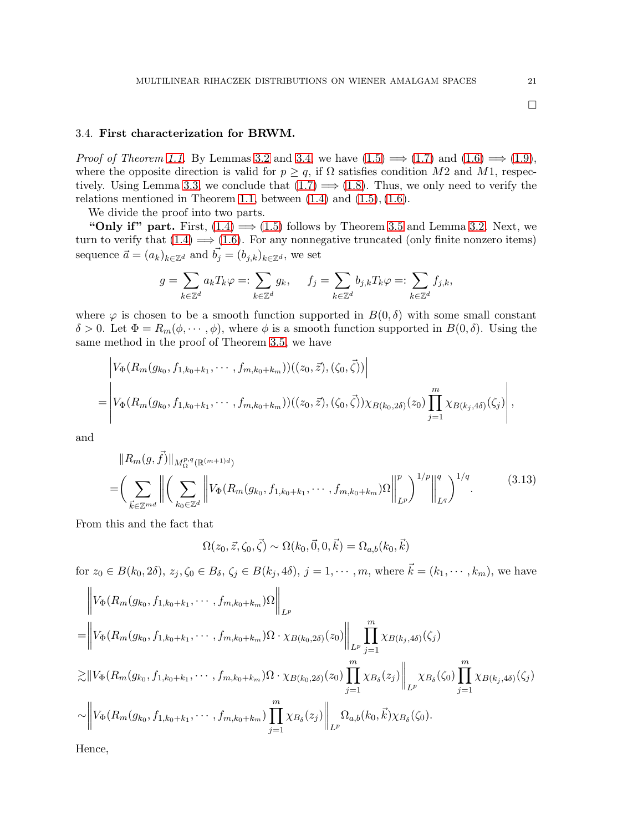# 3.4. First characterization for BRWM.

*Proof of Theorem [1.1.](#page-3-5)* By Lemmas [3.2](#page-12-4) and [3.4,](#page-16-3) we have  $(1.5) \implies (1.7)$  $(1.5) \implies (1.7)$  and  $(1.6) \implies (1.9)$  $(1.6) \implies (1.9)$ , where the opposite direction is valid for  $p \ge q$ , if  $\Omega$  satisfies condition M2 and M1, respec-tively. Using Lemma [3.3,](#page-15-0) we conclude that  $(1.7) \Longrightarrow (1.8)$  $(1.7) \Longrightarrow (1.8)$ . Thus, we only need to verify the relations mentioned in Theorem [1.1,](#page-3-5) between  $(1.4)$  and  $(1.5)$ ,  $(1.6)$ .

We divide the proof into two parts.

"Only if" part. First,  $(1.4) \implies (1.5)$  $(1.4) \implies (1.5)$  follows by Theorem [3.5](#page-17-3) and Lemma [3.2.](#page-12-4) Next, we turn to verify that  $(1.4) \implies (1.6)$  $(1.4) \implies (1.6)$ . For any nonnegative truncated (only finite nonzero items) sequence  $\vec{a} = (a_k)_{k \in \mathbb{Z}^d}$  and  $\vec{b}_j = (b_{j,k})_{k \in \mathbb{Z}^d}$ , we set

$$
g = \sum_{k \in \mathbb{Z}^d} a_k T_k \varphi =: \sum_{k \in \mathbb{Z}^d} g_k, \quad f_j = \sum_{k \in \mathbb{Z}^d} b_{j,k} T_k \varphi =: \sum_{k \in \mathbb{Z}^d} f_{j,k},
$$

where  $\varphi$  is chosen to be a smooth function supported in  $B(0, \delta)$  with some small constant  $\delta > 0$ . Let  $\Phi = R_m(\phi, \dots, \phi)$ , where  $\phi$  is a smooth function supported in  $B(0, \delta)$ . Using the same method in the proof of Theorem [3.5,](#page-17-3) we have

$$
\left| V_{\Phi}(R_m(g_{k_0}, f_{1,k_0+k_1}, \cdots, f_{m,k_0+k_m}))((z_0, \vec{z}), (\zeta_0, \vec{\zeta})) \right|
$$
  
= 
$$
\left| V_{\Phi}(R_m(g_{k_0}, f_{1,k_0+k_1}, \cdots, f_{m,k_0+k_m}))((z_0, \vec{z}), (\zeta_0, \vec{\zeta})) \chi_{B(k_0, 2\delta)}(z_0) \prod_{j=1}^m \chi_{B(k_j, 4\delta)}(\zeta_j) \right|,
$$

<span id="page-20-0"></span>and

$$
||R_m(g, \vec{f})||_{M_{\Omega}^{p,q}(\mathbb{R}^{(m+1)d})}
$$
\n
$$
= \left(\sum_{\vec{k} \in \mathbb{Z}^{md}} \left\| \left(\sum_{k_0 \in \mathbb{Z}^d} \left\| V_{\Phi}(R_m(g_{k_0}, f_{1,k_0+k_1}, \cdots, f_{m,k_0+k_m})\Omega \right\|_{L^p}^p) \right\|_{L^q}^q \right)^{1/q}.
$$
\n(3.13)

From this and the fact that

$$
\Omega(z_0, \vec{z}, \zeta_0, \vec{\zeta}) \sim \Omega(k_0, \vec{0}, 0, \vec{k}) = \Omega_{a,b}(k_0, \vec{k})
$$

for  $z_0 \in B(k_0, 2\delta)$ ,  $z_j, \zeta_0 \in B_\delta$ ,  $\zeta_j \in B(k_j, 4\delta)$ ,  $j = 1, \dots, m$ , where  $\vec{k} = (k_1, \dots, k_m)$ , we have  $\mathbf{H}$  $\overline{11}$ 

$$
\|V_{\Phi}(R_{m}(g_{k_{0}},f_{1,k_{0}+k_{1}},\cdots,f_{m,k_{0}+k_{m}})\Omega\|_{L^{p}}
$$
\n=
$$
\|V_{\Phi}(R_{m}(g_{k_{0}},f_{1,k_{0}+k_{1}},\cdots,f_{m,k_{0}+k_{m}})\Omega\cdot\chi_{B(k_{0},2\delta)}(z_{0})\|_{L^{p}}\prod_{j=1}^{m}\chi_{B(k_{j},4\delta)}(\zeta_{j})
$$
\n
$$
\gtrsim\|V_{\Phi}(R_{m}(g_{k_{0}},f_{1,k_{0}+k_{1}},\cdots,f_{m,k_{0}+k_{m}})\Omega\cdot\chi_{B(k_{0},2\delta)}(z_{0})\prod_{j=1}^{m}\chi_{B_{\delta}}(z_{j})\|_{L^{p}}\chi_{B_{\delta}}(\zeta_{0})\prod_{j=1}^{m}\chi_{B(k_{j},4\delta)}(\zeta_{j})
$$
\n
$$
\sim\|V_{\Phi}(R_{m}(g_{k_{0}},f_{1,k_{0}+k_{1}},\cdots,f_{m,k_{0}+k_{m}})\prod_{j=1}^{m}\chi_{B_{\delta}}(z_{j})\|_{L^{p}}\Omega_{a,b}(k_{0},\vec{k})\chi_{B_{\delta}}(\zeta_{0}).
$$

Hence,

 $\Box$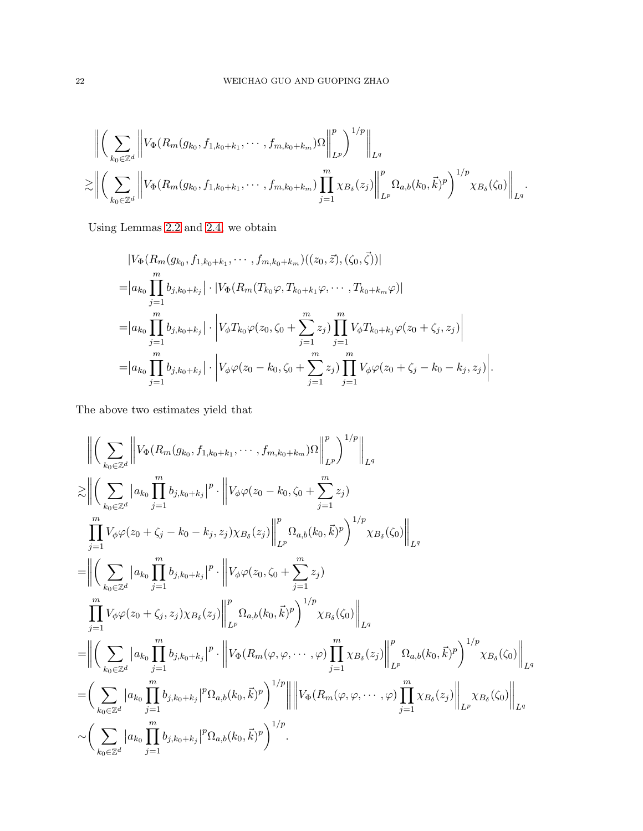$$
\| \left( \sum_{k_0 \in \mathbb{Z}^d} \left\| V_{\Phi}(R_m(g_{k_0}, f_{1,k_0+k_1}, \cdots, f_{m,k_0+k_m}) \Omega \right\|_{L^p}^p \right)^{1/p} \Big\|_{L^q}
$$
  

$$
\gtrsim \left\| \left( \sum_{k_0 \in \mathbb{Z}^d} \left\| V_{\Phi}(R_m(g_{k_0}, f_{1,k_0+k_1}, \cdots, f_{m,k_0+k_m}) \prod_{j=1}^m \chi_{B_\delta}(z_j) \right\|_{L^p}^p \Omega_{a,b}(k_0, \vec{k})^p \right)^{1/p} \chi_{B_\delta}(\zeta_0) \right\|_{L^q}.
$$

Using Lemmas [2.2](#page-6-1) and [2.4,](#page-7-1) we obtain

$$
|V_{\Phi}(R_{m}(g_{k_{0}},f_{1,k_{0}+k_{1}},\cdots,f_{m,k_{0}+k_{m}})((z_{0},\vec{z}),(\zeta_{0},\vec{\zeta}))|
$$
  
\n=
$$
|a_{k_{0}}\prod_{j=1}^{m}b_{j,k_{0}+k_{j}}|\cdot|V_{\Phi}(R_{m}(T_{k_{0}}\varphi,T_{k_{0}+k_{1}}\varphi,\cdots,T_{k_{0}+k_{m}}\varphi)|
$$
  
\n=
$$
|a_{k_{0}}\prod_{j=1}^{m}b_{j,k_{0}+k_{j}}|\cdot|V_{\phi}T_{k_{0}}\varphi(z_{0},\zeta_{0}+\sum_{j=1}^{m}z_{j})\prod_{j=1}^{m}V_{\phi}T_{k_{0}+k_{j}}\varphi(z_{0}+\zeta_{j},z_{j})|
$$
  
\n=
$$
|a_{k_{0}}\prod_{j=1}^{m}b_{j,k_{0}+k_{j}}|\cdot|V_{\phi}\varphi(z_{0}-k_{0},\zeta_{0}+\sum_{j=1}^{m}z_{j})\prod_{j=1}^{m}V_{\phi}\varphi(z_{0}+\zeta_{j}-k_{0}-k_{j},z_{j})|.
$$

The above two estimates yield that

$$
\left\| \left( \sum_{k_0 \in \mathbb{Z}^d} \left\| V_{\Phi}(R_m(g_{k_0}, f_{1, k_0 + k_1}, \dots, f_{m, k_0 + k_m}) \Omega \right) \right\|_{L^p}^p \right\|_{L^q}
$$
  
\n
$$
\geq \left\| \left( \sum_{k_0 \in \mathbb{Z}^d} |a_{k_0} \prod_{j=1}^m b_{j, k_0 + k_j} |^p \cdot \left\| V_{\phi} \varphi(z_0 - k_0, \zeta_0 + \sum_{j=1}^m z_j) \right\|_{L^p}^p V_{\phi}(\zeta_0 + \zeta_j - k_0 - k_j, z_j) \chi_{B_{\delta}}(z_j) \right\|_{L^p}^p \Omega_{a, b}(k_0, \vec{k})^p \right)^{1/p} \chi_{B_{\delta}}(\zeta_0) \right\|_{L^q}
$$
  
\n
$$
= \left\| \left( \sum_{k_0 \in \mathbb{Z}^d} |a_{k_0} \prod_{j=1}^m b_{j, k_0 + k_j} |^p \cdot \left\| V_{\phi} \varphi(z_0, \zeta_0 + \sum_{j=1}^m z_j) \right\|_{L^p}^p \Omega_{a, b}(k_0, \vec{k})^p \right)^{1/p} \chi_{B_{\delta}}(\zeta_0) \right\|_{L^q}
$$
  
\n
$$
= \left\| \left( \sum_{k_0 \in \mathbb{Z}^d} |a_{k_0} \prod_{j=1}^m b_{j, k_0 + k_j} |^p \cdot \left\| V_{\Phi}(R_m(\varphi, \varphi, \dots, \varphi) \prod_{j=1}^m \chi_{B_{\delta}}(z_j) \right\|_{L^p}^p \Omega_{a, b}(k_0, \vec{k})^p \right)^{1/p} \chi_{B_{\delta}}(\zeta_0) \right\|_{L^q}
$$
  
\n
$$
= \left( \sum_{k_0 \in \mathbb{Z}^d} |a_{k_0} \prod_{j=1}^m b_{j, k_0 + k_j} |^p \Omega_{a, b}(k_0, \vec{k})^p \right)^{1/p} \right\| \left\| V_{\Phi}(R_m(\varphi, \varphi, \dots, \varphi) \prod_{j=
$$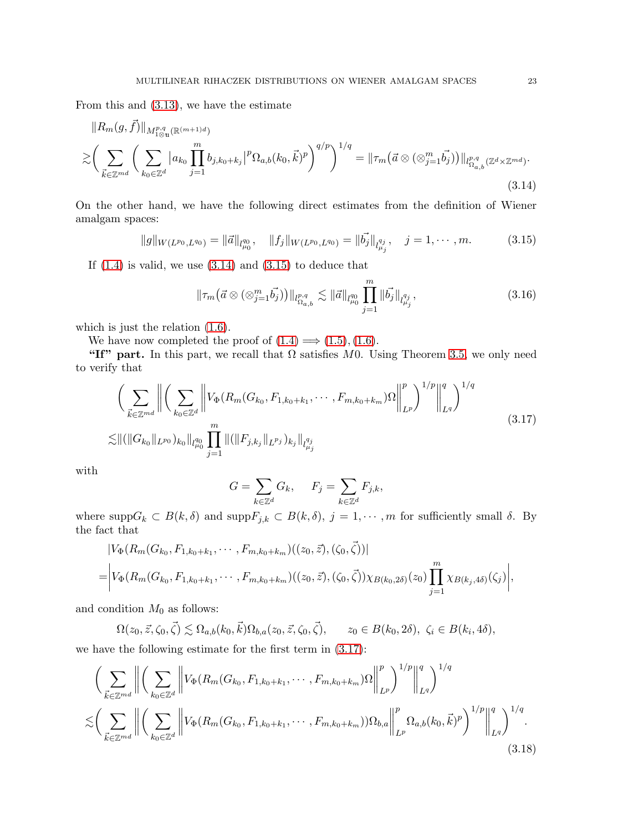From this and [\(3.13\)](#page-20-0), we have the estimate

<span id="page-22-0"></span>
$$
||R_{m}(g, \vec{f})||_{M^{p,q}_{1\otimes \mathfrak{m}}(\mathbb{R}^{(m+1)d})}
$$
  
\n
$$
\gtrsim \left(\sum_{\vec{k}\in\mathbb{Z}^{md}}\left(\sum_{k_{0}\in\mathbb{Z}^{d}}|a_{k_{0}}\prod_{j=1}^{m}b_{j,k_{0}+k_{j}}|^{p}\Omega_{a,b}(k_{0}, \vec{k})^{p}\right)^{q/p}\right)^{1/q} = ||\tau_{m}(\vec{a}\otimes(\otimes_{j=1}^{m}\vec{b_{j}}))||_{l^{p,q}_{\Omega_{a,b}}(\mathbb{Z}^{d}\times\mathbb{Z}^{md})}. \tag{3.14}
$$

On the other hand, we have the following direct estimates from the definition of Wiener amalgam spaces:

<span id="page-22-1"></span>
$$
||g||_{W(L^{p_0}, L^{q_0})} = ||\vec{a}||_{l^{q_0}_{\mu_0}}, \quad ||f_j||_{W(L^{p_0}, L^{q_0})} = ||\vec{b_j}||_{l^{q_j}_{\mu_j}}, \quad j = 1, \cdots, m.
$$
 (3.15)

If  $(1.4)$  is valid, we use  $(3.14)$  and  $(3.15)$  to deduce that

$$
\|\tau_m(\vec{a}\otimes(\otimes_{j=1}^m \vec{b_j}))\|_{l^{p,q}_{\Omega_{a,b}}} \lesssim \|\vec{a}\|_{l^{q_0}_{\mu_0}} \prod_{j=1}^m \|\vec{b_j}\|_{l^{q_j}_{\mu_j}},\tag{3.16}
$$

which is just the relation [\(1.6\)](#page-3-1).

We have now completed the proof of  $(1.4) \implies (1.5), (1.6)$  $(1.4) \implies (1.5), (1.6)$  $(1.4) \implies (1.5), (1.6)$  $(1.4) \implies (1.5), (1.6)$ .

"If" part. In this part, we recall that  $\Omega$  satisfies M0. Using Theorem [3.5,](#page-17-3) we only need to verify that

<span id="page-22-2"></span>
$$
\left(\sum_{\vec{k}\in\mathbb{Z}^{md}}\left\|\left(\sum_{k_0\in\mathbb{Z}^d}\left\|V_{\Phi}(R_m(G_{k_0},F_{1,k_0+k_1},\cdots,F_{m,k_0+k_m})\Omega\right\|_{L^p}^p)^{1/p}\right\|_{L^q}^q\right)^{1/q}
$$
\n
$$
\lesssim \|\left(\|G_{k_0}\|_{L^{p_0}}\right)_{k_0}\|_{l_{\mu_0}^{q_0}} \prod_{j=1}^m \|\left(\|F_{j,k_j}\|_{L^{p_j}}\right)_{k_j}\|_{l_{\mu_j}^{q_j}}
$$
\n
$$
(3.17)
$$

with

$$
G = \sum_{k \in \mathbb{Z}^d} G_k, \quad F_j = \sum_{k \in \mathbb{Z}^d} F_{j,k},
$$

where  $\text{supp}G_k \subset B(k,\delta)$  and  $\text{supp}F_{j,k} \subset B(k,\delta), j = 1,\cdots,m$  for sufficiently small  $\delta$ . By the fact that

$$
|V_{\Phi}(R_m(G_{k_0}, F_{1,k_0+k_1}, \cdots, F_{m,k_0+k_m})((z_0, \vec{z}), (\zeta_0, \vec{\zeta}))|
$$
  
= 
$$
|V_{\Phi}(R_m(G_{k_0}, F_{1,k_0+k_1}, \cdots, F_{m,k_0+k_m})((z_0, \vec{z}), (\zeta_0, \vec{\zeta})) \chi_{B(k_0, 2\delta)}(z_0) \prod_{j=1}^m \chi_{B(k_j, 4\delta)}(\zeta_j)|,
$$

and condition  $M_0$  as follows:

$$
\Omega(z_0, \vec{z}, \zeta_0, \vec{\zeta}) \lesssim \Omega_{a,b}(k_0, \vec{k}) \Omega_{b,a}(z_0, \vec{z}, \zeta_0, \vec{\zeta}), \qquad z_0 \in B(k_0, 2\delta), \ \zeta_i \in B(k_i, 4\delta),
$$

we have the following estimate for the first term in [\(3.17\)](#page-22-2):

<span id="page-22-3"></span>
$$
\left(\sum_{\vec{k}\in\mathbb{Z}^{md}}\left\|\left(\sum_{k_{0}\in\mathbb{Z}^{d}}\left\|V_{\Phi}(R_{m}(G_{k_{0}},F_{1,k_{0}+k_{1}},\cdots,F_{m,k_{0}+k_{m}})\Omega\right\|_{L^{p}}^{p}\right)^{1/p}\right\|_{L^{q}}^{q}\right)^{1/q} \n\lesssim \left(\sum_{\vec{k}\in\mathbb{Z}^{md}}\left\|\left(\sum_{k_{0}\in\mathbb{Z}^{d}}\left\|V_{\Phi}(R_{m}(G_{k_{0}},F_{1,k_{0}+k_{1}},\cdots,F_{m,k_{0}+k_{m}}))\Omega_{b,a}\right\|_{L^{p}}^{p}\Omega_{a,b}(k_{0},\vec{k})^{p}\right)^{1/p}\right\|_{L^{q}}^{q}\right)^{1/q}.
$$
\n(3.18)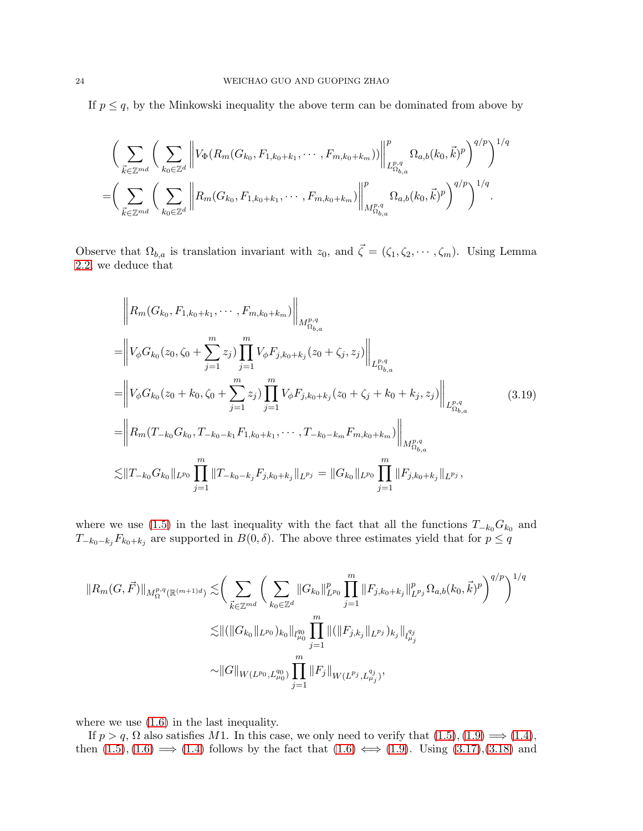If  $p \leq q$ , by the Minkowski inequality the above term can be dominated from above by

$$
\left(\sum_{\vec{k}\in\mathbb{Z}^{md}}\left(\sum_{k_0\in\mathbb{Z}^d}\left\|V_{\Phi}(R_m(G_{k_0},F_{1,k_0+k_1},\cdots,F_{m,k_0+k_m}))\right\|_{L_{\Omega_{b,a}}^{p,q}}^p\Omega_{a,b}(k_0,\vec{k})^p\right)^{q/p}\right)^{1/q}
$$
  
=
$$
\left(\sum_{\vec{k}\in\mathbb{Z}^{md}}\left(\sum_{k_0\in\mathbb{Z}^d}\left\|R_m(G_{k_0},F_{1,k_0+k_1},\cdots,F_{m,k_0+k_m})\right\|_{M_{\Omega_{b,a}}^{p,q}}^p\Omega_{a,b}(k_0,\vec{k})^p\right)^{q/p}\right)^{1/q}.
$$

Observe that  $\Omega_{b,a}$  is translation invariant with  $z_0$ , and  $\vec{\zeta} = (\zeta_1, \zeta_2, \cdots, \zeta_m)$ . Using Lemma [2.2,](#page-6-1) we deduce that

<span id="page-23-0"></span>
$$
\|R_m(G_{k_0}, F_{1,k_0+k_1}, \cdots, F_{m,k_0+k_m})\|_{M_{\Omega_{b,a}}^{p,q}}
$$
\n=
$$
\|V_{\phi}G_{k_0}(z_0, \zeta_0 + \sum_{j=1}^m z_j) \prod_{j=1}^m V_{\phi}F_{j,k_0+k_j}(z_0 + \zeta_j, z_j) \Big\|_{L_{\Omega_{b,a}}^{p,q}}
$$
\n=
$$
\|V_{\phi}G_{k_0}(z_0 + k_0, \zeta_0 + \sum_{j=1}^m z_j) \prod_{j=1}^m V_{\phi}F_{j,k_0+k_j}(z_0 + \zeta_j + k_0 + k_j, z_j) \Big\|_{L_{\Omega_{b,a}}^{p,q}}
$$
\n=
$$
\|R_m(T_{-k_0}G_{k_0}, T_{-k_0-k_1}F_{1,k_0+k_1}, \cdots, T_{-k_0-k_m}F_{m,k_0+k_m})\|_{M_{\Omega_{b,a}}^{p,q}}
$$
\n
$$
\lesssim \|T_{-k_0}G_{k_0}\|_{L^{p_0}} \prod_{j=1}^m \|T_{-k_0-k_j}F_{j,k_0+k_j}\|_{L^{p_j}} = \|G_{k_0}\|_{L^{p_0}} \prod_{j=1}^m \|F_{j,k_0+k_j}\|_{L^{p_j}},
$$
\n(3.19)

where we use [\(1.5\)](#page-3-0) in the last inequality with the fact that all the functions  $T_{-k_0}G_{k_0}$  and  $T_{-k_0-k_j}F_{k_0+k_j}$  are supported in  $B(0,\delta)$ . The above three estimates yield that for  $p \le q$ 

$$
||R_m(G, \vec{F})||_{M_{\Omega}^{p,q}(\mathbb{R}^{(m+1)d})} \lesssim \bigg(\sum_{\vec{k}\in\mathbb{Z}^{md}} \bigg(\sum_{k_0\in\mathbb{Z}^d} ||G_{k_0}||_{L^{p_0}}^p \prod_{j=1}^m ||F_{j,k_0+k_j}||_{L^{p_j}}^p \Omega_{a,b}(k_0, \vec{k})^p \bigg)^{q/p} \bigg)^{1/q}
$$
  

$$
\lesssim ||(||G_{k_0}||_{L^{p_0}})_{k_0}||_{l_{\mu_0}^{q_0}} \prod_{j=1}^m ||(||F_{j,k_j}||_{L^{p_j}})_{k_j}||_{l_{\mu_j}^{q_j}}
$$
  

$$
\sim ||G||_{W(L^{p_0}, L_{\mu_0}^{q_0})} \prod_{j=1}^m ||F_j||_{W(L^{p_j}, L_{\mu_j}^{q_j})},
$$

where we use  $(1.6)$  in the last inequality.

If  $p > q$ ,  $\Omega$  also satisfies M1. In this case, we only need to verify that  $(1.5), (1.9) \Longrightarrow (1.4)$  $(1.5), (1.9) \Longrightarrow (1.4)$  $(1.5), (1.9) \Longrightarrow (1.4)$  $(1.5), (1.9) \Longrightarrow (1.4)$ , then  $(1.5), (1.6) \implies (1.4)$  $(1.5), (1.6) \implies (1.4)$  $(1.5), (1.6) \implies (1.4)$  $(1.5), (1.6) \implies (1.4)$  follows by the fact that  $(1.6) \iff (1.9)$  $(1.6) \iff (1.9)$ . Using  $(3.17), (3.18)$  $(3.17), (3.18)$  and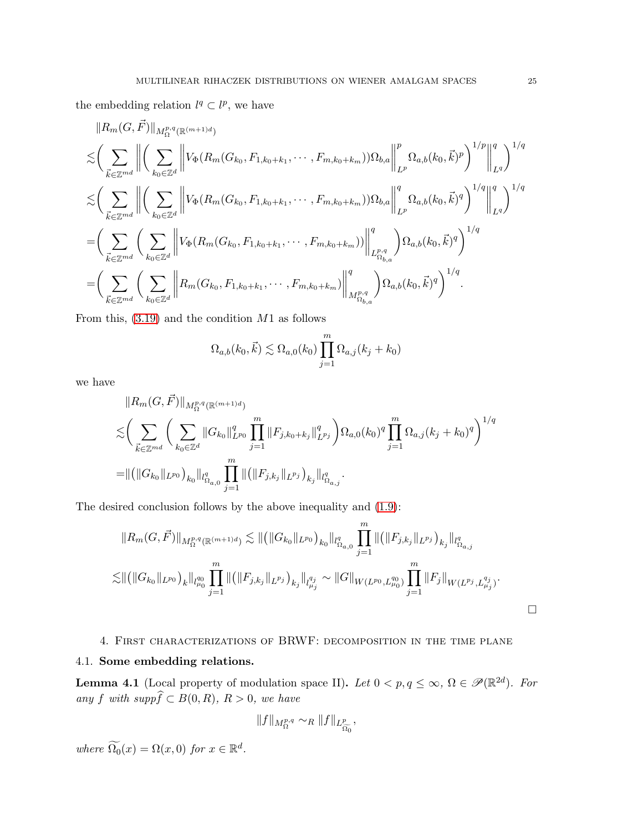the embedding relation  $l^q \subset l^p$ , we have

$$
||R_{m}(G, \vec{F})||_{M_{\Omega}^{p,q}(\mathbb{R}^{(m+1)d})}
$$
  
\n
$$
\leq \left(\sum_{\vec{k}\in\mathbb{Z}^{md}} \left\| \left(\sum_{k_{0}\in\mathbb{Z}^{d}} \left\| V_{\Phi}(R_{m}(G_{k_{0}}, F_{1,k_{0}+k_{1}}, \cdots, F_{m,k_{0}+k_{m}}))\Omega_{b,a} \right\|_{L^{p}}^{p} \Omega_{a,b}(k_{0}, \vec{k})^{p} \right)^{1/p} \right\|_{L^{q}}^{q} \right)^{1/q}
$$
  
\n
$$
\leq \left(\sum_{\vec{k}\in\mathbb{Z}^{md}} \left\| \left(\sum_{k_{0}\in\mathbb{Z}^{d}} \left\| V_{\Phi}(R_{m}(G_{k_{0}}, F_{1,k_{0}+k_{1}}, \cdots, F_{m,k_{0}+k_{m}}))\Omega_{b,a} \right\|_{L^{p}}^{q} \Omega_{a,b}(k_{0}, \vec{k})^{q} \right)^{1/q} \right\|_{L^{q}}^{q} \right)^{1/q}
$$
  
\n
$$
= \left(\sum_{\vec{k}\in\mathbb{Z}^{md}} \left(\sum_{k_{0}\in\mathbb{Z}^{d}} \left\| V_{\Phi}(R_{m}(G_{k_{0}}, F_{1,k_{0}+k_{1}}, \cdots, F_{m,k_{0}+k_{m}})) \right\|_{L_{\Omega_{b,a}}^{p,q}}^{q} \right) \Omega_{a,b}(k_{0}, \vec{k})^{q} \right)^{1/q}
$$
  
\n
$$
= \left(\sum_{\vec{k}\in\mathbb{Z}^{md}} \left(\sum_{k_{0}\in\mathbb{Z}^{d}} \left\| R_{m}(G_{k_{0}}, F_{1,k_{0}+k_{1}}, \cdots, F_{m,k_{0}+k_{m}}) \right\|_{M_{\Omega_{b,a}}^{p,q}}^{q} \right) \Omega_{a,b}(k_{0}, \vec{k})^{q} \right)^{1/q}.
$$

From this,  $(3.19)$  and the condition  $M1$  as follows

$$
\Omega_{a,b}(k_0, \vec{k}) \lesssim \Omega_{a,0}(k_0) \prod_{j=1}^m \Omega_{a,j}(k_j + k_0)
$$

we have

$$
||R_m(G, \vec{F})||_{M_{\Omega}^{p,q}(\mathbb{R}^{(m+1)d})}
$$
  
\n
$$
\lesssim \left(\sum_{\vec{k}\in\mathbb{Z}^{md}}\left(\sum_{k_0\in\mathbb{Z}^d}||G_{k_0}||_{L^{p_0}}^q\prod_{j=1}^m||F_{j,k_0+k_j}||_{L^{p_j}}^q\right)\Omega_{a,0}(k_0)^q\prod_{j=1}^m\Omega_{a,j}(k_j+k_0)^q\right)^{1/q}
$$
  
\n
$$
= ||(||G_{k_0}||_{L^{p_0}})_{k_0}||_{l_{\Omega_{a,0}}^q}\prod_{j=1}^m ||(||F_{j,k_j}||_{L^{p_j}})_{k_j}||_{l_{\Omega_{a,j}}^q}.
$$

The desired conclusion follows by the above inequality and [\(1.9\)](#page-3-4):

$$
||R_m(G, \vec{F})||_{M_{\Omega}^{p,q}(\mathbb{R}^{(m+1)d})} \lesssim || (||G_{k_0}||_{L^{p_0}})_{k_0}||_{l_{\Omega_{a,0}}^q} \prod_{j=1}^m || (||F_{j,k_j}||_{L^{p_j}})_{k_j}||_{l_{\Omega_{a,j}}^q}
$$
  

$$
\lesssim || (||G_{k_0}||_{L^{p_0}})_{k}||_{l_{\mu_0}^{q_0}} \prod_{j=1}^m || (||F_{j,k_j}||_{L^{p_j}})_{k_j}||_{l_{\mu_j}^{q_j}} \sim ||G||_{W(L^{p_0}, L_{\mu_0}^{q_0})} \prod_{j=1}^m ||F_j||_{W(L^{p_j}, L_{\mu_j}^{q_j})}.
$$

# 4. First characterizations of BRWF: decomposition in the time plane 4.1. Some embedding relations.

<span id="page-24-0"></span>**Lemma 4.1** (Local property of modulation space II). Let  $0 < p, q \le \infty$ ,  $\Omega \in \mathscr{P}(\mathbb{R}^{2d})$ . For any f with supp $\widehat{f} \subset B(0, R)$ ,  $R > 0$ , we have

$$
||f||_{M_{\Omega}^{p,q}} \sim_R ||f||_{L_{\widetilde{\Omega_0}}^p},
$$

where  $\Omega_0(x) = \Omega(x,0)$  for  $x \in \mathbb{R}^d$ .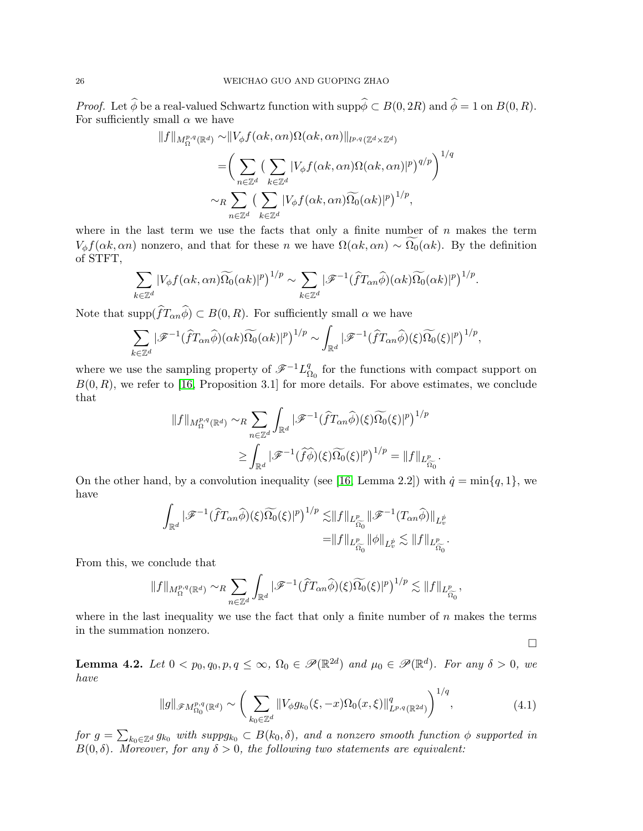*Proof.* Let  $\widehat{\phi}$  be a real-valued Schwartz function with  $\text{supp}\widehat{\phi} \subset B(0, 2R)$  and  $\widehat{\phi} = 1$  on  $B(0, R)$ . For sufficiently small  $\alpha$  we have

$$
||f||_{M_{\Omega}^{p,q}(\mathbb{R}^d)} \sim ||V_{\phi}f(\alpha k, \alpha n)\Omega(\alpha k, \alpha n)||_{l^{p,q}(\mathbb{Z}^d \times \mathbb{Z}^d)}
$$
  
= 
$$
\left(\sum_{n \in \mathbb{Z}^d} \left(\sum_{k \in \mathbb{Z}^d} |V_{\phi}f(\alpha k, \alpha n)\Omega(\alpha k, \alpha n)|^p\right)^{q/p}\right)^{1/q}
$$
  

$$
\sim_R \sum_{n \in \mathbb{Z}^d} \left(\sum_{k \in \mathbb{Z}^d} |V_{\phi}f(\alpha k, \alpha n)\Omega_0(\alpha k)|^p\right)^{1/p},
$$

where in the last term we use the facts that only a finite number of  $n$  makes the term  $V_{\phi}f(\alpha k, \alpha n)$  nonzero, and that for these n we have  $\Omega(\alpha k, \alpha n) \sim \widetilde{\Omega_0}(\alpha k)$ . By the definition of STFT,

$$
\sum_{k\in\mathbb{Z}^d} |V_{\phi}f(\alpha k,\alpha n)\widetilde{\Omega_0}(\alpha k)|^p)^{1/p} \sim \sum_{k\in\mathbb{Z}^d} |\mathscr{F}^{-1}(\widehat{f}T_{\alpha n}\widehat{\phi})(\alpha k)\widetilde{\Omega_0}(\alpha k)|^p)^{1/p}.
$$

Note that  $\text{supp}(fT_{\alpha n}\phi) \subset B(0,R)$ . For sufficiently small  $\alpha$  we have

$$
\sum_{k\in\mathbb{Z}^d}|\mathscr{F}^{-1}(\widehat{f}T_{\alpha n}\widehat{\phi})(\alpha k)\widetilde{\Omega_0}(\alpha k)|^p)^{1/p} \sim \int_{\mathbb{R}^d}|\mathscr{F}^{-1}(\widehat{f}T_{\alpha n}\widehat{\phi})(\xi)\widetilde{\Omega_0}(\xi)|^p)^{1/p},
$$

where we use the sampling property of  $\mathscr{F}^{-1}L_{\mathcal{S}}^q$  $\Omega_0$  for the functions with compact support on  $B(0, R)$ , we refer to [\[16,](#page-63-16) Proposition 3.1] for more details. For above estimates, we conclude that

$$
\label{eq:3.1} \begin{split} \|f\|_{M^{p,q}_\Omega(\mathbb{R}^d)} \sim &R \sum_{n\in\mathbb{Z}^d} \int_{\mathbb{R}^d} |\mathscr{F}^{-1}(\widehat{f}T_{\alpha n}\widehat{\phi})(\xi)\widetilde{\Omega_0}(\xi)|^p)^{1/p}\\ \geq & \int_{\mathbb{R}^d} |\mathscr{F}^{-1}(\widehat{f}\widehat{\phi})(\xi)\widetilde{\Omega_0}(\xi)|^p)^{1/p} = \|f\|_{L^p_{\widehat{\Omega_0}}}.\end{split}
$$

On the other hand, by a convolution inequality (see [\[16,](#page-63-16) Lemma 2.2]) with  $\dot{q} = \min\{q, 1\}$ , we have

$$
\int_{\mathbb{R}^d} |\mathscr{F}^{-1}(\widehat{f}T_{\alpha n}\widehat{\phi})(\xi)\widetilde{\Omega_0}(\xi)|^p)^{1/p} \lesssim ||f||_{L^p_{\widehat{\Omega_0}}} ||\mathscr{F}^{-1}(T_{\alpha n}\widehat{\phi})||_{L^p_v} = ||f||_{L^p_{\widehat{\Omega_0}}} ||\phi||_{L^p_v} \lesssim ||f||_{L^p_{\widehat{\Omega_0}}}.
$$

From this, we conclude that

$$
\|f\|_{M^{p,q}_\Omega(\mathbb{R}^d)}\sim_R \sum_{n\in\mathbb{Z}^d}\int_{\mathbb{R}^d}|\mathscr{F}^{-1}(\widehat{f}T_{\alpha n}\widehat{\phi})(\xi)\widetilde{\Omega_0}(\xi)|^p\big)^{1/p}\lesssim \|f\|_{L^p_{\widehat{\Omega_0}}},
$$

where in the last inequality we use the fact that only a finite number of  $n$  makes the terms in the summation nonzero.

 $\Box$ 

<span id="page-25-1"></span>**Lemma 4.2.** Let  $0 < p_0, q_0, p, q \le \infty$ ,  $\Omega_0 \in \mathscr{P}(\mathbb{R}^{2d})$  and  $\mu_0 \in \mathscr{P}(\mathbb{R}^{d})$ . For any  $\delta > 0$ , we have

$$
||g||_{\mathscr{F}M^{p,q}_{\Omega_0}(\mathbb{R}^d)} \sim \left(\sum_{k_0 \in \mathbb{Z}^d} ||V_{\phi}g_{k_0}(\xi, -x)\Omega_0(x, \xi)||^q_{L^{p,q}(\mathbb{R}^{2d})}\right)^{1/q},\tag{4.1}
$$

<span id="page-25-0"></span>for  $g = \sum_{k_0 \in \mathbb{Z}^d} g_{k_0}$  with  $suppg_{k_0} \subset B(k_0, \delta)$ , and a nonzero smooth function  $\phi$  supported in  $B(0, \delta)$ . Moreover, for any  $\delta > 0$ , the following two statements are equivalent: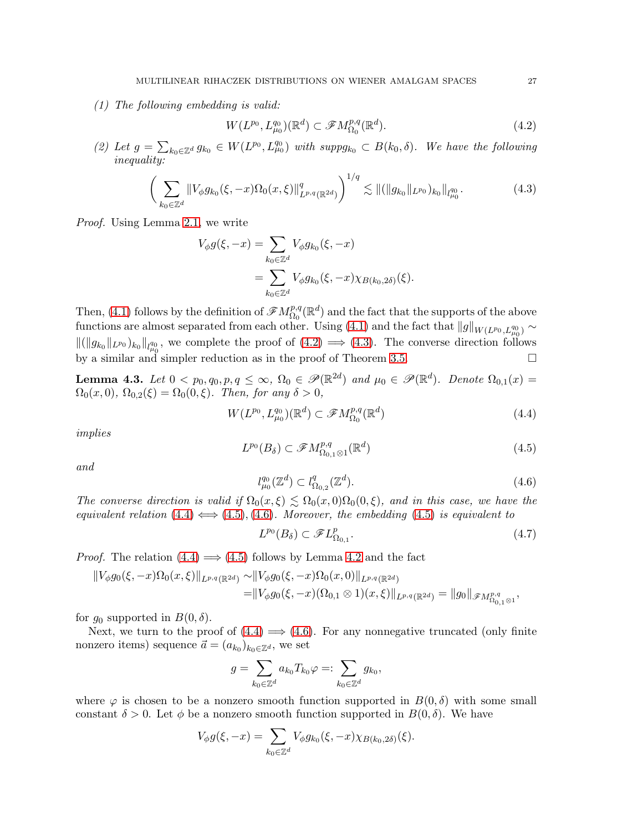(1) The following embedding is valid:

<span id="page-26-0"></span>
$$
W(L^{p_0}, L^{q_0}_{\mu_0})(\mathbb{R}^d) \subset \mathscr{F}M^{p,q}_{\Omega_0}(\mathbb{R}^d). \tag{4.2}
$$

(2) Let  $g = \sum_{k_0 \in \mathbb{Z}^d} g_{k_0} \in W(L^{p_0}, L^{q_0}_{\mu_0})$  with  $suppg_{k_0} \subset B(k_0, \delta)$ . We have the following inequality:

<span id="page-26-1"></span>
$$
\left(\sum_{k_0\in\mathbb{Z}^d} \|V_{\phi}g_{k_0}(\xi,-x)\Omega_0(x,\xi)\|_{L^{p,q}(\mathbb{R}^{2d})}^q\right)^{1/q} \lesssim \|(\|g_{k_0}\|_{L^{p_0}})_{k_0}\|_{l^{q_0}_{\mu_0}}.\tag{4.3}
$$

Proof. Using Lemma [2.1,](#page-6-0) we write

$$
V_{\phi}g(\xi, -x) = \sum_{k_0 \in \mathbb{Z}^d} V_{\phi}g_{k_0}(\xi, -x)
$$
  
= 
$$
\sum_{k_0 \in \mathbb{Z}^d} V_{\phi}g_{k_0}(\xi, -x)\chi_{B(k_0, 2\delta)}(\xi).
$$

Then, [\(4.1\)](#page-25-0) follows by the definition of  $\mathscr{F}M^{p,q}_{\Omega_0}(\mathbb{R}^d)$  and the fact that the supports of the above functions are almost separated from each other. Using [\(4.1\)](#page-25-0) and the fact that  $||g||_{W(L^{p_0}, L^{q_0}_{\mu_0})} \sim$  $\|(\|g_{k_0}\|_{L^{p_0}})_{k_0}\|_{l^{q_0}_{\mu_0}},$  we complete the proof of  $(4.2) \implies (4.3)$  $(4.2) \implies (4.3)$ . The converse direction follows by a similar and simpler reduction as in the proof of Theorem [3.5.](#page-17-3)  $\Box$ 

<span id="page-26-6"></span>**Lemma 4.3.** Let  $0 < p_0, q_0, p, q \le \infty$ ,  $\Omega_0 \in \mathscr{P}(\mathbb{R}^{2d})$  and  $\mu_0 \in \mathscr{P}(\mathbb{R}^{d})$ . Denote  $\Omega_{0,1}(x) =$  $\Omega_0(x,0), \Omega_{0,2}(\xi) = \Omega_0(0,\xi)$ . Then, for any  $\delta > 0$ ,

<span id="page-26-2"></span>
$$
W(L^{p_0}, L^{q_0}_{\mu_0})(\mathbb{R}^d) \subset \mathscr{F}M^{p,q}_{\Omega_0}(\mathbb{R}^d)
$$
\n
$$
\tag{4.4}
$$

implies

<span id="page-26-3"></span>
$$
L^{p_0}(B_\delta) \subset \mathscr{F}M^{p,q}_{\Omega_{0,1}\otimes 1}(\mathbb{R}^d)
$$
\n
$$
(4.5)
$$

and

<span id="page-26-4"></span>
$$
l_{\mu_0}^{q_0}(\mathbb{Z}^d) \subset l_{\Omega_{0,2}}^q(\mathbb{Z}^d). \tag{4.6}
$$

The converse direction is valid if  $\Omega_0(x,\xi) \lesssim \Omega_0(x,0)\Omega_0(0,\xi)$ , and in this case, we have the equivalent relation  $(4.4) \iff (4.5), (4.6)$  $(4.4) \iff (4.5), (4.6)$  $(4.4) \iff (4.5), (4.6)$  $(4.4) \iff (4.5), (4.6)$  $(4.4) \iff (4.5), (4.6)$ . Moreover, the embedding  $(4.5)$  is equivalent to

<span id="page-26-5"></span>
$$
L^{p_0}(B_\delta) \subset \mathscr{F}L^p_{\Omega_{0,1}}.\tag{4.7}
$$

*Proof.* The relation  $(4.4) \implies (4.5)$  $(4.4) \implies (4.5)$  follows by Lemma [4.2](#page-25-1) and the fact

$$
||V_{\phi}g_{0}(\xi,-x)\Omega_{0}(x,\xi)||_{L^{p,q}(\mathbb{R}^{2d})} \sim ||V_{\phi}g_{0}(\xi,-x)\Omega_{0}(x,0)||_{L^{p,q}(\mathbb{R}^{2d})}
$$
  
=  $||V_{\phi}g_{0}(\xi,-x)(\Omega_{0,1}\otimes 1)(x,\xi)||_{L^{p,q}(\mathbb{R}^{2d})} = ||g_{0}||_{\mathscr{F}M^{p,q}_{\Omega_{0,1}\otimes 1}},$ 

for  $g_0$  supported in  $B(0,\delta)$ .

Next, we turn to the proof of  $(4.4) \implies (4.6)$  $(4.4) \implies (4.6)$ . For any nonnegative truncated (only finite nonzero items) sequence  $\vec{a} = (a_{k_0})_{k_0 \in \mathbb{Z}^d}$ , we set

$$
g=\sum_{k_0\in\mathbb{Z}^d}a_{k_0}T_{k_0}\varphi=:\sum_{k_0\in\mathbb{Z}^d}g_{k_0},
$$

where  $\varphi$  is chosen to be a nonzero smooth function supported in  $B(0, \delta)$  with some small constant  $\delta > 0$ . Let  $\phi$  be a nonzero smooth function supported in  $B(0, \delta)$ . We have

$$
V_{\phi}g(\xi,-x)=\sum_{k_0\in\mathbb{Z}^d}V_{\phi}g_{k_0}(\xi,-x)\chi_{B(k_0,2\delta)}(\xi).
$$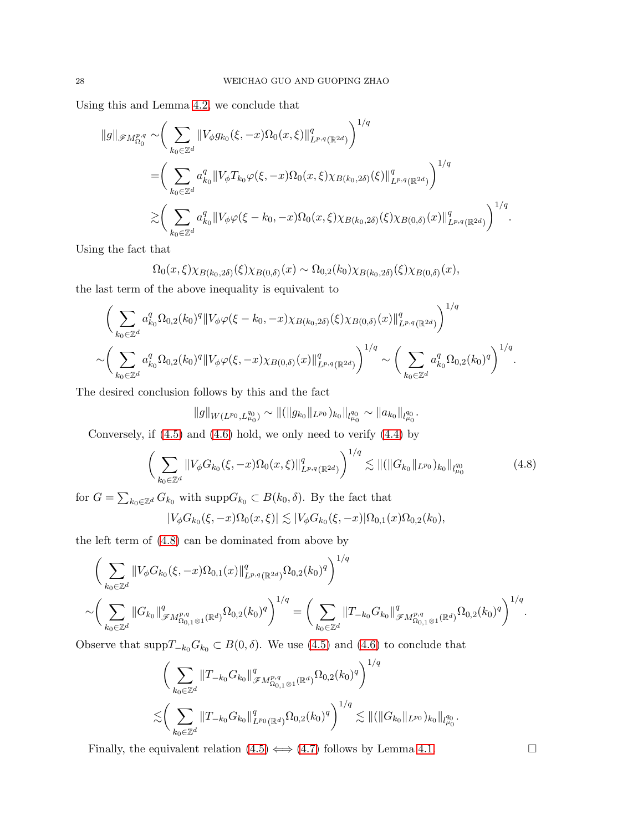Using this and Lemma [4.2,](#page-25-1) we conclude that

$$
\|g\|_{\mathscr{F}M^{p,q}_{\Omega_0}} \sim \bigg(\sum_{k_0 \in \mathbb{Z}^d} \|V_{\phi}g_{k_0}(\xi, -x)\Omega_0(x,\xi)\|_{L^{p,q}(\mathbb{R}^{2d})}^q\bigg)^{1/q} \n= \bigg(\sum_{k_0 \in \mathbb{Z}^d} a_{k_0}^q \|V_{\phi}T_{k_0}\varphi(\xi, -x)\Omega_0(x,\xi)\chi_{B(k_0, 2\delta)}(\xi)\|_{L^{p,q}(\mathbb{R}^{2d})}^q\bigg)^{1/q} \n\gtrsim \bigg(\sum_{k_0 \in \mathbb{Z}^d} a_{k_0}^q \|V_{\phi}\varphi(\xi - k_0, -x)\Omega_0(x,\xi)\chi_{B(k_0, 2\delta)}(\xi)\chi_{B(0,\delta)}(x)\|_{L^{p,q}(\mathbb{R}^{2d})}^q\bigg)^{1/q}.
$$

Using the fact that

$$
\Omega_0(x,\xi)\chi_{B(k_0,2\delta)}(\xi)\chi_{B(0,\delta)}(x) \sim \Omega_{0,2}(k_0)\chi_{B(k_0,2\delta)}(\xi)\chi_{B(0,\delta)}(x),
$$

the last term of the above inequality is equivalent to

$$
\left(\sum_{k_0\in\mathbb{Z}^d} a_{k_0}^q \Omega_{0,2}(k_0)^q \|V_\phi\varphi(\xi - k_0, -x)\chi_{B(k_0, 2\delta)}(\xi)\chi_{B(0,\delta)}(x)\|_{L^{p,q}(\mathbb{R}^{2d})}^q\right)^{1/q} \sim \left(\sum_{k_0\in\mathbb{Z}^d} a_{k_0}^q \Omega_{0,2}(k_0)^q \|V_\phi\varphi(\xi, -x)\chi_{B(0,\delta)}(x)\|_{L^{p,q}(\mathbb{R}^{2d})}^q\right)^{1/q} \sim \left(\sum_{k_0\in\mathbb{Z}^d} a_{k_0}^q \Omega_{0,2}(k_0)^q\right)^{1/q}.
$$

The desired conclusion follows by this and the fact

$$
||g||_{W(L^{p_0}, L^{q_0}_{\mu_0})} \sim ||(||g_{k_0}||_{L^{p_0}})_{k_0}||_{l^{q_0}_{\mu_0}} \sim ||a_{k_0}||_{l^{q_0}_{\mu_0}}.
$$

Conversely, if  $(4.5)$  and  $(4.6)$  hold, we only need to verify  $(4.4)$  by

<span id="page-27-0"></span>
$$
\left(\sum_{k_0 \in \mathbb{Z}^d} \|V_{\phi} G_{k_0}(\xi, -x) \Omega_0(x, \xi)\|_{L^{p,q}(\mathbb{R}^{2d})}^q\right)^{1/q} \lesssim \| (\|G_{k_0}\|_{L^{p_0}})_{k_0} \|_{l^{q_0}_{\mu_0}} \tag{4.8}
$$

for  $G = \sum_{k_0 \in \mathbb{Z}^d} G_{k_0}$  with  $\text{supp} G_{k_0} \subset B(k_0, \delta)$ . By the fact that

$$
|V_{\phi}G_{k_0}(\xi, -x)\Omega_0(x, \xi)| \lesssim |V_{\phi}G_{k_0}(\xi, -x)|\Omega_{0,1}(x)\Omega_{0,2}(k_0),
$$

the left term of [\(4.8\)](#page-27-0) can be dominated from above by

$$
\left(\sum_{k_0\in\mathbb{Z}^d}||V_{\phi}G_{k_0}(\xi,-x)\Omega_{0,1}(x)||_{L^{p,q}(\mathbb{R}^{2d})}^q\Omega_{0,2}(k_0)^q\right)^{1/q} \sim \left(\sum_{k_0\in\mathbb{Z}^d}||G_{k_0}||_{\mathscr{F}M_{\Omega_{0,1}\otimes 1}^{p,q}(\mathbb{R}^d)}^q\Omega_{0,2}(k_0)^q\right)^{1/q} = \left(\sum_{k_0\in\mathbb{Z}^d}||T_{-k_0}G_{k_0}||_{\mathscr{F}M_{\Omega_{0,1}\otimes 1}^{p,q}(\mathbb{R}^d)}^q\Omega_{0,2}(k_0)^q\right)^{1/q}.
$$

Observe that  $\text{supp}T_{-k_0}G_{k_0} \subset B(0,\delta)$ . We use [\(4.5\)](#page-26-3) and [\(4.6\)](#page-26-4) to conclude that

$$
\left(\sum_{k_0\in\mathbb{Z}^d}||T_{-k_0}G_{k_0}||^q_{\mathscr{F}M^{p,q}_{\Omega_{0,1}\otimes 1}(\mathbb{R}^d)}\Omega_{0,2}(k_0)^q\right)^{1/q} \lesssim \left(\sum_{k_0\in\mathbb{Z}^d}||T_{-k_0}G_{k_0}||^q_{L^{p_0}(\mathbb{R}^d)}\Omega_{0,2}(k_0)^q\right)^{1/q} \lesssim ||(||G_{k_0}||_{L^{p_0}})_{k_0}||_{l^{q_0}_{\mu_0}}.
$$

Finally, the equivalent relation  $(4.5) \Longleftrightarrow (4.7)$  $(4.5) \Longleftrightarrow (4.7)$  follows by Lemma [4.1.](#page-24-0)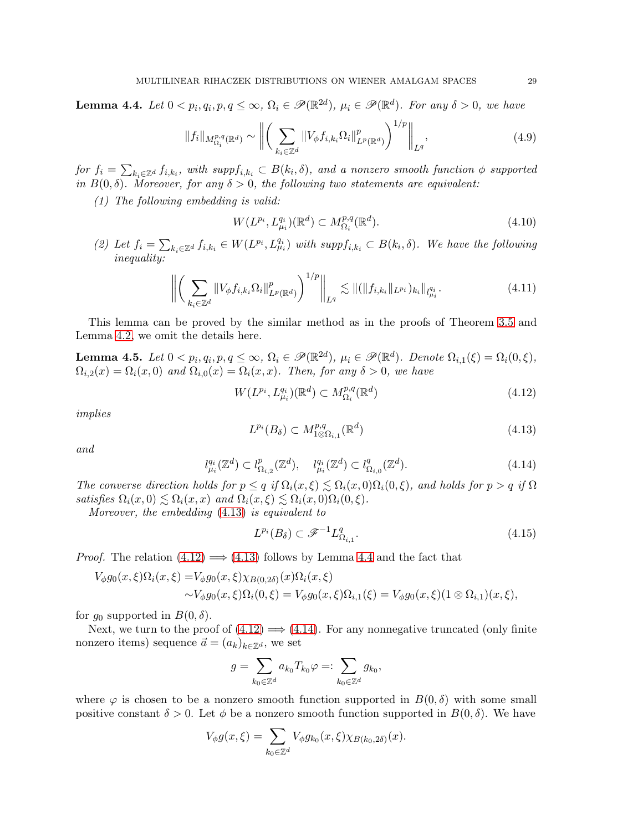<span id="page-28-2"></span>**Lemma 4.4.** Let  $0 < p_i, q_i, p, q \le \infty$ ,  $\Omega_i \in \mathscr{P}(\mathbb{R}^{2d})$ ,  $\mu_i \in \mathscr{P}(\mathbb{R}^{d})$ . For any  $\delta > 0$ , we have

$$
||f_i||_{M_{\Omega_i}^{p,q}(\mathbb{R}^d)} \sim \left\| \left( \sum_{k_i \in \mathbb{Z}^d} ||V_{\phi} f_{i,k_i} \Omega_i||_{L^p(\mathbb{R}^d)}^p \right)^{1/p} \right\|_{L^q},\tag{4.9}
$$

for  $f_i = \sum_{k_i \in \mathbb{Z}^d} f_{i,k_i}$ , with  $suppf_{i,k_i} \subset B(k_i, \delta)$ , and a nonzero smooth function  $\phi$  supported in  $B(0,\delta)$ . Moreover, for any  $\delta > 0$ , the following two statements are equivalent:

(1) The following embedding is valid:

$$
W(L^{p_i}, L^{q_i}_{\mu_i})(\mathbb{R}^d) \subset M^{p,q}_{\Omega_i}(\mathbb{R}^d). \tag{4.10}
$$

(2) Let  $f_i = \sum_{k_i \in \mathbb{Z}^d} f_{i,k_i} \in W(L^{p_i}, L^{q_i}_{\mu_i})$  with  $suppf_{i,k_i} \subset B(k_i, \delta)$ . We have the following inequality:

$$
\left\| \left( \sum_{k_i \in \mathbb{Z}^d} \|V_{\phi} f_{i,k_i} \Omega_i\|_{L^p(\mathbb{R}^d)}^p \right)^{1/p} \right\|_{L^q} \lesssim \| (\|f_{i,k_i}\|_{L^{p_i}})_{k_i} \|_{l^{q_i}_{\mu_i}}.
$$
\n(4.11)

This lemma can be proved by the similar method as in the proofs of Theorem [3.5](#page-17-3) and Lemma [4.2,](#page-25-1) we omit the details here.

<span id="page-28-5"></span>**Lemma 4.5.** Let  $0 < p_i, q_i, p, q \le \infty$ ,  $\Omega_i \in \mathscr{P}(\mathbb{R}^{2d})$ ,  $\mu_i \in \mathscr{P}(\mathbb{R}^{d})$ . Denote  $\Omega_{i,1}(\xi) = \Omega_i(0,\xi)$ ,  $\Omega_{i,2}(x) = \Omega_i(x,0)$  and  $\Omega_{i,0}(x) = \Omega_i(x,x)$ . Then, for any  $\delta > 0$ , we have

<span id="page-28-1"></span>
$$
W(L^{p_i}, L^{q_i}_{\mu_i})(\mathbb{R}^d) \subset M^{p,q}_{\Omega_i}(\mathbb{R}^d)
$$
\n
$$
(4.12)
$$

implies

<span id="page-28-0"></span>
$$
L^{p_i}(B_\delta) \subset M^{p,q}_{1 \otimes \Omega_{i,1}}(\mathbb{R}^d) \tag{4.13}
$$

and

<span id="page-28-3"></span>
$$
l_{\mu_i}^{q_i}(\mathbb{Z}^d) \subset l_{\Omega_{i,2}}^p(\mathbb{Z}^d), \quad l_{\mu_i}^{q_i}(\mathbb{Z}^d) \subset l_{\Omega_{i,0}}^q(\mathbb{Z}^d). \tag{4.14}
$$

The converse direction holds for  $p \leq q$  if  $\Omega_i(x,\xi) \leq \Omega_i(x,0)\Omega_i(0,\xi)$ , and holds for  $p > q$  if  $\Omega$ satisfies  $\Omega_i(x,0) \lesssim \Omega_i(x,x)$  and  $\Omega_i(x,\xi) \lesssim \Omega_i(x,0)\Omega_i(0,\xi)$ .

Moreover, the embedding [\(4.13\)](#page-28-0) is equivalent to

<span id="page-28-4"></span>
$$
L^{p_i}(B_\delta) \subset \mathcal{F}^{-1}L^q_{\Omega_{i,1}}.\tag{4.15}
$$

*Proof.* The relation  $(4.12) \implies (4.13)$  $(4.12) \implies (4.13)$  follows by Lemma [4.4](#page-28-2) and the fact that

$$
V_{\phi}g_{0}(x,\xi)\Omega_{i}(x,\xi) = V_{\phi}g_{0}(x,\xi)\chi_{B(0,2\delta)}(x)\Omega_{i}(x,\xi)
$$
  
 
$$
\sim V_{\phi}g_{0}(x,\xi)\Omega_{i}(0,\xi) = V_{\phi}g_{0}(x,\xi)\Omega_{i,1}(\xi) = V_{\phi}g_{0}(x,\xi)(1 \otimes \Omega_{i,1})(x,\xi),
$$

for  $g_0$  supported in  $B(0, \delta)$ .

Next, we turn to the proof of  $(4.12) \implies (4.14)$  $(4.12) \implies (4.14)$ . For any nonnegative truncated (only finite nonzero items) sequence  $\vec{a} = (a_k)_{k \in \mathbb{Z}^d}$ , we set

$$
g=\sum_{k_0\in\mathbb{Z}^d}a_{k_0}T_{k_0}\varphi=:\sum_{k_0\in\mathbb{Z}^d}g_{k_0},
$$

where  $\varphi$  is chosen to be a nonzero smooth function supported in  $B(0, \delta)$  with some small positive constant  $\delta > 0$ . Let  $\phi$  be a nonzero smooth function supported in  $B(0, \delta)$ . We have

$$
V_{\phi}g(x,\xi) = \sum_{k_0 \in \mathbb{Z}^d} V_{\phi}g_{k_0}(x,\xi)\chi_{B(k_0,2\delta)}(x).
$$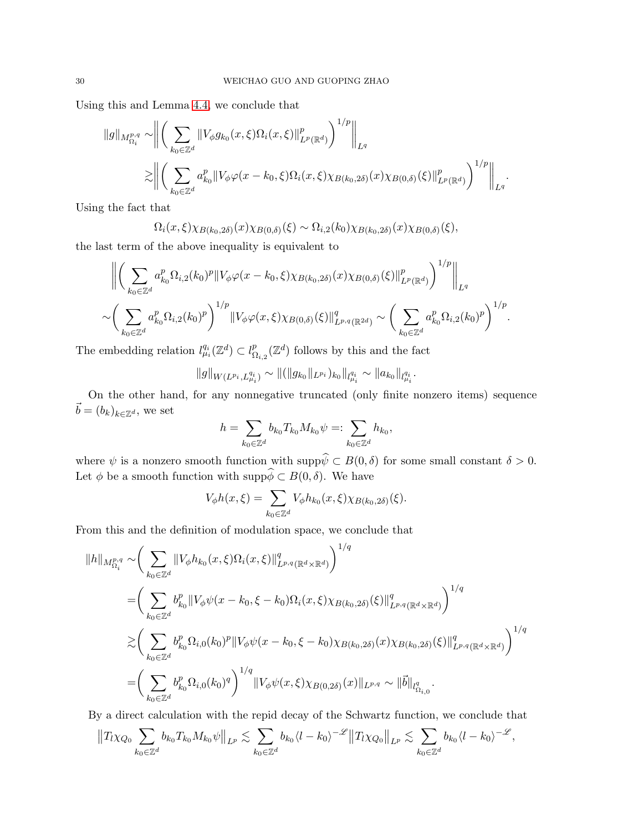Using this and Lemma [4.4,](#page-28-2) we conclude that

$$
||g||_{M_{\Omega_i}^{p,q}} \sim \bigg\| \bigg( \sum_{k_0 \in \mathbb{Z}^d} ||V_{\phi} g_{k_0}(x,\xi)\Omega_i(x,\xi)||_{L^p(\mathbb{R}^d)}^p \bigg)^{1/p} \bigg\|_{L^q}
$$
  

$$
\gtrsim \bigg\| \bigg( \sum_{k_0 \in \mathbb{Z}^d} a_{k_0}^p ||V_{\phi}\varphi(x-k_0,\xi)\Omega_i(x,\xi)\chi_{B(k_0,2\delta)}(x)\chi_{B(0,\delta)}(\xi)||_{L^p(\mathbb{R}^d)}^p \bigg)^{1/p} \bigg\|_{L^q}.
$$

Using the fact that

$$
\Omega_i(x,\xi)\chi_{B(k_0,2\delta)}(x)\chi_{B(0,\delta)}(\xi) \sim \Omega_{i,2}(k_0)\chi_{B(k_0,2\delta)}(x)\chi_{B(0,\delta)}(\xi),
$$

the last term of the above inequality is equivalent to

$$
\left\| \left( \sum_{k_0 \in \mathbb{Z}^d} a_{k_0}^p \Omega_{i,2}(k_0)^p \| V_{\phi} \varphi(x - k_0, \xi) \chi_{B(k_0, 2\delta)}(x) \chi_{B(0, \delta)}(\xi) \right\|_{L^p(\mathbb{R}^d)}^p \right)^{1/p} \right\|_{L^q}
$$
  

$$
\sim \left( \sum_{k_0 \in \mathbb{Z}^d} a_{k_0}^p \Omega_{i,2}(k_0)^p \right)^{1/p} \| V_{\phi} \varphi(x, \xi) \chi_{B(0, \delta)}(\xi) \|^q_{L^{p,q}(\mathbb{R}^{2d})} \sim \left( \sum_{k_0 \in \mathbb{Z}^d} a_{k_0}^p \Omega_{i,2}(k_0)^p \right)^{1/p}.
$$

The embedding relation  $l_{\mu_i}^{q_i}(\mathbb{Z}^d) \subset l_{\Omega}^p$  ${}_{\Omega_{i,2}}^{p}(\mathbb{Z}^{d})$  follows by this and the fact

$$
||g||_{W(L^{p_i}, L^{q_i}_{\mu_i})} \sim ||(||g_{k_0}||_{L^{p_i}})_{k_0}||_{l^{q_i}_{\mu_i}} \sim ||a_{k_0}||_{l^{q_i}_{\mu_i}}.
$$

On the other hand, for any nonnegative truncated (only finite nonzero items) sequence  $\vec{b} = (b_k)_{k \in \mathbb{Z}^d},$  we set

$$
h = \sum_{k_0 \in \mathbb{Z}^d} b_{k_0} T_{k_0} M_{k_0} \psi =: \sum_{k_0 \in \mathbb{Z}^d} h_{k_0},
$$

where  $\psi$  is a nonzero smooth function with supp $\psi \subset B(0, \delta)$  for some small constant  $\delta > 0$ . Let  $\phi$  be a smooth function with supp $\phi \subset B(0, \delta)$ . We have

$$
V_{\phi}h(x,\xi) = \sum_{k_0 \in \mathbb{Z}^d} V_{\phi}h_{k_0}(x,\xi)\chi_{B(k_0,2\delta)}(\xi).
$$

From this and the definition of modulation space, we conclude that

$$
\|h\|_{M_{\Omega_i}^{p,q}} \sim \left(\sum_{k_0 \in \mathbb{Z}^d} \|V_{\phi} h_{k_0}(x,\xi)\Omega_i(x,\xi)\|_{L^{p,q}(\mathbb{R}^d \times \mathbb{R}^d)}^q\right)^{1/q}
$$
  
\n
$$
= \left(\sum_{k_0 \in \mathbb{Z}^d} b_{k_0}^p \|V_{\phi}\psi(x - k_0, \xi - k_0)\Omega_i(x,\xi)\chi_{B(k_0,2\delta)}(\xi)\|_{L^{p,q}(\mathbb{R}^d \times \mathbb{R}^d)}^q\right)^{1/q}
$$
  
\n
$$
\gtrsim \left(\sum_{k_0 \in \mathbb{Z}^d} b_{k_0}^p \Omega_{i,0}(k_0)^p \|V_{\phi}\psi(x - k_0, \xi - k_0)\chi_{B(k_0,2\delta)}(x)\chi_{B(k_0,2\delta)}(\xi)\|_{L^{p,q}(\mathbb{R}^d \times \mathbb{R}^d)}^q\right)^{1/q}
$$
  
\n
$$
= \left(\sum_{k_0 \in \mathbb{Z}^d} b_{k_0}^p \Omega_{i,0}(k_0)^q\right)^{1/q} \|V_{\phi}\psi(x,\xi)\chi_{B(0,2\delta)}(x)\|_{L^{p,q}} \sim \|\vec{b}\|_{l^q_{\Omega_{i,0}}}.
$$

By a direct calculation with the repid decay of the Schwartz function, we conclude that

$$
||T_l\chi_{Q_0}\sum_{k_0\in\mathbb{Z}^d}b_{k_0}T_{k_0}M_{k_0}\psi||_{L^p}\lesssim \sum_{k_0\in\mathbb{Z}^d}b_{k_0}\langle l-k_0\rangle^{-\mathscr{L}}||T_l\chi_{Q_0}||_{L^p}\lesssim \sum_{k_0\in\mathbb{Z}^d}b_{k_0}\langle l-k_0\rangle^{-\mathscr{L}},
$$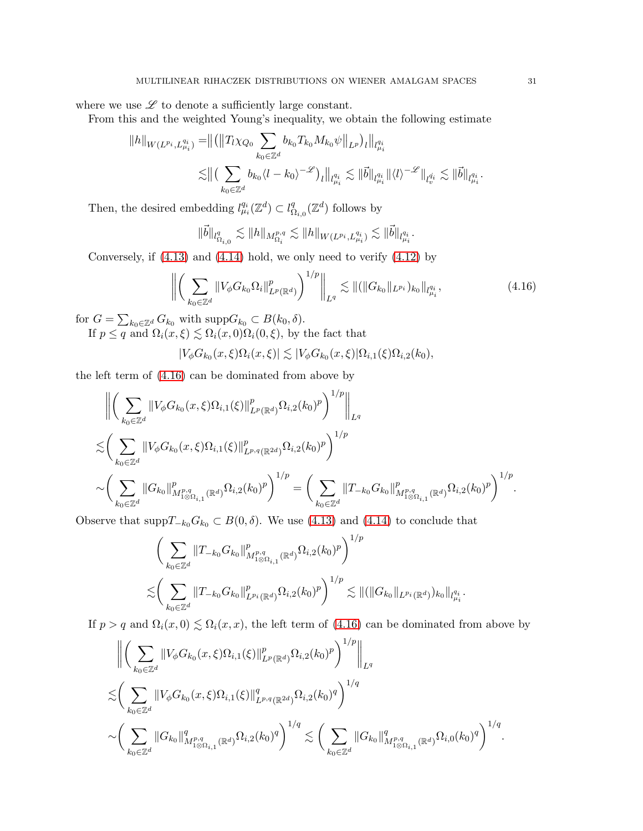where we use  $\mathscr L$  to denote a sufficiently large constant.

From this and the weighted Young's inequality, we obtain the following estimate

$$
||h||_{W(L^{p_i}, L^{q_i}_{\mu_i})} = ||(||T_l \chi_{Q_0} \sum_{k_0 \in \mathbb{Z}^d} b_{k_0} T_{k_0} M_{k_0} \psi||_{L^p})_l ||_{l^{q_i}_{\mu_i}} \leq ||(\sum_{k_0 \in \mathbb{Z}^d} b_{k_0} \langle l - k_0 \rangle^{-\mathscr{L}})_l ||_{l^{q_i}_{\mu_i}} \lesssim ||\vec{b}||_{l^{q_i}_{\mu_i}} ||\langle l \rangle^{-\mathscr{L}}||_{l^{q_i}_{\mu_i}} \lesssim ||\vec{b}||_{l^{q_i}_{\mu_i}}.
$$

Then, the desired embedding  $l_{\mu_i}^{q_i}(\mathbb{Z}^d) \subset l_{\zeta}^q$  ${}_{\Omega_{i,0}}^q(\mathbb{Z}^d)$  follows by

$$
\|\vec{b}\|_{l^q_{\Omega_{i,0}}}\lesssim \|h\|_{M^{p,q}_{\Omega_i}}\lesssim \|h\|_{W(L^{p_i},L^{q_i}_{\mu_i})}\lesssim \|\vec{b}\|_{l^{q_i}_{\mu_i}}.
$$

Conversely, if [\(4.13\)](#page-28-0) and [\(4.14\)](#page-28-3) hold, we only need to verify [\(4.12\)](#page-28-1) by

<span id="page-30-0"></span>
$$
\left\| \left( \sum_{k_0 \in \mathbb{Z}^d} \| V_{\phi} G_{k_0} \Omega_i \|_{L^p(\mathbb{R}^d)}^p \right)^{1/p} \right\|_{L^q} \lesssim \| ( \| G_{k_0} \|_{L^{p_i}})_{k_0} \|_{l^{q_i}_{\mu_i}}, \tag{4.16}
$$

for  $G = \sum_{k_0 \in \mathbb{Z}^d} G_{k_0}$  with  $\text{supp} G_{k_0} \subset B(k_0, \delta)$ . If  $p \leq q$  and  $\Omega_i(x,\xi) \lesssim \Omega_i(x,0)\Omega_i(0,\xi)$ , by the fact that

$$
|V_{\phi}G_{k_0}(x,\xi)\Omega_i(x,\xi)| \lesssim |V_{\phi}G_{k_0}(x,\xi)|\Omega_{i,1}(\xi)\Omega_{i,2}(k_0),
$$

the left term of [\(4.16\)](#page-30-0) can be dominated from above by

$$
\| \left( \sum_{k_0 \in \mathbb{Z}^d} \|V_{\phi} G_{k_0}(x,\xi) \Omega_{i,1}(\xi) \|_{L^p(\mathbb{R}^d)}^p \Omega_{i,2}(k_0)^p \right)^{1/p} \|_{L^q}
$$
  

$$
\lesssim \left( \sum_{k_0 \in \mathbb{Z}^d} \|V_{\phi} G_{k_0}(x,\xi) \Omega_{i,1}(\xi) \|_{L^{p,q}(\mathbb{R}^{2d})}^p \Omega_{i,2}(k_0)^p \right)^{1/p}
$$
  

$$
\sim \left( \sum_{k_0 \in \mathbb{Z}^d} \|G_{k_0}\|_{M^{p,q}_{1 \otimes \Omega_{i,1}}(\mathbb{R}^d)}^p \Omega_{i,2}(k_0)^p \right)^{1/p} = \left( \sum_{k_0 \in \mathbb{Z}^d} \|T_{-k_0} G_{k_0}\|_{M^{p,q}_{1 \otimes \Omega_{i,1}}(\mathbb{R}^d)}^p \Omega_{i,2}(k_0)^p \right)^{1/p}.
$$

Observe that  $\text{supp}T_{-k_0}G_{k_0} \subset B(0,\delta)$ . We use [\(4.13\)](#page-28-0) and [\(4.14\)](#page-28-3) to conclude that

$$
\left(\sum_{k_0 \in \mathbb{Z}^d} \|T_{-k_0} G_{k_0}\|_{M^{p,q}_{1\otimes\Omega_{i,1}}(\mathbb{R}^d)}^p \Omega_{i,2}(k_0)^p\right)^{1/p} \lesssim \left(\sum_{k_0 \in \mathbb{Z}^d} \|T_{-k_0} G_{k_0}\|_{L^{p_i}(\mathbb{R}^d)}^p \Omega_{i,2}(k_0)^p\right)^{1/p} \lesssim \|(\|G_{k_0}\|_{L^{p_i}(\mathbb{R}^d)})_{k_0}\|_{l^{q_i}_{\mu_i}}.
$$

If  $p > q$  and  $\Omega_i(x, 0) \leq \Omega_i(x, x)$ , the left term of [\(4.16\)](#page-30-0) can be dominated from above by

$$
\| \left( \sum_{k_0 \in \mathbb{Z}^d} \|V_{\phi} G_{k_0}(x,\xi) \Omega_{i,1}(\xi) \|_{L^p(\mathbb{R}^d)}^p \Omega_{i,2}(k_0)^p \right)^{1/p} \Big\|_{L^q}
$$
  

$$
\lesssim \left( \sum_{k_0 \in \mathbb{Z}^d} \|V_{\phi} G_{k_0}(x,\xi) \Omega_{i,1}(\xi) \|_{L^{p,q}(\mathbb{R}^{2d})}^q \Omega_{i,2}(k_0)^q \right)^{1/q}
$$
  

$$
\sim \left( \sum_{k_0 \in \mathbb{Z}^d} \|G_{k_0}\|_{M^{p,q}_{1 \otimes \Omega_{i,1}}(\mathbb{R}^d)}^q \Omega_{i,2}(k_0)^q \right)^{1/q} \lesssim \left( \sum_{k_0 \in \mathbb{Z}^d} \|G_{k_0}\|_{M^{p,q}_{1 \otimes \Omega_{i,1}}(\mathbb{R}^d)}^q \Omega_{i,0}(k_0)^q \right)^{1/q}.
$$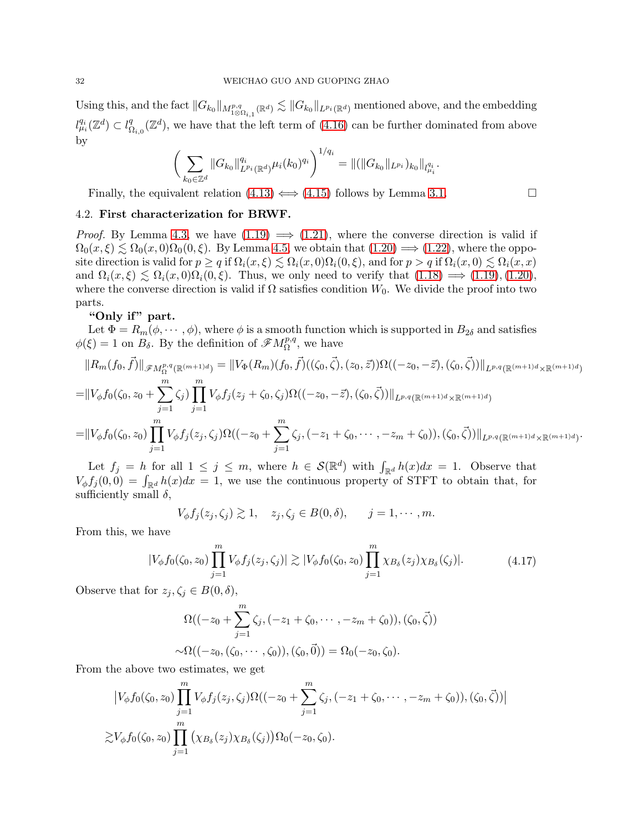Using this, and the fact  $||G_{k_0}||_{M^{p,q}_{1\otimes\Omega_{i,1}}(\mathbb{R}^d)} \lesssim ||G_{k_0}||_{L^{p_i}(\mathbb{R}^d)}$  mentioned above, and the embedding  $l_{\mu_i}^{q_i}(\mathbb{Z}^d) \subset l_{\Omega}^q$  $\mathcal{L}_{\Omega_{i,0}}^q(\mathbb{Z}^d)$ , we have that the left term of [\(4.16\)](#page-30-0) can be further dominated from above by

$$
\bigg(\sum_{k_0\in\mathbb{Z}^d}||G_{k_0}||_{L^{p_i}(\mathbb{R}^d)}^{q_i}\mu_i(k_0)^{q_i}\bigg)^{1/q_i} = ||(||G_{k_0}||_{L^{p_i}})_{k_0}||_{l^{q_i}_{\mu_i}}.
$$

Finally, the equivalent relation  $(4.13) \iff (4.15)$  $(4.13) \iff (4.15)$  follows by Lemma [3.1.](#page-11-2)

## 4.2. First characterization for BRWF.

*Proof.* By Lemma [4.3,](#page-26-6) we have  $(1.19) \implies (1.21)$  $(1.19) \implies (1.21)$ , where the converse direction is valid if  $\Omega_0(x,\xi) \lesssim \Omega_0(x,0)\Omega_0(0,\xi)$ . By Lemma [4.5,](#page-28-5) we obtain that  $(1.20) \Longrightarrow (1.22)$  $(1.20) \Longrightarrow (1.22)$ , where the opposite direction is valid for  $p \ge q$  if  $\Omega_i(x,\xi) \le \Omega_i(x,0)\Omega_i(0,\xi)$ , and for  $p > q$  if  $\Omega_i(x,0) \le \Omega_i(x,x)$ and  $\Omega_i(x,\xi) \lesssim \Omega_i(x,0)\Omega_i(0,\xi)$ . Thus, we only need to verify that  $(1.18) \implies (1.19),(1.20)$  $(1.18) \implies (1.19),(1.20)$  $(1.18) \implies (1.19),(1.20)$  $(1.18) \implies (1.19),(1.20)$ , where the converse direction is valid if  $\Omega$  satisfies condition  $W_0$ . We divide the proof into two parts.

## "Only if" part.

Let  $\Phi = R_m(\phi, \dots, \phi)$ , where  $\phi$  is a smooth function which is supported in  $B_{2\delta}$  and satisfies  $\phi(\xi) = 1$  on  $B_{\delta}$ . By the definition of  $\mathscr{F}M_{\Omega}^{p,q}$ , we have

$$
||R_m(f_0, \vec{f})||_{\mathscr{F}M^{p,q}_{\Omega}(\mathbb{R}^{(m+1)d})} = ||V_{\Phi}(R_m)(f_0, \vec{f})((\zeta_0, \vec{\zeta}), (z_0, \vec{z}))\Omega((-z_0, -\vec{z}), (\zeta_0, \vec{\zeta}))||_{L^{p,q}(\mathbb{R}^{(m+1)d} \times \mathbb{R}^{(m+1)d})}
$$
  
\n
$$
= ||V_{\phi}f_0(\zeta_0, z_0 + \sum_{j=1}^m \zeta_j) \prod_{j=1}^m V_{\phi}f_j(z_j + \zeta_0, \zeta_j)\Omega((-z_0, -\vec{z}), (\zeta_0, \vec{\zeta}))||_{L^{p,q}(\mathbb{R}^{(m+1)d} \times \mathbb{R}^{(m+1)d})}
$$
  
\n
$$
= ||V_{\phi}f_0(\zeta_0, z_0) \prod_{j=1}^m V_{\phi}f_j(z_j, \zeta_j)\Omega((-z_0 + \sum_{j=1}^m \zeta_j, (-z_1 + \zeta_0, \dots, -z_m + \zeta_0)), (\zeta_0, \vec{\zeta}))||_{L^{p,q}(\mathbb{R}^{(m+1)d} \times \mathbb{R}^{(m+1)d})}.
$$

Let  $f_j = h$  for all  $1 \leq j \leq m$ , where  $h \in \mathcal{S}(\mathbb{R}^d)$  with  $\int_{\mathbb{R}^d} h(x)dx = 1$ . Observe that  $V_{\phi} f_j(0,0) = \int_{\mathbb{R}^d} h(x) dx = 1$ , we use the continuous property of STFT to obtain that, for sufficiently small  $\delta$ ,

$$
V_{\phi}f_j(z_j,\zeta_j)\gtrsim 1, \quad z_j,\zeta_j\in B(0,\delta), \qquad j=1,\cdots,m.
$$

From this, we have

$$
|V_{\phi}f_0(\zeta_0, z_0)\prod_{j=1}^m V_{\phi}f_j(z_j, \zeta_j)| \gtrsim |V_{\phi}f_0(\zeta_0, z_0)\prod_{j=1}^m \chi_{B_\delta}(z_j)\chi_{B_\delta}(\zeta_j)|. \tag{4.17}
$$

Observe that for  $z_j, \zeta_j \in B(0, \delta)$ ,

$$
\Omega((-z_0 + \sum_{j=1}^m \zeta_j, (-z_1 + \zeta_0, \cdots, -z_m + \zeta_0)), (\zeta_0, \vec{\zeta}))
$$
  

$$
\sim \Omega((-z_0, (\zeta_0, \cdots, \zeta_0)), (\zeta_0, \vec{0})) = \Omega_0(-z_0, \zeta_0).
$$

From the above two estimates, we get

$$
\left|V_{\phi}f_{0}(\zeta_{0},z_{0})\prod_{j=1}^{m}V_{\phi}f_{j}(z_{j},\zeta_{j})\Omega((-z_{0}+\sum_{j=1}^{m}\zeta_{j},(-z_{1}+\zeta_{0},\cdots,-z_{m}+\zeta_{0})),(\zeta_{0},\vec{\zeta}))\right|
$$
  

$$
\geq V_{\phi}f_{0}(\zeta_{0},z_{0})\prod_{j=1}^{m}(\chi_{B_{\delta}}(z_{j})\chi_{B_{\delta}}(\zeta_{j}))\Omega_{0}(-z_{0},\zeta_{0}).
$$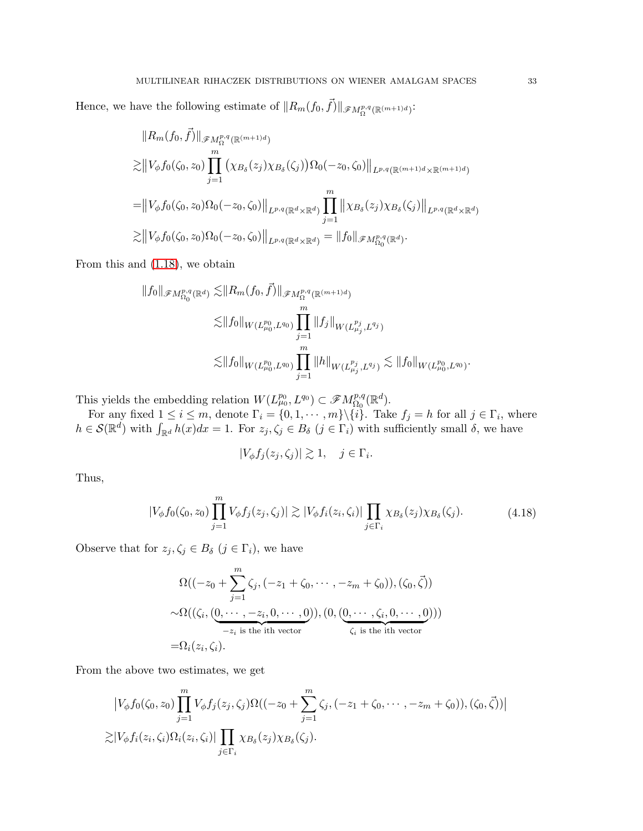Hence, we have the following estimate of  $||R_m(f_0, \vec{f})||_{\mathscr{F}M^{p,q}_{\Omega}(\mathbb{R}^{(m+1)d})}$ :

$$
||R_m(f_0, \vec{f})||_{\mathscr{F}M^{p,q}_{\Omega}(\mathbb{R}^{(m+1)d})}
$$
  
\n
$$
\geq ||V_{\phi}f_0(\zeta_0, z_0) \prod_{j=1}^m (\chi_{B_\delta}(z_j)\chi_{B_\delta}(\zeta_j))\Omega_0(-z_0, \zeta_0)||_{L^{p,q}(\mathbb{R}^{(m+1)d}\times\mathbb{R}^{(m+1)d})}
$$
  
\n
$$
= ||V_{\phi}f_0(\zeta_0, z_0)\Omega_0(-z_0, \zeta_0)||_{L^{p,q}(\mathbb{R}^d\times\mathbb{R}^d)} \prod_{j=1}^m ||\chi_{B_\delta}(z_j)\chi_{B_\delta}(\zeta_j)||_{L^{p,q}(\mathbb{R}^d\times\mathbb{R}^d)}
$$
  
\n
$$
\geq ||V_{\phi}f_0(\zeta_0, z_0)\Omega_0(-z_0, \zeta_0)||_{L^{p,q}(\mathbb{R}^d\times\mathbb{R}^d)} = ||f_0||_{\mathscr{F}M^{p,q}_{\Omega_0}(\mathbb{R}^d)}.
$$

From this and [\(1.18\)](#page-5-7), we obtain

$$
||f_0||_{\mathscr{F}M_{\Omega_0}^{p,q}(\mathbb{R}^d)} \lesssim ||R_m(f_0, \vec{f})||_{\mathscr{F}M_{\Omega}^{p,q}(\mathbb{R}^{(m+1)d})}
$$
  

$$
\lesssim ||f_0||_{W(L_{\mu_0}^{p_0}, L^{q_0})} \prod_{j=1}^m ||f_j||_{W(L_{\mu_j}^{p_j}, L^{q_j})}
$$
  

$$
\lesssim ||f_0||_{W(L_{\mu_0}^{p_0}, L^{q_0})} \prod_{j=1}^m ||h||_{W(L_{\mu_j}^{p_j}, L^{q_j})} \lesssim ||f_0||_{W(L_{\mu_0}^{p_0}, L^{q_0})}.
$$

This yields the embedding relation  $W(L^{p_0}_{\mu_0}, L^{q_0}) \subset \mathscr{F}M^{p,q}_{\Omega_0}$  $\frac{p,q}{\Omega_0}(\mathbb R^d).$ 

For any fixed  $1 \leq i \leq m$ , denote  $\Gamma_i = \{0, 1, \cdots, m\} \setminus \{i\}$ . Take  $f_j = h$  for all  $j \in \Gamma_i$ , where  $h \in \mathcal{S}(\mathbb{R}^d)$  with  $\int_{\mathbb{R}^d} h(x)dx = 1$ . For  $z_j, \zeta_j \in B_\delta$   $(j \in \Gamma_i)$  with sufficiently small  $\delta$ , we have

$$
|V_{\phi}f_j(z_j,\zeta_j)| \gtrsim 1, \quad j \in \Gamma_i.
$$

Thus,

$$
|V_{\phi}f_0(\zeta_0, z_0)\prod_{j=1}^m V_{\phi}f_j(z_j, \zeta_j)| \gtrsim |V_{\phi}f_i(z_i, \zeta_i)| \prod_{j \in \Gamma_i} \chi_{B_{\delta}}(z_j) \chi_{B_{\delta}}(\zeta_j). \tag{4.18}
$$

Observe that for  $z_j, \zeta_j \in B_\delta$   $(j \in \Gamma_i)$ , we have

$$
\Omega\big((-z_0+\sum_{j=1}^m\zeta_j,(-z_1+\zeta_0,\cdots,-z_m+\zeta_0)),(\zeta_0,\vec{\zeta})\big)
$$
  

$$
\sim\Omega((\zeta_i,(\underbrace{0,\cdots,-z_i,0,\cdots,0}_{-z_i \text{ is the ith vector}})),(0,(\underbrace{0,\cdots,\zeta_i,0,\cdots,0}_{\zeta_i \text{ is the ith vector}})))
$$
  

$$
=\Omega_i(z_i,\zeta_i).
$$

From the above two estimates, we get

$$
\left|V_{\phi}f_0(\zeta_0, z_0)\prod_{j=1}^m V_{\phi}f_j(z_j, \zeta_j)\Omega((-z_0 + \sum_{j=1}^m \zeta_j, (-z_1 + \zeta_0, \cdots, -z_m + \zeta_0)), (\zeta_0, \zeta))\right|
$$
  

$$
\gtrsim |V_{\phi}f_i(z_i, \zeta_i)\Omega_i(z_i, \zeta_i)| \prod_{j \in \Gamma_i} \chi_{B_{\delta}}(z_j) \chi_{B_{\delta}}(\zeta_j).
$$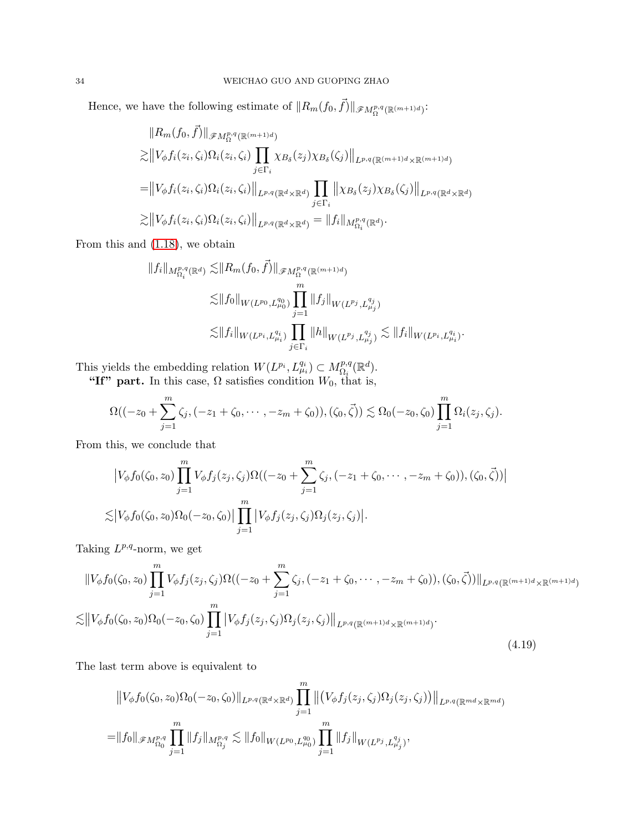Hence, we have the following estimate of  $||R_m(f_0, \vec{f})||_{\mathscr{F}M^{p,q}_{\Omega}(\mathbb{R}^{(m+1)d})}$ :

$$
||R_m(f_0, \vec{f})||_{\mathscr{F}M^{p,q}_{\Omega}(\mathbb{R}^{(m+1)d})}
$$
  
\n
$$
\gtrsim ||V_{\phi}f_i(z_i, \zeta_i)\Omega_i(z_i, \zeta_i)\prod_{j \in \Gamma_i} \chi_{B_{\delta}}(z_j)\chi_{B_{\delta}}(\zeta_j)||_{L^{p,q}(\mathbb{R}^{(m+1)d}\times\mathbb{R}^{(m+1)d})}
$$
  
\n
$$
= ||V_{\phi}f_i(z_i, \zeta_i)\Omega_i(z_i, \zeta_i)||_{L^{p,q}(\mathbb{R}^d\times\mathbb{R}^d)} \prod_{j \in \Gamma_i} ||\chi_{B_{\delta}}(z_j)\chi_{B_{\delta}}(\zeta_j)||_{L^{p,q}(\mathbb{R}^d\times\mathbb{R}^d)}
$$
  
\n
$$
\gtrsim ||V_{\phi}f_i(z_i, \zeta_i)\Omega_i(z_i, \zeta_i)||_{L^{p,q}(\mathbb{R}^d\times\mathbb{R}^d)} = ||f_i||_{M^{p,q}_{\Omega_i}(\mathbb{R}^d)}.
$$

From this and [\(1.18\)](#page-5-7), we obtain

$$
||f_i||_{M_{\Omega_i}^{p,q}(\mathbb{R}^d)} \lesssim ||R_m(f_0, \vec{f})||_{\mathscr{F}M_{\Omega}^{p,q}(\mathbb{R}^{(m+1)d})}
$$
  
\n
$$
\lesssim ||f_0||_{W(L^{p_0}, L_{\mu_0}^{q_0})} \prod_{j=1}^m ||f_j||_{W(L^{p_j}, L_{\mu_j}^{q_j})}
$$
  
\n
$$
\lesssim ||f_i||_{W(L^{p_i}, L_{\mu_i}^{q_i})} \prod_{j \in \Gamma_i} ||h||_{W(L^{p_j}, L_{\mu_j}^{q_j})} \lesssim ||f_i||_{W(L^{p_i}, L_{\mu_i}^{q_i})}.
$$

This yields the embedding relation  $W(L^{p_i}, L^{q_i}_{\mu_i}) \subset M^{p,q}_{\Omega_i}(\mathbb{R}^d)$ .

"If" part. In this case,  $\Omega$  satisfies condition  $W_0$ , that is,

$$
\Omega((-z_0+\sum_{j=1}^m\zeta_j, (-z_1+\zeta_0,\cdots,-z_m+\zeta_0)),(\zeta_0,\vec{\zeta}))\lesssim \Omega_0(-z_0,\zeta_0)\prod_{j=1}^m\Omega_i(z_j,\zeta_j).
$$

From this, we conclude that

$$
\left|V_{\phi}f_{0}(\zeta_{0},z_{0})\prod_{j=1}^{m}V_{\phi}f_{j}(z_{j},\zeta_{j})\Omega((-z_{0}+\sum_{j=1}^{m}\zeta_{j},(-z_{1}+\zeta_{0},\cdots,-z_{m}+\zeta_{0})),(\zeta_{0},\vec{\zeta}))\right|
$$
  

$$
\lesssim \left|V_{\phi}f_{0}(\zeta_{0},z_{0})\Omega_{0}(-z_{0},\zeta_{0})\right|\prod_{j=1}^{m}\left|V_{\phi}f_{j}(z_{j},\zeta_{j})\Omega_{j}(z_{j},\zeta_{j})\right|.
$$

Taking  $L^{p,q}$ -norm, we get

<span id="page-33-0"></span>
$$
||V_{\phi}f_{0}(\zeta_{0},z_{0})\prod_{j=1}^{m}V_{\phi}f_{j}(z_{j},\zeta_{j})\Omega((-z_{0}+\sum_{j=1}^{m}\zeta_{j},(-z_{1}+\zeta_{0},\cdots,-z_{m}+\zeta_{0})),(\zeta_{0},\vec{\zeta}))||_{L^{p,q}(\mathbb{R}^{(m+1)d}\times\mathbb{R}^{(m+1)d})}
$$
  

$$
\lesssim ||V_{\phi}f_{0}(\zeta_{0},z_{0})\Omega_{0}(-z_{0},\zeta_{0})\prod_{j=1}^{m}|V_{\phi}f_{j}(z_{j},\zeta_{j})\Omega_{j}(z_{j},\zeta_{j})||_{L^{p,q}(\mathbb{R}^{(m+1)d}\times\mathbb{R}^{(m+1)d})}.
$$
  
(4.19)

The last term above is equivalent to

$$
||V_{\phi}f_{0}(\zeta_{0},z_{0})\Omega_{0}(-z_{0},\zeta_{0})||_{L^{p,q}(\mathbb{R}^{d}\times\mathbb{R}^{d})}\prod_{j=1}^{m}||(V_{\phi}f_{j}(z_{j},\zeta_{j})\Omega_{j}(z_{j},\zeta_{j}))||_{L^{p,q}(\mathbb{R}^{md}\times\mathbb{R}^{md})}
$$
  
= $||f_{0}||_{\mathscr{F}M^{p,q}_{\Omega_{0}}}\prod_{j=1}^{m}||f_{j}||_{M^{p,q}_{\Omega_{j}}}\lesssim ||f_{0}||_{W(L^{p_{0}},L^{q_{0}}_{\mu_{0}})}\prod_{j=1}^{m}||f_{j}||_{W(L^{p_{j}},L^{q_{j}}_{\mu_{j}})},$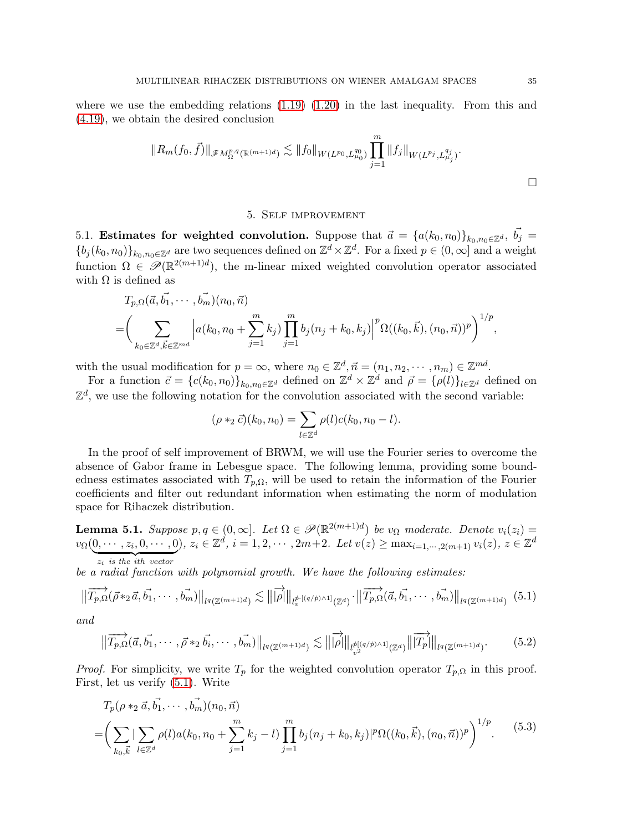where we use the embedding relations  $(1.19)$   $(1.20)$  in the last inequality. From this and [\(4.19\)](#page-33-0), we obtain the desired conclusion

$$
||R_m(f_0, \vec{f})||_{\mathscr{F}M^{p,q}_{\Omega}(\mathbb{R}^{(m+1)d})} \lesssim ||f_0||_{W(L^{p_0}, L^{q_0}_{\mu_0})} \prod_{j=1}^m ||f_j||_{W(L^{p_j}, L^{q_j}_{\mu_j})}.
$$

#### 5. Self improvement

5.1. Estimates for weighted convolution. Suppose that  $\vec{a} = {a(k_0, n_0)}_{k_0,n_0 \in \mathbb{Z}^d}$ ,  $\vec{b}_j =$  ${b_j(k_0, n_0)}_{k_0, n_0 \in \mathbb{Z}^d}$  are two sequences defined on  $\mathbb{Z}^d \times \mathbb{Z}^d$ . For a fixed  $p \in (0, \infty]$  and a weight function  $\Omega \in \mathscr{P}(\mathbb{R}^{2(m+1)d})$ , the m-linear mixed weighted convolution operator associated with  $\Omega$  is defined as

$$
T_{p,\Omega}(\vec{a}, \vec{b_1}, \cdots, \vec{b_m})(n_0, \vec{n})
$$
  
=  $\left(\sum_{k_0 \in \mathbb{Z}^d, \vec{k} \in \mathbb{Z}^{md}} \left| a(k_0, n_0 + \sum_{j=1}^m k_j) \prod_{j=1}^m b_j(n_j + k_0, k_j) \right|^p \Omega((k_0, \vec{k}), (n_0, \vec{n}))^p \right)^{1/p},$ 

with the usual modification for  $p = \infty$ , where  $n_0 \in \mathbb{Z}^d, \vec{n} = (n_1, n_2, \dots, n_m) \in \mathbb{Z}^{md}$ .

For a function  $\vec{c} = \{c(k_0, n_0)\}_{k_0, n_0 \in \mathbb{Z}^d}$  defined on  $\mathbb{Z}^d \times \mathbb{Z}^d$  and  $\vec{\rho} = \{\rho(l)\}_{l \in \mathbb{Z}^d}$  defined on  $\mathbb{Z}^d$ , we use the following notation for the convolution associated with the second variable:

$$
(\rho *_{2} \vec{c})(k_{0}, n_{0}) = \sum_{l \in \mathbb{Z}^{d}} \rho(l)c(k_{0}, n_{0} - l).
$$

In the proof of self improvement of BRWM, we will use the Fourier series to overcome the absence of Gabor frame in Lebesgue space. The following lemma, providing some boundedness estimates associated with  $T_{p,\Omega}$ , will be used to retain the information of the Fourier coefficients and filter out redundant information when estimating the norm of modulation space for Rihaczek distribution.

<span id="page-34-3"></span>**Lemma 5.1.** Suppose  $p, q \in (0, \infty]$ . Let  $\Omega \in \mathcal{P}(\mathbb{R}^{2(m+1)d})$  be  $v_{\Omega}$  moderate. Denote  $v_i(z_i)$  $v_{\Omega}(0,\dots, z_i,0,\dots,0), z_i \in \mathbb{Z}^d, i = 1,2,\dots, 2m+2.$  Let  $v(z) \ge \max_{i=1,\dots,2(m+1)} v_i(z), z \in \mathbb{Z}^d$  ${z_i}$  is the ith vector

be a radial function with polynomial growth. We have the following estimates:

<span id="page-34-0"></span>
$$
\left\|\overrightarrow{T_{p,\Omega}}(\vec{\rho} *_{2}\vec{a}, \vec{b_1}, \cdots, \vec{b_m})\right\|_{l^{q}(\mathbb{Z}^{(m+1)d})} \lesssim \left\|\overrightarrow{|\rho|}\right\|_{l^{p}(\mathbb{Q}/p)\wedge 1_{(\mathbb{Z}^{d})}} \cdot \left\|\overrightarrow{T_{p,\Omega}}(\vec{a}, \vec{b_1}, \cdots, \vec{b_m})\right\|_{l^{q}(\mathbb{Z}^{(m+1)d})} (5.1)
$$

and

<span id="page-34-2"></span>
$$
\|\overrightarrow{T_{p,\Omega}}(\vec{a}, \vec{b_1}, \cdots, \vec{\rho} *_{2} \vec{b_i}, \cdots, \vec{b_m})\|_{l^q(\mathbb{Z}^{(m+1)d})} \lesssim \|\overrightarrow{\rho}\|_{l^{\dot{p}[(q/\dot{p})\wedge 1]}_{v^{2}}} \|\overrightarrow{T_p}\|_{l^q(\mathbb{Z}^{(m+1)d})}.
$$
 (5.2)

*Proof.* For simplicity, we write  $T_p$  for the weighted convolution operator  $T_{p,\Omega}$  in this proof. First, let us verify [\(5.1\)](#page-34-0). Write

<span id="page-34-1"></span>
$$
T_p(\rho *_2 \vec{a}, \vec{b_1}, \cdots, \vec{b_m})(n_0, \vec{n})
$$
  
=  $\left(\sum_{k_0, \vec{k}} |\sum_{l \in \mathbb{Z}^d} \rho(l) a(k_0, n_0 + \sum_{j=1}^m k_j - l) \prod_{j=1}^m b_j(n_j + k_0, k_j)|^p \Omega((k_0, \vec{k}), (n_0, \vec{n}))^p \right)^{1/p}$ . (5.3)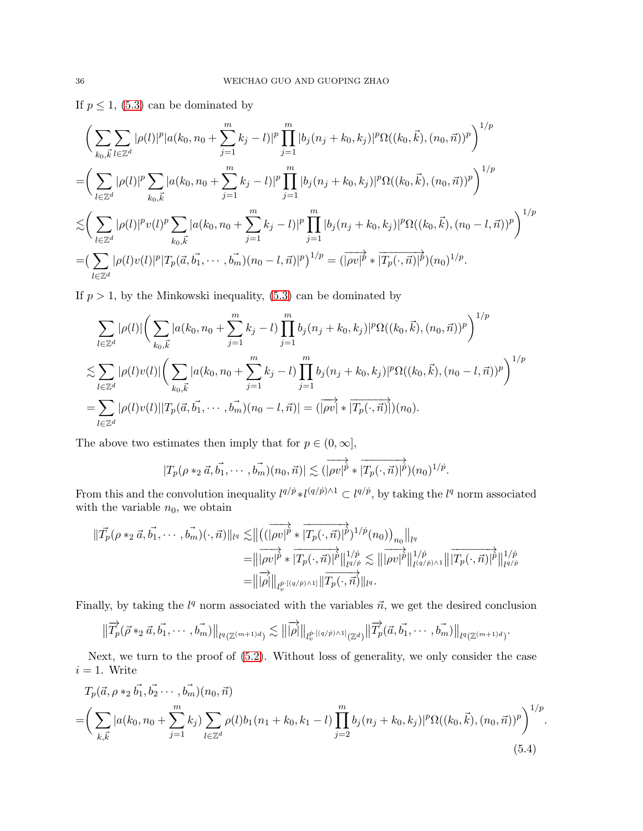If  $p \leq 1$ , [\(5.3\)](#page-34-1) can be dominated by

$$
\left(\sum_{k_{0},\vec{k}}\sum_{l\in\mathbb{Z}^{d}}|\rho(l)|^{p}|a(k_{0},n_{0}+\sum_{j=1}^{m}k_{j}-l)|^{p}\prod_{j=1}^{m}|b_{j}(n_{j}+k_{0},k_{j})|^{p}\Omega((k_{0},\vec{k}),(n_{0},\vec{n}))^{p}\right)^{1/p}
$$
\n
$$
=\left(\sum_{l\in\mathbb{Z}^{d}}|\rho(l)|^{p}\sum_{k_{0},\vec{k}}|a(k_{0},n_{0}+\sum_{j=1}^{m}k_{j}-l)|^{p}\prod_{j=1}^{m}|b_{j}(n_{j}+k_{0},k_{j})|^{p}\Omega((k_{0},\vec{k}),(n_{0},\vec{n}))^{p}\right)^{1/p}
$$
\n
$$
\lesssim\left(\sum_{l\in\mathbb{Z}^{d}}|\rho(l)|^{p}v(l)^{p}\sum_{k_{0},\vec{k}}|a(k_{0},n_{0}+\sum_{j=1}^{m}k_{j}-l)|^{p}\prod_{j=1}^{m}|b_{j}(n_{j}+k_{0},k_{j})|^{p}\Omega((k_{0},\vec{k}),(n_{0}-l,\vec{n}))^{p}\right)^{1/p}
$$
\n
$$
=\left(\sum_{l\in\mathbb{Z}^{d}}|\rho(l)v(l)|^{p}|T_{p}(\vec{a},\vec{b_{1}},\cdots,\vec{b_{m}})(n_{0}-l,\vec{n})|^{p}\right)^{1/p}=\left(\overrightarrow{|\rho v|^{p}}*\overrightarrow{|T_{p}(\cdot,\vec{n})|^{p}})(n_{0})^{1/p}.
$$

If  $p > 1$ , by the Minkowski inequality,  $(5.3)$  can be dominated by

$$
\sum_{l \in \mathbb{Z}^d} |\rho(l)| \left( \sum_{k_0, \vec{k}} |a(k_0, n_0 + \sum_{j=1}^m k_j - l) \prod_{j=1}^m b_j(n_j + k_0, k_j)|^p \Omega((k_0, \vec{k}), (n_0, \vec{n}))^p \right)^{1/p}
$$
  

$$
\lesssim \sum_{l \in \mathbb{Z}^d} |\rho(l)v(l)| \left( \sum_{k_0, \vec{k}} |a(k_0, n_0 + \sum_{j=1}^m k_j - l) \prod_{j=1}^m b_j(n_j + k_0, k_j)|^p \Omega((k_0, \vec{k}), (n_0 - l, \vec{n}))^p \right)^{1/p}
$$
  

$$
= \sum_{l \in \mathbb{Z}^d} |\rho(l)v(l)| |T_p(\vec{a}, \vec{b_1}, \dots, \vec{b_m})(n_0 - l, \vec{n})| = (|\overrightarrow{\rho v}| * |\overrightarrow{T_p(\cdot, \vec{n})}|)(n_0).
$$

The above two estimates then imply that for  $p \in (0, \infty]$ ,

$$
|T_p(\rho*_2\vec{a}, \vec{b_1}, \cdots, \vec{b_m})(n_0, \vec{n})| \lesssim (\overrightarrow{|\rho v|^p} * \overrightarrow{|T_p(\cdot, \vec{n})|^p})(n_0)^{1/p}.
$$

From this and the convolution inequality  $l^{q/p} * l^{(q/p)\wedge 1} \subset l^{q/p}$ , by taking the  $l^q$  norm associated with the variable  $n_0$ , we obtain

$$
\begin{split} \|\vec{T_p}(\rho *_2 \vec{a}, \vec{b_1}, \cdots, \vec{b_m})(\cdot, \vec{n})\|_{l^q} \lesssim & \|\left(\left(\overrightarrow{|\rho v|^{p}} * \overrightarrow{|T_p(\cdot, \vec{n})|^{p}}\right)^{1/p}(n_0)\right)_{n_0}\|_{l^q} \\ =& \|\overrightarrow{|\rho v|^{p}} * \overrightarrow{|T_p(\cdot, \vec{n})|^{p}}\|_{l^{q/p}}^{1/p} \lesssim \|\overrightarrow{|\rho v|^{p}}\|_{l^{q/p} \wedge 1}^{1/p} \|\overrightarrow{T_p(\cdot, \vec{n})|^{p}}\|_{l^{q/p}}^{1/p} \\ =& \|\overrightarrow{|\rho|}\|_{l^{\vec{p}} \cdot [(q/p) \wedge 1]} \|\overrightarrow{T_p(\cdot, \vec{n})}\|_{l^q} .\end{split}
$$

Finally, by taking the  $l<sup>q</sup>$  norm associated with the variables  $\vec{n}$ , we get the desired conclusion

$$
\|\overrightarrow{T}_{p}(\vec{\rho} *_{2} \vec{a}, \vec{b_{1}}, \cdots, \vec{b_{m}})\|_{l^{q}(\mathbb{Z}^{(m+1)d})} \lesssim \|\overrightarrow{|\rho|}\|_{l^{p \cdot [(q/p) \wedge 1]}_{v}(\mathbb{Z}^{d})}\|\overrightarrow{T}_{p}(\vec{a}, \vec{b_{1}}, \cdots, \vec{b_{m}})\|_{l^{q}(\mathbb{Z}^{(m+1)d})}.
$$

Next, we turn to the proof of [\(5.2\)](#page-34-2). Without loss of generality, we only consider the case  $i = 1$ . Write

<span id="page-35-0"></span>
$$
T_p(\vec{a}, \rho *_2 \vec{b_1}, \vec{b_2} \cdots, \vec{b_m})(n_0, \vec{n})
$$
  
=  $\left(\sum_{k,\vec{k}} |a(k_0, n_0 + \sum_{j=1}^m k_j) \sum_{l \in \mathbb{Z}^d} \rho(l) b_1(n_1 + k_0, k_1 - l) \prod_{j=2}^m b_j(n_j + k_0, k_j)|^p \Omega((k_0, \vec{k}), (n_0, \vec{n}))^p \right)^{1/p}$ . (5.4)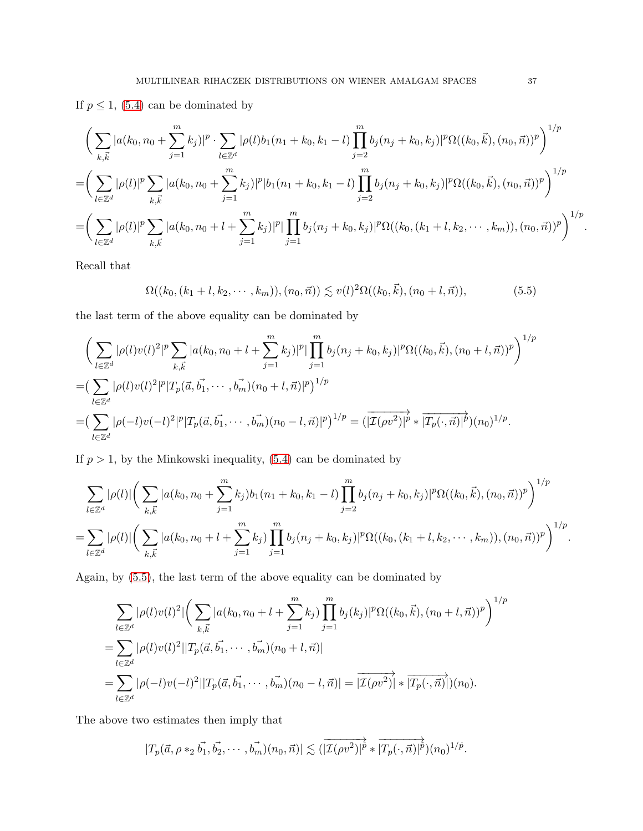If  $p \leq 1$ , [\(5.4\)](#page-35-0) can be dominated by

$$
\left(\sum_{k,\vec{k}} |a(k_0, n_0 + \sum_{j=1}^m k_j)|^p \cdot \sum_{l \in \mathbb{Z}^d} |\rho(l)b_1(n_1 + k_0, k_1 - l) \prod_{j=2}^m b_j(n_j + k_0, k_j)|^p \Omega((k_0, \vec{k}), (n_0, \vec{n}))^p \right)^{1/p}
$$
  
= 
$$
\left(\sum_{l \in \mathbb{Z}^d} |\rho(l)|^p \sum_{k,\vec{k}} |a(k_0, n_0 + \sum_{j=1}^m k_j)|^p |b_1(n_1 + k_0, k_1 - l) \prod_{j=2}^m b_j(n_j + k_0, k_j)|^p \Omega((k_0, \vec{k}), (n_0, \vec{n}))^p \right)^{1/p}
$$
  
= 
$$
\left(\sum_{l \in \mathbb{Z}^d} |\rho(l)|^p \sum_{k,\vec{k}} |a(k_0, n_0 + l + \sum_{j=1}^m k_j)|^p |\prod_{j=1}^m b_j(n_j + k_0, k_j)|^p \Omega((k_0, (k_1 + l, k_2, \dots, k_m)), (n_0, \vec{n}))^p \right)^{1/p}.
$$

Recall that

<span id="page-36-0"></span>
$$
\Omega((k_0, (k_1 + l, k_2, \cdots, k_m)), (n_0, \vec{n})) \lesssim v(l)^2 \Omega((k_0, \vec{k}), (n_0 + l, \vec{n})), \tag{5.5}
$$

the last term of the above equality can be dominated by

$$
\left(\sum_{l\in\mathbb{Z}^d} |\rho(l)v(l)|^2 |^p \sum_{k,\vec{k}} |a(k_0, n_0 + l + \sum_{j=1}^m k_j)|^p |\prod_{j=1}^m b_j(n_j + k_0, k_j)|^p \Omega((k_0, \vec{k}), (n_0 + l, \vec{n}))^p \right)^{1/p}
$$
  
=\n
$$
\left(\sum_{l\in\mathbb{Z}^d} |\rho(l)v(l)|^2 |^p |T_p(\vec{a}, \vec{b_1}, \cdots, \vec{b_m})(n_0 + l, \vec{n})|^p \right)^{1/p}
$$
  
=\n
$$
\left(\sum_{l\in\mathbb{Z}^d} |\rho(-l)v(-l)|^2 |^p |T_p(\vec{a}, \vec{b_1}, \cdots, \vec{b_m})(n_0 - l, \vec{n})|^p \right)^{1/p} = \left(\frac{1}{\mu} (\rho v^2) |^p * |T_p(\cdot, \vec{n})|^p \right) (n_0)^{1/p}.
$$

If  $p > 1$ , by the Minkowski inequality,  $(5.4)$  can be dominated by

$$
\sum_{l\in\mathbb{Z}^d} |\rho(l)| \left( \sum_{k,\vec{k}} |a(k_0, n_0 + \sum_{j=1}^m k_j) b_1(n_1 + k_0, k_1 - l) \prod_{j=2}^m b_j(n_j + k_0, k_j)|^p \Omega((k_0, \vec{k}), (n_0, \vec{n}))^p \right)^{1/p}
$$
  
= 
$$
\sum_{l\in\mathbb{Z}^d} |\rho(l)| \left( \sum_{k,\vec{k}} |a(k_0, n_0 + l + \sum_{j=1}^m k_j) \prod_{j=1}^m b_j(n_j + k_0, k_j)|^p \Omega((k_0, (k_1 + l, k_2, \dots, k_m)), (n_0, \vec{n}))^p \right)^{1/p}.
$$

Again, by [\(5.5\)](#page-36-0), the last term of the above equality can be dominated by

$$
\sum_{l \in \mathbb{Z}^d} |\rho(l)v(l)|^2 \Big| \Big( \sum_{k,\vec{k}} |a(k_0, n_0 + l + \sum_{j=1}^m k_j) \prod_{j=1}^m b_j(k_j)|^p \Omega((k_0, \vec{k}), (n_0 + l, \vec{n}))^p \Big)^{1/p}
$$
  
= 
$$
\sum_{l \in \mathbb{Z}^d} |\rho(l)v(l)|^2 ||T_p(\vec{a}, \vec{b_1}, \dots, \vec{b_m})(n_0 + l, \vec{n})|
$$
  
= 
$$
\sum_{l \in \mathbb{Z}^d} |\rho(-l)v(-l)|^2 ||T_p(\vec{a}, \vec{b_1}, \dots, \vec{b_m})(n_0 - l, \vec{n})| = |\overline{\mathcal{I}(\rho v^2)}| * |\overline{T_p(\cdot, \vec{n})}| (n_0).
$$

The above two estimates then imply that

$$
|T_p(\vec{a}, \rho*_2 \vec{b_1}, \vec{b_2}, \cdots, \vec{b_m})(n_0, \vec{n})| \lesssim (|\overrightarrow{\mathcal{I}(\rho v^2)}|^{\overrightarrow{p}} * |\overrightarrow{T_p(\cdot, \vec{n})}|^{\overrightarrow{p}})(n_0)^{1/\overrightarrow{p}}.
$$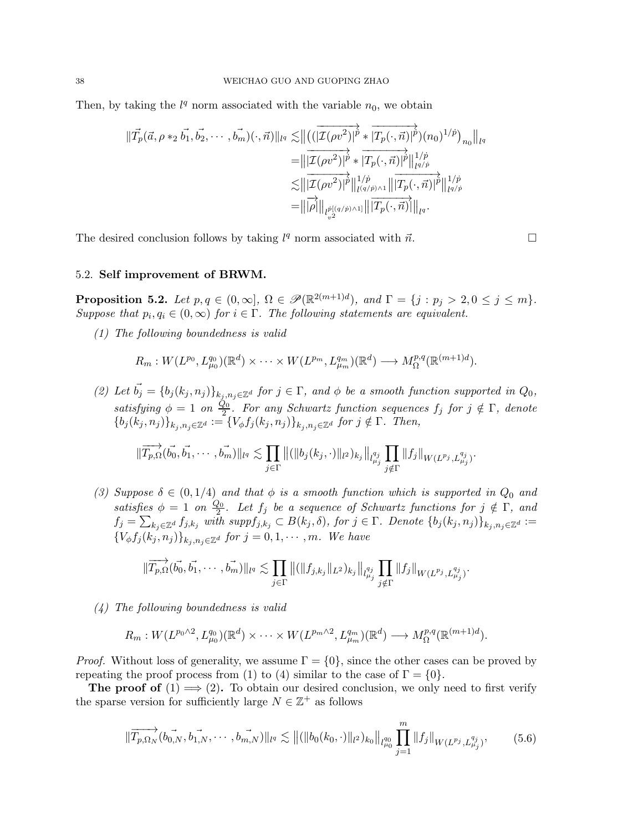Then, by taking the  $l<sup>q</sup>$  norm associated with the variable  $n<sub>0</sub>$ , we obtain

$$
\begin{split} \|\vec{T_p}(\vec{a}, \rho \ast_2 \vec{b_1}, \vec{b_2}, \cdots, \vec{b_m})(\cdot, \vec{n})\|_{l^q} \lesssim & \left\| \left( (\overline{|\mathcal{I}(\rho v^2)|}^{\vec{p}} \ast \overline{|T_p(\cdot, \vec{n})|}^{\vec{p}})(n_0)^{1/\vec{p}} \right)_{n_0} \right\|_{l^q} \\ =& \left\| \overline{|\mathcal{I}(\rho v^2)|}^{\vec{p}} \ast \overline{|T_p(\cdot, \vec{n})|}^{\vec{p}} \right\|_{l^{q/\vec{p}}}^{1/\vec{p}} \\ \lesssim & \left\| \overline{|\mathcal{I}(\rho v^2)|}^{\vec{p}} \right\|_{l^{(q/\vec{p})} \wedge 1}^{1/\vec{p}} \left\| \overline{T_p(\cdot, \vec{n})}^{\vec{p}} \right\|_{l^{q/\vec{p}}}^{1/\vec{p}} \\ =& \left\| \overline{|\rho} \right| \left\| \overline{p_p(\cdot, \vec{n})}^{\vec{p}} \right\|_{l^q}^{1/\vec{p}} .\end{split}
$$

The desired conclusion follows by taking  $l^q$  norm associated with  $\vec{n}$ .

$$
\Box
$$

#### 5.2. Self improvement of BRWM.

<span id="page-37-0"></span>**Proposition 5.2.** Let  $p, q \in (0, \infty]$ ,  $\Omega \in \mathscr{P}(\mathbb{R}^{2(m+1)d})$ , and  $\Gamma = \{j : p_j > 2, 0 \le j \le m\}$ . Suppose that  $p_i, q_i \in (0, \infty)$  for  $i \in \Gamma$ . The following statements are equivalent.

(1) The following boundedness is valid

$$
R_m: W(L^{p_0}, L^{q_0}_{\mu_0})(\mathbb{R}^d) \times \cdots \times W(L^{p_m}, L^{q_m}_{\mu_m})(\mathbb{R}^d) \longrightarrow M^{p,q}_{\Omega}(\mathbb{R}^{(m+1)d}).
$$

(2) Let  $\vec{b_j} = \{b_j (k_j, n_j)\}_{k_j, n_j \in \mathbb{Z}^d}$  for  $j \in \Gamma$ , and  $\phi$  be a smooth function supported in  $Q_0$ , satisfying  $\phi = 1$  on  $\frac{Q_0}{2}$ . For any Schwartz function sequences  $f_j$  for  $j \notin \Gamma$ , denote  ${b_j(k_j, n_j)}_{k_j, n_j \in \mathbb{Z}^d} := {V_\phi f_j(k_j, n_j)}_{k_j, n_j \in \mathbb{Z}^d}$  for  $j \notin \Gamma$ . Then,

$$
\|\overrightarrow{T_{p,\Omega}}(\vec{b_0},\vec{b_1},\cdots,\vec{b_m})\|_{l^q}\lesssim \prod_{j\in\Gamma}\|(\|b_j(k_j,\cdot)\|_{l^2})_{k_j}\|_{l^{q_j}_{\mu_j}}\prod_{j\notin\Gamma}\|f_j\|_{W(L^{p_j},L^{q_j}_{\mu_j})}.
$$

(3) Suppose  $\delta \in (0, 1/4)$  and that  $\phi$  is a smooth function which is supported in  $Q_0$  and satisfies  $\phi = 1$  on  $\frac{Q_0}{2}$  $\frac{20}{2}$ . Let  $f_j$  be a sequence of Schwartz functions for  $j \notin \Gamma$ , and  $f_j = \sum_{k_j \in \mathbb{Z}^d} f_{j,k_j}$  with  $suppf_{j,k_j} \subset B(k_j, \delta)$ , for  $j \in \Gamma$ . Denote  $\{b_j(k_j, n_j)\}_{k_j,n_j \in \mathbb{Z}^d} :=$  ${V_{\phi}f_j(k_j,n_j)}_{k_i,n_j\in\mathbb{Z}^d}$  for  $j=0,1,\cdots,m$ . We have

$$
\|\overrightarrow{T_{p,\Omega}}(\vec{b_0},\vec{b_1},\cdots,\vec{b_m})\|_{l^q}\lesssim \prod_{j\in\Gamma} \|(\|f_{j,k_j}\|_{L^2})_{k_j}\|_{l^{q_j}_{\mu_j}}\prod_{j\notin\Gamma} \|f_j\|_{W(L^{p_j},L^{q_j}_{\mu_j})}.
$$

(4) The following boundedness is valid

$$
R_m: W(L^{p_0 \wedge 2}, L^{q_0}_{\mu_0})(\mathbb{R}^d) \times \cdots \times W(L^{p_m \wedge 2}, L^{q_m}_{\mu_m})(\mathbb{R}^d) \longrightarrow M^{p,q}_{\Omega}(\mathbb{R}^{(m+1)d}).
$$

*Proof.* Without loss of generality, we assume  $\Gamma = \{0\}$ , since the other cases can be proved by repeating the proof process from (1) to (4) similar to the case of  $\Gamma = \{0\}.$ 

<span id="page-37-1"></span>**The proof of**  $(1) \implies (2)$ . To obtain our desired conclusion, we only need to first verify the sparse version for sufficiently large  $N \in \mathbb{Z}^+$  as follows

$$
\|\overrightarrow{T_{p,\Omega_N}}(b_{0,N}^-, b_{1,N}^-, \cdots, b_{m,N}^-\|_{l^q} \lesssim \| ( \|b_0(k_0, \cdot)\|_{l^2})_{k_0} \|_{l^{q_0}_{\mu_0}} \prod_{j=1}^m \|f_j\|_{W(L^{p_j}, L^{q_j}_{\mu_j})},\tag{5.6}
$$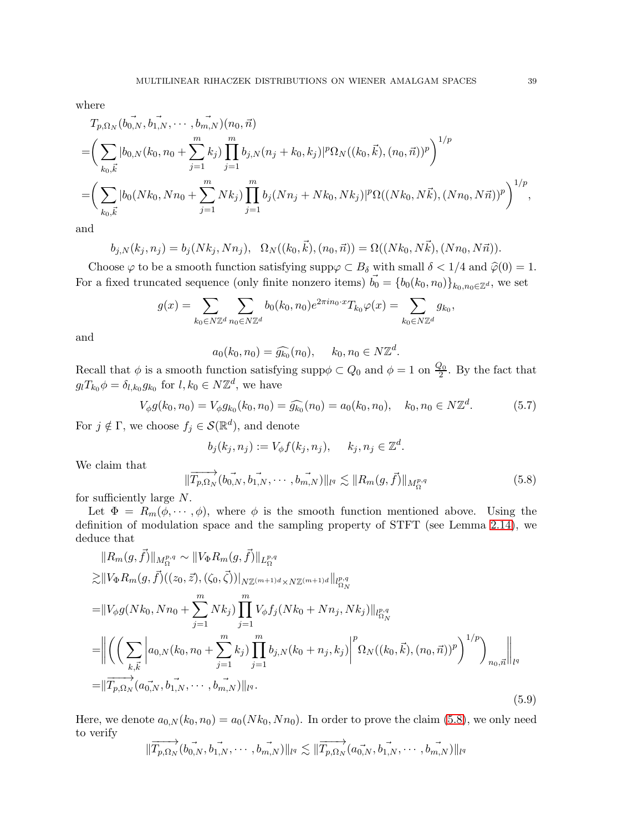where

$$
T_{p,\Omega_N}(b_{0,N}^-, b_{1,N}^-, \cdots, b_{m,N}^-,)(n_0, \vec{n})
$$
  
=  $\left(\sum_{k_0,\vec{k}} |b_{0,N}(k_0, n_0 + \sum_{j=1}^m k_j)\prod_{j=1}^m b_{j,N}(n_j + k_0, k_j)|^p \Omega_N((k_0, \vec{k}), (n_0, \vec{n}))^p\right)^{1/p}$   
=  $\left(\sum_{k_0,\vec{k}} |b_0(Nk_0, Nn_0 + \sum_{j=1}^m Nk_j)\prod_{j=1}^m b_j(Nn_j + Nk_0, Nk_j)|^p \Omega((Nk_0, N\vec{k}), (Nn_0, N\vec{n}))^p\right)^{1/p},$ 

and

$$
b_{j,N}(k_j, n_j) = b_j(Nk_j, Nn_j), \quad \Omega_N((k_0, \vec{k}), (n_0, \vec{n})) = \Omega((Nk_0, N\vec{k}), (Nn_0, N\vec{n})).
$$

Choose  $\varphi$  to be a smooth function satisfying supp $\varphi \subset B_\delta$  with small  $\delta < 1/4$  and  $\widehat{\varphi}(0) = 1$ . For a fixed truncated sequence (only finite nonzero items)  $\vec{b_0} = \{b_0(k_0, n_0)\}_{k_0,n_0 \in \mathbb{Z}^d}$ , we set

$$
g(x) = \sum_{k_0 \in N\mathbb{Z}^d} \sum_{n_0 \in N\mathbb{Z}^d} b_0(k_0, n_0) e^{2\pi i n_0 \cdot x} T_{k_0} \varphi(x) = \sum_{k_0 \in N\mathbb{Z}^d} g_{k_0},
$$

and

$$
a_0(k_0, n_0) = \widehat{g_{k_0}}(n_0), \quad k_0, n_0 \in N\mathbb{Z}^d.
$$

Recall that  $\phi$  is a smooth function satisfying supp $\phi \subset Q_0$  and  $\phi = 1$  on  $\frac{Q_0}{2}$ . By the fact that  $g_l T_{k_0} \phi = \delta_{l,k_0} g_{k_0}$  for  $l, k_0 \in N \mathbb{Z}^d$ , we have

$$
V_{\phi}g(k_0, n_0) = V_{\phi}g_{k_0}(k_0, n_0) = \widehat{g_{k_0}}(n_0) = a_0(k_0, n_0), \quad k_0, n_0 \in N\mathbb{Z}^d. \tag{5.7}
$$

For  $j \notin \Gamma$ , we choose  $f_j \in \mathcal{S}(\mathbb{R}^d)$ , and denote

$$
b_j(k_j, n_j) := V_{\phi} f(k_j, n_j), \quad k_j, n_j \in \mathbb{Z}^d.
$$

We claim that

<span id="page-38-0"></span>
$$
\|\overrightarrow{T_{p,\Omega_N}}(b_{0,N},\overrightarrow{b_{1,N}},\cdots,\overrightarrow{b_{m,N}})\|_{l^q} \lesssim \|R_m(g,\overrightarrow{f})\|_{M_{\Omega}^{p,q}}
$$
(5.8)

for sufficiently large N.

Let  $\Phi = R_m(\phi, \dots, \phi)$ , where  $\phi$  is the smooth function mentioned above. Using the definition of modulation space and the sampling property of STFT (see Lemma [2.14\)](#page-10-3), we deduce that

<span id="page-38-1"></span>
$$
||R_{m}(g, \vec{f})||_{M_{\Omega}^{p,q}} \sim ||V_{\Phi}R_{m}(g, \vec{f})||_{L_{\Omega}^{p,q}}
$$
  
\n
$$
\geq ||V_{\Phi}R_{m}(g, \vec{f})((z_{0}, \vec{z}), (\zeta_{0}, \vec{\zeta}))||_{N\mathbb{Z}^{(m+1)d} \times N\mathbb{Z}^{(m+1)d}}||_{l_{\Omega_{N}}^{p,q}}
$$
  
\n
$$
= ||V_{\phi}g(Nk_{0}, Nn_{0} + \sum_{j=1}^{m} Nk_{j}) \prod_{j=1}^{m} V_{\phi}f_{j}(Nk_{0} + Nn_{j}, Nk_{j})||_{l_{\Omega_{N}}^{p,q}}
$$
  
\n
$$
= \left\| \left( \left( \sum_{k,\vec{k}} \left| a_{0,N}(k_{0}, n_{0} + \sum_{j=1}^{m} k_{j}) \prod_{j=1}^{m} b_{j,N}(k_{0} + n_{j}, k_{j}) \right|^{p} \Omega_{N}((k_{0}, \vec{k}), (n_{0}, \vec{n}))^{p} \right)^{1/p} \right)_{n_{0}, \vec{n}} \right\|_{l^{q}}
$$
  
\n
$$
= \left\| \overrightarrow{T_{p,\Omega_{N}}}(a_{0,N}, b_{1,N}, \cdots, b_{m,N}) \right\|_{l^{q}}.
$$
\n(5.9)

Here, we denote  $a_{0,N}(k_0, n_0) = a_0(Nk_0, Nn_0)$ . In order to prove the claim [\(5.8\)](#page-38-0), we only need to verify

$$
\|\overrightarrow{T_{p,\Omega_N}}(b_{0,N}^{\rightarrow},\overrightarrow{b_{1,N}},\cdots,\overrightarrow{b_{m,N}})\|_{l^q}\lesssim \|\overrightarrow{T_{p,\Omega_N}}(a_{0,N}^{\rightarrow},\overrightarrow{b_{1,N}},\cdots,\overrightarrow{b_{m,N}})\|_{l^q}
$$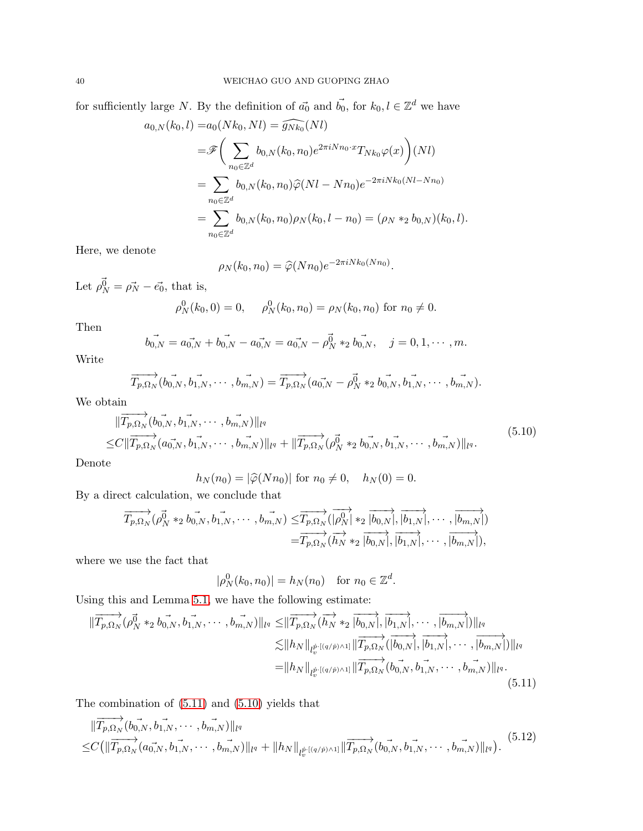for sufficiently large N. By the definition of  $\vec{a_0}$  and  $\vec{b_0}$ , for  $k_0, l \in \mathbb{Z}^d$  we have

$$
a_{0,N}(k_0, l) = a_0(Nk_0, Nl) = \widehat{g_{Nk_0}}(Nl)
$$
  
\n
$$
= \mathscr{F}\bigg(\sum_{n_0 \in \mathbb{Z}^d} b_{0,N}(k_0, n_0) e^{2\pi i N n_0 \cdot x} T_{Nk_0} \varphi(x)\bigg)(Nl)
$$
  
\n
$$
= \sum_{n_0 \in \mathbb{Z}^d} b_{0,N}(k_0, n_0) \widehat{\varphi}(Nl - Nn_0) e^{-2\pi i N k_0 (Nl - Nn_0)}
$$
  
\n
$$
= \sum_{n_0 \in \mathbb{Z}^d} b_{0,N}(k_0, n_0) \rho_N(k_0, l - n_0) = (\rho_N *_{2} b_{0,N})(k_0, l).
$$

Here, we denote

$$
\rho_N(k_0, n_0) = \widehat{\varphi}(N n_0) e^{-2\pi i N k_0(N n_0)}.
$$

Let  $\rho_N^{\vec{0}} = \rho_N^{\rightarrow} - \vec{e_0}$ , that is,

$$
\rho_N^0(k_0, 0) = 0, \quad \rho_N^0(k_0, n_0) = \rho_N(k_0, n_0) \text{ for } n_0 \neq 0.
$$

Then

$$
\vec{b_{0,N}} = a_{0,N} \vec{b_{0,N}} - a_{0,N} \vec{b_{0,N}} = a_{0,N} \vec{b_{0,N}} - \vec{b_{0,N}} *_{2} \vec{b_{0,N}}, \quad j = 0, 1, \cdots, m.
$$

Write

$$
\overrightarrow{T_{p,\Omega_N}}(b_{0,N}^{\rightarrow}, b_{1,N}^{\rightarrow}, \cdots, b_{m,N}^{\rightarrow}) = \overrightarrow{T_{p,\Omega_N}}(a_{0,N}^{\rightarrow} - \rho_N^{\vec{0}} *_{2} b_{0,N}^{\rightarrow}, b_{1,N}^{\rightarrow}, \cdots, b_{m,N}^{\rightarrow}).
$$

<span id="page-39-1"></span>We obtain

$$
\|\overrightarrow{T_{p,\Omega_N}}(b_{0,N}^-, b_{1,N}^-, \cdots, b_{m,N}^-\|_{l^q})\|_{l^q}
$$
  
\n
$$
\leq C \|\overrightarrow{T_{p,\Omega_N}}(a_{0,N}^-, b_{1,N}^-, \cdots, b_{m,N}^-\|_{l^q} + \|\overrightarrow{T_{p,\Omega_N}}(\rho_N^{\overrightarrow{0}} *_{2} b_{0,N}^-, b_{1,N}^-, \cdots, b_{m,N}^-\|_{l^q}).
$$
\n(5.10)

Denote

$$
h_N(n_0) = |\hat{\varphi}(Nn_0)|
$$
 for  $n_0 \neq 0$ ,  $h_N(0) = 0$ .

By a direct calculation, we conclude that

$$
\overrightarrow{T_{p,\Omega_N}}(\rho_N^{\vec{0}} *_{2} b_{0,N}^{\rightarrow}, b_{1,N}^{\rightarrow}, \cdots, b_{m,N}) \leq \overrightarrow{T_{p,\Omega_N}}(\overrightarrow{|\rho_N^0|} *_{2} \overrightarrow{|b_{0,N}|}, \overrightarrow{|b_{1,N}|}, \cdots, \overrightarrow{|b_{m,N}|})
$$
  

$$
= \overrightarrow{T_{p,\Omega_N}}(\overrightarrow{h_N} *_{2} \overrightarrow{|b_{0,N}|}, \overrightarrow{|b_{1,N}|}, \cdots, \overrightarrow{|b_{m,N}|}),
$$

where we use the fact that

$$
|\rho_N^0(k_0, n_0)| = h_N(n_0)
$$
 for  $n_0 \in \mathbb{Z}^d$ .

Using this and Lemma [5.1,](#page-34-3) we have the following estimate:

<span id="page-39-0"></span>
$$
\|\overrightarrow{T_{p,\Omega_N}}(\rho_N^{\vec{0}} *_{2} b_{0,N}^-, b_{1,N}^-, \cdots, b_{m,N}^-\|_{l^q} \leq \|\overrightarrow{T_{p,\Omega_N}}(\overrightarrow{h_N} *_{2} \overrightarrow{|b_{0,N}|}, \overrightarrow{|b_{1,N}|}, \cdots, \overrightarrow{|b_{m,N}|})\|_{l^q}
$$
  

$$
\lesssim \|h_N\|_{l_v^{\vec{p} \cdot [({q/p}) \wedge 1]}} \|\overrightarrow{T_{p,\Omega_N}}(\overrightarrow{|b_{0,N}|}, \overrightarrow{|b_{1,N}|}, \cdots, \overrightarrow{|b_{m,N}|})\|_{l^q}
$$
  

$$
= \|h_N\|_{l_v^{\vec{p} \cdot [({q/p}) \wedge 1]}} \|\overrightarrow{T_{p,\Omega_N}}(b_{0,N}^-, b_{1,N}^-, \cdots, b_{m,N}^-\|_{l^q}).
$$
  
(5.11)

The combination of [\(5.11\)](#page-39-0) and [\(5.10\)](#page-39-1) yields that

<span id="page-39-2"></span>
$$
\|\overrightarrow{T_{p,\Omega_N}}(b_{0,N}^-, b_{1,N}^-, \cdots, b_{m,N}^-)\|_{l^q}
$$
\n
$$
\leq C\left(\|\overrightarrow{T_{p,\Omega_N}}(a_{0,N}^-, b_{1,N}^-, \cdots, b_{m,N}^-)\|_{l^q} + \|h_N\|_{l_v^{\dot{p} \cdot [({q/p}) \wedge 1]}} \|\overrightarrow{T_{p,\Omega_N}}(b_{0,N}^-, b_{1,N}^-, \cdots, b_{m,N}^-)\|_{l^q}\right). \tag{5.12}
$$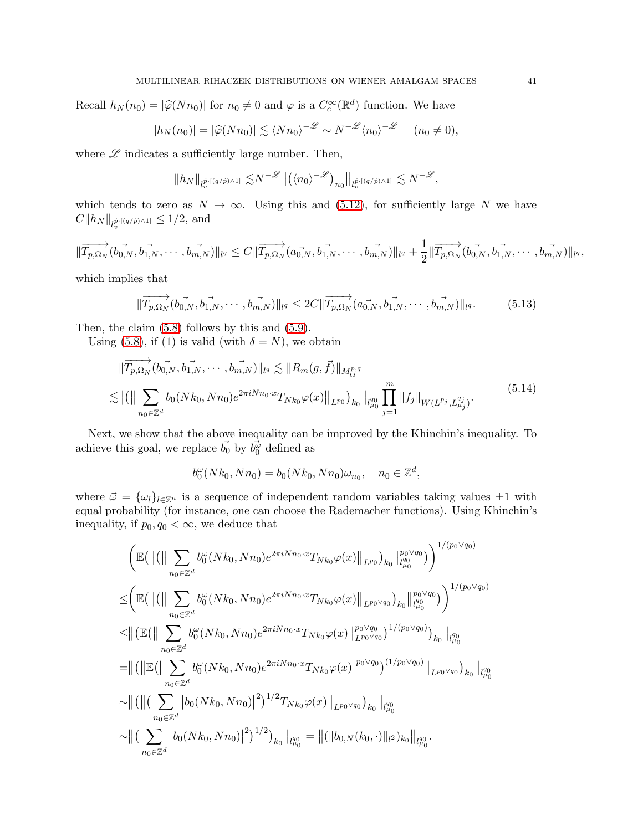Recall  $h_N(n_0) = |\hat{\varphi}(Nn_0)|$  for  $n_0 \neq 0$  and  $\varphi$  is a  $C_c^{\infty}(\mathbb{R}^d)$  function. We have

$$
|h_N(n_0)| = |\widehat{\varphi}(Nn_0)| \lesssim \langle Nn_0 \rangle^{-\mathscr{L}} \sim N^{-\mathscr{L}} \langle n_0 \rangle^{-\mathscr{L}} \quad (n_0 \neq 0),
$$

where  $\mathscr L$  indicates a sufficiently large number. Then,

$$
||h_N||_{l_v^{\vec{p} \cdot [(q/\vec{p}) \wedge 1]}} \lesssim N^{-\mathscr{L}} \big\| \big( \langle n_0 \rangle^{-\mathscr{L}} \big)_{n_0} \big\|_{l_v^{\vec{p} \cdot [(q/\vec{p}) \wedge 1]}} \lesssim N^{-\mathscr{L}},
$$

which tends to zero as  $N \to \infty$ . Using this and [\(5.12\)](#page-39-2), for sufficiently large N we have  $C \|h_N\|_{l_v^{\dot{p} \cdot [(q/\dot{p}) \wedge 1]}} \leq 1/2$ , and

$$
\|\overrightarrow{T_{p,\Omega_N}}(b_{0,N}^{\rightarrow},\overrightarrow{b_{1,N}},\cdots,\overrightarrow{b_{m,N}})\|_{l^q}\leq C\|\overrightarrow{T_{p,\Omega_N}}(a_{0,N}^{\rightarrow},\overrightarrow{b_{1,N}},\cdots,\overrightarrow{b_{m,N}})\|_{l^q}+\frac{1}{2}\|\overrightarrow{T_{p,\Omega_N}}(b_{0,N}^{\rightarrow},\overrightarrow{b_{1,N}},\cdots,\overrightarrow{b_{m,N}})\|_{l^q},
$$

which implies that

$$
\|\overrightarrow{T_{p,\Omega_N}}(b_{0,N}^-, \overrightarrow{b_{1,N}}, \cdots, \overrightarrow{b_{m,N}})\|_{l^q} \leq 2C \|\overrightarrow{T_{p,\Omega_N}}(a_{0,N}^-, \overrightarrow{b_{1,N}}, \cdots, \overrightarrow{b_{m,N}})\|_{l^q}.
$$
 (5.13)

Then, the claim [\(5.8\)](#page-38-0) follows by this and [\(5.9\)](#page-38-1).

Using [\(5.8\)](#page-38-0), if (1) is valid (with  $\delta = N$ ), we obtain

<span id="page-40-0"></span>
$$
\|\overrightarrow{T_{p,\Omega_N}}(b_{0,N}^-, b_{1,N}^-, \cdots, b_{m,N}^-)\|_{l^q} \lesssim \|R_m(g, \vec{f})\|_{M_{\Omega}^{p,q}}\n\lesssim \| ( \| \sum_{n_0 \in \mathbb{Z}^d} b_0(Nk_0, Nn_0) e^{2\pi i N n_0 \cdot x} T_{Nk_0} \varphi(x) \|_{L^{p_0}})_{k_0} \|_{l^q_{\mu_0}} \prod_{j=1}^m \|f_j\|_{W(L^{p_j}, L^{q_j}_{\mu_j})}.
$$
\n
$$
(5.14)
$$

Next, we show that the above inequality can be improved by the Khinchin's inequality. To achieve this goal, we replace  $b_0, b_0, \phi_0$  defined as

$$
b_0^{\omega}(Nk_0, Nn_0) = b_0(Nk_0, Nn_0)\omega_{n_0}, \quad n_0 \in \mathbb{Z}^d,
$$

where  $\vec{\omega} = {\omega_l}_{l \in \mathbb{Z}^n}$  is a sequence of independent random variables taking values  $\pm 1$  with equal probability (for instance, one can choose the Rademacher functions). Using Khinchin's inequality, if  $p_0, q_0 < \infty$ , we deduce that

$$
\left(\mathbb{E}\left(\left\|\left(\left\|\sum_{n_{0}\in\mathbb{Z}^{d}}b_{0}^{\omega}(Nk_{0},Nn_{0})e^{2\pi iNn_{0}\cdot x}T_{Nk_{0}}\varphi(x)\right\|_{L^{p_{0}}}\right)_{k_{0}}\right\|_{l^{q_{0}}_{\mu_{0}}^{q_{0}}}^{p_{0}\vee q_{0}}\right)\right)^{1/(p_{0}\vee q_{0})}
$$
\n
$$
\leq \left(\mathbb{E}\left(\left\|\left(\left\|\sum_{n_{0}\in\mathbb{Z}^{d}}b_{0}^{\omega}(Nk_{0},Nn_{0})e^{2\pi iNn_{0}\cdot x}T_{Nk_{0}}\varphi(x)\right\|_{L^{p_{0}}\vee q_{0}}\right)_{k_{0}}\right\|_{l^{q_{0}}_{\mu_{0}}}^{p_{0}\vee q_{0}}\right)\right)^{1/(p_{0}\vee q_{0})}
$$
\n
$$
\leq \left\|\left(\mathbb{E}\left(\left\|\sum_{n_{0}\in\mathbb{Z}^{d}}b_{0}^{\omega}(Nk_{0},Nn_{0})e^{2\pi iNn_{0}\cdot x}T_{Nk_{0}}\varphi(x)\right\|_{L^{p_{0}}\vee q_{0}}^{p_{0}\vee q_{0}}\right)^{1/(p_{0}\vee q_{0})}\right)_{k_{0}}\right\|_{l^{q_{0}}_{\mu_{0}}}^{q_{0}}
$$
\n
$$
= \left\|\left(\left\|\mathbb{E}\left(\left|\sum_{n_{0}\in\mathbb{Z}^{d}}b_{0}^{\omega}(Nk_{0},Nn_{0})e^{2\pi iNn_{0}\cdot x}T_{Nk_{0}}\varphi(x)\right\|_{L^{p_{0}}\vee q_{0}}\right)^{1/(p_{0}\vee q_{0})}\right)_{k_{0}}\right\|_{l^{q_{0}}_{\mu_{0}}}^{q_{0}}
$$
\n
$$
\sim \left\|\left(\left\|\left(\sum_{n_{0}\in\mathbb{Z}^{d}}\left|b_{0}(Nk_{0},Nn_{0})\right|^{2}\right)^{1/2}T_{Nk_{0}}\varphi(x)\right\|_{L^{p_{0}}\vee q_{0}}\right)_{k_{0}}\right\|_{l^{q_{0}}_{\mu_{0}}}^{q_{0}}.
$$
\n
$$
\sim \left
$$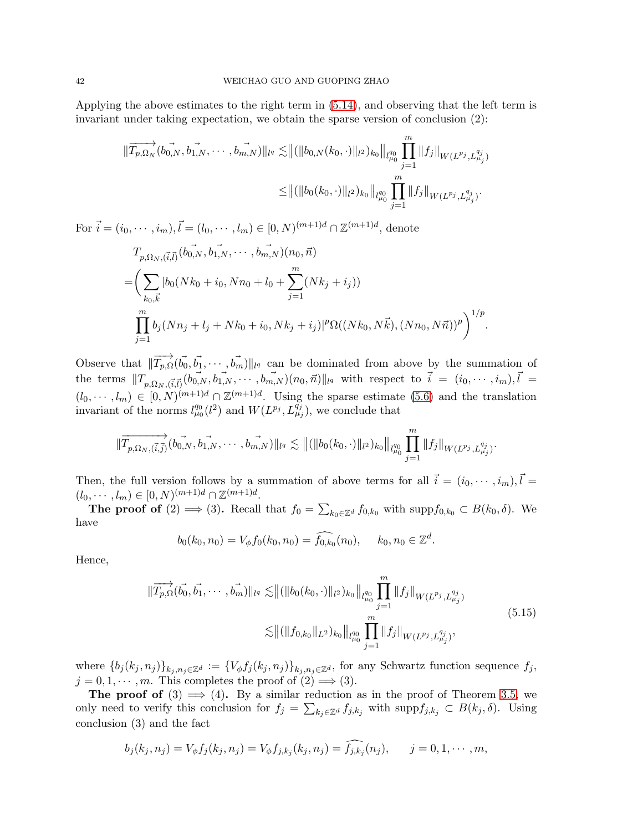Applying the above estimates to the right term in [\(5.14\)](#page-40-0), and observing that the left term is invariant under taking expectation, we obtain the sparse version of conclusion (2):

$$
\|\overrightarrow{T_{p,\Omega_N}}(b_{0,N},\overrightarrow{b_{1,N}},\cdots,\overrightarrow{b_{m,N}})\|_{l^q}\lesssim \| ( \|b_{0,N}(k_0,\cdot)\|_{l^2})_{k_0}\|_{l^{q_0}_{\mu_0}}\prod_{j=1}^m \|f_j\|_{W(L^{p_j},L^{q_j}_{\mu_j})}\newline\leq \| ( \|b_0(k_0,\cdot)\|_{l^2})_{k_0}\|_{l^{q_0}_{\mu_0}}\prod_{j=1}^m \|f_j\|_{W(L^{p_j},L^{q_j}_{\mu_j})}.
$$

For  $\vec{i} = (i_0, \dots, i_m), \vec{l} = (l_0, \dots, l_m) \in [0, N)^{(m+1)d} \cap \mathbb{Z}^{(m+1)d}$ , denote

$$
T_{p,\Omega_N,(\vec{i},\vec{l})}(b_{0,N}^-, b_{1,N}^-, \cdots, b_{m,N}^-, b_{0,N}^+)(n_0, \vec{n})
$$
  
= 
$$
\left(\sum_{k_0,\vec{k}} |b_0(Nk_0 + i_0, Nn_0 + l_0 + \sum_{j=1}^m (Nk_j + i_j))
$$
  

$$
\prod_{j=1}^m b_j(Nn_j + l_j + Nk_0 + i_0, Nk_j + i_j)|^p \Omega((Nk_0, N\vec{k}), (Nn_0, N\vec{n}))^p \right)^{1/p}.
$$

Observe that  $\|\overrightarrow{T}_{p,\Omega}(\vec{b_0}, \vec{b_1}, \cdots, \vec{b_m})\|_{l^q}$  can be dominated from above by the summation of the terms  $||T_{p,\Omega_N,(\vec{i},\vec{l})}(\vec{b_{0,N}},\vec{b_{1,N}},\cdots,\vec{b_{m,N}})(n_0,\vec{n})||_{l^q}$  with respect to  $\vec{i} = (i_0,\cdots,i_m), \vec{l} =$  $(l_0, \dots, l_m) \in [0, N)^{(m+1)d} \cap \mathbb{Z}^{(m+1)d}$ . Using the sparse estimate [\(5.6\)](#page-37-1) and the translation invariant of the norms  $l_{\mu_0}^{q_0}(l^2)$  and  $W(L^{p_j}, L^{q_j}_{\mu_j})$ , we conclude that

$$
\|\overrightarrow{T}_{p,\Omega_N,(\overrightarrow{i},\overrightarrow{j})}(b_{0,N}^{\rightharpoonup},b_{1,N}^{\rightharpoonup},\cdots,b_{m,N}^{\rightharpoonup})\|_{l^q}\lesssim\|(\|b_0(k_0,\cdot)\|_{l^2})_{k_0}\|_{l_{\mu_0}^{q_0}}\prod_{j=1}^m\|f_j\|_{W(L^{p_j},L_{\mu_j}^{q_j})}.
$$

Then, the full version follows by a summation of above terms for all  $\vec{i} = (i_0, \dots, i_m), \vec{l} =$  $(l_0, \dots, l_m) \in [0, N)^{(m+1)d} \cap \mathbb{Z}^{(m+1)d}.$ 

**The proof of** (2)  $\implies$  (3). Recall that  $f_0 = \sum_{k_0 \in \mathbb{Z}^d} f_{0,k_0}$  with  $\text{supp} f_{0,k_0} \subset B(k_0, \delta)$ . We have

$$
b_0(k_0, n_0) = V_{\phi} f_0(k_0, n_0) = \widehat{f_{0,k_0}}(n_0), \quad k_0, n_0 \in \mathbb{Z}^d.
$$

Hence,

$$
\|\overrightarrow{T_{p,\Omega}}(\vec{b_0}, \vec{b_1}, \cdots, \vec{b_m})\|_{l^q} \lesssim \| ( \|b_0(k_0, \cdot)\|_{l^2})_{k_0} \|_{l^{q_0}_{\mu_0}} \prod_{j=1}^m \|f_j\|_{W(L^{p_j}, L^{q_j}_{\mu_j})}
$$
\n
$$
\lesssim \| ( \|f_{0,k_0}\|_{L^2})_{k_0} \|_{l^{q_0}_{\mu_0}} \prod_{j=1}^m \|f_j\|_{W(L^{p_j}, L^{q_j}_{\mu_j})},
$$
\n(5.15)

where  $\{b_j(k_j, n_j)\}_{k_j, n_j\in\mathbb{Z}^d} := \{V_\phi f_j(k_j, n_j)\}_{k_j, n_j\in\mathbb{Z}^d}$ , for any Schwartz function sequence  $f_j$ ,  $j = 0, 1, \dots, m$ . This completes the proof of  $(2) \implies (3)$ .

The proof of  $(3) \implies (4)$ . By a similar reduction as in the proof of Theorem [3.5,](#page-17-3) we only need to verify this conclusion for  $f_j = \sum_{k_j \in \mathbb{Z}^d} f_{j,k_j}$  with  $\text{supp} f_{j,k_j} \subset B(k_j, \delta)$ . Using conclusion (3) and the fact

$$
b_j(k_j, n_j) = V_{\phi} f_j(k_j, n_j) = V_{\phi} f_{j,k_j}(k_j, n_j) = \overline{f_{j,k_j}}(n_j), \qquad j = 0, 1, \cdots, m,
$$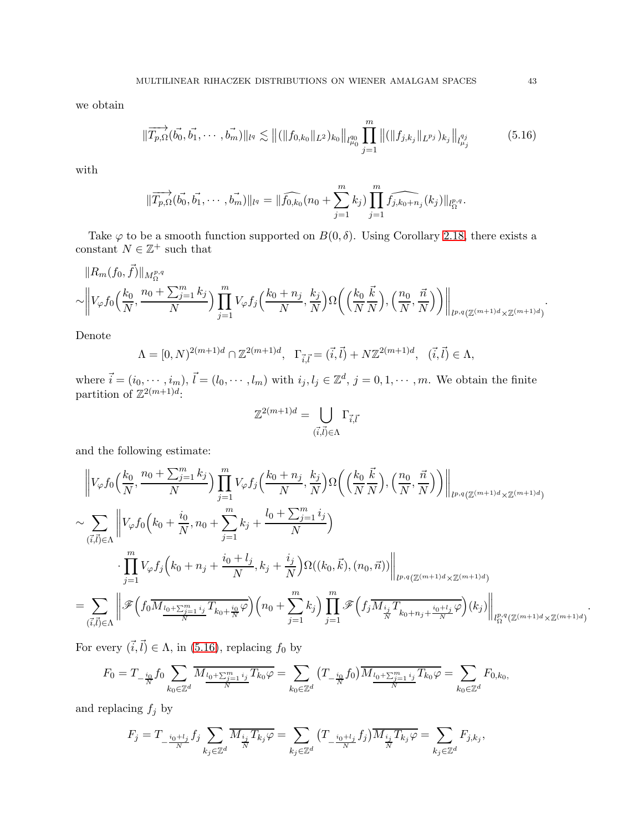we obtain

<span id="page-42-0"></span>
$$
\|\overrightarrow{T_{p,\Omega}}(\overrightarrow{b_0},\overrightarrow{b_1},\cdots,\overrightarrow{b_m})\|_{l^q} \lesssim \|(\|f_{0,k_0}\|_{L^2})_{k_0}\|_{l^{q_0}_{\mu_0}} \prod_{j=1}^m \|(\|f_{j,k_j}\|_{L^{p_j}})_{k_j}\|_{l^{q_j}_{\mu_j}}
$$
(5.16)

with

$$
\|\overrightarrow{T_{p,\Omega}}(\vec{b_0},\vec{b_1},\cdots,\vec{b_m})\|_{l^q} = \|\widehat{f_{0,k_0}}(n_0 + \sum_{j=1}^m k_j) \prod_{j=1}^m \widehat{f_{j,k_0+n_j}}(k_j)\|_{l^p_\Omega}^{n^q}.
$$

Take  $\varphi$  to be a smooth function supported on  $B(0, \delta)$ . Using Corollary [2.18,](#page-11-1) there exists a constant  $N \in \mathbb{Z}^+$  such that

$$
\|R_m(f_0,\vec{f})\|_{M^{p,q}_{\Omega}}\sim \left\|V_{\varphi}f_0\left(\frac{k_0}{N},\frac{n_0+\sum_{j=1}^mk_j}{N}\right)\prod_{j=1}^m V_{\varphi}f_j\left(\frac{k_0+n_j}{N},\frac{k_j}{N}\right)\Omega\left(\left(\frac{k_0}{N}\frac{\vec{k}}{N}\right),\left(\frac{n_0}{N},\frac{\vec{n}}{N}\right)\right)\right\|_{l^{p,q}(\mathbb{Z}^{(m+1)d}\times\mathbb{Z}^{(m+1)d})}.
$$

Denote

$$
\Lambda = [0, N)^{2(m+1)d} \cap \mathbb{Z}^{2(m+1)d}, \ \Gamma_{\vec{i}, \vec{l}} = (\vec{i}, \vec{l}) + N \mathbb{Z}^{2(m+1)d}, \ (\vec{i}, \vec{l}) \in \Lambda,
$$

where  $\vec{i} = (i_0, \dots, i_m)$ ,  $\vec{l} = (l_0, \dots, l_m)$  with  $i_j, l_j \in \mathbb{Z}^d$ ,  $j = 0, 1, \dots, m$ . We obtain the finite partition of  $\mathbb{Z}^{2(m+1)d}$ :

$$
\mathbb{Z}^{2(m+1)d} = \bigcup_{(\vec{i},\vec{l}) \in \Lambda} \Gamma_{\vec{i},\vec{l}}
$$

and the following estimate:

$$
\left\|V_{\varphi}f_{0}\left(\frac{k_{0}}{N},\frac{n_{0}+\sum_{j=1}^{m}k_{j}}{N}\right)\prod_{j=1}^{m}V_{\varphi}f_{j}\left(\frac{k_{0}+n_{j}}{N},\frac{k_{j}}{N}\right)\Omega\left(\left(\frac{k_{0}}{N}\frac{\vec{k}}{N}\right),\left(\frac{n_{0}}{N},\frac{\vec{n}}{N}\right)\right)\right\|_{l^{p,q}(\mathbb{Z}^{(m+1)d}\times\mathbb{Z}^{(m+1)d})}
$$
\n
$$
\sim \sum_{\substack{(\vec{i},\vec{l})\in\Lambda}}\left\|V_{\varphi}f_{0}\left(k_{0}+\frac{i_{0}}{N},n_{0}+\sum_{j=1}^{m}k_{j}+\frac{l_{0}+\sum_{j=1}^{m}i_{j}}{N}\right)\right\|_{l^{p,q}(\mathbb{Z}^{(m+1)d}\times\mathbb{Z}^{(m+1)d})}
$$
\n
$$
=\sum_{\substack{(\vec{i},\vec{l})\in\Lambda}}\left\|\mathscr{F}\left(f_{0}\overline{M_{\frac{l_{0}+\sum_{j=1}^{m}i_{j}}{N}}T_{k_{0}+\frac{i_{0}}{N}}\varphi\right)\left(n_{0}+\sum_{j=1}^{m}k_{j}\right)\prod_{j=1}^{m}\mathscr{F}\left(f_{j}\overline{M_{\frac{i_{j}}{N}}T_{k_{0}+n_{j}+\frac{i_{0}+l_{j}}{N}}\varphi\right)(k_{j})}\right\|_{l^{p,q}_{\Omega}(\mathbb{Z}^{(m+1)d}\times\mathbb{Z}^{(m+1)d})}
$$

For every  $(\vec{i}, \vec{l}) \in \Lambda$ , in [\(5.16\)](#page-42-0), replacing  $f_0$  by

$$
F_0 = T_{-\frac{i_0}{N}} f_0 \sum_{k_0 \in \mathbb{Z}^d} \overline{M_{\frac{l_0 + \sum_{j=1}^m i_j}{N}} T_{k_0} \varphi} = \sum_{k_0 \in \mathbb{Z}^d} \left( T_{-\frac{i_0}{N}} f_0 \right) \overline{M_{\frac{l_0 + \sum_{j=1}^m i_j}{N}} T_{k_0} \varphi} = \sum_{k_0 \in \mathbb{Z}^d} F_{0,k_0}
$$

and replacing  $f_j$  by

$$
F_j=T_{-\frac{i_0+l_j}{N}}f_j\sum_{k_j\in\mathbb{Z}^d}\overline{M_{\frac{i_j}{N}}T_{k_j}\varphi}=\sum_{k_j\in\mathbb{Z}^d}\big(T_{-\frac{i_0+l_j}{N}}f_j\big)\overline{M_{\frac{i_j}{N}}T_{k_j}\varphi}=\sum_{k_j\in\mathbb{Z}^d}F_{j,k_j},
$$

.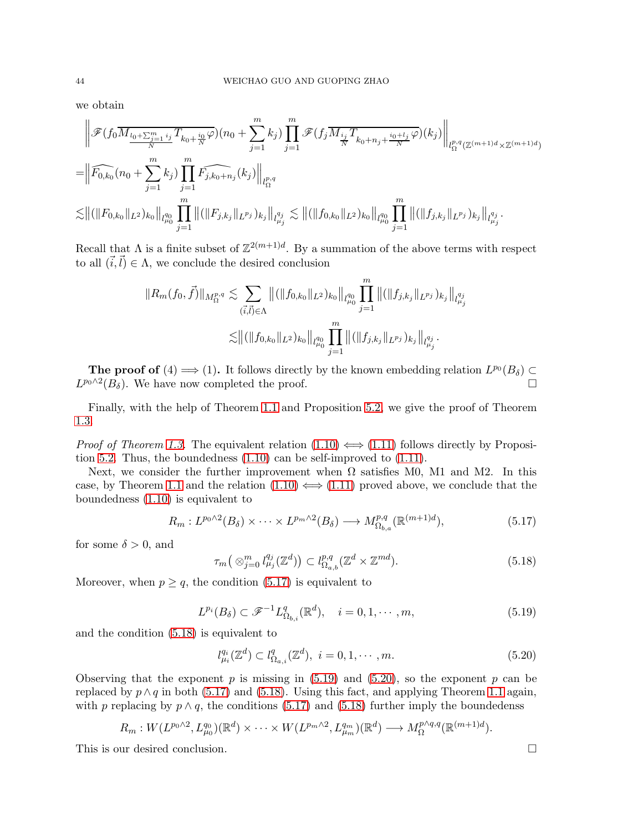we obtain

$$
\|\mathscr{F}(f_0M_{\frac{l_0+\sum_{j=1}^m i_j}{N}}T_{k_0+\frac{i_0}{N}}\varphi)(n_0+\sum_{j=1}^m k_j)\prod_{j=1}^m\mathscr{F}(f_j\overline{M_{\frac{i_j}{N}}T_{k_0+n_j+\frac{i_0+l_j}{N}}}\varphi)(k_j)\Big\|_{l_{\Omega}^{p,q}(\mathbb{Z}^{(m+1)d}\times\mathbb{Z}^{(m+1)d})}
$$
  

$$
=\|\widehat{F_{0,k_0}}(n_0+\sum_{j=1}^m k_j)\prod_{j=1}^m\widehat{F_{j,k_0+n_j}}(k_j)\Big\|_{l_{\Omega}^{p,q}}\lesssim \|(\|F_{0,k_0}\|_{L^2})_{k_0}\|_{l_{\mu_0}^{q_0}}\prod_{j=1}^m\|(\|F_{j,k_j}\|_{L^{p_j}})_{k_j}\|_{l_{\mu_j}^{q_j}}\lesssim \|(\|f_{0,k_0}\|_{L^2})_{k_0}\|_{l_{\mu_0}^{q_0}}\prod_{j=1}^m\|(\|f_{j,k_j}\|_{L^{p_j}})_{k_j}\|_{l_{\mu_j}^{q_j}}.
$$

Recall that  $\Lambda$  is a finite subset of  $\mathbb{Z}^{2(m+1)d}$ . By a summation of the above terms with respect to all  $(\vec{i}, \vec{l}) \in \Lambda$ , we conclude the desired conclusion

$$
||R_m(f_0, \vec{f})||_{M_{\Omega}^{p,q}} \lesssim \sum_{(\vec{i}, \vec{l}) \in \Lambda} ||(||f_{0,k_0}||_{L^2})_{k_0}||_{l_{\mu_0}^{q_0}} \prod_{j=1}^m ||(||f_{j,k_j}||_{L^{p_j}})_{k_j}||_{l_{\mu_j}^{q_j}} \lesssim ||(||f_{0,k_0}||_{L^2})_{k_0}||_{l_{\mu_0}^{q_0}} \prod_{j=1}^m ||(||f_{j,k_j}||_{L^{p_j}})_{k_j}||_{l_{\mu_j}^{q_j}}.
$$

The proof of (4)  $\Longrightarrow$  (1). It follows directly by the known embedding relation  $L^{p_0}(B_\delta) \subset$  $L^{p_0 \wedge 2}(B_\delta)$ . We have now completed the proof.

Finally, with the help of Theorem [1.1](#page-3-5) and Proposition [5.2,](#page-37-0) we give the proof of Theorem [1.3.](#page-3-6)

*Proof of Theorem [1.3.](#page-3-6)* The equivalent relation  $(1.10) \iff (1.11)$  $(1.10) \iff (1.11)$  follows directly by Proposition [5.2.](#page-37-0) Thus, the boundedness [\(1.10\)](#page-3-8) can be self-improved to [\(1.11\)](#page-4-1).

Next, we consider the further improvement when  $\Omega$  satisfies M0, M1 and M2. In this case, by Theorem [1.1](#page-3-5) and the relation  $(1.10) \iff (1.11)$  $(1.10) \iff (1.11)$  proved above, we conclude that the boundedness [\(1.10\)](#page-3-8) is equivalent to

<span id="page-43-0"></span>
$$
R_m: L^{p_0 \wedge 2}(B_\delta) \times \cdots \times L^{p_m \wedge 2}(B_\delta) \longrightarrow M^{p,q}_{\Omega_{b,a}}(\mathbb{R}^{(m+1)d}), \tag{5.17}
$$

for some  $\delta > 0$ , and

<span id="page-43-1"></span>
$$
\tau_m\big(\otimes_{j=0}^m l_{\mu_j}^{q_j}(\mathbb{Z}^d)\big) \subset l_{\Omega_{a,b}}^{p,q}(\mathbb{Z}^d \times \mathbb{Z}^{md}).\tag{5.18}
$$

Moreover, when  $p \geq q$ , the condition [\(5.17\)](#page-43-0) is equivalent to

<span id="page-43-2"></span>
$$
L^{p_i}(B_\delta) \subset \mathcal{F}^{-1}L^q_{\Omega_{b,i}}(\mathbb{R}^d), \quad i = 0, 1, \cdots, m,
$$
\n
$$
(5.19)
$$

and the condition [\(5.18\)](#page-43-1) is equivalent to

<span id="page-43-3"></span>
$$
l_{\mu_i}^{q_i}(\mathbb{Z}^d) \subset l_{\Omega_{a,i}}^q(\mathbb{Z}^d), \ i = 0, 1, \cdots, m. \tag{5.20}
$$

Observing that the exponent p is missing in  $(5.19)$  and  $(5.20)$ , so the exponent p can be replaced by  $p \wedge q$  in both [\(5.17\)](#page-43-0) and [\(5.18\)](#page-43-1). Using this fact, and applying Theorem [1.1](#page-3-5) again, with p replacing by  $p \wedge q$ , the conditions [\(5.17\)](#page-43-0) and [\(5.18\)](#page-43-1) further imply the boundedenss

$$
R_m: W(L^{p_0 \wedge 2}, L^{q_0}_{\mu_0})(\mathbb{R}^d) \times \cdots \times W(L^{p_m \wedge 2}, L^{q_m}_{\mu_m})(\mathbb{R}^d) \longrightarrow M_{\Omega}^{p \wedge q, q}(\mathbb{R}^{(m+1)d}).
$$

This is our desired conclusion.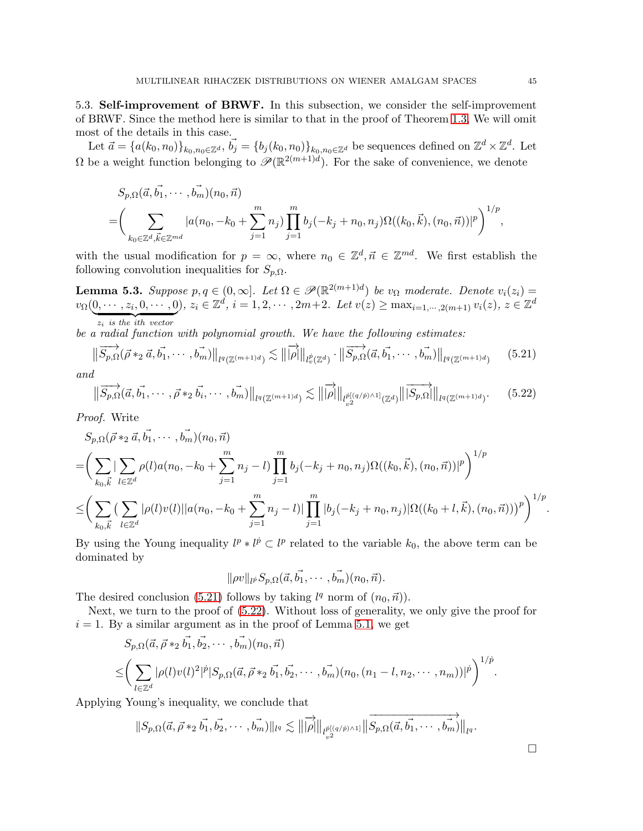5.3. Self-improvement of BRWF. In this subsection, we consider the self-improvement of BRWF. Since the method here is similar to that in the proof of Theorem [1.3,](#page-3-6) We will omit most of the details in this case.

Let  $\vec{a} = {a(k_0, n_0)}_{k_0, n_0 \in \mathbb{Z}^d}$ ,  $\vec{b_j} = {b_j(k_0, n_0)}_{k_0, n_0 \in \mathbb{Z}^d}$  be sequences defined on  $\mathbb{Z}^d \times \mathbb{Z}^d$ . Let  $\Omega$  be a weight function belonging to  $\mathscr{P}(\mathbb{R}^{2(m+1)d})$ . For the sake of convenience, we denote

$$
S_{p,\Omega}(\vec{a}, \vec{b_1}, \cdots, \vec{b_m})(n_0, \vec{n}) = \left(\sum_{k_0 \in \mathbb{Z}^d, \vec{k} \in \mathbb{Z}^{md}} |a(n_0, -k_0 + \sum_{j=1}^m n_j) \prod_{j=1}^m b_j(-k_j + n_0, n_j) \Omega((k_0, \vec{k}), (n_0, \vec{n}))|^p \right)^{1/p},
$$

with the usual modification for  $p = \infty$ , where  $n_0 \in \mathbb{Z}^d, \vec{n} \in \mathbb{Z}^{md}$ . We first establish the following convolution inequalities for  $S_{p,\Omega}$ .

<span id="page-44-2"></span>**Lemma 5.3.** Suppose  $p, q \in (0, \infty]$ . Let  $\Omega \in \mathcal{P}(\mathbb{R}^{2(m+1)d})$  be  $v_{\Omega}$  moderate. Denote  $v_i(z_i)$  $v_{\Omega}(0, \dots, z_i, 0, \dots, 0), z_i \in \mathbb{Z}^d, i = 1, 2, \dots, 2m+2.$  Let  $v(z) \ge \max_{i=1, \dots, 2(m+1)} v_i(z), z \in \mathbb{Z}^d$  $z_i$  is the ith vector

be a radial function with polynomial growth. We have the following estimates:

<span id="page-44-0"></span>
$$
\left\| \overrightarrow{S_{p,\Omega}}(\vec{\rho} *_{2} \vec{a}, \vec{b_1}, \cdots, \vec{b_m}) \right\|_{l^{q}(\mathbb{Z}^{(m+1)d})} \lesssim \left\| \overrightarrow{|\rho|} \right\|_{l^{p}_{v}(\mathbb{Z}^{d})} \cdot \left\| \overrightarrow{S_{p,\Omega}}(\vec{a}, \vec{b_1}, \cdots, \vec{b_m}) \right\|_{l^{q}(\mathbb{Z}^{(m+1)d})}
$$
(5.21)

and

<span id="page-44-1"></span>
$$
\|\overrightarrow{S_{p,\Omega}}(\vec{a}, \vec{b_1}, \cdots, \vec{\rho} *_{2} \vec{b_i}, \cdots, \vec{b_m})\|_{l^{q}(\mathbb{Z}^{(m+1)d})} \lesssim \|\overrightarrow{|\rho|}\|_{l^{p[(q/p)\wedge 1]}_{v^{2}}(\mathbb{Z}^{d})}\|\overrightarrow{S_{p,\Omega}}\|\|_{l^{q}(\mathbb{Z}^{(m+1)d})}.
$$
 (5.22)

Proof. Write

$$
S_{p,\Omega}(\vec{\rho} *_{2} \vec{a}, \vec{b_{1}}, \cdots, \vec{b_{m}})(n_{0}, \vec{n})
$$
\n
$$
= \left(\sum_{k_{0}, \vec{k}} |\sum_{l \in \mathbb{Z}^{d}} \rho(l) a(n_{0}, -k_{0} + \sum_{j=1}^{m} n_{j} - l) \prod_{j=1}^{m} b_{j}(-k_{j} + n_{0}, n_{j}) \Omega((k_{0}, \vec{k}), (n_{0}, \vec{n}))|^{p}\right)^{1/p}
$$
\n
$$
\leq \left(\sum_{k_{0}, \vec{k}} (\sum_{l \in \mathbb{Z}^{d}} |\rho(l) v(l)| |a(n_{0}, -k_{0} + \sum_{j=1}^{m} n_{j} - l)| \prod_{j=1}^{m} |b_{j}(-k_{j} + n_{0}, n_{j})| \Omega((k_{0} + l, \vec{k}), (n_{0}, \vec{n}))|^{p}\right)^{1/p}.
$$

By using the Young inequality  $l^p * l^{\dot{p}} \subset l^p$  related to the variable  $k_0$ , the above term can be dominated by

$$
\|\rho v\|_{l^{\vec{p}}}S_{p,\Omega}(\vec{a}, \vec{b_1},\cdots,\vec{b_m})(n_0,\vec{n}).
$$

The desired conclusion [\(5.21\)](#page-44-0) follows by taking  $l^q$  norm of  $(n_0, \vec{n})$ ).

Next, we turn to the proof of [\(5.22\)](#page-44-1). Without loss of generality, we only give the proof for  $i = 1$ . By a similar argument as in the proof of Lemma [5.1,](#page-34-3) we get

$$
S_{p,\Omega}(\vec{a}, \vec{\rho} *_{2} \vec{b_{1}}, \vec{b_{2}}, \cdots, \vec{b_{m}})(n_{0}, \vec{n})
$$
  

$$
\leq \left(\sum_{l \in \mathbb{Z}^{d}} |\rho(l)v(l)|^{2} |^{p} |S_{p,\Omega}(\vec{a}, \vec{\rho} *_{2} \vec{b_{1}}, \vec{b_{2}}, \cdots, \vec{b_{m}})(n_{0}, (n_{1} - l, n_{2}, \cdots, n_{m}))|^{p}\right)^{1/p}.
$$

Applying Young's inequality, we conclude that

$$
||S_{p,\Omega}(\vec{a}, \vec{\rho} *_{2} \vec{b_1}, \vec{b_2}, \cdots, \vec{b_m})||_{l^q} \lesssim ||\overrightarrow{|\rho}||_{l^{\dot{p}[(q/\dot{p})\wedge 1] }_{v^2}} ||\overrightarrow{S_{p,\Omega}(\vec{a}, \vec{b_1}, \cdots, \vec{b_m})}||_{l^q}.
$$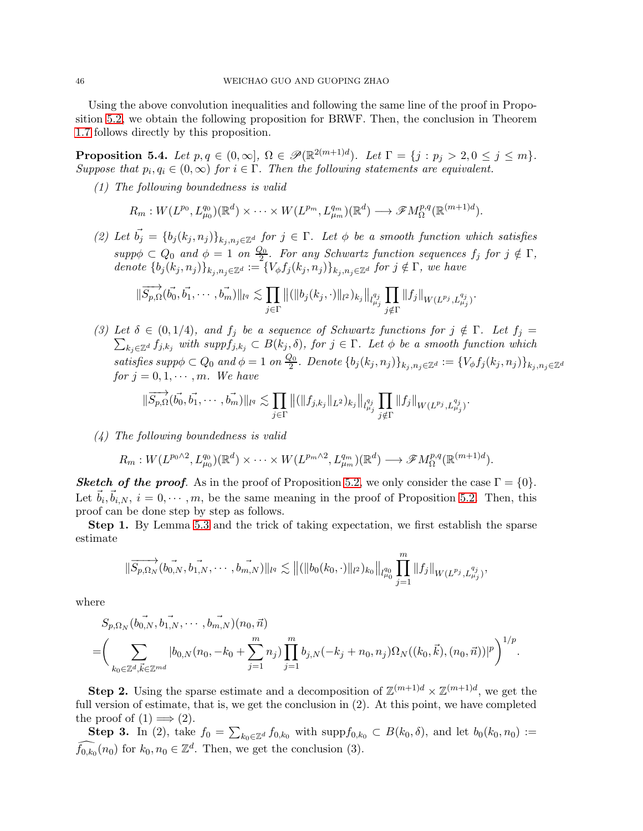Using the above convolution inequalities and following the same line of the proof in Proposition [5.2,](#page-37-0) we obtain the following proposition for BRWF. Then, the conclusion in Theorem [1.7](#page-5-3) follows directly by this proposition.

<span id="page-45-0"></span>**Proposition 5.4.** Let  $p, q \in (0, \infty]$ ,  $\Omega \in \mathscr{P}(\mathbb{R}^{2(m+1)d})$ . Let  $\Gamma = \{j : p_j > 2, 0 \le j \le m\}$ . Suppose that  $p_i, q_i \in (0, \infty)$  for  $i \in \Gamma$ . Then the following statements are equivalent.

(1) The following boundedness is valid

$$
R_m: W(L^{p_0}, L^{q_0}_{\mu_0})(\mathbb{R}^d) \times \cdots \times W(L^{p_m}, L^{q_m}_{\mu_m})(\mathbb{R}^d) \longrightarrow \mathscr{F}M^{p,q}_{\Omega}(\mathbb{R}^{(m+1)d}).
$$

(2) Let  $\vec{b_j} = \{b_j (k_j, n_j)\}_{k_j, n_j \in \mathbb{Z}^d}$  for  $j \in \Gamma$ . Let  $\phi$  be a smooth function which satisfies  $supp\phi \subset Q_0$  and  $\phi = 1$  on  $\frac{Q_0}{2}$  $\frac{\mathcal{Z}_0}{2}$ . For any Schwartz function sequences  $f_j$  for  $j \notin \Gamma$ , denote  $\{b_j (k_j, n_j)\}_{k_j, n_j \in \mathbb{Z}^d} := \{V_{\phi} f_j (k_j, n_j)\}_{k_j, n_j \in \mathbb{Z}^d}$  for  $j \notin \Gamma$ , we have

$$
\|\overrightarrow{S_{p,\Omega}}(\vec{b_0},\vec{b_1},\cdots,\vec{b_m})\|_{l^q}\lesssim \prod_{j\in\Gamma} \|(\|b_j(k_j,\cdot)\|_{l^2})_{k_j}\|_{l^{q_j}_{\mu_j}} \prod_{j\notin\Gamma} \|f_j\|_{W(L^{p_j},L^{q_j}_{\mu_j})}.
$$

(3) Let  $\delta \in (0,1/4)$ , and  $f_j$  be a sequence of Schwartz functions for  $j \notin \Gamma$ . Let  $f_j =$  $\sum_{k_j\in\mathbb{Z}^d} f_{j,k_j}$  with supp $f_{j,k_j}\subset B(k_j,\delta)$ , for  $j\in\Gamma$ . Let  $\phi$  be a smooth function which satisfies suppo $\phi \subset Q_0$  and  $\phi = 1$  on  $\frac{Q_0}{2}$  $\frac{20}{2}$ . Denote  $\{b_j(k_j,n_j)\}_{k_j,n_j\in\mathbb{Z}^d}:=\{V_\phi f_j(k_j,n_j)\}_{k_j,n_j\in\mathbb{Z}^d}$ for  $j = 0, 1, \cdots, m$ . We have

$$
\|\overrightarrow{S_{p,\Omega}}(\vec{b_0},\vec{b_1},\cdots,\vec{b_m})\|_{l^q}\lesssim \prod_{j\in\Gamma}\|(\|f_{j,k_j}\|_{L^2})_{k_j}\|_{l^{q_j}_{\mu_j}}\prod_{j\notin\Gamma}\|f_j\|_{W(L^{p_j},L^{q_j}_{\mu_j})}.
$$

(4) The following boundedness is valid

$$
R_m: W(L^{p_0 \wedge 2}, L^{q_0}_{\mu_0})(\mathbb{R}^d) \times \cdots \times W(L^{p_m \wedge 2}, L^{q_m}_{\mu_m})(\mathbb{R}^d) \longrightarrow \mathscr{F}M^{p,q}_{\Omega}(\mathbb{R}^{(m+1)d}).
$$

**Sketch of the proof.** As in the proof of Proposition [5.2,](#page-37-0) we only consider the case  $\Gamma = \{0\}$ . Let  $\vec{b}_i, \vec{b}_{i,N}, i = 0, \cdots, m$ , be the same meaning in the proof of Proposition [5.2.](#page-37-0) Then, this proof can be done step by step as follows.

Step 1. By Lemma [5.3](#page-44-2) and the trick of taking expectation, we first establish the sparse estimate

$$
\|\overrightarrow{S_{p,\Omega_N}}(b_{0,N},\overrightarrow{b_{1,N}},\cdots,\overrightarrow{b_{m,N}})\|_{l^q}\lesssim \| ( \|b_0(k_0,\cdot)\|_{l^2})_{k_0}\|_{l^{q_0}_{\mu_0}}\prod_{j=1}^m \|f_j\|_{W(L^{p_j},L^{q_j}_{\mu_j})},
$$

where

$$
S_{p,\Omega_N}(b_{0,N}^-, b_{1,N}^-, \cdots, b_{m,N}^-,)(n_0, \vec{n})
$$
  
=  $\left(\sum_{k_0 \in \mathbb{Z}^d, \vec{k} \in \mathbb{Z}^{md}} |b_{0,N}(n_0, -k_0 + \sum_{j=1}^m n_j) \prod_{j=1}^m b_{j,N}(-k_j + n_0, n_j) \Omega_N((k_0, \vec{k}), (n_0, \vec{n}))|^p \right)^{1/p}.$ 

**Step 2.** Using the sparse estimate and a decomposition of  $\mathbb{Z}^{(m+1)d} \times \mathbb{Z}^{(m+1)d}$ , we get the full version of estimate, that is, we get the conclusion in (2). At this point, we have completed the proof of  $(1) \implies (2)$ .

**Step 3.** In (2), take  $f_0 = \sum_{k_0 \in \mathbb{Z}^d} f_{0,k_0}$  with  $\text{supp} f_{0,k_0} \subset B(k_0, \delta)$ , and let  $b_0(k_0, n_0) :=$  $\tilde{f}_{0,k_0}(n_0)$  for  $k_0, n_0 \in \mathbb{Z}^d$ . Then, we get the conclusion (3).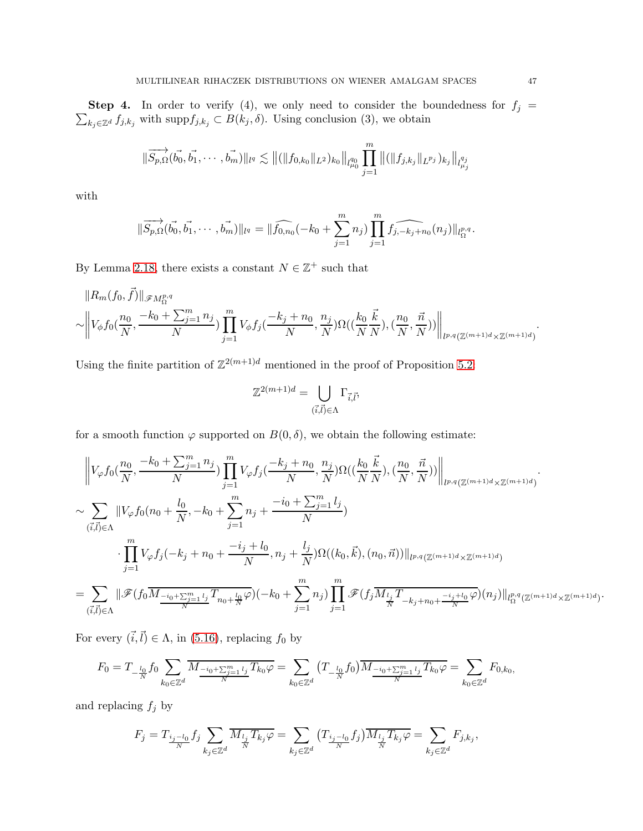$\sum_{k_j \in \mathbb{Z}^d} f_{j,k_j}$  with supp $f_{j,k_j} \subset B(k_j, \delta)$ . Using conclusion (3), we obtain **Step 4.** In order to verify (4), we only need to consider the boundedness for  $f_j =$ 

$$
\|\overrightarrow{S_{p,\Omega}}(\overrightarrow{b_0},\overrightarrow{b_1},\cdots,\overrightarrow{b_m})\|_{l^q}\lesssim \|(\|f_{0,k_0}\|_{L^2})_{k_0}\|_{l^{q_0}_{\mu_0}}\prod_{j=1}^m \|(\|f_{j,k_j}\|_{L^{p_j}})_{k_j}\|_{l^{q_j}_{\mu_j}}
$$

with

$$
\|\overrightarrow{S_{p,\Omega}}(\vec{b_0},\vec{b_1},\cdots,\vec{b_m})\|_{l^q} = \|\widehat{f_{0,n_0}}(-k_0+\sum_{j=1}^m n_j)\prod_{j=1}^m\widehat{f_{j,-k_j+n_0}}(n_j)\|_{l^p_\Omega}^{n^q}.
$$

By Lemma [2.18,](#page-11-1) there exists a constant  $N \in \mathbb{Z}^+$  such that

$$
||R_m(f_0, \vec{f})||_{\mathscr{F}M^{p,q}_{\Omega}}\sim ||V_{\phi}f_0(\frac{n_0}{N}, \frac{-k_0 + \sum_{j=1}^m n_j}{N}) \prod_{j=1}^m V_{\phi}f_j(\frac{-k_j + n_0}{N}, \frac{n_j}{N}) \Omega((\frac{k_0}{N} \frac{\vec{k}}{N}), (\frac{n_0}{N}, \frac{\vec{n}}{N}))||_{l^{p,q}(\mathbb{Z}^{(m+1)d} \times \mathbb{Z}^{(m+1)d})}.
$$

Using the finite partition of  $\mathbb{Z}^{2(m+1)d}$  mentioned in the proof of Proposition [5.2:](#page-37-0)

$$
\mathbb{Z}^{2(m+1)d} = \bigcup_{(\vec{i},\vec{l}) \in \Lambda} \Gamma_{\vec{i},\vec{l}},
$$

for a smooth function  $\varphi$  supported on  $B(0, \delta)$ , we obtain the following estimate:

$$
\begin{split} &\left\|\boldsymbol{V}_{\varphi}f_{0}(\frac{n_{0}}{N},\frac{-k_{0}+\sum_{j=1}^{m}n_{j}}{N})\prod_{j=1}^{m}\boldsymbol{V}_{\varphi}f_{j}(\frac{-k_{j}+n_{0}}{N},\frac{n_{j}}{N})\Omega((\frac{k_{0}}{N}\frac{\vec{k}}{N}),(\frac{n_{0}}{N},\frac{\vec{n}}{N}))\right\|_{l^{p,q}(\mathbb{Z}^{(m+1)d}\times\mathbb{Z}^{(m+1)d})}.\\ &\sim \sum_{(\vec{i},\vec{l})\in\Lambda}\|\boldsymbol{V}_{\varphi}f_{0}(n_{0}+\frac{l_{0}}{N},-k_{0}+\sum_{j=1}^{m}n_{j}+\frac{-i_{0}+\sum_{j=1}^{m}l_{j}}{N})\\ &\cdot\prod_{j=1}^{m}\boldsymbol{V}_{\varphi}f_{j}(-k_{j}+n_{0}+\frac{-i_{j}+l_{0}}{N},n_{j}+\frac{l_{j}}{N})\Omega((k_{0},\vec{k}),(n_{0},\vec{n}))\|_{l^{p,q}(\mathbb{Z}^{(m+1)d}\times\mathbb{Z}^{(m+1)d})}\\ &=\sum_{(\vec{i},\vec{l})\in\Lambda}\|\mathscr{F}(f_{0}\overline{M_{\frac{-i_{0}+\sum_{j=1}^{m}l_{j}}{N}}T_{n_{0}+\frac{l_{0}}{N}}\varphi)(-k_{0}+\sum_{j=1}^{m}n_{j})\prod_{j=1}^{m}\mathscr{F}(f_{j}\overline{M_{\frac{l_{j}}{N}}T_{-k_{j}+n_{0}+\frac{-i_{j}+l_{0}}{N}}}\varphi)(n_{j})\|_{l^{p,q}_{\Omega}(\mathbb{Z}^{(m+1)d}\times\mathbb{Z}^{(m+1)d})}. \end{split}
$$

For every  $(\vec{i}, \vec{l}) \in \Lambda$ , in [\(5.16\)](#page-42-0), replacing  $f_0$  by

$$
F_0 = T_{-\frac{l_0}{N}} f_0 \sum_{k_0 \in \mathbb{Z}^d} \overline{M_{\frac{-i_0 + \sum_{j=1}^m l_j}{N}} T_{k_0} \varphi} = \sum_{k_0 \in \mathbb{Z}^d} \left( T_{-\frac{l_0}{N}} f_0 \right) \overline{M_{\frac{-i_0 + \sum_{j=1}^m l_j}{N}} T_{k_0} \varphi} = \sum_{k_0 \in \mathbb{Z}^d} F_{0,k_0}
$$

and replacing  $f_j$  by

$$
F_j=T_{\frac{i_j-l_0}{N}}f_j\sum_{k_j\in\mathbb{Z}^d}\overline{M_{\frac{l_j}{N}}T_{k_j}\varphi}=\sum_{k_j\in\mathbb{Z}^d}\big(T_{\frac{i_j-l_0}{N}}f_j\big)\overline{M_{\frac{l_j}{N}}T_{k_j}\varphi}=\sum_{k_j\in\mathbb{Z}^d}F_{j,k_j},
$$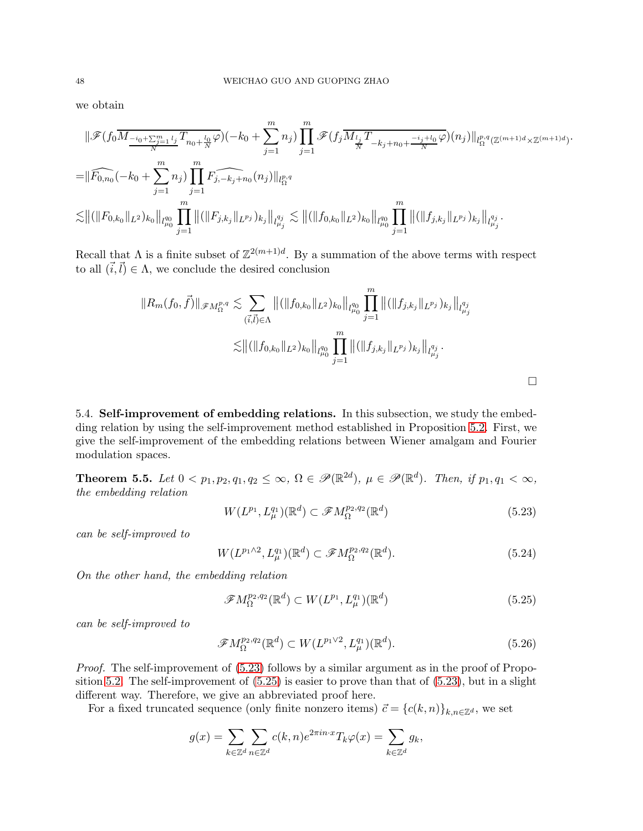we obtain

$$
\|\mathscr{F}(f_0M_{\frac{-i_0+\sum_{j=1}^m l_j}{N}}T_{n_0+\frac{l_0}{N}}\varphi)(-k_0+\sum_{j=1}^m n_j)\prod_{j=1}^m\mathscr{F}(f_j\overline{M_{\frac{l_j}{N}}T_{-k_j+n_0+\frac{-i_j+l_0}{N}}}\varphi)(n_j)\|_{l_{\Omega}^{p,q}(\mathbb{Z}^{(m+1)d}\times\mathbb{Z}^{(m+1)d})}
$$
  

$$
=\|\widehat{F_{0,n_0}}(-k_0+\sum_{j=1}^m n_j)\prod_{j=1}^m F_{j,-k_j+n_0}(n_j)\|_{l_{\Omega}^{p,q}}
$$
  

$$
\lesssim \|(\|F_{0,k_0}\|_{L^2})_{k_0}\|_{l_{\mu_0}^{q_0}}\prod_{j=1}^m\|(\|F_{j,k_j}\|_{L^{p_j}})_{k_j}\|_{l_{\mu_j}^{q_j}} \lesssim \|(\|f_{0,k_0}\|_{L^2})_{k_0}\|_{l_{\mu_0}^{q_0}}\prod_{j=1}^m\|(\|f_{j,k_j}\|_{L^{p_j}})_{k_j}\|_{l_{\mu_j}^{q_j}}.
$$

.

 $\Box$ 

Recall that  $\Lambda$  is a finite subset of  $\mathbb{Z}^{2(m+1)d}$ . By a summation of the above terms with respect to all  $(\vec{i}, \vec{l}) \in \Lambda$ , we conclude the desired conclusion

$$
||R_m(f_0, \vec{f})||_{\mathscr{F}M^{p,q}_{\Omega}} \lesssim \sum_{(\vec{i}, \vec{l}) \in \Lambda} ||(||f_{0,k_0}||_{L^2})_{k_0}||_{l^{q_0}_{\mu_0}} \prod_{j=1}^m ||(||f_{j,k_j}||_{L^{p_j}})_{k_j}||_{l^{q_j}_{\mu_j}} \lesssim ||(||f_{0,k_0}||_{L^2})_{k_0}||_{l^{q_0}_{\mu_0}} \prod_{j=1}^m ||(||f_{j,k_j}||_{L^{p_j}})_{k_j}||_{l^{q_j}_{\mu_j}}.
$$

5.4. Self-improvement of embedding relations. In this subsection, we study the embedding relation by using the self-improvement method established in Proposition [5.2.](#page-37-0) First, we give the self-improvement of the embedding relations between Wiener amalgam and Fourier modulation spaces.

<span id="page-47-3"></span>**Theorem 5.5.** Let  $0 < p_1, p_2, q_1, q_2 \leq \infty$ ,  $\Omega \in \mathscr{P}(\mathbb{R}^{2d})$ ,  $\mu \in \mathscr{P}(\mathbb{R}^d)$ . Then, if  $p_1, q_1 < \infty$ , the embedding relation

<span id="page-47-0"></span>
$$
W(L^{p_1}, L^{q_1}_{\mu})(\mathbb{R}^d) \subset \mathscr{F}M^{p_2, q_2}_{\Omega}(\mathbb{R}^d)
$$
\n
$$
(5.23)
$$

can be self-improved to

$$
W(L^{p_1 \wedge 2}, L^{q_1}_{\mu})(\mathbb{R}^d) \subset \mathscr{F}M^{p_2, q_2}_{\Omega}(\mathbb{R}^d). \tag{5.24}
$$

On the other hand, the embedding relation

<span id="page-47-1"></span>
$$
\mathcal{F}M_{\Omega}^{p_2,q_2}(\mathbb{R}^d) \subset W(L^{p_1}, L^{q_1}_{\mu})(\mathbb{R}^d)
$$
\n(5.25)

can be self-improved to

<span id="page-47-2"></span>
$$
\mathcal{F}M_{\Omega}^{p_2,q_2}(\mathbb{R}^d) \subset W(L^{p_1 \vee 2}, L^{q_1}_{\mu})(\mathbb{R}^d). \tag{5.26}
$$

Proof. The self-improvement of [\(5.23\)](#page-47-0) follows by a similar argument as in the proof of Proposition [5.2.](#page-37-0) The self-improvement of [\(5.25\)](#page-47-1) is easier to prove than that of [\(5.23\)](#page-47-0), but in a slight different way. Therefore, we give an abbreviated proof here.

For a fixed truncated sequence (only finite nonzero items)  $\vec{c} = \{c(k,n)\}_{k,n\in\mathbb{Z}^d}$ , we set

$$
g(x) = \sum_{k \in \mathbb{Z}^d} \sum_{n \in \mathbb{Z}^d} c(k, n) e^{2\pi i n \cdot x} T_k \varphi(x) = \sum_{k \in \mathbb{Z}^d} g_k,
$$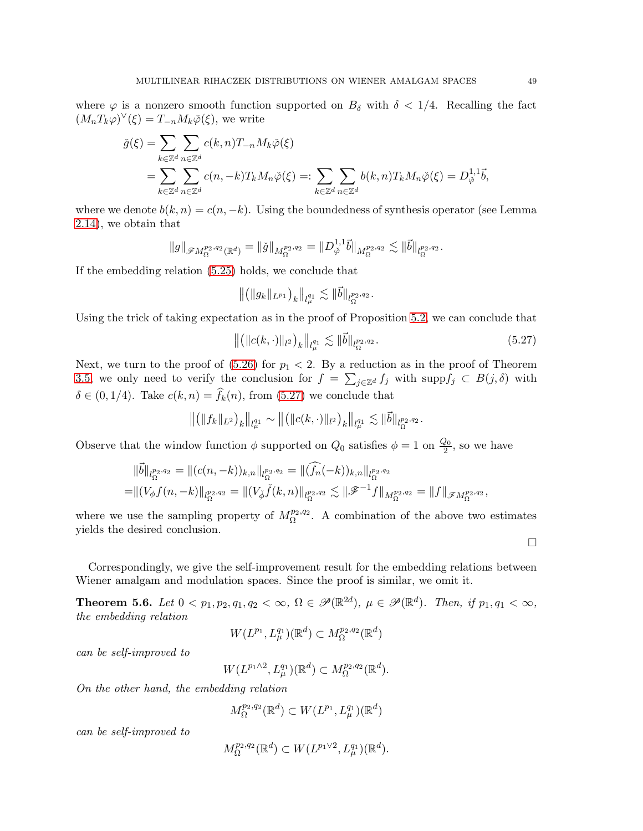where  $\varphi$  is a nonzero smooth function supported on  $B_{\delta}$  with  $\delta < 1/4$ . Recalling the fact  $(M_nT_k\varphi)^{\vee}(\xi) = T_{-n}M_k\check{\varphi}(\xi)$ , we write

$$
\check{g}(\xi) = \sum_{k \in \mathbb{Z}^d} \sum_{n \in \mathbb{Z}^d} c(k, n) T_{-n} M_k \check{\varphi}(\xi)
$$
  
= 
$$
\sum_{k \in \mathbb{Z}^d} \sum_{n \in \mathbb{Z}^d} c(n, -k) T_k M_n \check{\varphi}(\xi) =: \sum_{k \in \mathbb{Z}^d} \sum_{n \in \mathbb{Z}^d} b(k, n) T_k M_n \check{\varphi}(\xi) = D_{\check{\varphi}}^{1,1} \check{b},
$$

where we denote  $b(k, n) = c(n, -k)$ . Using the boundedness of synthesis operator (see Lemma [2.14\)](#page-10-3), we obtain that

$$
\|g\|_{\mathscr{F}M^{p_2,q_2}_{\Omega}(\mathbb{R}^d)}=\|\check{g}\|_{M^{p_2,q_2}_{\Omega}}=\|D_{\check{\varphi}}^{1,1}\vec{b}\|_{M^{p_2,q_2}_{\Omega}}\lesssim \|\vec{b}\|_{l^{p_2,q_2}_{\Omega}}.
$$

If the embedding relation [\(5.25\)](#page-47-1) holds, we conclude that

$$
\big\| \big( \|g_k\|_{L^{p_1}} \big)_k \big\|_{l^{q_1}_\mu} \lesssim \| \vec{b} \|_{l^{p_2,q_2}_\Omega}.
$$

Using the trick of taking expectation as in the proof of Proposition [5.2,](#page-37-0) we can conclude that

<span id="page-48-0"></span>
$$
\left\| \left( \|c(k, \cdot)\|_{l^2} \right)_k \right\|_{l^q_\mu} \lesssim \|\vec{b}\|_{l^{p_2, q_2}_\Omega}.
$$
\n(5.27)

Next, we turn to the proof of  $(5.26)$  for  $p_1 < 2$ . By a reduction as in the proof of Theorem [3.5,](#page-17-3) we only need to verify the conclusion for  $f = \sum_{j\in\mathbb{Z}^d} f_j$  with  $\text{supp} f_j \subset B(j,\delta)$  with  $\delta \in (0, 1/4)$ . Take  $c(k, n) = f_k(n)$ , from  $(5.27)$  we conclude that

$$
\left\| \left( \|f_k\|_{L^2} \right)_k \right\|_{l^{q_1}_{\mu}} \sim \left\| \left( \|c(k,\cdot)\|_{l^2} \right)_k \right\|_{l^{q_1}_{\mu}} \lesssim \|\vec{b}\|_{l^{p_2,q_2}_{\Omega}}.
$$

Observe that the window function  $\phi$  supported on  $Q_0$  satisfies  $\phi = 1$  on  $\frac{Q_0}{2}$ , so we have

$$
\begin{aligned} \|\vec{b}\|_{l_{\Omega}^{p_2,q_2}} &= \|(c(n,-k))_{k,n}\|_{l_{\Omega}^{p_2,q_2}} = \|\widehat{(f_n)}(k))_{k,n}\|_{l_{\Omega}^{p_2,q_2}} \\ &= \|(V_\phi f(n,-k)\|_{l_{\Omega}^{p_2,q_2}} = \|(V_{\check{\phi}}\check{f}(k,n)\|_{l_{\Omega}^{p_2,q_2}} \lesssim \|\mathscr{F}^{-1}f\|_{M_{\Omega}^{p_2,q_2}} = \|f\|_{\mathscr{F}M_{\Omega}^{p_2,q_2}}, \end{aligned}
$$

where we use the sampling property of  $M_{\Omega}^{p_2,q_2}$ . A combination of the above two estimates yields the desired conclusion.

Correspondingly, we give the self-improvement result for the embedding relations between Wiener amalgam and modulation spaces. Since the proof is similar, we omit it.

<span id="page-48-1"></span>**Theorem 5.6.** Let  $0 < p_1, p_2, q_1, q_2 < \infty$ ,  $\Omega \in \mathscr{P}(\mathbb{R}^{2d})$ ,  $\mu \in \mathscr{P}(\mathbb{R}^d)$ . Then, if  $p_1, q_1 < \infty$ , the embedding relation

$$
W(L^{p_1}, L^{q_1}_{\mu})(\mathbb{R}^d) \subset M^{p_2,q_2}_{\Omega}(\mathbb{R}^d)
$$

can be self-improved to

$$
W(L^{p_1 \wedge 2}, L_\mu^{q_1})(\mathbb{R}^d) \subset M^{p_2,q_2}_\Omega(\mathbb{R}^d).
$$

On the other hand, the embedding relation

$$
M_\Omega^{p_2,q_2}(\mathbb{R}^d) \subset W(L^{p_1},L_\mu^{q_1})(\mathbb{R}^d)
$$

can be self-improved to

$$
M_{\Omega}^{p_2,q_2}(\mathbb{R}^d) \subset W(L^{p_1 \vee 2}, L^{q_1}_{\mu})(\mathbb{R}^d).
$$

 $\Box$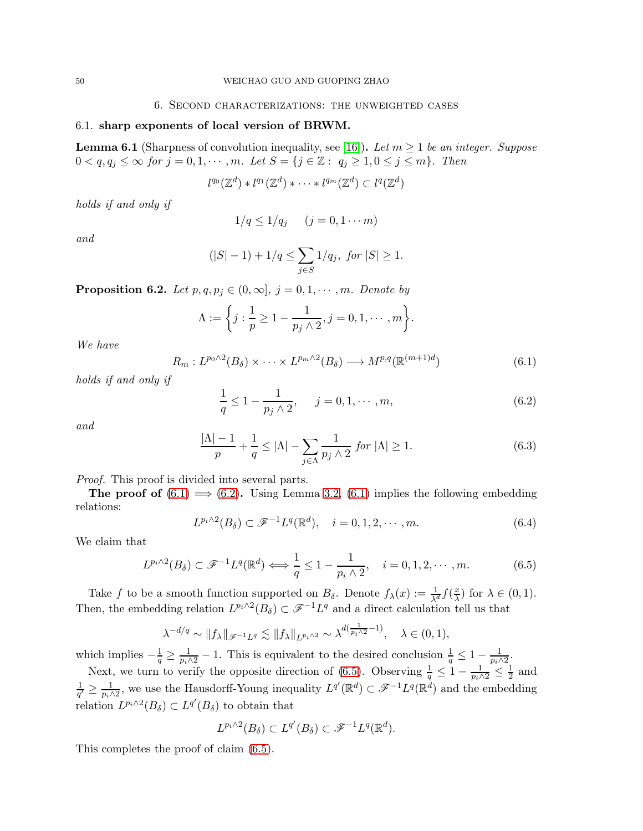## 6.1. sharp exponents of local version of BRWM.

<span id="page-49-5"></span>**Lemma 6.1** (Sharpness of convolution inequality, see [\[16\]](#page-63-16)). Let  $m \geq 1$  be an integer. Suppose  $0 < q, q_j \leq \infty$  for  $j = 0, 1, \cdots, m$ . Let  $S = \{j \in \mathbb{Z} : q_j \geq 1, 0 \leq j \leq m\}$ . Then

$$
l^{q_0}(\mathbb{Z}^d)\ast l^{q_1}(\mathbb{Z}^d)\ast \cdots \ast l^{q_m}(\mathbb{Z}^d)\subset l^{q}(\mathbb{Z}^d)
$$

holds if and only if

$$
1/q \le 1/q_j \qquad (j=0,1\cdots m)
$$

and

$$
(|S| - 1) + 1/q \le \sum_{j \in S} 1/q_j, \text{ for } |S| \ge 1.
$$

<span id="page-49-6"></span>**Proposition 6.2.** Let  $p, q, p_j \in (0, \infty], j = 0, 1, \cdots, m$ . Denote by

$$
\Lambda := \bigg\{ j : \frac{1}{p} \geq 1 - \frac{1}{p_j \wedge 2}, j = 0, 1, \cdots, m \bigg\}.
$$

We have

<span id="page-49-0"></span>
$$
R_m: L^{p_0 \wedge 2}(B_\delta) \times \cdots \times L^{p_m \wedge 2}(B_\delta) \longrightarrow M^{p,q}(\mathbb{R}^{(m+1)d})
$$
\n
$$
(6.1)
$$

holds if and only if

<span id="page-49-1"></span>
$$
\frac{1}{q} \le 1 - \frac{1}{p_j \wedge 2}, \quad j = 0, 1, \cdots, m,
$$
\n(6.2)

and

<span id="page-49-3"></span>
$$
\frac{|\Lambda| - 1}{p} + \frac{1}{q} \le |\Lambda| - \sum_{j \in \Lambda} \frac{1}{p_j \wedge 2} \text{ for } |\Lambda| \ge 1.
$$
 (6.3)

Proof. This proof is divided into several parts.

**The proof of**  $(6.1) \implies (6.2)$  $(6.1) \implies (6.2)$  $(6.1) \implies (6.2)$ . Using Lemma [3.2,](#page-12-4)  $(6.1)$  implies the following embedding relations:

<span id="page-49-4"></span>
$$
L^{p_i \wedge 2}(B_\delta) \subset \mathcal{F}^{-1}L^q(\mathbb{R}^d), \quad i = 0, 1, 2, \cdots, m. \tag{6.4}
$$

We claim that

<span id="page-49-2"></span>
$$
L^{p_i \wedge 2}(B_\delta) \subset \mathscr{F}^{-1}L^q(\mathbb{R}^d) \Longleftrightarrow \frac{1}{q} \le 1 - \frac{1}{p_i \wedge 2}, \quad i = 0, 1, 2, \cdots, m. \tag{6.5}
$$

Take f to be a smooth function supported on  $B_{\delta}$ . Denote  $f_{\lambda}(x) := \frac{1}{\lambda^d} f(\frac{x}{\lambda})$  $\frac{x}{\lambda}$  for  $\lambda \in (0,1)$ . Then, the embedding relation  $L^{p_i \wedge 2}(B_\delta) \subset \mathscr{F}^{-1}L^q$  and a direct calculation tell us that

$$
\lambda^{-d/q} \sim ||f_{\lambda}||_{\mathscr{F}^{-1}L^q} \lesssim ||f_{\lambda}||_{L^{p_i \wedge 2}} \sim \lambda^{d(\frac{1}{p_i \wedge 2} - 1)}, \quad \lambda \in (0, 1),
$$

which implies  $-\frac{1}{q} \ge \frac{1}{p_i \wedge 2} - 1$ . This is equivalent to the desired conclusion  $\frac{1}{q} \le 1 - \frac{1}{p_i \wedge 2}$ .

Next, we turn to verify the opposite direction of [\(6.5\)](#page-49-2). Observing  $\frac{1}{q} \leq 1 - \frac{1}{p_i \wedge 2} \leq \frac{1}{2}$  $\frac{1}{2}$  and 1  $\frac{1}{q'} \geq \frac{1}{p_i \wedge 2}$ , we use the Hausdorff-Young inequality  $L^{q'}(\mathbb{R}^d) \subset \mathscr{F}^{-1}L^{q}(\mathbb{R}^d)$  and the embedding relation  $L^{p_i \wedge 2}(B_\delta) \subset L^{q'}(B_\delta)$  to obtain that

$$
L^{p_i \wedge 2}(B_\delta) \subset L^{q'}(B_\delta) \subset \mathscr{F}^{-1}L^q(\mathbb{R}^d).
$$

This completes the proof of claim [\(6.5\)](#page-49-2).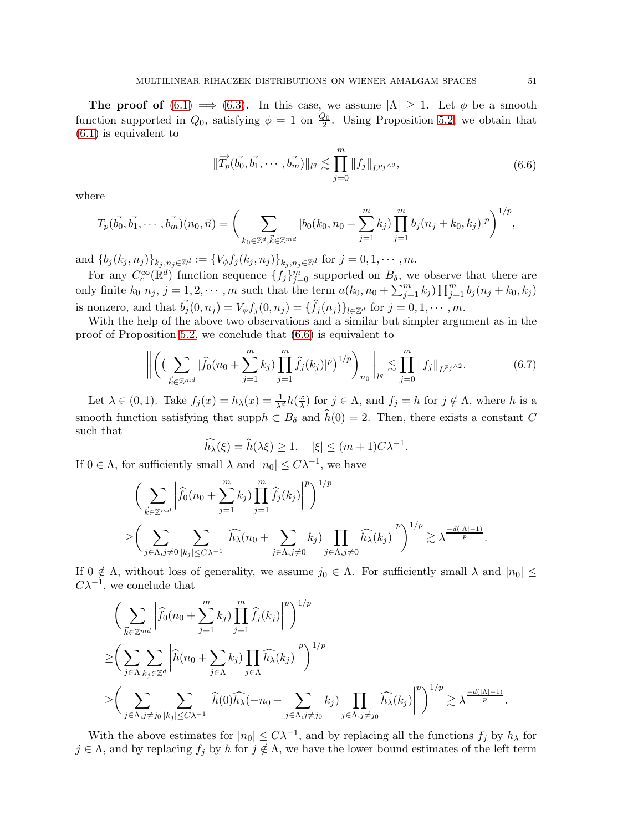The proof of  $(6.1) \implies (6.3)$  $(6.1) \implies (6.3)$  $(6.1) \implies (6.3)$ . In this case, we assume  $|\Lambda| \geq 1$ . Let  $\phi$  be a smooth function supported in  $Q_0$ , satisfying  $\phi = 1$  on  $\frac{Q_0}{2}$ . Using Proposition [5.2,](#page-37-0) we obtain that [\(6.1\)](#page-49-0) is equivalent to

$$
\|\overrightarrow{T}_{p}(\vec{b_{0}},\vec{b_{1}},\cdots,\vec{b_{m}})\|_{l^{q}} \lesssim \prod_{j=0}^{m} \|f_{j}\|_{L^{p_{j}\wedge 2}},
$$
\n(6.6)

<span id="page-50-0"></span>where

$$
T_p(\vec{b_0}, \vec{b_1}, \cdots, \vec{b_m})(n_0, \vec{n}) = \bigg(\sum_{k_0 \in \mathbb{Z}^d, \vec{k} \in \mathbb{Z}^{md}} |b_0(k_0, n_0 + \sum_{j=1}^m k_j) \prod_{j=1}^m b_j(n_j + k_0, k_j)|^p\bigg)^{1/p},
$$

and  $\{b_j (k_j, n_j)\}_{k_j, n_j \in \mathbb{Z}^d} := \{V_{\phi} f_j (k_j, n_j)\}_{k_j, n_j \in \mathbb{Z}^d}$  for  $j = 0, 1, \cdots, m$ .

For any  $C_c^{\infty}(\mathbb{R}^d)$  function sequence  $\{f_j\}_{j=0}^m$  supported on  $B_\delta$ , we observe that there are only finite  $k_0$   $n_j$ ,  $j = 1, 2, \cdots, m$  such that the term  $a(k_0, n_0 + \sum_{j=1}^m k_j) \prod_{j=1}^m b_j(n_j + k_0, k_j)$ is nonzero, and that  $\vec{b}_j(0, n_j) = V_\phi f_j(0, n_j) = {\hat{f}_j(n_j)}_{l \in \mathbb{Z}^d}$  for  $j = 0, 1, \cdots, m$ .

With the help of the above two observations and a similar but simpler argument as in the proof of Proposition [5.2,](#page-37-0) we conclude that [\(6.6\)](#page-50-0) is equivalent to

<span id="page-50-1"></span>
$$
\left\| \left( \left( \sum_{\vec{k} \in \mathbb{Z}^{md}} |\widehat{f}_0(n_0 + \sum_{j=1}^m k_j) \prod_{j=1}^m \widehat{f}_j(k_j)|^p \right)^{1/p} \right)_{n_0} \right\|_{l^q} \lesssim \prod_{j=0}^m \|f_j\|_{L^{p_j \wedge 2}}.\tag{6.7}
$$

Let  $\lambda \in (0, 1)$ . Take  $f_j(x) = h_\lambda(x) = \frac{1}{\lambda^d} h(\frac{x}{\lambda})$  $\frac{x}{\lambda}$ ) for  $j \in \Lambda$ , and  $f_j = h$  for  $j \notin \Lambda$ , where h is a smooth function satisfying that supp $h \subset B_\delta$  and  $\widehat{h}(0) = 2$ . Then, there exists a constant C such that

$$
\widehat{h_{\lambda}}(\xi) = \widehat{h}(\lambda \xi) \ge 1, \quad |\xi| \le (m+1)C\lambda^{-1}.
$$

If  $0 \in \Lambda$ , for sufficiently small  $\lambda$  and  $|n_0| \leq C\lambda^{-1}$ , we have

$$
\left(\sum_{\vec{k}\in\mathbb{Z}^{md}}\left|\widehat{f}_0(n_0+\sum_{j=1}^mk_j)\prod_{j=1}^m\widehat{f}_j(k_j)\right|^p\right)^{1/p}
$$
  

$$
\geq \left(\sum_{j\in\Lambda,j\neq 0}\sum_{|k_j|\leq C\lambda^{-1}}\left|\widehat{h_\lambda}(n_0+\sum_{j\in\Lambda,j\neq 0}k_j)\prod_{j\in\Lambda,j\neq 0}\widehat{h_\lambda}(k_j)\right|^p\right)^{1/p}\gtrsim \lambda^{\frac{-d(|\Lambda|-1)}{p}}.
$$

If  $0 \notin \Lambda$ , without loss of generality, we assume  $j_0 \in \Lambda$ . For sufficiently small  $\lambda$  and  $|n_0| \leq$  $C\lambda^{-1}$ , we conclude that

$$
\left(\sum_{\vec{k}\in\mathbb{Z}^{md}}\left|\widehat{f}_0(n_0+\sum_{j=1}^mk_j)\prod_{j=1}^m\widehat{f}_j(k_j)\right|^p\right)^{1/p}
$$
\n
$$
\geq \left(\sum_{j\in\Lambda}\sum_{k_j\in\mathbb{Z}^d}\left|\widehat{h}(n_0+\sum_{j\in\Lambda}k_j)\prod_{j\in\Lambda}\widehat{h}_\lambda(k_j)\right|^p\right)^{1/p}
$$
\n
$$
\geq \left(\sum_{j\in\Lambda,j\neq j_0}\sum_{|k_j|\leq C\lambda^{-1}}\left|\widehat{h}(0)\widehat{h}_\lambda(-n_0-\sum_{j\in\Lambda,j\neq j_0}k_j)\prod_{j\in\Lambda,j\neq j_0}\widehat{h}_\lambda(k_j)\right|^p\right)^{1/p}\gtrsim \lambda^{\frac{-d(|\Lambda|-1)}{p}}.
$$

With the above estimates for  $|n_0| \leq C\lambda^{-1}$ , and by replacing all the functions  $f_j$  by  $h_\lambda$  for  $j \in \Lambda$ , and by replacing  $f_j$  by h for  $j \notin \Lambda$ , we have the lower bound estimates of the left term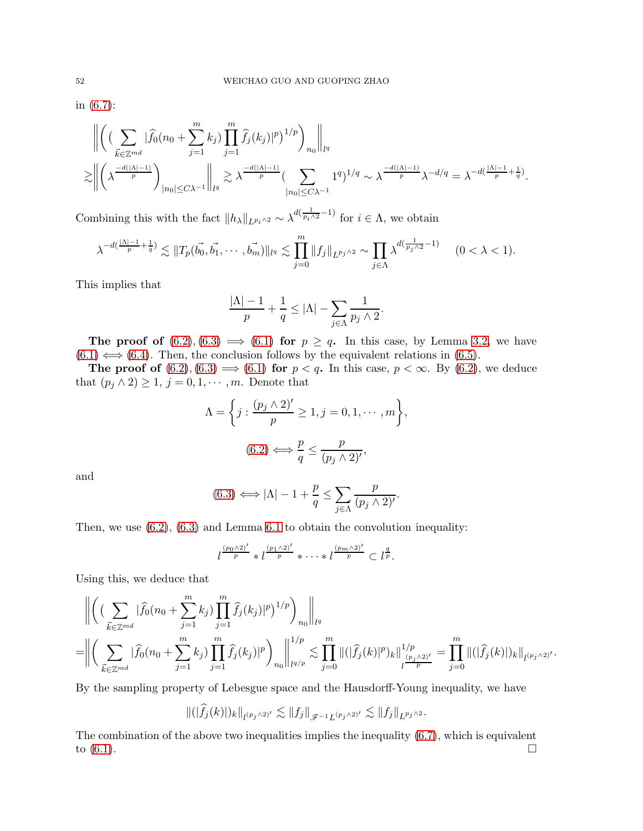in [\(6.7\)](#page-50-1):

$$
\left\| \left( \left( \sum_{\vec{k} \in \mathbb{Z}^{md}} |\widehat{f}_0(n_0 + \sum_{j=1}^m k_j) \prod_{j=1}^m \widehat{f}_j(k_j)|^p \right)^{1/p} \right)_{n_0} \right\|_{l^q}
$$
  

$$
\lesssim \left\| \left( \lambda^{\frac{-d(|\Lambda|-1)}{p}} \right)_{|n_0| \le C\lambda^{-1}} \right\|_{l^q} \gtrsim \lambda^{\frac{-d(|\Lambda|-1)}{p}} \left( \sum_{|n_0| \le C\lambda^{-1}} 1^q \right)^{1/q} \sim \lambda^{\frac{-d(|\Lambda|-1)}{p}} \lambda^{-d/q} = \lambda^{-d\left(\frac{|\Lambda|-1}{p} + \frac{1}{q}\right)}.
$$

Combining this with the fact  $||h_\lambda||_{L^{p_i \wedge 2}} \sim \lambda^{d(\frac{1}{p_i \wedge 2} - 1)}$  for  $i \in \Lambda$ , we obtain

$$
\lambda^{-d(\frac{|\Lambda|-1}{p}+\frac{1}{q})} \lesssim ||T_p(\vec{b_0}, \vec{b_1}, \cdots, \vec{b_m})||_{l^q} \lesssim \prod_{j=0}^m ||f_j||_{L^{p_j \wedge 2}} \sim \prod_{j \in \Lambda} \lambda^{d(\frac{1}{p_j \wedge 2}-1)} \qquad (0 < \lambda < 1).
$$

This implies that

$$
\frac{|\Lambda|-1}{p}+\frac{1}{q}\leq |\Lambda|-\sum_{j\in\Lambda}\frac{1}{p_j\wedge 2}.
$$

The proof of  $(6.2), (6.3) \implies (6.1)$  $(6.2), (6.3) \implies (6.1)$  $(6.2), (6.3) \implies (6.1)$  $(6.2), (6.3) \implies (6.1)$  $(6.2), (6.3) \implies (6.1)$  for  $p \ge q$ . In this case, by Lemma [3.2,](#page-12-4) we have  $(6.1) \Leftrightarrow (6.4)$  $(6.1) \Leftrightarrow (6.4)$  $(6.1) \Leftrightarrow (6.4)$ . Then, the conclusion follows by the equivalent relations in [\(6.5\)](#page-49-2).

The proof of  $(6.2), (6.3) \implies (6.1)$  $(6.2), (6.3) \implies (6.1)$  $(6.2), (6.3) \implies (6.1)$  $(6.2), (6.3) \implies (6.1)$  $(6.2), (6.3) \implies (6.1)$  for  $p < q$ . In this case,  $p < \infty$ . By  $(6.2)$ , we deduce that  $(p_j \wedge 2) \geq 1, j = 0, 1, \cdots, m$ . Denote that

$$
\Lambda = \left\{ j : \frac{(p_j \wedge 2)^j}{p} \ge 1, j = 0, 1, \cdots, m \right\},\
$$

$$
(6.2) \Longleftrightarrow \frac{p}{q} \le \frac{p}{(p_j \wedge 2)^j},
$$

and

$$
(6.3) \Longleftrightarrow |\Lambda| - 1 + \frac{p}{q} \le \sum_{j \in \Lambda} \frac{p}{(p_j \wedge 2)^j}.
$$

Then, we use  $(6.2)$ ,  $(6.3)$  and Lemma [6.1](#page-49-5) to obtain the convolution inequality:

$$
l^{\frac{(p_0\wedge 2)'}{p}} * l^{\frac{(p_1\wedge 2)'}{p}} * \cdots * l^{\frac{(p_m\wedge 2)'}{p}} \subset l^{\frac{q}{p}}.
$$

Using this, we deduce that

$$
\| \left( \left( \sum_{\vec{k} \in \mathbb{Z}^{md}} |\widehat{f}_0(n_0 + \sum_{j=1}^m k_j) \prod_{j=1}^m \widehat{f}_j(k_j)|^p \right)^{1/p} \right)_{n_0} \|_{l^q}
$$
  
= 
$$
\left\| \left( \sum_{\vec{k} \in \mathbb{Z}^{md}} |\widehat{f}_0(n_0 + \sum_{j=1}^m k_j) \prod_{j=1}^m \widehat{f}_j(k_j)|^p \right)_{n_0} \right\|_{l^{q/p}}^{1/p} \lesssim \prod_{j=0}^m \| (|\widehat{f}_j(k)|^p)_k \|_{l^{\frac{(p_j \wedge 2)^j}{p}}}^{1/p} = \prod_{j=0}^m \| (|\widehat{f}_j(k)|)_k \|_{l^{(p_j \wedge 2)^j}}. \right.
$$

By the sampling property of Lebesgue space and the Hausdorff-Young inequality, we have

$$
\|(|\widehat{f}_j(k)|)_k\|_{l^{(p_j\wedge 2)'}}\lesssim \|f_j\|_{\mathscr{F}^{-1}L^{(p_j\wedge 2)'}}\lesssim \|f_j\|_{L^{p_j\wedge 2}}.
$$

The combination of the above two inequalities implies the inequality [\(6.7\)](#page-50-1), which is equivalent to  $(6.1)$ .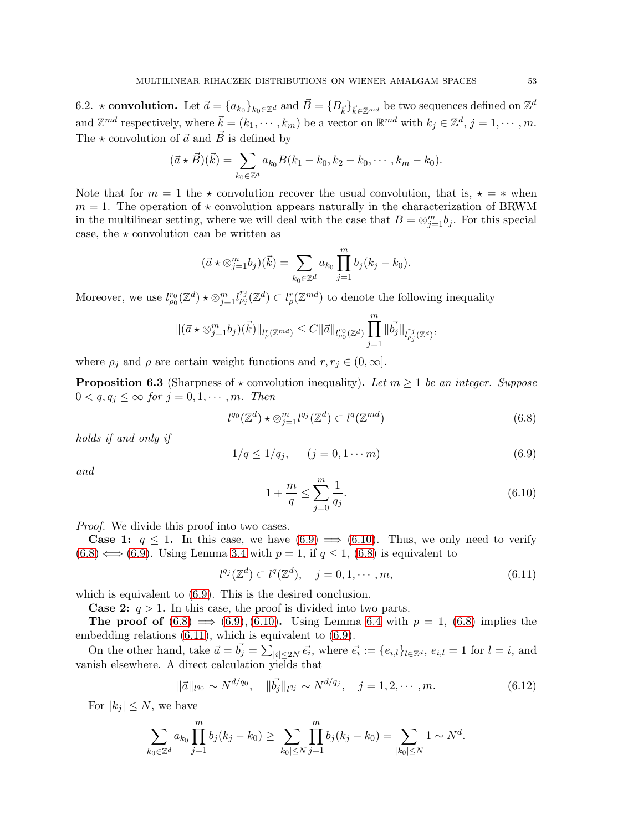6.2.  $\star$  convolution. Let  $\vec{a} = \{a_{k_0}\}_{k_0 \in \mathbb{Z}^d}$  and  $\vec{B} = \{B_{\vec{k}}\}_{\vec{k} \in \mathbb{Z}^{md}}$  be two sequences defined on  $\mathbb{Z}^d$ and  $\mathbb{Z}^{md}$  respectively, where  $\vec{k} = (k_1, \dots, k_m)$  be a vector on  $\mathbb{R}^{md}$  with  $k_j \in \mathbb{Z}^d$ ,  $j = 1, \dots, m$ . The  $\star$  convolution of  $\vec{a}$  and  $\vec{B}$  is defined by

$$
(\vec{a} \star \vec{B})(\vec{k}) = \sum_{k_0 \in \mathbb{Z}^d} a_{k_0} B(k_1 - k_0, k_2 - k_0, \cdots, k_m - k_0).
$$

Note that for  $m = 1$  the  $\star$  convolution recover the usual convolution, that is,  $\star = \star$  when  $m = 1$ . The operation of  $\star$  convolution appears naturally in the characterization of BRWM in the multilinear setting, where we will deal with the case that  $B = \otimes_{j=1}^m b_j$ . For this special case, the  $\star$  convolution can be written as

$$
(\vec{a} \star \otimes_{j=1}^{m} b_j)(\vec{k}) = \sum_{k_0 \in \mathbb{Z}^d} a_{k_0} \prod_{j=1}^m b_j (k_j - k_0).
$$

Moreover, we use  $l_{\rho_0}^{r_0}(\mathbb{Z}^d) \star \otimes_{j=1}^m l_{\rho_j}^{r_j}(\mathbb{Z}^d) \subset l_{\rho}^r(\mathbb{Z}^{md})$  to denote the following inequality

$$
\|(\vec{a} \star \otimes_{j=1}^m b_j)(\vec{k})\|_{l^r_{\rho}(\mathbb{Z}^{md})} \leq C \|\vec{a}\|_{l^{r_0}_{\rho_0}(\mathbb{Z}^d)} \prod_{j=1}^m \|\vec{b}_j\|_{l^{r_j}_{\rho_j}(\mathbb{Z}^d)},
$$

where  $\rho_j$  and  $\rho$  are certain weight functions and  $r, r_j \in (0, \infty]$ .

<span id="page-52-5"></span>**Proposition 6.3** (Sharpness of  $\star$  convolution inequality). Let  $m \geq 1$  be an integer. Suppose  $0 < q, q_j \leq \infty$  for  $j = 0, 1, \cdots, m$ . Then

<span id="page-52-2"></span>
$$
l^{q_0}(\mathbb{Z}^d) \star \otimes_{j=1}^m l^{q_j}(\mathbb{Z}^d) \subset l^q(\mathbb{Z}^{md})
$$
\n(6.8)

holds if and only if

<span id="page-52-0"></span>
$$
1/q \le 1/q_j, \qquad (j = 0, 1 \cdots m)
$$
\n(6.9)

and

<span id="page-52-1"></span>
$$
1 + \frac{m}{q} \le \sum_{j=0}^{m} \frac{1}{q_j}.\tag{6.10}
$$

Proof. We divide this proof into two cases.

**Case 1:**  $q \leq 1$ . In this case, we have  $(6.9) \implies (6.10)$  $(6.9) \implies (6.10)$ . Thus, we only need to verify  $(6.8) \iff (6.9)$  $(6.8) \iff (6.9)$  $(6.8) \iff (6.9)$ . Using Lemma [3.4](#page-16-3) with  $p = 1$ , if  $q \le 1$ ,  $(6.8)$  is equivalent to

<span id="page-52-3"></span>
$$
l^{q_j}(\mathbb{Z}^d) \subset l^q(\mathbb{Z}^d), \quad j = 0, 1, \cdots, m,
$$
\n
$$
(6.11)
$$

which is equivalent to  $(6.9)$ . This is the desired conclusion.

**Case 2:**  $q > 1$ . In this case, the proof is divided into two parts.

The proof of  $(6.8) \implies (6.9), (6.10)$  $(6.8) \implies (6.9), (6.10)$  $(6.8) \implies (6.9), (6.10)$  $(6.8) \implies (6.9), (6.10)$  $(6.8) \implies (6.9), (6.10)$ . Using Lemma [6.4](#page-54-0) with  $p = 1, (6.8)$  $p = 1, (6.8)$  implies the embedding relations [\(6.11\)](#page-52-3), which is equivalent to [\(6.9\)](#page-52-0).

On the other hand, take  $\vec{a} = \vec{b}_j = \sum_{|i| \leq 2N} \vec{e_i}$ , where  $\vec{e_i} := \{e_{i,l}\}_{l \in \mathbb{Z}^d}$ ,  $e_{i,l} = 1$  for  $l = i$ , and vanish elsewhere. A direct calculation yields that

<span id="page-52-4"></span>
$$
\|\vec{a}\|_{l^{q_0}} \sim N^{d/q_0}, \quad \|\vec{b_j}\|_{l^{q_j}} \sim N^{d/q_j}, \quad j = 1, 2, \cdots, m. \tag{6.12}
$$

For  $|k_i| \leq N$ , we have

$$
\sum_{k_0 \in \mathbb{Z}^d} a_{k_0} \prod_{j=1}^m b_j (k_j - k_0) \ge \sum_{|k_0| \le N} \prod_{j=1}^m b_j (k_j - k_0) = \sum_{|k_0| \le N} 1 \sim N^d.
$$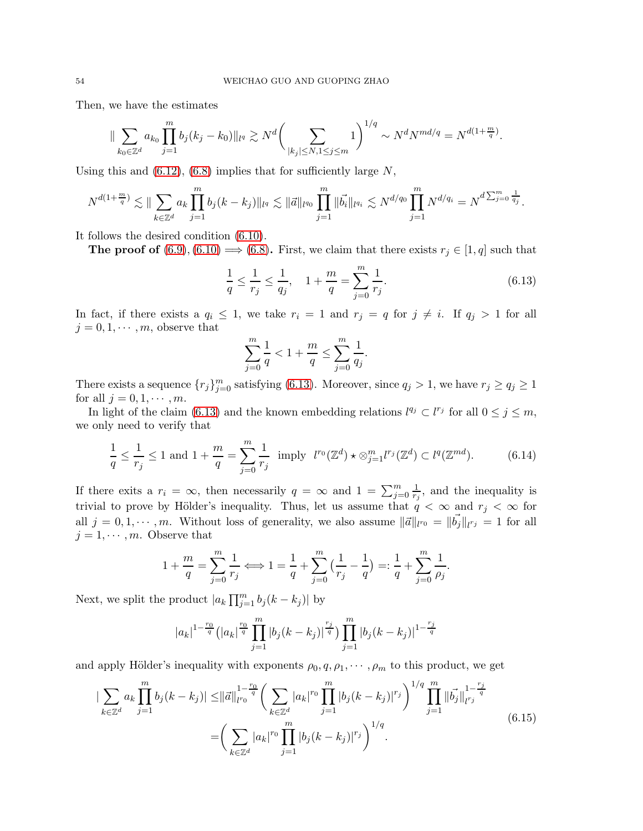Then, we have the estimates

$$
\|\sum_{k_0\in\mathbb{Z}^d}a_{k_0}\prod_{j=1}^m b_j(k_j-k_0)\|_{l^q}\gtrsim N^d\bigg(\sum_{|k_j|\leq N, 1\leq j\leq m}1\bigg)^{1/q}\sim N^dN^{md/q}=N^{d(1+\frac{m}{q})}.
$$

Using this and  $(6.12)$ ,  $(6.8)$  implies that for sufficiently large N,

$$
N^{d(1+\frac{m}{q})} \lesssim \|\sum_{k \in \mathbb{Z}^d} a_k \prod_{j=1}^m b_j (k-k_j)\|_{l^q} \lesssim \|\vec{a}\|_{l^{q_0}} \prod_{j=1}^m \|\vec{b}_i\|_{l^{q_i}} \lesssim N^{d/q_0} \prod_{j=1}^m N^{d/q_i} = N^{d \sum_{j=0}^m \frac{1}{q_j}}.
$$

It follows the desired condition [\(6.10\)](#page-52-1).

The proof of [\(6.9\)](#page-52-0), [\(6.10\)](#page-52-1)  $\Longrightarrow$  [\(6.8\)](#page-52-2). First, we claim that there exists  $r_j \in [1, q]$  such that

<span id="page-53-0"></span>
$$
\frac{1}{q} \le \frac{1}{r_j} \le \frac{1}{q_j}, \quad 1 + \frac{m}{q} = \sum_{j=0}^{m} \frac{1}{r_j}.
$$
\n(6.13)

In fact, if there exists a  $q_i \leq 1$ , we take  $r_i = 1$  and  $r_j = q$  for  $j \neq i$ . If  $q_j > 1$  for all  $j = 0, 1, \dots, m$ , observe that

$$
\sum_{j=0}^{m} \frac{1}{q} < 1 + \frac{m}{q} \le \sum_{j=0}^{m} \frac{1}{q_j}.
$$

There exists a sequence  $\{r_j\}_{j=0}^m$  satisfying [\(6.13\)](#page-53-0). Moreover, since  $q_j > 1$ , we have  $r_j \ge q_j \ge 1$ for all  $j = 0, 1, \cdots, m$ .

In light of the claim [\(6.13\)](#page-53-0) and the known embedding relations  $l^{q_j} \subset l^{r_j}$  for all  $0 \leq j \leq m$ , we only need to verify that

$$
\frac{1}{q} \le \frac{1}{r_j} \le 1 \text{ and } 1 + \frac{m}{q} = \sum_{j=0}^{m} \frac{1}{r_j} \text{ imply } l^{r_0}(\mathbb{Z}^d) \star \otimes_{j=1}^{m} l^{r_j}(\mathbb{Z}^d) \subset l^q(\mathbb{Z}^{md}). \tag{6.14}
$$

If there exits a  $r_i = \infty$ , then necessarily  $q = \infty$  and  $1 = \sum_{j=0}^{m} \frac{1}{r_j}$  $\frac{1}{r_j}$ , and the inequality is trivial to prove by Hölder's inequality. Thus, let us assume that  $q < \infty$  and  $r_j < \infty$  for all  $j = 0, 1, \dots, m$ . Without loss of generality, we also assume  $\|\vec{a}\|_{l^{r_0}} = \|\vec{b_j}\|_{l^{r_j}} = 1$  for all  $j = 1, \cdots, m$ . Observe that

$$
1 + \frac{m}{q} = \sum_{j=0}^{m} \frac{1}{r_j} \Longleftrightarrow 1 = \frac{1}{q} + \sum_{j=0}^{m} \left( \frac{1}{r_j} - \frac{1}{q} \right) =: \frac{1}{q} + \sum_{j=0}^{m} \frac{1}{\rho_j}.
$$

Next, we split the product  $|a_k \prod_{j=1}^m b_j (k - k_j)|$  by

$$
|a_k|^{1-\frac{r_0}{q}} \left(|a_k|^{\frac{r_0}{q}} \prod_{j=1}^m |b_j(k-k_j)|^{\frac{r_j}{q}} \right) \prod_{j=1}^m |b_j(k-k_j)|^{1-\frac{r_j}{q}}
$$

and apply Hölder's inequality with exponents  $\rho_0, q, \rho_1, \cdots, \rho_m$  to this product, we get

$$
\left| \sum_{k \in \mathbb{Z}^d} a_k \prod_{j=1}^m b_j (k - k_j) \right| \leq \left\| \vec{a} \right\|_{l^{r_0}}^{1 - \frac{r_0}{q}} \left( \sum_{k \in \mathbb{Z}^d} |a_k|^{r_0} \prod_{j=1}^m |b_j (k - k_j)|^{r_j} \right)^{1/q} \prod_{j=1}^m \left\| \vec{b}_j \right\|_{l^{r_j}}^{1 - \frac{r_j}{q}}
$$
\n
$$
= \left( \sum_{k \in \mathbb{Z}^d} |a_k|^{r_0} \prod_{j=1}^m |b_j (k - k_j)|^{r_j} \right)^{1/q} . \tag{6.15}
$$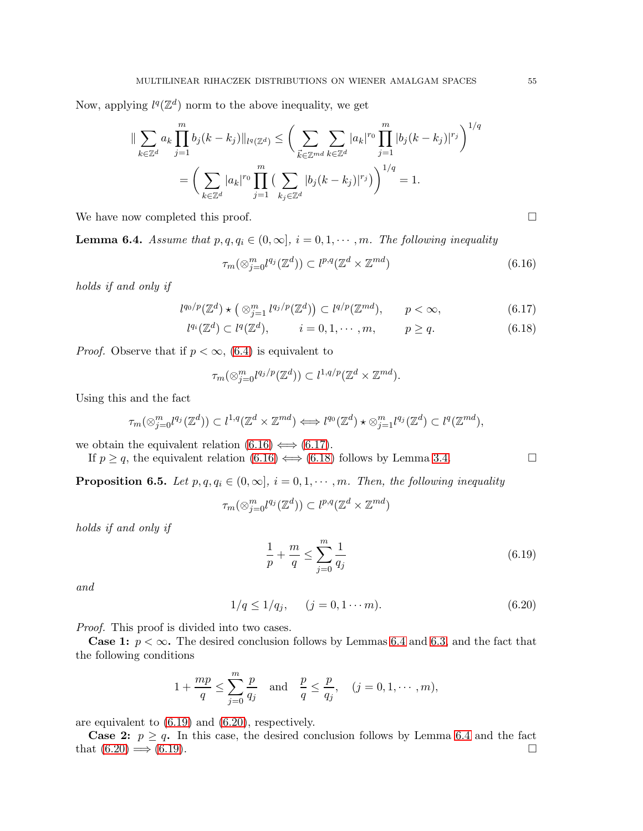Now, applying  $l^q(\mathbb{Z}^d)$  norm to the above inequality, we get

$$
\|\sum_{k\in\mathbb{Z}^d} a_k \prod_{j=1}^m b_j (k - k_j) \|_{l^q(\mathbb{Z}^d)} \le \left( \sum_{\vec{k}\in\mathbb{Z}^{md}} \sum_{k\in\mathbb{Z}^d} |a_k|^{r_0} \prod_{j=1}^m |b_j (k - k_j)|^{r_j} \right)^{1/q}
$$
  
= 
$$
\left( \sum_{k\in\mathbb{Z}^d} |a_k|^{r_0} \prod_{j=1}^m \left( \sum_{k_j\in\mathbb{Z}^d} |b_j (k - k_j)|^{r_j} \right) \right)^{1/q} = 1.
$$

We have now completed this proof.

<span id="page-54-0"></span>**Lemma 6.4.** Assume that  $p, q, q_i \in (0, \infty], i = 0, 1, \cdots, m$ . The following inequality

<span id="page-54-1"></span>
$$
\tau_m(\otimes_{j=0}^m l^{q_j}(\mathbb{Z}^d)) \subset l^{p,q}(\mathbb{Z}^d \times \mathbb{Z}^{md})
$$
\n(6.16)

holds if and only if

<span id="page-54-2"></span>
$$
l^{q_0/p}(\mathbb{Z}^d) \star \left( \otimes_{j=1}^m l^{q_j/p}(\mathbb{Z}^d) \right) \subset l^{q/p}(\mathbb{Z}^{md}), \qquad p < \infty,
$$
\n(6.17)

$$
l^{q_i}(\mathbb{Z}^d) \subset l^q(\mathbb{Z}^d), \qquad i = 0, 1, \cdots, m, \qquad p \ge q.
$$
 (6.18)

*Proof.* Observe that if  $p < \infty$ , [\(6.4\)](#page-54-0) is equivalent to

$$
\tau_m(\otimes_{j=0}^m l^{q_j/p}(\mathbb{Z}^d)) \subset l^{1,q/p}(\mathbb{Z}^d \times \mathbb{Z}^{md}).
$$

Using this and the fact

$$
\tau_m(\otimes_{j=0}^m l^{q_j}(\mathbb{Z}^d)) \subset l^{1,q}(\mathbb{Z}^d \times \mathbb{Z}^{md}) \Longleftrightarrow l^{q_0}(\mathbb{Z}^d) \star \otimes_{j=1}^m l^{q_j}(\mathbb{Z}^d) \subset l^q(\mathbb{Z}^{md}),
$$

we obtain the equivalent relation  $(6.16) \iff (6.17)$  $(6.16) \iff (6.17)$ .

If  $p \geq q$ , the equivalent relation  $(6.16) \iff (6.18)$  $(6.16) \iff (6.18)$  follows by Lemma [3.4.](#page-16-3)

<span id="page-54-5"></span>**Proposition 6.5.** Let  $p, q, q_i \in (0, \infty], i = 0, 1, \cdots, m$ . Then, the following inequality

$$
\tau_m(\otimes_{j=0}^m l^{q_j}(\mathbb{Z}^d))\subset l^{p,q}(\mathbb{Z}^d\times \mathbb{Z}^{md})
$$

holds if and only if

<span id="page-54-3"></span>
$$
\frac{1}{p} + \frac{m}{q} \le \sum_{j=0}^{m} \frac{1}{q_j}
$$
\n(6.19)

and

<span id="page-54-4"></span>
$$
1/q \le 1/q_j, \qquad (j = 0, 1 \cdots m). \tag{6.20}
$$

Proof. This proof is divided into two cases.

**Case 1:**  $p < \infty$ . The desired conclusion follows by Lemmas [6.4](#page-54-0) and [6.3,](#page-52-5) and the fact that the following conditions

$$
1 + \frac{mp}{q} \le \sum_{j=0}^{m} \frac{p}{q_j}
$$
 and  $\frac{p}{q} \le \frac{p}{q_j}$ ,  $(j = 0, 1, \dots, m)$ ,

are equivalent to [\(6.19\)](#page-54-3) and [\(6.20\)](#page-54-4), respectively.

**Case 2:**  $p \geq q$ . In this case, the desired conclusion follows by Lemma [6.4](#page-54-0) and the fact that  $(6.20) \Longrightarrow (6.19)$  $(6.20) \Longrightarrow (6.19)$ .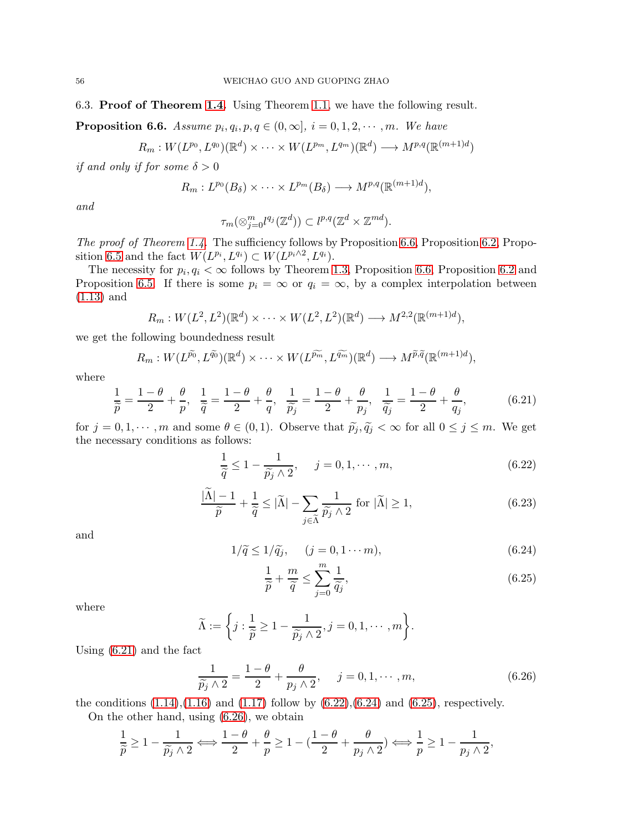6.3. Proof of Theorem [1.4.](#page-4-0) Using Theorem [1.1,](#page-3-5) we have the following result.

<span id="page-55-0"></span>**Proposition 6.6.** Assume  $p_i, q_i, p, q \in (0, \infty], i = 0, 1, 2, \cdots, m$ . We have

$$
R_m: W(L^{p_0}, L^{q_0})(\mathbb{R}^d) \times \cdots \times W(L^{p_m}, L^{q_m})(\mathbb{R}^d) \longrightarrow M^{p,q}(\mathbb{R}^{(m+1)d})
$$

if and only if for some  $\delta > 0$ 

$$
R_m: L^{p_0}(B_\delta) \times \cdots \times L^{p_m}(B_\delta) \longrightarrow M^{p,q}(\mathbb{R}^{(m+1)d}),
$$

and

$$
\tau_m(\otimes_{j=0}^m l^{q_j}(\mathbb{Z}^d)) \subset l^{p,q}(\mathbb{Z}^d \times \mathbb{Z}^{md}).
$$

The proof of Theorem [1.4.](#page-4-0) The sufficiency follows by Proposition [6.6,](#page-55-0) Proposition [6.2,](#page-49-6) Propo-sition [6.5](#page-54-5) and the fact  $W(L^{p_i}, L^{q_i}) \subset W(L^{p_i \wedge 2}, L^{q_i}).$ 

The necessity for  $p_i, q_i < \infty$  follows by Theorem [1.3,](#page-3-6) Proposition [6.6,](#page-55-0) Proposition [6.2](#page-49-6) and Proposition [6.5.](#page-54-5) If there is some  $p_i = \infty$  or  $q_i = \infty$ , by a complex interpolation between [\(1.13\)](#page-4-2) and

$$
R_m: W(L^2, L^2)(\mathbb{R}^d) \times \cdots \times W(L^2, L^2)(\mathbb{R}^d) \longrightarrow M^{2,2}(\mathbb{R}^{(m+1)d}),
$$

we get the following boundedness result

$$
R_m: W(L^{\widetilde{p_0}}, L^{\widetilde{q_0}})(\mathbb{R}^d) \times \cdots \times W(L^{\widetilde{p_m}}, L^{\widetilde{q_m}})(\mathbb{R}^d) \longrightarrow M^{\widetilde{p}, \widetilde{q}}(\mathbb{R}^{(m+1)d}),
$$

where

<span id="page-55-1"></span>
$$
\frac{1}{\widetilde{p}} = \frac{1-\theta}{2} + \frac{\theta}{p}, \quad \frac{1}{\widetilde{q}} = \frac{1-\theta}{2} + \frac{\theta}{q}, \quad \frac{1}{\widetilde{p_j}} = \frac{1-\theta}{2} + \frac{\theta}{p_j}, \quad \frac{1}{\widetilde{q_j}} = \frac{1-\theta}{2} + \frac{\theta}{q_j},\tag{6.21}
$$

for  $j = 0, 1, \dots, m$  and some  $\theta \in (0, 1)$ . Observe that  $\widetilde{p}_j, \widetilde{q}_j < \infty$  for all  $0 \le j \le m$ . We get the necessary conditions as follows:

<span id="page-55-2"></span>
$$
\frac{1}{\tilde{q}} \le 1 - \frac{1}{\tilde{p}_j \wedge 2}, \quad j = 0, 1, \cdots, m,
$$
\n(6.22)

<span id="page-55-6"></span>
$$
\frac{|\tilde{\Lambda}| - 1}{\tilde{p}} + \frac{1}{\tilde{q}} \le |\tilde{\Lambda}| - \sum_{j \in \tilde{\Lambda}} \frac{1}{\tilde{p}_j \wedge 2} \text{ for } |\tilde{\Lambda}| \ge 1,
$$
\n(6.23)

and

<span id="page-55-3"></span>
$$
1/\tilde{q} \le 1/\tilde{q}_j, \quad (j = 0, 1 \cdots m), \tag{6.24}
$$

<span id="page-55-4"></span>
$$
\frac{1}{\widetilde{p}} + \frac{m}{\widetilde{q}} \le \sum_{j=0}^{m} \frac{1}{\widetilde{q}_j},\tag{6.25}
$$

where

$$
\widetilde{\Lambda} := \bigg\{ j : \frac{1}{\widetilde{p}} \ge 1 - \frac{1}{\widetilde{p_j} \wedge 2}, j = 0, 1, \cdots, m \bigg\}.
$$

Using [\(6.21\)](#page-55-1) and the fact

<span id="page-55-5"></span>
$$
\frac{1}{\widetilde{p}_j \wedge 2} = \frac{1 - \theta}{2} + \frac{\theta}{p_j \wedge 2}, \quad j = 0, 1, \cdots, m,
$$
\n(6.26)

the conditions  $(1.14)$ , $(1.16)$  and  $(1.17)$  follow by  $(6.22)$ , $(6.24)$  and  $(6.25)$ , respectively.

On the other hand, using [\(6.26\)](#page-55-5), we obtain

$$
\frac{1}{\widetilde{p}} \ge 1 - \frac{1}{\widetilde{p_j} \wedge 2} \Longleftrightarrow \frac{1 - \theta}{2} + \frac{\theta}{p} \ge 1 - \left(\frac{1 - \theta}{2} + \frac{\theta}{p_j \wedge 2}\right) \Longleftrightarrow \frac{1}{p} \ge 1 - \frac{1}{p_j \wedge 2},
$$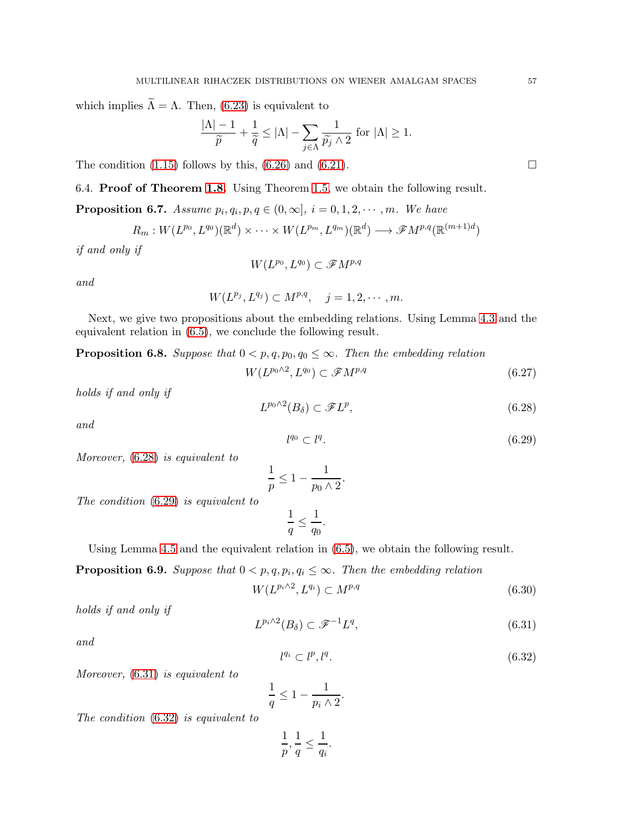which implies  $\widetilde{\Lambda} = \Lambda$ . Then, [\(6.23\)](#page-55-6) is equivalent to

$$
\frac{|\Lambda|-1}{\widetilde{p}} + \frac{1}{\widetilde{q}} \le |\Lambda| - \sum_{j \in \Lambda} \frac{1}{\widetilde{p_j} \wedge 2} \text{ for } |\Lambda| \ge 1.
$$

The condition  $(1.15)$  follows by this,  $(6.26)$  and  $(6.21)$ .

6.4. Proof of Theorem [1.8.](#page-5-4) Using Theorem [1.5,](#page-5-2) we obtain the following result.

<span id="page-56-4"></span>**Proposition 6.7.** Assume  $p_i, q_i, p, q \in (0, \infty], i = 0, 1, 2, \cdots, m$ . We have

$$
R_m: W(L^{p_0}, L^{q_0})(\mathbb{R}^d) \times \cdots \times W(L^{p_m}, L^{q_m})(\mathbb{R}^d) \longrightarrow \mathscr{F}M^{p,q}(\mathbb{R}^{(m+1)d})
$$

if and only if

$$
W(L^{p_0},L^{q_0})\subset \mathscr{F}M^{p,q}
$$

and

$$
W(L^{p_j}, L^{q_j}) \subset M^{p,q}, \quad j = 1, 2, \cdots, m.
$$

Next, we give two propositions about the embedding relations. Using Lemma [4.3](#page-26-6) and the equivalent relation in [\(6.5\)](#page-49-2), we conclude the following result.

<span id="page-56-6"></span>**Proposition 6.8.** Suppose that  $0 < p, q, p_0, q_0 \leq \infty$ . Then the embedding relation

$$
W(L^{p_0 \wedge 2}, L^{q_0}) \subset \mathscr{F}M^{p,q} \tag{6.27}
$$

holds if and only if

<span id="page-56-0"></span>
$$
L^{p_0 \wedge 2}(B_\delta) \subset \mathscr{F}L^p,\tag{6.28}
$$

and

<span id="page-56-1"></span>
$$
l^{q_0} \subset l^q. \tag{6.29}
$$

Moreover, 
$$
(6.28)
$$
 is equivalent to

$$
\frac{1}{p} \le 1 - \frac{1}{p_0 \wedge 2}.
$$

The condition [\(6.29\)](#page-56-1) is equivalent to

$$
\frac{1}{q} \le \frac{1}{q_0}.
$$

Using Lemma [4.5](#page-28-5) and the equivalent relation in [\(6.5\)](#page-49-2), we obtain the following result.

<span id="page-56-5"></span>**Proposition 6.9.** Suppose that  $0 < p, q, p_i, q_i \leq \infty$ . Then the embedding relation

$$
W(L^{p_i \wedge 2}, L^{q_i}) \subset M^{p,q} \tag{6.30}
$$

holds if and only if

<span id="page-56-2"></span>
$$
L^{p_i \wedge 2}(B_\delta) \subset \mathcal{F}^{-1}L^q,\tag{6.31}
$$

and

<span id="page-56-3"></span>
$$
l^{q_i} \subset l^p, l^q. \tag{6.32}
$$

Moreover, [\(6.31\)](#page-56-2) is equivalent to

$$
\frac{1}{q} \le 1 - \frac{1}{p_i \wedge 2}.
$$

The condition [\(6.32\)](#page-56-3) is equivalent to

$$
\frac{1}{p}, \frac{1}{q} \le \frac{1}{q_i}.
$$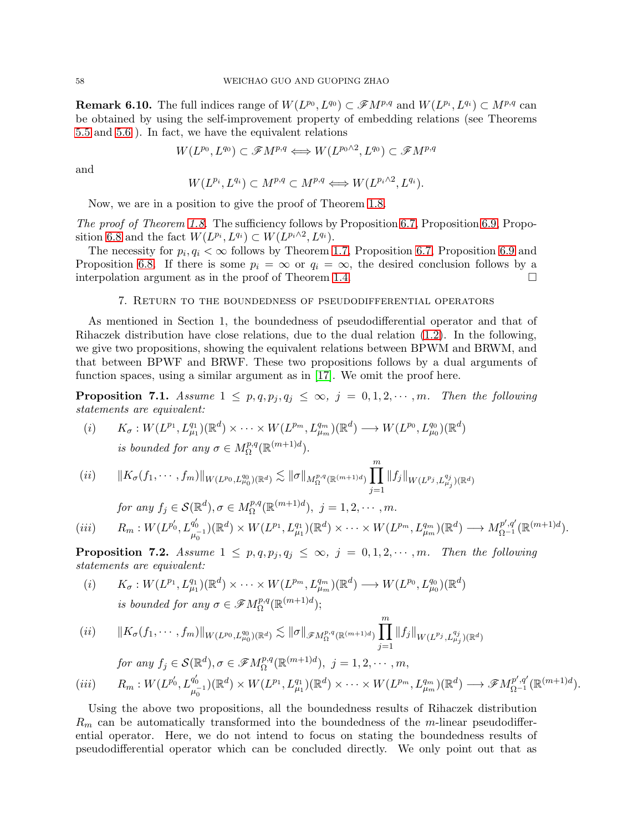**Remark 6.10.** The full indices range of  $W(L^{p_0}, L^{q_0}) \subset \mathscr{F}M^{p,q}$  and  $W(L^{p_i}, L^{q_i}) \subset M^{p,q}$  can be obtained by using the self-improvement property of embedding relations (see Theorems [5.5](#page-47-3) and [5.6](#page-48-1) ). In fact, we have the equivalent relations

$$
W(L^{p_0}, L^{q_0}) \subset \mathscr{F}M^{p,q} \Longleftrightarrow W(L^{p_0 \wedge 2}, L^{q_0}) \subset \mathscr{F}M^{p,q}
$$

and

$$
W(L^{p_i}, L^{q_i}) \subset M^{p,q} \subset M^{p,q} \Longleftrightarrow W(L^{p_i \wedge 2}, L^{q_i}).
$$

Now, we are in a position to give the proof of Theorem [1.8.](#page-5-4)

The proof of Theorem [1.8.](#page-5-4) The sufficiency follows by Proposition [6.7,](#page-56-4) Proposition [6.9,](#page-56-5) Propo-sition [6.8](#page-56-6) and the fact  $W(L^{p_i}, L^{q_i}) \subset W(L^{p_i \wedge 2}, L^{q_i}).$ 

The necessity for  $p_i, q_i < \infty$  follows by Theorem [1.7,](#page-5-3) Proposition [6.7,](#page-56-4) Proposition [6.9](#page-56-5) and Proposition [6.8.](#page-56-6) If there is some  $p_i = \infty$  or  $q_i = \infty$ , the desired conclusion follows by a interpolation argument as in the proof of Theorem [1.4.](#page-4-0)

#### 7. Return to the boundedness of pseudodifferential operators

As mentioned in Section 1, the boundedness of pseudodifferential operator and that of Rihaczek distribution have close relations, due to the dual relation [\(1.2\)](#page-0-1). In the following, we give two propositions, showing the equivalent relations between BPWM and BRWM, and that between BPWF and BRWF. These two propositions follows by a dual arguments of function spaces, using a similar argument as in [\[17\]](#page-63-10). We omit the proof here.

<span id="page-57-0"></span>**Proposition 7.1.** Assume  $1 \leq p, q, p_j, q_j \leq \infty$ ,  $j = 0, 1, 2, \dots, m$ . Then the following statements are equivalent:

(i) 
$$
K_{\sigma}: W(L^{p_1}, L^{q_1}_{\mu_1})(\mathbb{R}^d) \times \cdots \times W(L^{p_m}, L^{q_m}_{\mu_m})(\mathbb{R}^d) \longrightarrow W(L^{p_0}, L^{q_0}_{\mu_0})(\mathbb{R}^d)
$$
  
is bounded for any  $\sigma \in M^{p,q}_{\Omega}(\mathbb{R}^{(m+1)d})$ .

$$
(ii) \t||K_{\sigma}(f_1,\dots,f_m)||_{W(L^{p_0},L^{q_0}_{\mu_0})(\mathbb{R}^d)} \lesssim \|\sigma\|_{M^{p,q}_{\Omega}(\mathbb{R}^{(m+1)d})} \prod_{j=1}^m \|f_j\|_{W(L^{p_j},L^{q_j}_{\mu_j})(\mathbb{R}^d)}
$$

for any 
$$
f_j \in \mathcal{S}(\mathbb{R}^d), \sigma \in M_{\Omega}^{p,q}(\mathbb{R}^{(m+1)d}), j = 1, 2, \cdots, m.
$$

$$
(iii) \t R_m: W(L^{p'_0}, L^{q'_0}_{\mu_0^{-1}})(\mathbb{R}^d) \times W(L^{p_1}, L^{q_1}_{\mu_1})(\mathbb{R}^d) \times \cdots \times W(L^{p_m}, L^{q_m}_{\mu_m})(\mathbb{R}^d) \longrightarrow M^{p',q'}_{\Omega^{-1}}(\mathbb{R}^{(m+1)d}).
$$

Ym

<span id="page-57-1"></span>**Proposition 7.2.** Assume  $1 \leq p, q, p_j, q_j \leq \infty$ ,  $j = 0, 1, 2, \dots, m$ . Then the following statements are equivalent:

(i) 
$$
K_{\sigma}: W(L^{p_1}, L^{q_1}_{\mu_1})(\mathbb{R}^d) \times \cdots \times W(L^{p_m}, L^{q_m}_{\mu_m})(\mathbb{R}^d) \longrightarrow W(L^{p_0}, L^{q_0}_{\mu_0})(\mathbb{R}^d)
$$
  
is bounded for any  $\sigma \in \mathscr{F}M^{p,q}_{\Omega}(\mathbb{R}^{(m+1)d})$ ;

$$
(ii) \t||K_{\sigma}(f_1,\dots,f_m)||_{W(L^{p_0},L^{q_0}_{\mu_0})(\mathbb{R}^d)} \lesssim \|\sigma\|_{\mathscr{F}M^{p,q}_{\Omega}(\mathbb{R}^{(m+1)d})} \prod_{j=1}^m \|f_j\|_{W(L^{p_j},L^{q_j}_{\mu_j})(\mathbb{R}^d)}
$$
  
for any  $f_j \in \mathcal{S}(\mathbb{R}^d), \sigma \in \mathscr{F}M^{p,q}_{\Omega}(\mathbb{R}^{(m+1)d}), j = 1,2,\dots,m,$   
(iii)  $R_m: W(L^{p'_0},L^{q'_0}_{\mu_0^{-1}})(\mathbb{R}^d) \times W(L^{p_1},L^{q_1}_{\mu_1})(\mathbb{R}^d) \times \dots \times W(L^{p_m},L^{q_m}_{\mu_m})(\mathbb{R}^d) \longrightarrow \mathscr{F}M^{p',q'}_{\Omega^{-1}}(\mathbb{R}^{(m+1)d}).$ 

Using the above two propositions, all the boundedness results of Rihaczek distribution  $R_m$  can be automatically transformed into the boundedness of the m-linear pseudodifferential operator. Here, we do not intend to focus on stating the boundedness results of pseudodifferential operator which can be concluded directly. We only point out that as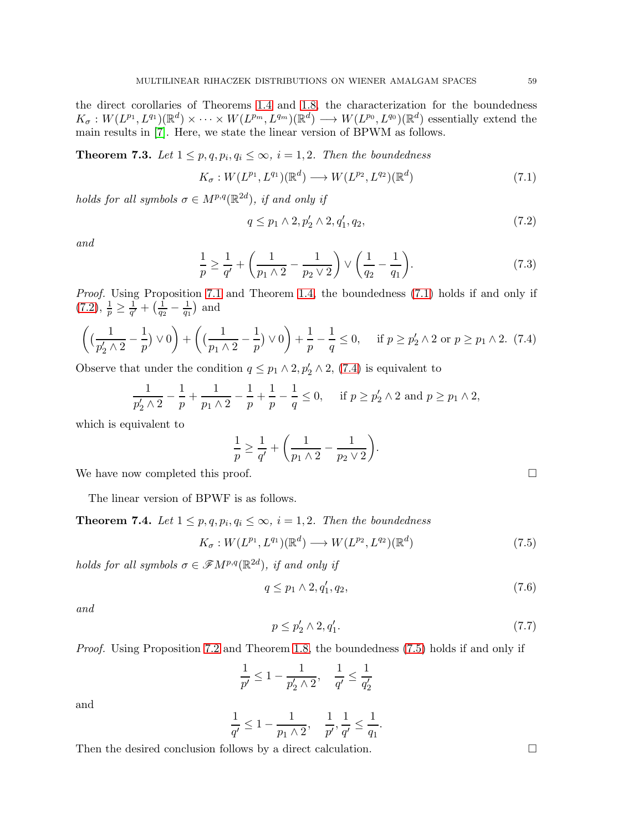the direct corollaries of Theorems [1.4](#page-4-0) and [1.8,](#page-5-4) the characterization for the boundedness  $K_{\sigma}: W(L^{p_1}, L^{q_1})(\mathbb{R}^d) \times \cdots \times W(L^{p_m}, L^{q_m})(\mathbb{R}^d) \longrightarrow W(L^{p_0}, L^{q_0})(\mathbb{R}^d)$  essentially extend the main results in [\[7\]](#page-62-0). Here, we state the linear version of BPWM as follows.

**Theorem 7.3.** Let  $1 \leq p, q, p_i, q_i \leq \infty$ ,  $i = 1, 2$ . Then the boundedness

<span id="page-58-0"></span>
$$
K_{\sigma}: W(L^{p_1}, L^{q_1})(\mathbb{R}^d) \longrightarrow W(L^{p_2}, L^{q_2})(\mathbb{R}^d)
$$
\n
$$
(7.1)
$$

holds for all symbols  $\sigma \in M^{p,q}(\mathbb{R}^{2d})$ , if and only if

<span id="page-58-1"></span>
$$
q \le p_1 \wedge 2, p'_2 \wedge 2, q'_1, q_2,\tag{7.2}
$$

and

$$
\frac{1}{p} \ge \frac{1}{q'} + \left(\frac{1}{p_1 \wedge 2} - \frac{1}{p_2 \vee 2}\right) \vee \left(\frac{1}{q_2} - \frac{1}{q_1}\right). \tag{7.3}
$$

Proof. Using Proposition [7.1](#page-57-0) and Theorem [1.4,](#page-4-0) the boundedness [\(7.1\)](#page-58-0) holds if and only if  $(7.2), \frac{1}{p} \geq \frac{1}{q'}$  $(7.2), \frac{1}{p} \geq \frac{1}{q'}$  $\frac{1}{q'}+\big(\frac{1}{q_2}$  $\frac{1}{q_2} - \frac{1}{q_1}$  $\frac{1}{q_1}$  and

<span id="page-58-2"></span>
$$
\left( \left( \frac{1}{p_2' \wedge 2} - \frac{1}{p} \right) \vee 0 \right) + \left( \left( \frac{1}{p_1 \wedge 2} - \frac{1}{p} \right) \vee 0 \right) + \frac{1}{p} - \frac{1}{q} \le 0, \quad \text{if } p \ge p_2' \wedge 2 \text{ or } p \ge p_1 \wedge 2. \tag{7.4}
$$

Observe that under the condition  $q \leq p_1 \wedge 2, p'_2 \wedge 2, (7.4)$  $q \leq p_1 \wedge 2, p'_2 \wedge 2, (7.4)$  is equivalent to

$$
\frac{1}{p_2' \wedge 2} - \frac{1}{p} + \frac{1}{p_1 \wedge 2} - \frac{1}{p} + \frac{1}{p} - \frac{1}{q} \le 0, \quad \text{if } p \ge p_2' \wedge 2 \text{ and } p \ge p_1 \wedge 2,
$$

which is equivalent to

$$
\frac{1}{p} \ge \frac{1}{q'} + \left(\frac{1}{p_1 \wedge 2} - \frac{1}{p_2 \vee 2}\right).
$$

We have now completed this proof.  $\Box$ 

The linear version of BPWF is as follows.

**Theorem 7.4.** Let  $1 \leq p, q, p_i, q_i \leq \infty$ ,  $i = 1, 2$ . Then the boundedness

<span id="page-58-3"></span>
$$
K_{\sigma}: W(L^{p_1}, L^{q_1})(\mathbb{R}^d) \longrightarrow W(L^{p_2}, L^{q_2})(\mathbb{R}^d)
$$
\n
$$
(7.5)
$$

holds for all symbols  $\sigma \in \mathscr{F}M^{p,q}(\mathbb{R}^{2d})$ , if and only if

$$
q \le p_1 \wedge 2, q_1', q_2,\tag{7.6}
$$

and

$$
p \le p_2' \wedge 2, q_1'.\tag{7.7}
$$

Proof. Using Proposition [7.2](#page-57-1) and Theorem [1.8,](#page-5-4) the boundedness [\(7.5\)](#page-58-3) holds if and only if

$$
\frac{1}{p'} \le 1 - \frac{1}{p'_2 \wedge 2}, \quad \frac{1}{q'} \le \frac{1}{q'_2}
$$

and

$$
\frac{1}{q'} \le 1 - \frac{1}{p_1 \wedge 2}, \quad \frac{1}{p'}, \frac{1}{q'} \le \frac{1}{q_1}.
$$

Then the desired conclusion follows by a direct calculation.  $\Box$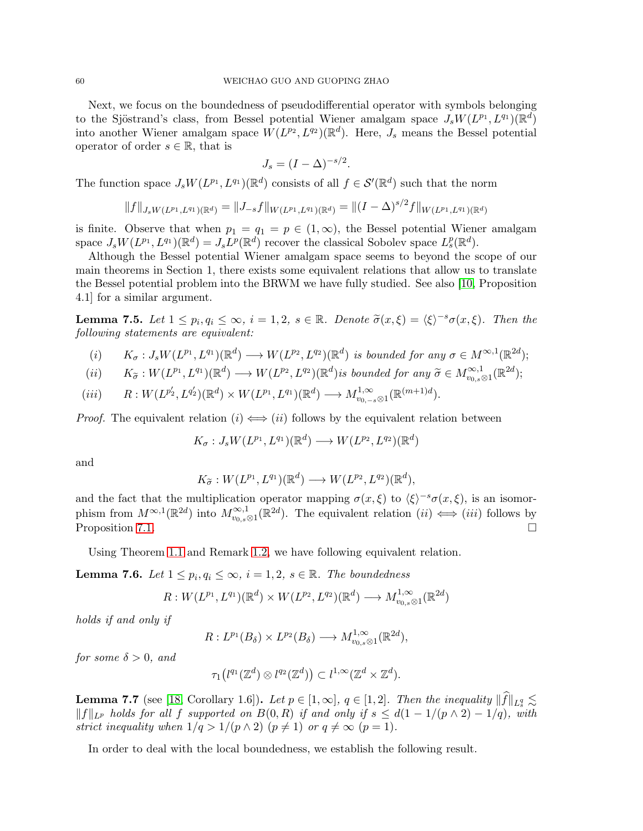Next, we focus on the boundedness of pseudodifferential operator with symbols belonging to the Sjöstrand's class, from Bessel potential Wiener amalgam space  $J_s W (L^{p_1}, L^{q_1}) (\mathbb{R}^d)$ into another Wiener amalgam space  $W(L^{p_2}, L^{q_2})(\mathbb{R}^d)$ . Here,  $J_s$  means the Bessel potential operator of order  $s \in \mathbb{R}$ , that is

$$
J_s = (I - \Delta)^{-s/2}.
$$

The function space  $J_s W(L^{p_1}, L^{q_1}) (\mathbb{R}^d)$  consists of all  $f \in \mathcal{S}'(\mathbb{R}^d)$  such that the norm

$$
||f||_{J_sW(L^{p_1},L^{q_1})(\mathbb{R}^d)} = ||J_{-s}f||_{W(L^{p_1},L^{q_1})(\mathbb{R}^d)} = ||(I-\Delta)^{s/2}f||_{W(L^{p_1},L^{q_1})(\mathbb{R}^d)}
$$

is finite. Observe that when  $p_1 = q_1 = p \in (1,\infty)$ , the Bessel potential Wiener amalgam space  $J_s W(L^{p_1}, L^{q_1}) (\mathbb{R}^d) = J_s L^p(\mathbb{R}^d)$  recover the classical Sobolev space  $L_s^p(\mathbb{R}^d)$ .

Although the Bessel potential Wiener amalgam space seems to beyond the scope of our main theorems in Section 1, there exists some equivalent relations that allow us to translate the Bessel potential problem into the BRWM we have fully studied. See also [\[10,](#page-63-0) Proposition 4.1] for a similar argument.

<span id="page-59-1"></span>**Lemma 7.5.** Let  $1 \leq p_i, q_i \leq \infty$ ,  $i = 1, 2, s \in \mathbb{R}$ . Denote  $\widetilde{\sigma}(x, \xi) = \langle \xi \rangle^{-s} \sigma(x, \xi)$ . Then the following statements are equivalent:

- (i)  $K_{\sigma}: J_sW(L^{p_1}, L^{q_1})(\mathbb{R}^d) \longrightarrow W(L^{p_2}, L^{q_2})(\mathbb{R}^d)$  is bounded for any  $\sigma \in M^{\infty,1}(\mathbb{R}^{2d})$ ;
- (ii)  $K_{\tilde{\sigma}}: W(L^{p_1}, L^{q_1})(\mathbb{R}^d) \longrightarrow W(L^{p_2}, L^{q_2})(\mathbb{R}^d)$  is bounded for any  $\tilde{\sigma} \in M^{\infty,1}_{v_0,s\otimes 1}(\mathbb{R}^{2d})$ ;
- $(iii)$   $R: W(L^{p'_2}, L^{q'_2})(\mathbb{R}^d) \times W(L^{p_1}, L^{q_1})(\mathbb{R}^d) \longrightarrow M^{1, \infty}_{v_{0, -s}\otimes 1}(\mathbb{R}^{(m+1)d}).$

*Proof.* The equivalent relation  $(i) \iff (ii)$  follows by the equivalent relation between

$$
K_{\sigma}: J_s W(L^{p_1}, L^{q_1})(\mathbb{R}^d) \longrightarrow W(L^{p_2}, L^{q_2})(\mathbb{R}^d)
$$

and

$$
K_{\widetilde{\sigma}}:W(L^{p_1}, L^{q_1})(\mathbb{R}^d)\longrightarrow W(L^{p_2}, L^{q_2})(\mathbb{R}^d),
$$

and the fact that the multiplication operator mapping  $\sigma(x,\xi)$  to  $\langle \xi \rangle^{-s} \sigma(x,\xi)$ , is an isomorphism from  $M^{\infty,1}(\mathbb{R}^{2d})$  into  $M^{\infty,1}_{v_{0,s}\otimes 1}(\mathbb{R}^{2d})$ . The equivalent relation  $(ii) \iff (iii)$  follows by Proposition [7.1.](#page-57-0)

Using Theorem [1.1](#page-3-5) and Remark [1.2,](#page-3-9) we have following equivalent relation.

<span id="page-59-2"></span>**Lemma 7.6.** Let  $1 \leq p_i, q_i \leq \infty$ ,  $i = 1, 2, s \in \mathbb{R}$ . The boundedness

$$
R:W(L^{p_1}, L^{q_1})(\mathbb{R}^d)\times W(L^{p_2}, L^{q_2})(\mathbb{R}^d)\longrightarrow M^{1,\infty}_{v_0, s\otimes 1}(\mathbb{R}^{2d})
$$

holds if and only if

$$
R: L^{p_1}(B_\delta) \times L^{p_2}(B_\delta) \longrightarrow M_{v_{0,s}\otimes 1}^{1,\infty}(\mathbb{R}^{2d}),
$$

for some  $\delta > 0$ , and

$$
\tau_1\big(l^{q_1}(\mathbb{Z}^d) \otimes l^{q_2}(\mathbb{Z}^d)\big) \subset l^{1,\infty}(\mathbb{Z}^d \times \mathbb{Z}^d).
$$

<span id="page-59-0"></span>**Lemma 7.7** (see [\[18,](#page-63-18) Corollary 1.6]). Let  $p \in [1,\infty]$ ,  $q \in [1,2]$ . Then the inequality  $||f||_{L_s^q} \lesssim$  $||f||_{L^p}$  holds for all f supported on  $B(0, R)$  if and only if  $s ≤ d(1-1/(p \wedge 2) - 1/q)$ , with strict inequality when  $1/q > 1/(p \wedge 2)$   $(p \neq 1)$  or  $q \neq \infty$   $(p = 1)$ .

In order to deal with the local boundedness, we establish the following result.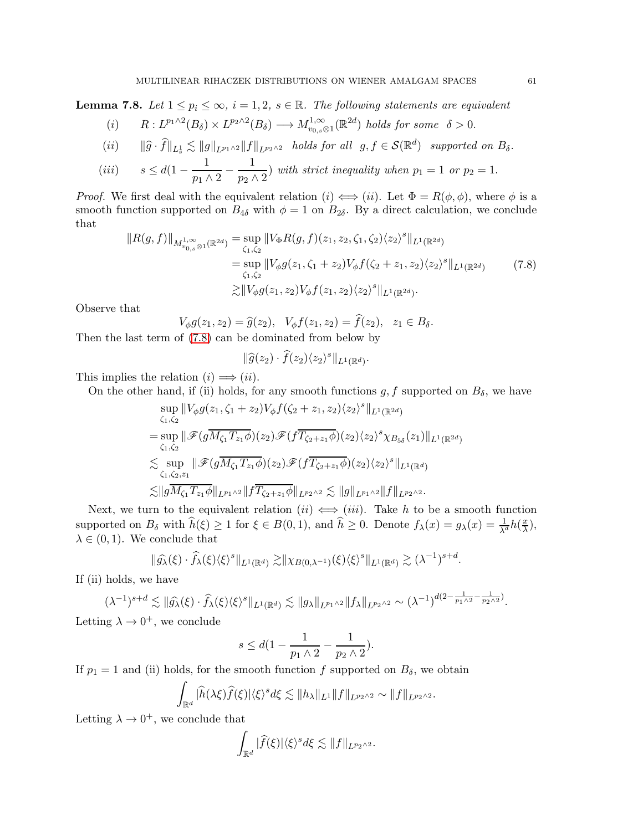<span id="page-60-1"></span>**Lemma 7.8.** Let  $1 \leq p_i \leq \infty$ ,  $i = 1, 2, s \in \mathbb{R}$ . The following statements are equivalent

(i) 
$$
R: L^{p_1 \wedge 2}(B_\delta) \times L^{p_2 \wedge 2}(B_\delta) \longrightarrow M^{1,\infty}_{v_{0,s}\otimes 1}(\mathbb{R}^{2d})
$$
 holds for some  $\delta > 0$ .

$$
(ii) \t ||\widehat{g} \cdot \widehat{f}||_{L^1_s} \lesssim ||g||_{L^{p_1 \wedge 2}} ||f||_{L^{p_2 \wedge 2}} \t holds for all  $g, f \in \mathcal{S}(\mathbb{R}^d)$  supported on  $B_\delta$ .
$$

(iii) 
$$
s \leq d(1 - \frac{1}{p_1 \wedge 2} - \frac{1}{p_2 \wedge 2})
$$
 with strict inequality when  $p_1 = 1$  or  $p_2 = 1$ .

*Proof.* We first deal with the equivalent relation  $(i) \iff (ii)$ . Let  $\Phi = R(\phi, \phi)$ , where  $\phi$  is a smooth function supported on  $B_{4\delta}$  with  $\phi = 1$  on  $B_{2\delta}$ . By a direct calculation, we conclude that

$$
||R(g,f)||_{M_{v_{0,s}\otimes 1}^{1,\infty}(\mathbb{R}^{2d})} = \sup_{\zeta_1,\zeta_2} ||V_{\Phi}R(g,f)(z_1,z_2,\zeta_1,\zeta_2)\langle z_2\rangle^s||_{L^1(\mathbb{R}^{2d})}
$$
  
\n
$$
= \sup_{\zeta_1,\zeta_2} ||V_{\phi}g(z_1,\zeta_1+z_2)V_{\phi}f(\zeta_2+z_1,z_2)\langle z_2\rangle^s||_{L^1(\mathbb{R}^{2d})}
$$
  
\n
$$
\gtrsim ||V_{\phi}g(z_1,z_2)V_{\phi}f(z_1,z_2)\langle z_2\rangle^s||_{L^1(\mathbb{R}^{2d})}.
$$
 (7.8)

<span id="page-60-0"></span>Observe that

 $V_{\phi}g(z_1, z_2) = \hat{g}(z_2), \ \ V_{\phi}f(z_1, z_2) = \hat{f}(z_2), \ \ z_1 \in B_{\delta}.$ 

Then the last term of [\(7.8\)](#page-60-0) can be dominated from below by

$$
\|\widehat{g}(z_2)\cdot \widehat{f}(z_2)\langle z_2\rangle^s\|_{L^1(\mathbb{R}^d)}.
$$

This implies the relation  $(i) \Longrightarrow (ii)$ .

On the other hand, if (ii) holds, for any smooth functions  $g, f$  supported on  $B_{\delta}$ , we have

$$
\sup_{\zeta_1,\zeta_2} ||V_{\phi}g(z_1,\zeta_1+z_2)V_{\phi}f(\zeta_2+z_1,z_2)\langle z_2\rangle^s||_{L^1(\mathbb{R}^{2d})}
$$
\n
$$
= \sup_{\zeta_1,\zeta_2} ||\mathscr{F}(g\overline{M_{\zeta_1}T_{z_1}\phi})(z_2)\mathscr{F}(f\overline{T_{\zeta_2+z_1}\phi})(z_2)\langle z_2\rangle^s\chi_{B_{5\delta}}(z_1)||_{L^1(\mathbb{R}^{2d})}
$$
\n
$$
\lesssim \sup_{\zeta_1,\zeta_2,z_1} ||\mathscr{F}(g\overline{M_{\zeta_1}T_{z_1}\phi})(z_2)\mathscr{F}(f\overline{T_{\zeta_2+z_1}\phi})(z_2)\langle z_2\rangle^s||_{L^1(\mathbb{R}^d)}
$$
\n
$$
\lesssim ||g\overline{M_{\zeta_1}T_{z_1}\phi}||_{L^{p_1\wedge 2}} ||f\overline{T_{\zeta_2+z_1}\phi}||_{L^{p_2\wedge 2}} \lesssim ||g||_{L^{p_1\wedge 2}} ||f||_{L^{p_2\wedge 2}}.
$$

Next, we turn to the equivalent relation  $(ii) \iff (iii)$ . Take h to be a smooth function supported on  $B_{\delta}$  with  $\widehat{h}(\xi) \ge 1$  for  $\xi \in B(0,1)$ , and  $\widehat{h} \ge 0$ . Denote  $f_{\lambda}(x) = g_{\lambda}(x) = \frac{1}{\lambda^d} h(\frac{x}{\lambda})$  $\frac{x}{\lambda}$ ),  $\lambda \in (0, 1)$ . We conclude that

$$
\|\widehat{g_{\lambda}}(\xi)\cdot \widehat{f_{\lambda}}(\xi)\langle \xi\rangle^{s}\|_{L^{1}(\mathbb{R}^{d})}\gtrsim \|\chi_{B(0,\lambda^{-1})}(\xi)\langle \xi\rangle^{s}\|_{L^{1}(\mathbb{R}^{d})}\gtrsim (\lambda^{-1})^{s+d}.
$$

If (ii) holds, we have

$$
(\lambda^{-1})^{s+d} \lesssim \|\widehat{g_{\lambda}}(\xi) \cdot \widehat{f_{\lambda}}(\xi) \langle \xi \rangle^{s}\|_{L^{1}(\mathbb{R}^{d})} \lesssim \|g_{\lambda}\|_{L^{p_{1},\gamma_{2}}}\|f_{\lambda}\|_{L^{p_{2},\gamma_{2}}} \sim (\lambda^{-1})^{d(2-\frac{1}{p_{1},\gamma_{2}}-\frac{1}{p_{2},\gamma_{2}})}.
$$

Letting  $\lambda \to 0^+$ , we conclude

$$
s\leq d(1-\frac{1}{p_1\wedge 2}-\frac{1}{p_2\wedge 2}).
$$

If  $p_1 = 1$  and (ii) holds, for the smooth function f supported on  $B_\delta$ , we obtain

$$
\int_{\mathbb{R}^d} |\widehat{h}(\lambda \xi) \widehat{f}(\xi)| \langle \xi \rangle^s d\xi \lesssim \|h_{\lambda}\|_{L^1} \|f\|_{L^{p_2 \wedge 2}} \sim \|f\|_{L^{p_2 \wedge 2}}.
$$

Letting  $\lambda \to 0^+$ , we conclude that

$$
\int_{\mathbb{R}^d} |\widehat{f}(\xi)| \langle \xi \rangle^s d\xi \lesssim \|f\|_{L^{p_2 \wedge 2}}.
$$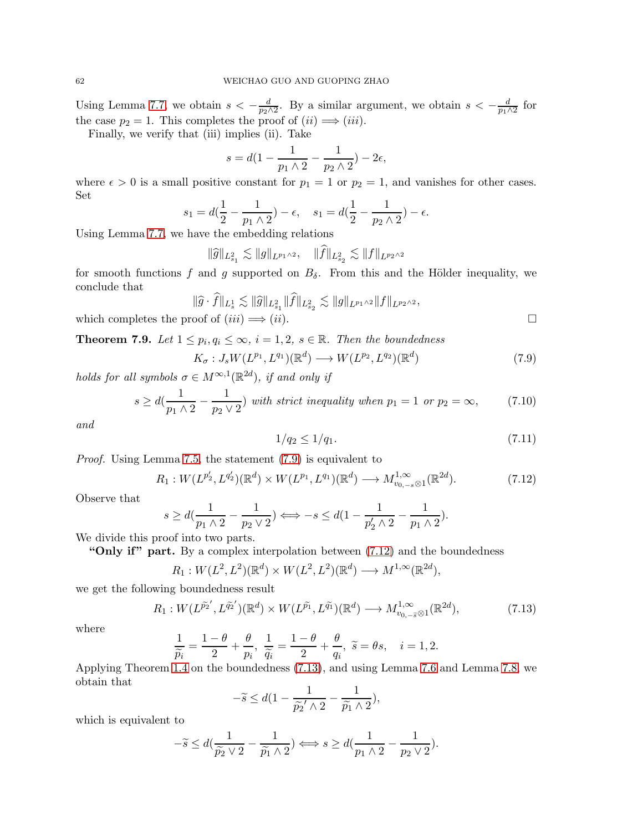Using Lemma [7.7,](#page-59-0) we obtain  $s < -\frac{d}{d}$  $\frac{d}{p_2 \wedge 2}$ . By a similar argument, we obtain  $s < -\frac{d}{p_1 \wedge 2}$  $\frac{d}{p_1 \wedge 2}$  for the case  $p_2 = 1$ . This completes the proof of  $(ii) \implies (iii)$ .

Finally, we verify that (iii) implies (ii). Take

$$
s = d(1 - \frac{1}{p_1 \wedge 2} - \frac{1}{p_2 \wedge 2}) - 2\epsilon,
$$

where  $\epsilon > 0$  is a small positive constant for  $p_1 = 1$  or  $p_2 = 1$ , and vanishes for other cases. Set

$$
s_1 = d(\frac{1}{2} - \frac{1}{p_1 \wedge 2}) - \epsilon, \quad s_1 = d(\frac{1}{2} - \frac{1}{p_2 \wedge 2}) - \epsilon.
$$

Using Lemma [7.7,](#page-59-0) we have the embedding relations

$$
\|\widehat{g}\|_{L^2_{s_1}} \lesssim \|g\|_{L^{p_1 \wedge 2}}, \quad \|\widehat{f}\|_{L^2_{s_2}} \lesssim \|f\|_{L^{p_2 \wedge 2}}
$$

for smooth functions f and g supported on  $B_{\delta}$ . From this and the Hölder inequality, we conclude that

$$
\|\widehat{g} \cdot \widehat{f}\|_{L^1_s} \lesssim \|\widehat{g}\|_{L^2_{s_1}} \|\widehat{f}\|_{L^2_{s_2}} \lesssim \|g\|_{L^{p_1 \wedge 2}} \|f\|_{L^{p_2 \wedge 2}},
$$

which completes the proof of  $(iii) \implies (ii)$ .

**Theorem 7.9.** Let  $1 \leq p_i, q_i \leq \infty$ ,  $i = 1, 2, s \in \mathbb{R}$ . Then the boundedness

<span id="page-61-0"></span>
$$
K_{\sigma}: J_s W(L^{p_1}, L^{q_1}) (\mathbb{R}^d) \longrightarrow W(L^{p_2}, L^{q_2}) (\mathbb{R}^d)
$$
\n
$$
(7.9)
$$

holds for all symbols  $\sigma \in M^{\infty,1}(\mathbb{R}^{2d})$ , if and only if

<span id="page-61-3"></span>
$$
s \ge d\left(\frac{1}{p_1 \wedge 2} - \frac{1}{p_2 \vee 2}\right) \text{ with strict inequality when } p_1 = 1 \text{ or } p_2 = \infty,
$$
 (7.10)

and

<span id="page-61-4"></span>
$$
1/q_2 \le 1/q_1. \tag{7.11}
$$

Proof. Using Lemma [7.5,](#page-59-1) the statement [\(7.9\)](#page-61-0) is equivalent to

<span id="page-61-1"></span>
$$
R_1: W(L^{p'_2}, L^{q'_2})(\mathbb{R}^d) \times W(L^{p_1}, L^{q_1})(\mathbb{R}^d) \longrightarrow M_{v_{0,-s}\otimes 1}^{1,\infty}(\mathbb{R}^{2d}).
$$
\n(7.12)

Observe that

$$
s \ge d\left(\frac{1}{p_1 \wedge 2} - \frac{1}{p_2 \vee 2}\right) \Longleftrightarrow -s \le d\left(1 - \frac{1}{p_2' \wedge 2} - \frac{1}{p_1 \wedge 2}\right).
$$

We divide this proof into two parts.

"Only if" part. By a complex interpolation between  $(7.12)$  and the boundedness

$$
R_1: W(L^2, L^2)(\mathbb{R}^d) \times W(L^2, L^2)(\mathbb{R}^d) \longrightarrow M^{1, \infty}(\mathbb{R}^{2d}),
$$

we get the following boundedness result

<span id="page-61-2"></span>
$$
R_1: W(L^{\tilde{p}_2'}, L^{\tilde{q}_2'})({\mathbb{R}}^d) \times W(L^{\tilde{p}_1}, L^{\tilde{q}_1})({\mathbb{R}}^d) \longrightarrow M_{v_{0,-\tilde{s}} \otimes 1}^{1,\infty}({\mathbb{R}}^{2d}),\tag{7.13}
$$

where

$$
\frac{1}{\widetilde{p_i}} = \frac{1-\theta}{2} + \frac{\theta}{p_i}, \ \frac{1}{\widetilde{q_i}} = \frac{1-\theta}{2} + \frac{\theta}{q_i}, \ \widetilde{s} = \theta s, \quad i = 1, 2.
$$

Applying Theorem [1.4](#page-4-0) on the boundedness [\(7.13\)](#page-61-2), and using Lemma [7.6](#page-59-2) and Lemma [7.8,](#page-60-1) we obtain that

$$
-\widetilde{s} \le d\left(1 - \frac{1}{\widetilde{p_2}' \wedge 2} - \frac{1}{\widetilde{p_1} \wedge 2}\right),
$$

which is equivalent to

$$
-\widetilde{s} \leq d(\frac{1}{\widetilde{p_2} \vee 2} - \frac{1}{\widetilde{p_1} \wedge 2}) \Longleftrightarrow s \geq d(\frac{1}{p_1 \wedge 2} - \frac{1}{p_2 \vee 2}).
$$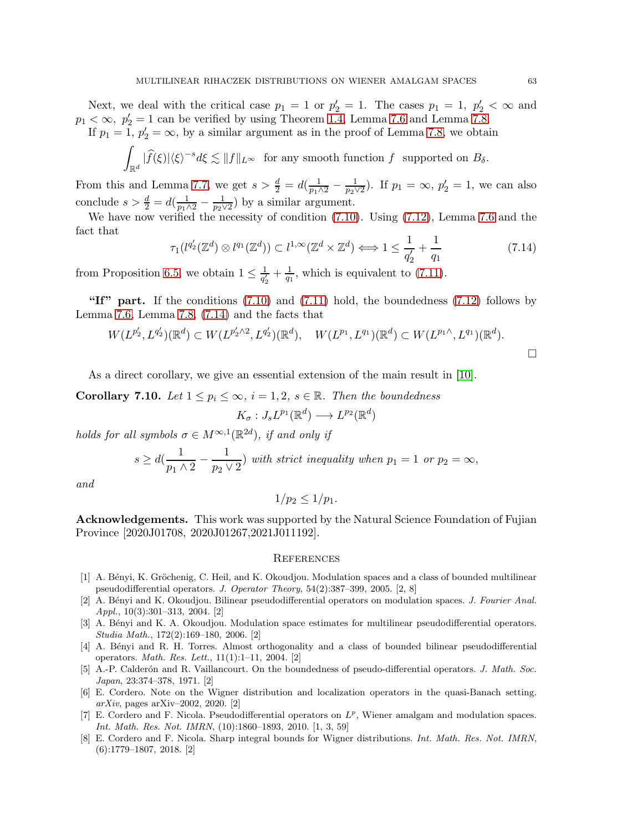Next, we deal with the critical case  $p_1 = 1$  or  $p'_2 = 1$ . The cases  $p_1 = 1$ ,  $p'_2 < \infty$  and  $p_1 < \infty$ ,  $p_2' = 1$  can be verified by using Theorem [1.4,](#page-4-0) Lemma [7.6](#page-59-2) and Lemma [7.8.](#page-60-1) If  $p_1 = 1$ ,  $p_2' = \infty$ , by a similar argument as in the proof of Lemma [7.8,](#page-60-1) we obtain

$$
\int_{\mathbb{R}^d} |\widehat{f}(\xi)| \langle \xi \rangle^{-s} d\xi \lesssim \|f\|_{L^\infty} \text{ for any smooth function } f \text{ supported on } B_\delta.
$$

From this and Lemma [7.7,](#page-59-0) we get  $s > \frac{d}{2} = d(\frac{1}{p_1 \wedge 2} - \frac{1}{p_2 \vee 2})$ . If  $p_1 = \infty$ ,  $p_2' = 1$ , we can also conclude  $s > \frac{d}{2} = d(\frac{1}{p_1 \wedge 2} - \frac{1}{p_2 \wedge 2})$  $\frac{1}{p_2 \vee 2}$ ) by a similar argument.

We have now verified the necessity of condition [\(7.10\)](#page-61-3). Using [\(7.12\)](#page-61-1), Lemma [7.6](#page-59-2) and the fact that

<span id="page-62-8"></span>
$$
\tau_1(l^{q'_2}(\mathbb{Z}^d) \otimes l^{q_1}(\mathbb{Z}^d)) \subset l^{1,\infty}(\mathbb{Z}^d \times \mathbb{Z}^d) \Longleftrightarrow 1 \le \frac{1}{q'_2} + \frac{1}{q_1}
$$
\n(7.14)

from Proposition [6.5,](#page-54-5) we obtain  $1 \leq \frac{1}{q'}$  $\frac{1}{q'_2} + \frac{1}{q_1}$  $\frac{1}{q_1}$ , which is equivalent to [\(7.11\)](#page-61-4).

"If" part. If the conditions  $(7.10)$  and  $(7.11)$  hold, the boundedness  $(7.12)$  follows by Lemma [7.6,](#page-59-2) Lemma [7.8,](#page-60-1) [\(7.14\)](#page-62-8) and the facts that

$$
W(L^{p'_2}, L^{q'_2})(\mathbb{R}^d) \subset W(L^{p'_2 \wedge 2}, L^{q'_2})(\mathbb{R}^d), \quad W(L^{p_1}, L^{q_1})(\mathbb{R}^d) \subset W(L^{p_1 \wedge}, L^{q_1})(\mathbb{R}^d).
$$

As a direct corollary, we give an essential extension of the main result in [\[10\]](#page-63-0).

**Corollary 7.10.** Let  $1 \leq p_i \leq \infty$ ,  $i = 1, 2, s \in \mathbb{R}$ . Then the boundedness

$$
K_{\sigma}: J_s L^{p_1}(\mathbb{R}^d) \longrightarrow L^{p_2}(\mathbb{R}^d)
$$

holds for all symbols  $\sigma \in M^{\infty,1}(\mathbb{R}^{2d})$ , if and only if

$$
s \ge d\left(\frac{1}{p_1 \wedge 2} - \frac{1}{p_2 \vee 2}\right)
$$
 with strict inequality when  $p_1 = 1$  or  $p_2 = \infty$ ,

and

$$
1/p_2\leq 1/p_1.
$$

Acknowledgements. This work was supported by the Natural Science Foundation of Fujian Province [2020J01708, 2020J01267,2021J011192].

#### **REFERENCES**

- <span id="page-62-5"></span>[1] A. Bényi, K. Gröchenig, C. Heil, and K. Okoudjou. Modulation spaces and a class of bounded multilinear pseudodifferential operators. J. Operator Theory, 54(2):387–399, 2005. [2, 8]
- <span id="page-62-6"></span>[2] A. Bényi and K. Okoudjou. Bilinear pseudodifferential operators on modulation spaces. J. Fourier Anal. Appl., 10(3):301–313, 2004. [2]
- <span id="page-62-7"></span>[3] A. Bényi and K. A. Okoudjou. Modulation space estimates for multilinear pseudodifferential operators. Studia Math., 172(2):169–180, 2006. [2]
- <span id="page-62-2"></span>[4] A. Bényi and R. H. Torres. Almost orthogonality and a class of bounded bilinear pseudodifferential operators. Math. Res. Lett., 11(1):1–11, 2004. [2]
- <span id="page-62-1"></span>[5] A.-P. Calderón and R. Vaillancourt. On the boundedness of pseudo-differential operators. J. Math. Soc. Japan, 23:374–378, 1971. [2]
- <span id="page-62-4"></span>[6] E. Cordero. Note on the Wigner distribution and localization operators in the quasi-Banach setting.  $arXiv$ , pages  $arXiv-2002$ , 2020. [2]
- <span id="page-62-0"></span>[7] E. Cordero and F. Nicola. Pseudodifferential operators on  $L^p$ , Wiener amalgam and modulation spaces. Int. Math. Res. Not. IMRN, (10):1860–1893, 2010. [1, 3, 59]
- <span id="page-62-3"></span>[8] E. Cordero and F. Nicola. Sharp integral bounds for Wigner distributions. Int. Math. Res. Not. IMRN, (6):1779–1807, 2018. [2]

 $\Box$